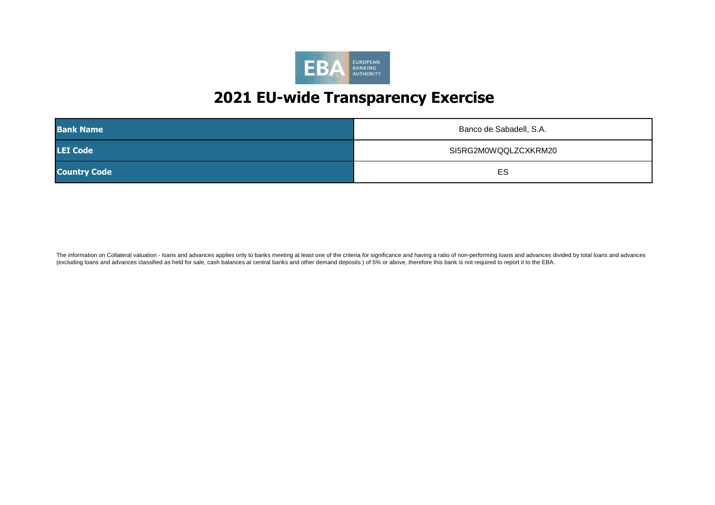

| <b>Bank Name</b>    | Banco de Sabadell, S.A. |
|---------------------|-------------------------|
| <b>LEI Code</b>     | SI5RG2M0WQQLZCXKRM20    |
| <b>Country Code</b> | ES                      |

The information on Collateral valuation - loans and advances applies only to banks meeting at least one of the criteria for significance and having a ratio of non-performing loans and advances divided by total loans and ad (excluding loans and advances classified as held for sale, cash balances at central banks and other demand deposits ) of 5% or above, therefore this bank is not required to report it to the EBA.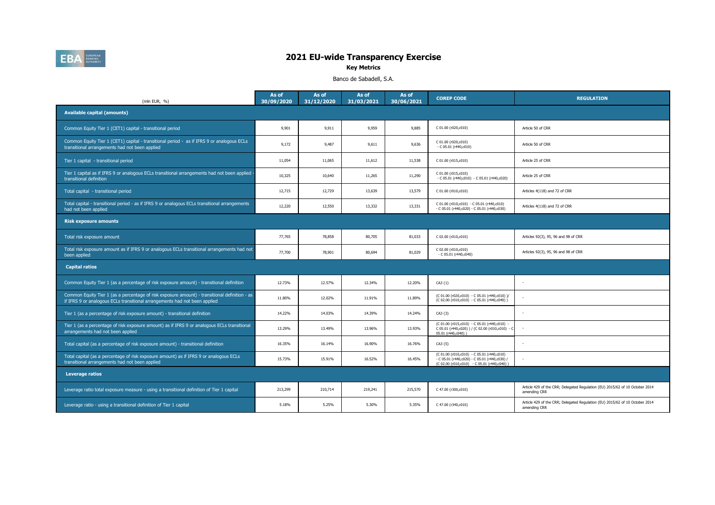

# 202009 202012 202103 202106 **2021 EU-wide Transparency Exercise**

**Key Metrics**

Banco de Sabadell, S.A.

| (mln EUR, %)                                                                                                                                                                | As of<br>30/09/2020 | As of<br>31/12/2020 | As of<br>31/03/2021 | As of<br>30/06/2021 | <b>COREP CODE</b>                                                                                                                          | <b>REGULATION</b>                                                                            |
|-----------------------------------------------------------------------------------------------------------------------------------------------------------------------------|---------------------|---------------------|---------------------|---------------------|--------------------------------------------------------------------------------------------------------------------------------------------|----------------------------------------------------------------------------------------------|
| <b>Available capital (amounts)</b>                                                                                                                                          |                     |                     |                     |                     |                                                                                                                                            |                                                                                              |
| Common Equity Tier 1 (CET1) capital - transitional period                                                                                                                   | 9,901               | 9,911               | 9,959               | 9,885               | C 01.00 (r020,c010)                                                                                                                        | Article 50 of CRR                                                                            |
| Common Equity Tier 1 (CET1) capital - transitional period - as if IFRS 9 or analogous ECLs<br>transitional arrangements had not been applied                                | 9,172               | 9,487               | 9,611               | 9,636               | C 01.00 (r020,c010)<br>$-C 05.01 (r440, c010)$                                                                                             | Article 50 of CRR                                                                            |
| Tier 1 capital - transitional period                                                                                                                                        | 11,054              | 11,065              | 11,612              | 11,538              | C 01.00 (r015,c010)                                                                                                                        | Article 25 of CRR                                                                            |
| Tier 1 capital as if IFRS 9 or analogous ECLs transitional arrangements had not been applied<br>transitional definition                                                     | 10.325              | 10,640              | 11,265              | 11,290              | C 01.00 (r015,c010)<br>- C 05.01 (r440,c010) - C 05.01 (r440,c020)                                                                         | Article 25 of CRR                                                                            |
| Total capital - transitional period                                                                                                                                         | 12,715              | 12,729              | 13,639              | 13,579              | C 01.00 (r010,c010)                                                                                                                        | Articles 4(118) and 72 of CRR                                                                |
| Total capital - transitional period - as if IFRS 9 or analogous ECLs transitional arrangements<br>had not been applied                                                      | 12,220              | 12,550              | 13,332              | 13,331              | C 01.00 (r010,c010) - C 05.01 (r440,c010)<br>- C 05.01 (r440,c020) - C 05.01 (r440,c030)                                                   | Articles 4(118) and 72 of CRR                                                                |
| <b>Risk exposure amounts</b>                                                                                                                                                |                     |                     |                     |                     |                                                                                                                                            |                                                                                              |
| Total risk exposure amount                                                                                                                                                  | 77,765              | 78,858              | 80,705              | 81,033              | C 02.00 (r010,c010)                                                                                                                        | Articles 92(3), 95, 96 and 98 of CRR                                                         |
| Total risk exposure amount as if IFRS 9 or analogous ECLs transitional arrangements had not<br>been applied                                                                 | 77,700              | 78,901              | 80,694              | 81,029              | C 02.00 (r010,c010)<br>$-$ C 05.01 (r440,c040)                                                                                             | Articles 92(3), 95, 96 and 98 of CRR                                                         |
| <b>Capital ratios</b>                                                                                                                                                       |                     |                     |                     |                     |                                                                                                                                            |                                                                                              |
| Common Equity Tier 1 (as a percentage of risk exposure amount) - transitional definition                                                                                    | 12.73%              | 12.57%              | 12.34%              | 12.20%              | $CA3$ $\{1\}$                                                                                                                              |                                                                                              |
| Common Equity Tier 1 (as a percentage of risk exposure amount) - transitional definition - as<br>if IFRS 9 or analogous ECLs transitional arrangements had not been applied | 11.80%              | 12.02%              | 11.91%              | 11.89%              | (C 01.00 (r020,c010) - C 05.01 (r440,c010) )/<br>(C 02.00 (r010,c010) - C 05.01 (r440,c040))                                               |                                                                                              |
| Tier 1 (as a percentage of risk exposure amount) - transitional definition                                                                                                  | 14.22%              | 14.03%              | 14.39%              | 14.24%              | CA3 {3}                                                                                                                                    |                                                                                              |
| Tier 1 (as a percentage of risk exposure amount) as if IFRS 9 or analogous ECLs transitional<br>arrangements had not been applied                                           | 13.29%              | 13.49%              | 13.96%              | 13.93%              | (C 01.00 (r015,c010) - C 05.01 (r440,c010) -<br>C 05.01 (r440,c020) ) / (C 02.00 (r010,c010) - C<br>05.01 (r440,c040))                     |                                                                                              |
| Total capital (as a percentage of risk exposure amount) - transitional definition                                                                                           | 16.35%              | 16.14%              | 16.90%              | 16.76%              | $CA3 \{5\}$                                                                                                                                |                                                                                              |
| Total capital (as a percentage of risk exposure amount) as if IFRS 9 or analogous ECLs<br>transitional arrangements had not been applied                                    | 15.73%              | 15.91%              | 16.52%              | 16.45%              | (C 01.00 (r010,c010) - C 05.01 (r440,c010)<br>- C 05.01 (r440,c020) - C 05.01 (r440,c030) /<br>(C 02.00 (r010,c010) - C 05.01 (r440,c040)) |                                                                                              |
| <b>Leverage ratios</b>                                                                                                                                                      |                     |                     |                     |                     |                                                                                                                                            |                                                                                              |
| Leverage ratio total exposure measure - using a transitional definition of Tier 1 capital                                                                                   | 213,299             | 210,714             | 219,241             | 215,570             | C 47.00 (r300,c010)                                                                                                                        | Article 429 of the CRR; Delegated Regulation (EU) 2015/62 of 10 October 2014<br>amending CRR |
| Leverage ratio - using a transitional definition of Tier 1 capital                                                                                                          | 5.18%               | 5.25%               | 5.30%               | 5.35%               | C 47.00 (r340,c010)                                                                                                                        | Article 429 of the CRR; Delegated Regulation (EU) 2015/62 of 10 October 2014<br>amending CRR |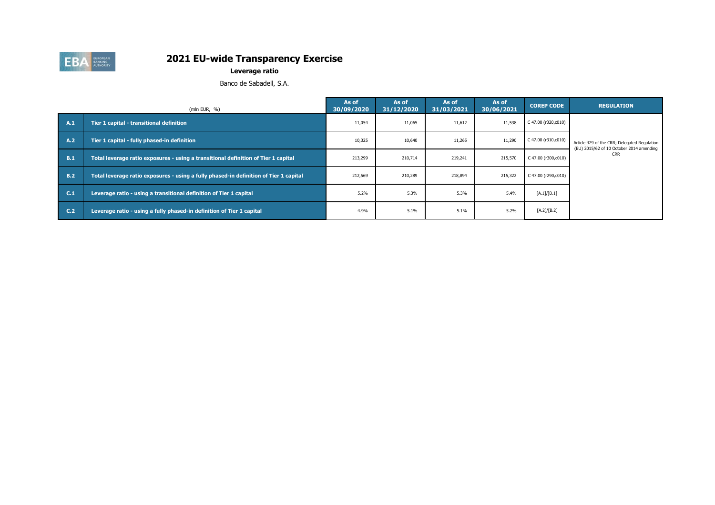

**Leverage ratio**

Banco de Sabadell, S.A.

|                | (mln EUR, $%$ )                                                                       | As of<br>30/09/2020 | As of<br>31/12/2020 | As of<br>31/03/2021 | As of<br>30/06/2021 | <b>COREP CODE</b>   | <b>REGULATION</b>                                                                        |
|----------------|---------------------------------------------------------------------------------------|---------------------|---------------------|---------------------|---------------------|---------------------|------------------------------------------------------------------------------------------|
| A.1            | Tier 1 capital - transitional definition                                              | 11,054              | 11,065              | 11,612              | 11,538              | C 47.00 (r320,c010) |                                                                                          |
| A.2            | Tier 1 capital - fully phased-in definition                                           | 10,325              | 10,640              | 11,265              | 11,290              | C 47.00 (r310,c010) | Article 429 of the CRR; Delegated Regulation<br>(EU) 2015/62 of 10 October 2014 amending |
| <b>B.1</b>     | Total leverage ratio exposures - using a transitional definition of Tier 1 capital    | 213,299             | 210,714             | 219,241             | 215,570             | C 47.00 (r300,c010) | <b>CRR</b>                                                                               |
| <b>B.2</b>     | Total leverage ratio exposures - using a fully phased-in definition of Tier 1 capital | 212,569             | 210,289             | 218.894             | 215,322             | C 47.00 (r290,c010) |                                                                                          |
| C.1            | Leverage ratio - using a transitional definition of Tier 1 capital                    | 5.2%                | 5.3%                | 5.3%                | 5.4%                | [A.1]/[B.1]         |                                                                                          |
| C <sub>2</sub> | Leverage ratio - using a fully phased-in definition of Tier 1 capital                 | 4.9%                | 5.1%                | 5.1%                | 5.2%                | [A.2]/[B.2]         |                                                                                          |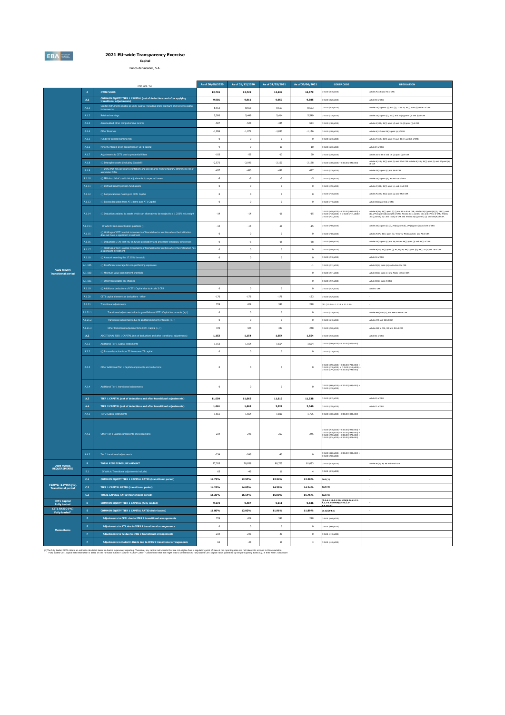**EBA** 

**2021 EU-wide Transparency Exercise Capital**

Capital<br>Banco de Sabadell, S.A.

|                                                         |                                                                                                                                           | (mln EUR, %)                                                                                                                          | As of 30/09/2020     | As of 31/12/2020 | As of 31/03/2021 | As of 30/06/2021     | <b>COREP CODE</b>                                                                                                                                                        | <b>REGULATION</b>                                                                                                                                                                                                                    |
|---------------------------------------------------------|-------------------------------------------------------------------------------------------------------------------------------------------|---------------------------------------------------------------------------------------------------------------------------------------|----------------------|------------------|------------------|----------------------|--------------------------------------------------------------------------------------------------------------------------------------------------------------------------|--------------------------------------------------------------------------------------------------------------------------------------------------------------------------------------------------------------------------------------|
|                                                         | $\mathbf{A}$                                                                                                                              | <b>OWN FUNDS</b>                                                                                                                      | 12,715               | 12,729           | 13,639           | 13,579               | 01.00 (r010,c010)                                                                                                                                                        | Articles 4(118) and 72 of CRR                                                                                                                                                                                                        |
|                                                         | ${\bf A.1}$                                                                                                                               | COMMON EQUITY TIER 1 CAPITAL (net of deductions and after applying<br>transitional adjustments)                                       | 9,901                | 9,911            | 9,959            | 9,885                | 01.00 (r020,c010)                                                                                                                                                        | Article 50 of CRR                                                                                                                                                                                                                    |
|                                                         | $\mathsf{A.1.1}$                                                                                                                          | Capital instruments eligible as CET1 Capital (including share premium and net own capital                                             | 8,553                | 8,553            | 8,553            | 8,553                | C 01.00 (r030,c010)                                                                                                                                                      | Articles 26(1) points (a) and (b), 27 to 29, 36(1) point (f) and 42 of CRR                                                                                                                                                           |
|                                                         | A.1.2                                                                                                                                     | Retained earnings                                                                                                                     | 5,500                | 5.449            | 5.414            | 5.549                | C 01.00 (r130.c010)                                                                                                                                                      | Articles 26(1) point (c), 26(2) and 36 (1) points (a) and (i) of CRR.                                                                                                                                                                |
|                                                         | A.1.3                                                                                                                                     | Accumulated other comprehensive income                                                                                                | $-507$               | $-524$           | $-445$           | $-523$               | C 01.00 (r180.c010)                                                                                                                                                      | Articles 4(100), 26(1) point (d) and 36 (1) point (f) of CRR                                                                                                                                                                         |
|                                                         |                                                                                                                                           |                                                                                                                                       | $-1,056$             | $-1,071$         | $-1,053$         | $-1,136$             | C 01.00 (r200,c010)                                                                                                                                                      | Articles 4(117) and 26(1) point (e) of CRR                                                                                                                                                                                           |
|                                                         | A.1.4<br><b>Other Reserves</b><br>A.1.5<br>Funds for general banking risk<br>A.1.6<br>Minority interest given recognition in CET1 capital |                                                                                                                                       |                      | $\circ$          | $\circ$          | $\circ$              | 01.00 (r210,c010)                                                                                                                                                        | Articles 4(112), 26(1) point (f) and 36 (1) point (l) of CRR                                                                                                                                                                         |
|                                                         |                                                                                                                                           |                                                                                                                                       | $\mathbf 0$<br>$\,9$ | $\,9$            | $10\,$           | 10                   | 01.00 (r230,c010)                                                                                                                                                        | Article 84 of CRR                                                                                                                                                                                                                    |
|                                                         | A.1.7                                                                                                                                     | Adjustments to CET1 due to prudential filters                                                                                         | $-103$               | $-52$            | $-13$            | 60                   | C 01.00 (r250,c010)                                                                                                                                                      | Articles 32 to 35 of and 36 (1) point (1) of CRR                                                                                                                                                                                     |
|                                                         | A.1.8                                                                                                                                     | (-) Intangible assets (including Goodwil)                                                                                             | $-2.572$             | $-2.196$         | $-2.150$         | $-2.188$             | C 01.00 (r300,c010) + C 01.00 (r340,c010)                                                                                                                                | Articles 4(113), 36(1) point (b) and 37 of CRR. Articles 4(115), 36(1) point (b) and 37 point (a)                                                                                                                                    |
|                                                         | A.1.9                                                                                                                                     | (-) DTAs that rely on future profitability and do not arise from temporary differences net of<br>associated DTLs                      | $-457$               | $-480$           | $-492$           | $-497$               | C.01.00 (x320 y010)                                                                                                                                                      | of COR<br>Articles 36(1) point (c) and 38 of ORR                                                                                                                                                                                     |
|                                                         |                                                                                                                                           |                                                                                                                                       |                      |                  |                  |                      |                                                                                                                                                                          |                                                                                                                                                                                                                                      |
|                                                         | A.1.10                                                                                                                                    | (-) IRB shortfall of credit risk adjustments to expected losses                                                                       | $\cdot 5$            | ٠s               | ٠s               | ٠s                   | C 01.00 (r380,c010)                                                                                                                                                      | Articles 36(1) point (d), 40 and 159 of CRR                                                                                                                                                                                          |
|                                                         | A.1.11                                                                                                                                    | (-) Defined benefit pension fund assets                                                                                               | $\mathfrak o$        | $\mathbf 0$      | $\mathbf 0$      | $\mathfrak o$        | 01.00 (r390,c010)                                                                                                                                                        | Articles 4(109), 36(1) point (e) and 41 of CRR                                                                                                                                                                                       |
|                                                         | A.1.12                                                                                                                                    | (-) Reciprocal cross holdings in CET1 Capital                                                                                         | $\mathbf 0$          | $\mathbf 0$      | $\circ$          | $\,$ 0 $\,$          | 01.00 (r430,c010)                                                                                                                                                        | Articles 4(122), 36(1) point (g) and 44 of CRR                                                                                                                                                                                       |
|                                                         | A.1.13                                                                                                                                    | (-) Excess deduction from AT1 items over AT1 Capital                                                                                  | $\circ$              | $\mathbf 0$      | $\mathbf 0$      | $\mathbf 0$          | C 01.00 (r440,c010)                                                                                                                                                      | Article 36(1) point (j) of CRR                                                                                                                                                                                                       |
|                                                         | A.1.14                                                                                                                                    | (-) Deductions related to assets which can alternatively be subject to a 1.250% risk weight                                           | $-14$                | $-14$            | $\cdot 11$       | $\cdot 15$           | C 01.00 (+450,c010) + C 01.00 (+460,c010) +<br>C 01.00 (+470,c010) + C 01.00 (+471,c010)+<br>C 01.00 (+472,c010)                                                         | Articles 4(36), 36(1) point (k) (i) and 89 to 91 of CRR; Articles 36(1) point (k) (ii), 243(1) point<br>(b), 244(1) point (b) and 258 of CRR; Articles 36(1) point k) (iii) and 379(3) of CRR; Articles<br>36(1) point k) (k) and 15 |
|                                                         | A.1.14.1                                                                                                                                  | Of which: from securitisation positions (-)                                                                                           | $-14$                | $\cdot 14$       | $\cdot 11$       | $-15$                | 01.00 (r460,c010)                                                                                                                                                        | Articles 36(1) point (k) (ii), 243(1) point (b), 244(1) point (b) and 258 of CRR                                                                                                                                                     |
|                                                         | A.1.15                                                                                                                                    | (-) Holdings of CET1 capital instruments of financial sector entities where the institution<br>does not have a significant investment | $\circ$              | $\circ$          | $\mathbf 0$      | $\mathbf 0$          | C 01.00 (r480,c010)                                                                                                                                                      | Articles 4(27), 36(1) point (h); 43 to 46, 49 (2) and (3) and 79 of ORR                                                                                                                                                              |
|                                                         | A.1.16                                                                                                                                    | (-) Deductible DTAs that rely on future profitability and arise from temporary differences                                            | $\circ$              | $-6$             | $-18$            | $-38$                | 01.00 (+490.c010)                                                                                                                                                        | Articles 36(1) point (c) and 38; Articles 48(1) point (a) and 48(2) of CRR                                                                                                                                                           |
|                                                         | $\text{A.1.17}$                                                                                                                           | (-) Holdings of CET1 capital instruments of financial sector entities where the institution has<br>a significant investment           | $\circ$              | $\circ$          | $\circ$          | $\circ$              | 01.00 (rS00.c010)                                                                                                                                                        | Articles 4(27); 36(1) point (i); 43, 45; 47; 48(1) point (b); 49(1) to (3) and 79 of ORR                                                                                                                                             |
|                                                         | A.1.18                                                                                                                                    | (-) Amount exceding the 17.65% threshold                                                                                              | $\mathbf 0$          | $\circ$          | $\circ$          | $\,$ 0 $\,$          | 01.00 (r510,c010)                                                                                                                                                        | Article 48 of CRR                                                                                                                                                                                                                    |
|                                                         | A.1.18A                                                                                                                                   | (-) Insufficient coverage for non-performing exposures                                                                                |                      |                  |                  | $\cdot$ 1            | 01.00 (r513,c010)                                                                                                                                                        | Article 36(1), point (m) and Article 47c CRR                                                                                                                                                                                         |
| <b>OWN FUNDS</b><br><b>Transitional period</b>          | A.1.18E                                                                                                                                   | (-) Minimum value commitment shortfalls                                                                                               |                      |                  |                  | $\mathbf 0$          | 01.00 (r514,c010)                                                                                                                                                        | Article 36(1), point (n) and Article 132c(2) CRR                                                                                                                                                                                     |
|                                                         | A.1.18C                                                                                                                                   | (-) Other foreseeable tax charges                                                                                                     |                      |                  |                  | $^{\circ}$           | C 01.00 (r515,c010)                                                                                                                                                      | Article 36(1), point (I) CRR                                                                                                                                                                                                         |
|                                                         | A.1.19                                                                                                                                    | (-) Additional deductions of CET1 Capital due to Article 3 CRR                                                                        | $\circ$              | $\circ$          | $\circ$          | $^{\circ}$           | C 01.00 (rS24,c010)                                                                                                                                                      | Article 3 CRR                                                                                                                                                                                                                        |
|                                                         | A.1.20                                                                                                                                    | CET1 capital elements or deductions - other                                                                                           | $-176$               | $-178$           | $-178$           | $-133$               | C 01.00 (rS29.c010)                                                                                                                                                      |                                                                                                                                                                                                                                      |
|                                                         | A.1.21                                                                                                                                    | <b>Transitional adjustments</b>                                                                                                       | 729                  | 424              | 347              | 248                  | $CA1(1.1.1.6 + 1.1.1.8 + 1.1.1.26)$                                                                                                                                      |                                                                                                                                                                                                                                      |
|                                                         | A.1.21.1                                                                                                                                  | Transitional adjustments due to grandfathered CET1 Capital instruments (+/-)                                                          | $\mathfrak o$        | $\mathbf 0$      | $\circ$          | $\mathbf 0$          | C 01.00 (r220,c010)                                                                                                                                                      | Articles 483(1) to (3), and 484 to 487 of CRR                                                                                                                                                                                        |
|                                                         | A.1.21.                                                                                                                                   | Transitional adjustments due to additional minority interests $(+/-)$                                                                 | $\circ$              | $\circ$          | $\circ$          | $\,$ 0 $\,$          | 01.00 (r240,c010)                                                                                                                                                        | Articles 479 and 480 of CRR                                                                                                                                                                                                          |
|                                                         | A.1.21.                                                                                                                                   | Other transitional adjustments to CET1 Capital (+/-)                                                                                  | 729                  | 424              | 347              | 248                  | C 01.00 (rS20,c010)                                                                                                                                                      | Articles 469 to 472, 478 and 481 of CRR                                                                                                                                                                                              |
|                                                         | A.2                                                                                                                                       | ADDITIONAL TIER 1 CAPITAL (net of deductions and after transitional adjustments)                                                      | 1,153                | 1.154            | 1.654            | 1.654                | C 01.00 (r530,c010)                                                                                                                                                      | Article 61 of ORR                                                                                                                                                                                                                    |
|                                                         | A.2.1                                                                                                                                     | Additional Tier 1 Capital instruments                                                                                                 | 1.153                | 1.154            | 1.654            | 1.654                | 01.00 (r540.c010) + C 01.00 (r670.c010)                                                                                                                                  |                                                                                                                                                                                                                                      |
|                                                         | A.2.2                                                                                                                                     | (-) Excess deduction from T2 items over T2 capital                                                                                    | $\circ$              | $\circ$          | $\circ$          | $\circ$              | C 01.00 (r720,c010)                                                                                                                                                      |                                                                                                                                                                                                                                      |
|                                                         | A.2.3                                                                                                                                     | Other Additional Tier 1 Capital components and deductions                                                                             | $\mathbf 0$          | $\circ$          | $\circ$          | $\mathbf 0$          | : 01.00 (r690,c010) + C 01.00 (r700,c010)<br>: 01.00 (r710,c010) + C 01.00 (r740,c010)<br>: 01.00 (r744,c010) + C 01.00 (r748,c010)                                      |                                                                                                                                                                                                                                      |
|                                                         | A.2.4                                                                                                                                     | Additional Tier 1 transitional adjustments                                                                                            | $\circ$              | $\circ$          | $\circ$          | $^{\circ}$           | C 01.00 (r660,c010) + C 01.00 (r680,c010)<br>$01.00$ (r730.c010)                                                                                                         |                                                                                                                                                                                                                                      |
|                                                         | A.3                                                                                                                                       | TIER 1 CAPITAL (net of deductions and after transitional adjustments)                                                                 | 11.054               | 11.065           | 11.612           | 11.538               | 01.00 (r015.c010)                                                                                                                                                        | Article 25 of CRR                                                                                                                                                                                                                    |
|                                                         | A.4                                                                                                                                       | TIER 2 CAPITAL (net of deductions and after transitional adjustments)                                                                 | 1,661                | 1,665            | 2,027            | 2,040                | C 01.00 (r750,c010)                                                                                                                                                      | Article 71 of CRR                                                                                                                                                                                                                    |
|                                                         | A.4.1                                                                                                                                     | Tier 2 Capital instruments                                                                                                            | 1,661                | 1,664            | 1,810            | 1,795                | C 01.00 (r760,c010) + C 01.00 (r890,c010)                                                                                                                                |                                                                                                                                                                                                                                      |
|                                                         | A.4.2                                                                                                                                     | Other Tier 2 Capital components and deductions                                                                                        | 234                  | 246              | 257              | 245                  | 01.00 (r910,c010) + C 01.00 (r920,c010)<br>01.00 (r930.c010) + C 01.00 (r940.c010)<br>01.00 (r950.c010) + C 01.00 (r970.c010)<br>01.00 (r974,c010) + C 01.00 (r978,c010) |                                                                                                                                                                                                                                      |
|                                                         | A.4.3                                                                                                                                     | Tier 2 transitional adjustments                                                                                                       | $-234$               | $-245$           | $-40$            | $^{\circ}$           | C 01.00 (r880,c010) + C 01.00 (r900,c010)<br>01.00 (r960.c010)                                                                                                           |                                                                                                                                                                                                                                      |
| <b>OWN FUNDS</b><br><b>REQUIREMENTS</b>                 | $\, {\bf B}$                                                                                                                              | <b>TOTAL RISK EXPOSURE AMOUNT</b>                                                                                                     | 77,765               | 78,858           | 80,705           | 81,033               | C 02.00 (r010,c010)                                                                                                                                                      | Articles 92(3), 95, 96 and 98 of CRR                                                                                                                                                                                                 |
|                                                         | B.1                                                                                                                                       | Of which: Transitional adjustments included                                                                                           | 65                   | $-43$            | $11\,$           | $\ddot{\phantom{1}}$ | C 05.01 (r010;c040)                                                                                                                                                      |                                                                                                                                                                                                                                      |
|                                                         | C.1                                                                                                                                       | COMMON EQUITY TIER 1 CAPITAL RATIO (transitional period)                                                                              | 12.73%               | 12.57%           | 12.34%           | 12.20%               | CA3 {1}                                                                                                                                                                  | ×,                                                                                                                                                                                                                                   |
| <b>CAPITAL RATIOS (%)</b><br><b>Transitional period</b> | $\mathsf{C.2}$                                                                                                                            | <b>TIER 1 CAPITAL RATIO (transitional period)</b>                                                                                     | 14.22%               | 14.03%           | 14.39%           | 14.24%               | CA3 {3}                                                                                                                                                                  | $\cdot$                                                                                                                                                                                                                              |
|                                                         | C.3                                                                                                                                       | <b>TOTAL CAPITAL RATIO (transitional period)</b>                                                                                      | 16.35%               | 16.14%           | 16.90%           | 16.76%               | CA3 (5)                                                                                                                                                                  |                                                                                                                                                                                                                                      |
| <b>CET1 Capital</b><br><b>Fully loaded</b>              | D                                                                                                                                         | COMMON EQUITY TIER 1 CAPITAL (fully loaded)                                                                                           | 9,172                | 9,487            | 9,611            | 9.636                | [A.1-A.1.13-A.1.21+MIN(A.2+A.1.13-<br>A.2.2-A.2.4+MIN(A.4+A.2.2-<br>4.3.01.017                                                                                           | $\sim$                                                                                                                                                                                                                               |
| CET1 RATIO (%)<br><b>Fully loaded</b>                   | $\mathbf{E}$                                                                                                                              | COMMON EQUITY TIER 1 CAPITAL RATIO (fully loaded)                                                                                     | 11.80%               | 12.02%           | 11.91%           | 11.89%               | $[D.1]/[B-B.1]$                                                                                                                                                          | $\sim$                                                                                                                                                                                                                               |
|                                                         | F                                                                                                                                         | Adjustments to CET1 due to IFRS 9 transitional arrangements                                                                           | 729                  | 424              | 347              | 248                  | C 05.01 (r440,c010)                                                                                                                                                      |                                                                                                                                                                                                                                      |
|                                                         | F                                                                                                                                         | Adjustments to AT1 due to IFRS 9 transitional arrangements                                                                            | $\,$ 0               | $\,$ 0           | $\circ$          | $\,$ 0 $\,$          | 05.01 (r440,c020)                                                                                                                                                        |                                                                                                                                                                                                                                      |
| Memo items                                              | ×                                                                                                                                         | Adjustments to T2 due to IFRS 9 transitional arrangements                                                                             | $-234$               | $-245$           | $-40$            | $\circ$              | 05.01 (r440,c030)                                                                                                                                                        |                                                                                                                                                                                                                                      |
|                                                         | ×                                                                                                                                         | Adjustments included in RWAs due to IFRS 9 transitional arrangements                                                                  | 65                   | $-43$            | $11\,$           | $\,$                 | C 05.01 (r440,c040)                                                                                                                                                      |                                                                                                                                                                                                                                      |
|                                                         |                                                                                                                                           |                                                                                                                                       |                      |                  |                  |                      |                                                                                                                                                                          |                                                                                                                                                                                                                                      |

(The fully badd CETI ration and the about state band on bank superior members in the mail instruments that we not eightle from a republish particle in the report of view at the report of supering discount in the color of t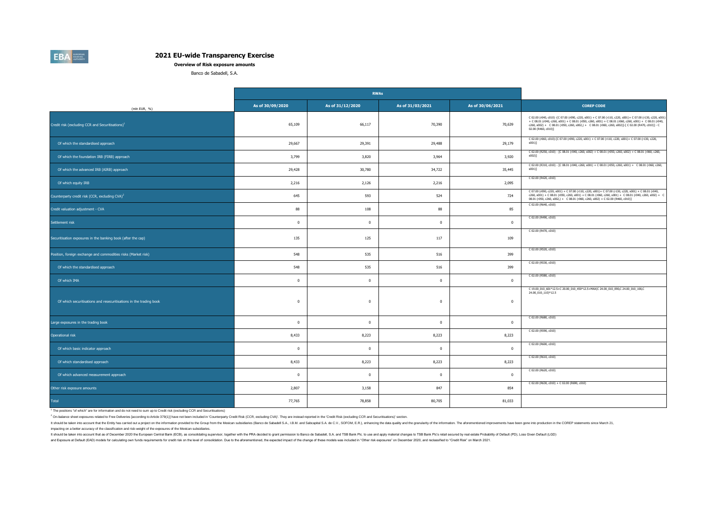**Overview of Risk exposure amounts**

Banco de Sabadell, S.A.

|                                                                    |                  | <b>RWAs</b>      |                  |                  |                                                                                                                                                                                                                                                                                                                                                    |
|--------------------------------------------------------------------|------------------|------------------|------------------|------------------|----------------------------------------------------------------------------------------------------------------------------------------------------------------------------------------------------------------------------------------------------------------------------------------------------------------------------------------------------|
| (mln EUR, %)                                                       | As of 30/09/2020 | As of 31/12/2020 | As of 31/03/2021 | As of 30/06/2021 | <b>COREP CODE</b>                                                                                                                                                                                                                                                                                                                                  |
| Credit risk (excluding CCR and Securitisations) <sup>1</sup>       | 65,109           | 66,117           | 70,390           | 70,639           | C 02.00 (r040, c010) -[C 07.00 (r090, c220, s001) + C 07.00 (r110, c220, s001)+ C 07.00 (r130, c220, s001)<br>+ C 08.01 (r040, c260, s001) + C 08.01 (r050, c260, s001) + C 08.01 (r060, c260, s001) + C 08.01 (r040,<br>c260, s002) + C 08.01 (r050, c260, s002,) + C 08.01 (r060, c260, s002)]-[C 02.00 (R470, c010)] - C<br>02.00 (R460, c010)] |
| Of which the standardised approach                                 | 29,667           | 29,391           | 29,488           | 29,179           | C 02.00 (r060, c010)-[C 07.00 (r090, c220, s001) + C 07.00 (r110, c220, s001)+ C 07.00 (r130, c220,<br>$s001$ ]                                                                                                                                                                                                                                    |
| Of which the foundation IRB (FIRB) approach                        | 3,799            | 3,820            | 3,964            | 3,920            | C 02.00 (R250, c010) - [C 08.01 (r040, c260, s002) + C 08.01 (r050, c260, s002) + C 08.01 (r060, c260,<br>$s002$ ]                                                                                                                                                                                                                                 |
| Of which the advanced IRB (AIRB) approach                          | 29,428           | 30,780           | 34,722           | 35,445           | C 02.00 (R310, c010) - [C 08.01 (r040, c260, s001) + C 08.01 (r050, c260, s001) + C 08.01 (r060, c260,<br>s001)]                                                                                                                                                                                                                                   |
| Of which equity IRB                                                | 2,216            | 2,126            | 2,216            | 2,095            | C 02.00 (R420, c010)                                                                                                                                                                                                                                                                                                                               |
| Counterparty credit risk (CCR, excluding CVA) <sup>2</sup>         | 645              | 593              | 524              | 724              | C 07.00 (r090, c220, s001) + C 07.00 (r110, c220, s001)+ C 07.00 (r130, c220, s001) + C 08.01 (r040,<br>$c260$ , $s001$ ) + C 08.01 (r050, c260, s001) + C 08.01 (r060, c260, s001) + C 08.01 (r040, c260, s002) +<br>08.01 (r050, c260, s002,) + C 08.01 (r060, c260, s002) + C 02.00 (R460, c010)]                                               |
| Credit valuation adjustment - CVA                                  | 88               | 108              | 88               | 85               | C 02.00 (R640, c010)                                                                                                                                                                                                                                                                                                                               |
| Settlement risk                                                    | $\mathbf{0}$     | $\overline{0}$   | $\bf{0}$         | $\mathbf{0}$     | C 02.00 (R490, c010)                                                                                                                                                                                                                                                                                                                               |
| Securitisation exposures in the banking book (after the cap)       | 135              | 125              | 117              | 109              | C 02.00 (R470, c010)                                                                                                                                                                                                                                                                                                                               |
| Position, foreign exchange and commodities risks (Market risk)     | 548              | 535              | 516              | 399              | C 02.00 (R520, c010)                                                                                                                                                                                                                                                                                                                               |
| Of which the standardised approach                                 | 548              | 535              | 516              | 399              | C 02.00 (R530, c010)                                                                                                                                                                                                                                                                                                                               |
| Of which IMA                                                       | $\mathbf 0$      | $\mathbf 0$      | $\overline{0}$   | $\mathbf 0$      | C 02.00 (R580, c010)                                                                                                                                                                                                                                                                                                                               |
| Of which securitisations and resecuritisations in the trading book | $\mathbf{0}$     | $\mathbf 0$      | $\overline{0}$   | $\mathbf 0$      | C 19.00_010_601*12.5+C 20.00_010_450*12.5+MAX(C 24.00_010_090,C 24.00_010_100,C<br>24.00_010_110)*12.5                                                                                                                                                                                                                                             |
| Large exposures in the trading book                                | $\mathbf{0}$     | $\mathbf{0}$     | $\mathbf{0}$     | $\mathbf 0$      | C 02.00 (R680, c010)                                                                                                                                                                                                                                                                                                                               |
| Operational risk                                                   | 8,433            | 8,223            | 8,223            | 8,223            | C 02.00 (R590, c010)                                                                                                                                                                                                                                                                                                                               |
| Of which basic indicator approach                                  | $\mathbf{0}$     | $\overline{0}$   | $\bf{0}$         | $\mathbf{0}$     | C 02.00 (R600, c010)                                                                                                                                                                                                                                                                                                                               |
| Of which standardised approach                                     | 8,433            | 8,223            | 8,223            | 8,223            | C 02.00 (R610, c010)                                                                                                                                                                                                                                                                                                                               |
| Of which advanced measurement approach                             | $\mathbf{0}$     | $\mathbf{0}$     | $\overline{0}$   | $\mathbf{0}$     | C 02.00 (R620, c010)                                                                                                                                                                                                                                                                                                                               |
| Other risk exposure amounts                                        | 2,807            | 3,158            | 847              | 854              | C 02.00 (R630, c010) + C 02.00 (R690, c010)                                                                                                                                                                                                                                                                                                        |
| Total                                                              | 77,765           | 78,858           | 80,705           | 81,033           |                                                                                                                                                                                                                                                                                                                                                    |

1 The positions "of which" are for information and do not need to sum up to Credit risk (excluding CCR and Securitisations)

2 On-balance sheet exposures related to Free Deliveries [according to Article 379(1)] have not been included in 'Counterparty Credit Risk (CCR, excluding CVA)'. They are instead reported in the 'Credit Risk (excluding CCR

It should be taken into account that the Entity has carried out a project on the information provided to the Group from the Mexican subsidiaries (Banco de Sabadell S.A., I.B.M. and Sabcapital S.A. de C.V., SOFOM, E.R.), en impacting on a better accuracy of the classification and risk-weight of the exposures of the Mexican subsidiaries.

It should be taken into account that as of December 2020 the European Central Bank (ECB), as consolidating supervisor, together with the PRA decided to grant emmission to Banco de Sabadell, S.A. and TSB Bank Pic, to use an

and Exposure at Default (EAD) models for calculating own funds requirements for credit risk on the level of consolidation. Due to the aforementioned, the expected impact of the change of these models was included in "Other

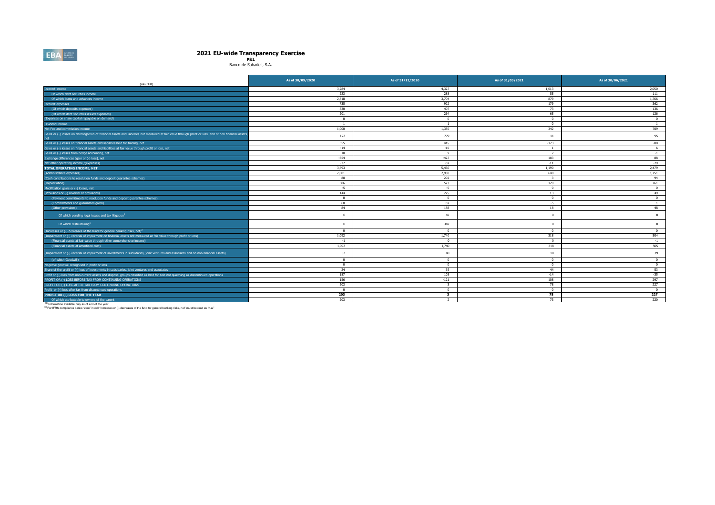# **2021 EU-wide Transparency Exercise P&L** Banco de Sabadell, S.A.

 $\overline{a}$ 

| (mln EUR)                                                                                                                                                                                                  | As of 30/09/2020 | As of 31/12/2020        | As of 31/03/2021 | As of 30/06/2021 |
|------------------------------------------------------------------------------------------------------------------------------------------------------------------------------------------------------------|------------------|-------------------------|------------------|------------------|
| Interest income                                                                                                                                                                                            | 3,284            | 4,327                   | 1,013            | 2,050            |
| Of which debt securities income                                                                                                                                                                            | 223              | 288                     | 55               | 111              |
| Of which loans and advances income                                                                                                                                                                         | 2.818            | 3,704                   | 879              | 1.766            |
| nterest expenses                                                                                                                                                                                           | 735              | 922                     | 179              | 362              |
| (Of which deposits expenses)                                                                                                                                                                               | 330              | 407                     | 73               | 136              |
| (Of which debt securities issued expenses)                                                                                                                                                                 | 201              | 264                     | 65               | 126              |
| (Expenses on share capital repayable on demand)                                                                                                                                                            | $\mathbf{0}$     | $\mathbf{0}$            | $\mathbf{0}$     | $\mathbf{0}$     |
| Dividend income                                                                                                                                                                                            | $\overline{1}$   | $\overline{1}$          | $\mathbf{0}$     | <sup>1</sup>     |
| Net Fee and commission income                                                                                                                                                                              | 1,000            | 1,350                   | 342              | 709              |
| Gains or (-) losses on derecognition of financial assets and liabilities not measured at fair value through profit or loss, and of non financial assets                                                    | 172              | 779                     | 11               | 95               |
| Gains or (-) losses on financial assets and liabilities held for trading, net                                                                                                                              | 355              | 445                     | $-173$           | $-80$            |
| Gains or (-) losses on financial assets and liabilities at fair value through profit or loss, net                                                                                                          | $-14$            | $-10$                   | -1               | 6                |
| Gains or (-) losses from hedge accounting, net                                                                                                                                                             | 10               | $\mathbf{q}$            | $\overline{2}$   | $-1$             |
| Exchange differences [qain or (-) loss], net                                                                                                                                                               | $-354$           | $-427$                  | 183              | 88               |
| Net other operating income /(expenses)                                                                                                                                                                     | $-27$            | $-87$                   | $-11$            | $-29$            |
| <b>TOTAL OPERATING INCOME, NET</b>                                                                                                                                                                         | 3,693            | 5,466                   | 1,190            | 2,479            |
| (Administrative expenses)                                                                                                                                                                                  | 2,001            | 2,938                   | 640              | 1,251            |
| (Cash contributions to resolution funds and deposit quarantee schemes)                                                                                                                                     | 88               | 202                     | $\mathbf{R}$     | 94               |
| (Depreciation)                                                                                                                                                                                             | 386              | 523                     | 129              | 261              |
| Modification gains or (-) losses, net                                                                                                                                                                      | $-5$             | $-5$                    | $\Omega$         | $\Omega$         |
| (Provisions or (-) reversal of provisions)                                                                                                                                                                 | 144              | 275                     | 13               | 49               |
| (Payment commitments to resolution funds and deposit guarantee schemes)                                                                                                                                    | $\mathbf{0}$     | $^{\circ}$              | $\mathbf{0}$     | $\overline{0}$   |
| (Commitments and quarantees given)                                                                                                                                                                         | 60               | 87                      | $-5$             | $\overline{1}$   |
| (Other provisions)                                                                                                                                                                                         | 84               | 188                     | 18               | 48               |
| Of which pending legal issues and tax litigation <sup>1</sup>                                                                                                                                              | $^{\circ}$       | 47                      | $\Omega$         | $\overline{0}$   |
| Of which restructuring <sup>1</sup>                                                                                                                                                                        | $\Omega$         | 347                     | $\Omega$         | $\overline{0}$   |
| (Increases or (-) decreases of the fund for general banking risks, net) <sup>2</sup>                                                                                                                       | $\mathbf{0}$     | $\mathbf{0}$            | $\overline{0}$   | $\mathbf{0}$     |
| (Impairment or (-) reversal of impairment on financial assets not measured at fair value through profit or loss)                                                                                           | 1,092            | 1,740                   | 318              | 504              |
| (Financial assets at fair value through other comprehensive income)                                                                                                                                        | $-1$             | $\Omega$                | $\Omega$         | $-1$             |
| (Financial assets at amortised cost)                                                                                                                                                                       | 1.092            | 1,740                   | 318              | 505              |
| (Impairment or (-) reversal of impairment of investments in subsidaries, joint ventures and associates and on non-financial assets)                                                                        | 32               | 40                      | 10               | 39               |
| (of which Goodwill)                                                                                                                                                                                        | $\mathbf{0}$     | $\overline{0}$          | $\Omega$         | $\mathbf{0}$     |
| Negative goodwill recognised in profit or loss                                                                                                                                                             | $\mathbf{0}$     | $\overline{0}$          | $\Omega$         | $\mathbf{0}$     |
| Share of the profit or (-) loss of investments in subsidaries, joint ventures and associates                                                                                                               | 24               | 35                      | 44               | 53               |
| Profit or (-) loss from non-current assets and disposal groups classified as held for sale not qualifying as discontinued operations                                                                       | 187              | 103                     | $-14$            | $-35$            |
| PROFIT OR (-) LOSS BEFORE TAX FROM CONTINUING OPERATIONS                                                                                                                                                   | 156              | $-121$                  | 108              | 297              |
| PROFIT OR (-) LOSS AFTER TAX FROM CONTINUING OPERATIONS                                                                                                                                                    | 203              | $\overline{\mathbf{3}}$ | 78               | 227              |
| Profit or (-) loss after tax from discontinued operations                                                                                                                                                  | $\Omega$         | $^{\circ}$              | $\Omega$         | $\Omega$         |
| PROFIT OR (-) LOSS FOR THE YEAR                                                                                                                                                                            | 203              | $\overline{\mathbf{3}}$ | 78               | 227              |
| Of which attributable to owners of the parent                                                                                                                                                              | 203              | 2                       | 73               | 220              |
| Information available only as of end of the year<br><sup>(2)</sup> For IFRS compliance banks "zero" in cell "Increases or (-) decreases of the fund for general banking risks, net" must be read as "n.a." |                  |                         |                  |                  |

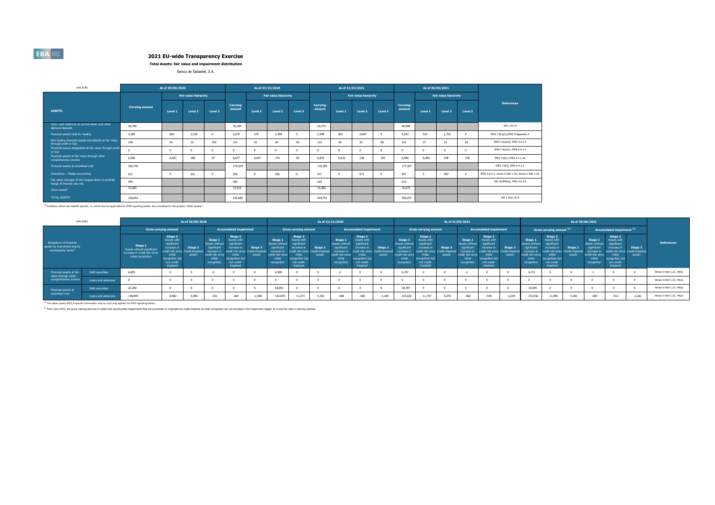**Total Assets: fair value and impairment distribution**

Banco de Sabadell, S.A.

| (mln EUR)                                                                          |                        | As of 30/09/2020 |                             |          |                    |         | As of 31/12/2020     |          |                    |         | As of 31/03/2021     |         |                    | As of 30/06/2021 |                             |         |                                                    |  |  |
|------------------------------------------------------------------------------------|------------------------|------------------|-----------------------------|----------|--------------------|---------|----------------------|----------|--------------------|---------|----------------------|---------|--------------------|------------------|-----------------------------|---------|----------------------------------------------------|--|--|
|                                                                                    |                        |                  | <b>Fair value hierarchy</b> |          |                    |         | Fair value hierarchy |          |                    |         | Fair value hierarchy |         |                    |                  | <b>Fair value hierarchy</b> |         |                                                    |  |  |
| <b>ASSETS:</b>                                                                     | <b>Carrying amount</b> | Level 1          | Level 2                     | Level 3  | Carrying<br>amount | Level 1 | Level <sub>2</sub>   | Level 3  | Carrying<br>amount | Level 1 | Level 2              | Level 3 | Carrying<br>amount | Level 1          | Level 2                     | Level 3 | <b>References</b>                                  |  |  |
| Cash, cash balances at central banks and other<br>demand deposits                  | 26,768                 |                  |                             |          | 35,184             |         |                      |          | 42.274             |         |                      |         | 46,908             |                  |                             |         | IAS 1.54 (i)                                       |  |  |
| Financial assets held for trading                                                  | 3,200                  | 664              | 2,530                       | 6        | 2,679              | 275     | 2,399                |          | 2.948              | 851     | 2,097                |         | 2.263              | 510              | 1,752                       |         | IFRS 7.8(a)(ii); IFRS 9.Appendix A                 |  |  |
| Non-trading financial assets mandatorily at fair value<br>through profit or loss   | 156                    | 34               | 22                          | 100      | 114                | 22      | 36                   | 56       | 112                | 20      | 33                   | 58      | 123                | 27               | 33                          | 62      | IFRS 7.8(a)(ii); IFRS 9.4.1.4                      |  |  |
| Financial assets designated at fair value through profit<br>or loss                |                        |                  |                             | $\Omega$ | $^{\circ}$         |         |                      | $\Omega$ |                    |         | $\Omega$             |         |                    | $\sqrt{2}$       |                             |         | IFRS 7.8(a)(i); IFRS 9.4.1.5                       |  |  |
| Financial assets at fair value through other<br>comprehensive income               | 6,996                  | 6.693            | 206                         | 97       | 6,677              | 6.407   | 170                  | 99       | 6.875              | 6.632   | 138                  | 105     | 6,900              | 6,484            | 258                         | 158     | IFRS 7.8(h); IFRS 9.4.1.2A                         |  |  |
| Financial assets at amortised cost                                                 | 182,745                |                  |                             |          | 174,504            |         |                      |          | 176,305            |         |                      |         | 177,457            |                  |                             |         | IFRS 7.8(f); IFRS 9.4.1.2                          |  |  |
| Derivatives - Hedge accounting                                                     | 612                    |                  | 612                         |          | 550                |         | 550                  | $\Omega$ | 571                |         | 571                  |         | 497                |                  | 497                         |         | IFRS 9.6.2.1: Annex V.Part 1.22: Annex V.Part 1.26 |  |  |
| Fair value changes of the hedged items in portfolio<br>hedge of interest rate risk | 459                    |                  |                             |          | 459                |         |                      |          | 243                |         |                      |         | 214                |                  |                             |         | IAS 39.89A(a); IFRS 9.6.5.8                        |  |  |
| Other assets <sup>1</sup>                                                          | 15,065                 |                  |                             |          | 15,519             |         |                      |          | 15,466             |         |                      |         | 15,675             |                  |                             |         |                                                    |  |  |
| <b>TOTAL ASSETS</b>                                                                | 236,002                |                  |                             |          | 235,685            |         |                      |          | 244.791            |         |                      |         | 250,037            |                  |                             |         | IAS 1.9(a), IG 6                                   |  |  |

(1) Portfolios, which are nGAAP specific, i.e. which are not applicable for IFRS reporting banks, are considered in the position "Other assets".

|                                                                                           | (mln EUR)<br>As of 30/09/2020 |                                                                                               |                                                                                                               |                                                        |                                                                                         |                                                                                                              |                                                      | As of 31/12/2020                                                                                            |                                                                                                              |                                                      |                                                                                                               |                                                                                                               |                                                       |                                                                                                      |                                                                                                                                    |                                      | As of 31/03/2021                                                                                      |                                                                                                               |                                                       | As of 30/06/2021                                                                                      |                                                                                                                                     |                   |                                                                                                           |                                                                                                                      |                                                                            |                          |
|-------------------------------------------------------------------------------------------|-------------------------------|-----------------------------------------------------------------------------------------------|---------------------------------------------------------------------------------------------------------------|--------------------------------------------------------|-----------------------------------------------------------------------------------------|--------------------------------------------------------------------------------------------------------------|------------------------------------------------------|-------------------------------------------------------------------------------------------------------------|--------------------------------------------------------------------------------------------------------------|------------------------------------------------------|---------------------------------------------------------------------------------------------------------------|---------------------------------------------------------------------------------------------------------------|-------------------------------------------------------|------------------------------------------------------------------------------------------------------|------------------------------------------------------------------------------------------------------------------------------------|--------------------------------------|-------------------------------------------------------------------------------------------------------|---------------------------------------------------------------------------------------------------------------|-------------------------------------------------------|-------------------------------------------------------------------------------------------------------|-------------------------------------------------------------------------------------------------------------------------------------|-------------------|-----------------------------------------------------------------------------------------------------------|----------------------------------------------------------------------------------------------------------------------|----------------------------------------------------------------------------|--------------------------|
|                                                                                           |                               |                                                                                               | <b>Gross carrying amount</b>                                                                                  |                                                        |                                                                                         | <b>Accumulated impairment</b>                                                                                |                                                      |                                                                                                             | <b>Gross carrying amount</b>                                                                                 |                                                      |                                                                                                               | <b>Accumulated impairment</b>                                                                                 |                                                       |                                                                                                      | <b>Gross carrying amount</b>                                                                                                       |                                      |                                                                                                       | <b>Accumulated impairment</b>                                                                                 |                                                       |                                                                                                       | Gross carrying amount (2)                                                                                                           |                   |                                                                                                           | Accumulated impairment (2)                                                                                           |                                                                            |                          |
| Breakdown of financial<br>assets by instrument and by<br>counterparty sector <sup>1</sup> |                               | Stage 1<br>Assets without significant<br>increase in credit risk since<br>initial recognition | Stage 2<br>Assets with<br>significant<br>increase in<br>initial<br>recognition but<br>not credit-<br>impaired | Stage 3<br>credit risk since Credit-impaired<br>assets | Stage 1<br>Assets without<br>significant<br>credit risk since<br>initial<br>recognition | Stage 2<br>Assets with<br>significant<br>increase in<br>initial<br>ecognition but<br>not credit-<br>impaired | Stage 3<br>edit risk since Credit-impaired<br>assets | Stage 1<br><b>Assets without</b><br>significant<br>increase in<br>edit risk since<br>initial<br>recognition | Stage 2<br>Assets with<br>significant<br>increase in<br>initial<br>ecognition but<br>not credit-<br>impaired | Stage 3<br>edit risk since Credit-impaired<br>assets | Stage 1<br><b>Assets without</b><br>significant<br>increase in<br>credit risk since<br>initial<br>recognition | Stage 2<br>Assets with<br>significant<br>increase in<br>initial<br>recognition but<br>not credit-<br>impaired | Stage 3<br>redit risk since Credit-impaired<br>assets | Stage:<br>Assets without<br>sionificant<br>increase in<br>redit risk since<br>initial<br>recognition | Stage 2<br>Assets with<br>significant<br>increase in<br>edit risk since l<br>initial<br>recognition but<br>not credit-<br>impaired | Stage 3<br>Credit-impaired<br>assets | Stage 1<br>ssets without<br>significant<br>increase in<br>credit risk since<br>initial<br>recognition | Stage 2<br>Assets with<br>significant<br>increase in<br>initial<br>recognition but<br>not credit-<br>impaired | Stage 3<br>redit risk since Credit-impaired<br>assets | Stage 1<br>Assets without<br>significant<br>increase in<br>redit risk since<br>initial<br>recognition | Stage 2<br>Assets with<br>sionificant<br>increase in<br>rredit risk since i<br>initial<br>ecognition but<br>not credit-<br>impaired | Stage 3<br>assets | Stage 1<br><b>Assets with</b><br>significant<br>increase i<br>credit risk since<br>initial<br>recognition | Stage 2<br><b>Assets with</b><br>significant<br>increase in<br>initial<br>recognition but<br>not credit-<br>impaired | <b>References</b><br>Stage 3<br>redit risk since Credit-impaired<br>assets |                          |
| Financial assets at fair<br>value through other                                           | Debt securities               | 6,835                                                                                         |                                                                                                               |                                                        |                                                                                         |                                                                                                              |                                                      | 6.509                                                                                                       |                                                                                                              |                                                      |                                                                                                               |                                                                                                               |                                                       | 6.707                                                                                                |                                                                                                                                    |                                      |                                                                                                       |                                                                                                               |                                                       | 6,711                                                                                                 |                                                                                                                                     |                   |                                                                                                           |                                                                                                                      |                                                                            | Annex V.Part 1.31, 44(b) |
| comprehensive incom                                                                       | Loans and advances            |                                                                                               |                                                                                                               |                                                        |                                                                                         |                                                                                                              |                                                      |                                                                                                             |                                                                                                              |                                                      |                                                                                                               |                                                                                                               |                                                       |                                                                                                      |                                                                                                                                    |                                      |                                                                                                       |                                                                                                               |                                                       |                                                                                                       |                                                                                                                                     |                   |                                                                                                           |                                                                                                                      |                                                                            | Annex V.Part 1.32, 44(a) |
| Financial assets at                                                                       | Debt securities               | 22,200                                                                                        |                                                                                                               |                                                        |                                                                                         |                                                                                                              |                                                      | 18,091                                                                                                      |                                                                                                              |                                                      |                                                                                                               |                                                                                                               |                                                       | 18.497                                                                                               |                                                                                                                                    |                                      |                                                                                                       |                                                                                                               |                                                       | 19,045                                                                                                |                                                                                                                                     |                   |                                                                                                           |                                                                                                                      |                                                                            | Annex V.Part 1.31, 44(b) |
| amortised cost                                                                            | Loans and advances            | 148,895                                                                                       | 8,982                                                                                                         | 5,990                                                  | $-551$                                                                                  | $-384$                                                                                                       | $-2.38$                                              | 142,870                                                                                                     | 11,273                                                                                                       | 5,352                                                | $-448$                                                                                                        | $-465$                                                                                                        | $-2.169$                                              | 143,652                                                                                              | 11,747                                                                                                                             | 5,670                                | $-482$                                                                                                | $-549$                                                                                                        | $-2.230$                                              | 143,936                                                                                               | 11,995                                                                                                                              | 5,491             | $-405$                                                                                                    | $-512$                                                                                                               | $-2.261$                                                                   | Annex V.Part 1.32, 44(a) |

(1) This table covers IFRS 9 specific information and as such only applies for IFRS reporting banks.

<sup>(2)</sup> From June 2021, the gross carrying amount of assets and accumulated impairments that are purchased or originated as credit-impaired at initial recognition are not included in the impairment stages, as it was the case

**EBA**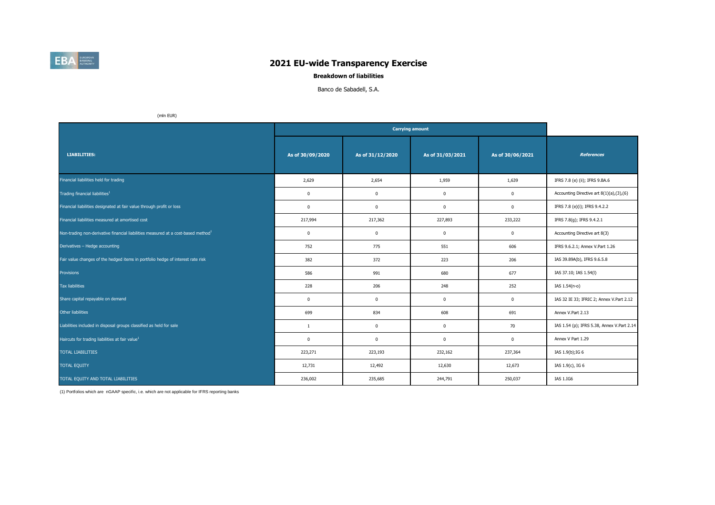

## **Breakdown of liabilities**

Banco de Sabadell, S.A.

(mln EUR)

| <b>LIABILITIES:</b>                                                                           | As of 30/09/2020 | As of 31/12/2020 | As of 31/03/2021        | As of 30/06/2021 | <b>References</b>                          |
|-----------------------------------------------------------------------------------------------|------------------|------------------|-------------------------|------------------|--------------------------------------------|
| Financial liabilities held for trading                                                        | 2,629            | 2,654            | 1,959                   | 1,639            | IFRS 7.8 (e) (ii); IFRS 9.BA.6             |
| Trading financial liabilities <sup>1</sup>                                                    | $\mathbf 0$      | 0                | $\overline{\mathbf{0}}$ | $\mathbf 0$      | Accounting Directive art 8(1)(a),(3),(6)   |
| Financial liabilities designated at fair value through profit or loss                         | $\mathbf 0$      | 0                | $\mathbf 0$             | $\mathbf 0$      | IFRS 7.8 (e)(i); IFRS 9.4.2.2              |
| Financial liabilities measured at amortised cost                                              | 217,994          | 217,362          | 227,893                 | 233,222          | IFRS 7.8(g); IFRS 9.4.2.1                  |
| Non-trading non-derivative financial liabilities measured at a cost-based method <sup>1</sup> | $\mathbf 0$      | 0                | $\mathbf 0$             | $\mathbf 0$      | Accounting Directive art 8(3)              |
| Derivatives - Hedge accounting                                                                | 752              | 775              | 551                     | 606              | IFRS 9.6.2.1; Annex V.Part 1.26            |
| Fair value changes of the hedged items in portfolio hedge of interest rate risk               | 382              | 372              | 223                     | 206              | IAS 39.89A(b), IFRS 9.6.5.8                |
| Provisions                                                                                    | 586              | 991              | 680                     | 677              | IAS 37.10; IAS 1.54(I)                     |
| Tax liabilities                                                                               | 228              | 206              | 248                     | 252              | IAS 1.54(n-o)                              |
| Share capital repayable on demand                                                             | $\mathbf 0$      | 0                | $\mathbf 0$             | $\mathbf 0$      | IAS 32 IE 33; IFRIC 2; Annex V.Part 2.12   |
| Other liabilities                                                                             | 699              | 834              | 608                     | 691              | Annex V.Part 2.13                          |
| Liabilities included in disposal groups classified as held for sale                           | 1                | $\mathbf 0$      | $\mathbf 0$             | 70               | IAS 1.54 (p); IFRS 5.38, Annex V.Part 2.14 |
| Haircuts for trading liabilities at fair value <sup>1</sup>                                   | $\mathbf 0$      | 0                | $\mathbf 0$             | $\mathbf 0$      | Annex V Part 1.29                          |
| <b>TOTAL LIABILITIES</b>                                                                      | 223,271          | 223,193          | 232,162                 | 237,364          | IAS 1.9(b); IG 6                           |
| <b>TOTAL EQUITY</b>                                                                           | 12,731           | 12,492           | 12,630                  | 12,673           | IAS 1.9(c), IG 6                           |
| TOTAL EQUITY AND TOTAL LIABILITIES                                                            | 236,002          | 235,685          | 244,791                 | 250,037          | IAS 1.IG6                                  |

(1) Portfolios which are nGAAP specific, i.e. which are not applicable for IFRS reporting banks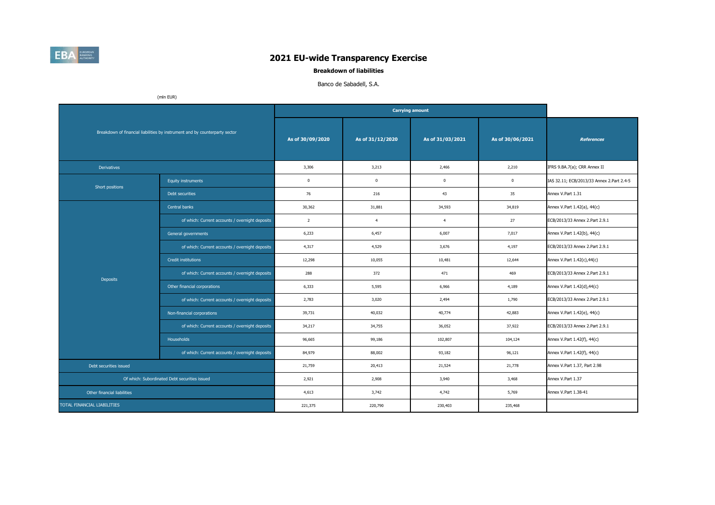

**Breakdown of liabilities**

## Banco de Sabadell, S.A.

(mln EUR)

|                             |                                                                             |                  |                  | <b>Carrying amount</b> |                      |                                           |
|-----------------------------|-----------------------------------------------------------------------------|------------------|------------------|------------------------|----------------------|-------------------------------------------|
|                             | Breakdown of financial liabilities by instrument and by counterparty sector | As of 30/09/2020 | As of 31/12/2020 | As of 31/03/2021       | As of 30/06/2021     | <b>References</b>                         |
| <b>Derivatives</b>          |                                                                             | 3,306            | 3,213            | 2,466                  | 2,210                | IFRS 9.BA.7(a); CRR Annex II              |
| Short positions             | <b>Equity instruments</b>                                                   | $\mathbf 0$      | $\mathbf 0$      | $\mathbf{0}$           | $\mathbf 0$          | IAS 32.11; ECB/2013/33 Annex 2.Part 2.4-5 |
|                             | Debt securities                                                             | 76               | 216              | 43                     | 35                   | Annex V.Part 1.31                         |
|                             | Central banks                                                               | 30,362           | 31,881           | 34,593                 | 34,819               | Annex V.Part 1.42(a), 44(c)               |
|                             | of which: Current accounts / overnight deposits                             | $\overline{2}$   | $\overline{4}$   | $\overline{4}$         | 27                   | ECB/2013/33 Annex 2.Part 2.9.1            |
|                             | General governments                                                         | 6,233            | 6,457            | 6,007                  | 7,017                | Annex V.Part 1.42(b), 44(c)               |
|                             | of which: Current accounts / overnight deposits                             | 4,317            | 4,529            | 3.676                  | 4,197                | ECB/2013/33 Annex 2.Part 2.9.1            |
|                             | <b>Credit institutions</b>                                                  | 12,298           | 10,055           | 10,481                 | 12,644               | Annex V.Part 1.42(c),44(c)                |
| <b>Deposits</b>             | of which: Current accounts / overnight deposits                             | 288              | 372              | 471                    | 469                  | ECB/2013/33 Annex 2.Part 2.9.1            |
|                             | Other financial corporations                                                | 6,333            | 5,595            | 6,966                  | 4,189                | Annex V.Part 1.42(d),44(c)                |
|                             | of which: Current accounts / overnight deposits                             | 2,783            | 3,020            | 2,494                  | 1,790                | ECB/2013/33 Annex 2.Part 2.9.1            |
|                             | Non-financial corporations                                                  | 39,731           | 40,032           | 40,774                 | 42,883               | Annex V.Part 1.42(e), 44(c)               |
|                             | of which: Current accounts / overnight deposits                             | 34,217           | 34,755           | 36,052                 | 37,922               | ECB/2013/33 Annex 2.Part 2.9.1            |
|                             | Households                                                                  | 96,665           | 99,186           | 102,807                | 104,124              | Annex V.Part 1.42(f), 44(c)               |
|                             | of which: Current accounts / overnight deposits                             | 84,979           | 88,002           | 93,182                 | 96,121               | Annex V.Part 1.42(f), 44(c)               |
| Debt securities issued      |                                                                             | 21,759           | 20,413           | 21,524                 | 21,778               | Annex V.Part 1.37, Part 2.98              |
|                             | Of which: Subordinated Debt securities issued                               | 2,921            | 2,908            | 3,940                  | 3,468                | Annex V.Part 1.37                         |
| Other financial liabilities | 4,613                                                                       | 3,742            | 4,742            | 5,769                  | Annex V.Part 1.38-41 |                                           |
| TOTAL FINANCIAL LIABILITIES |                                                                             | 221,375          | 220,790          | 230,403                | 235,468              |                                           |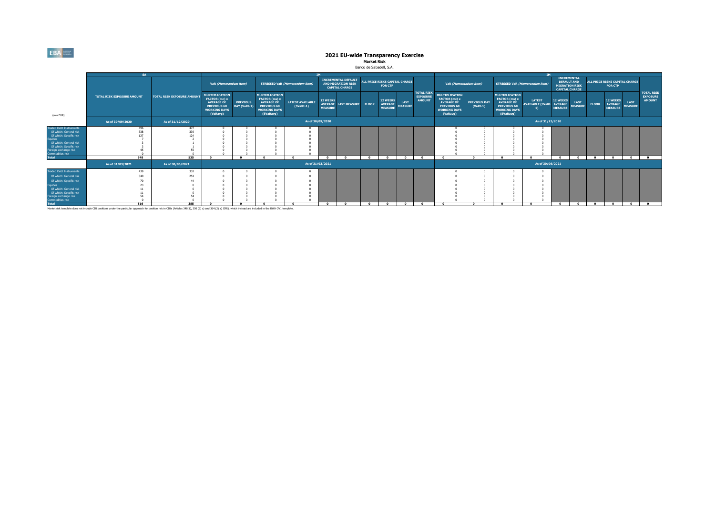### **Market Risk** Banco de Sabadell, S.A.

|                                                                                                                                                                                                         | <b>SA</b>                                                                                                                                                                                                         |                                   |                                                                                                                      |                                 |                                                                                                                       |                                        | <b>TM</b>                         |                                                                                  |              |                                                     |                               |                                                       |                                                                                                                      |                                   |                                                                                                                       | <b>TM</b>                                 |                                                     |                                                                                            |              |                                                  |                               |                                                       |
|---------------------------------------------------------------------------------------------------------------------------------------------------------------------------------------------------------|-------------------------------------------------------------------------------------------------------------------------------------------------------------------------------------------------------------------|-----------------------------------|----------------------------------------------------------------------------------------------------------------------|---------------------------------|-----------------------------------------------------------------------------------------------------------------------|----------------------------------------|-----------------------------------|----------------------------------------------------------------------------------|--------------|-----------------------------------------------------|-------------------------------|-------------------------------------------------------|----------------------------------------------------------------------------------------------------------------------|-----------------------------------|-----------------------------------------------------------------------------------------------------------------------|-------------------------------------------|-----------------------------------------------------|--------------------------------------------------------------------------------------------|--------------|--------------------------------------------------|-------------------------------|-------------------------------------------------------|
|                                                                                                                                                                                                         |                                                                                                                                                                                                                   |                                   | VaR (Memorandum item)                                                                                                |                                 |                                                                                                                       | <b>STRESSED VaR (Memorandum item)</b>  |                                   | <b>INCREMENTAL DEFAULT</b><br><b>AND MIGRATION RISK</b><br><b>CAPITAL CHARGE</b> |              | ALL PRICE RISKS CAPITAL CHARGE<br><b>FOR CTP</b>    |                               |                                                       |                                                                                                                      | VaR (Memorandum item)             | <b>STRESSED VaR (Memorandum item)</b>                                                                                 |                                           |                                                     | <b>INCREMENTAL</b><br><b>DEFAULT AND</b><br><b>MIGRATION RISK</b><br><b>CAPITAL CHARGE</b> |              | ALL PRICE RISKS CAPITAL CHARGE<br><b>FOR CTP</b> |                               |                                                       |
| (mln EUR)                                                                                                                                                                                               | <b>TOTAL RISK EXPOSURE AMOUNT</b>                                                                                                                                                                                 | <b>TOTAL RISK EXPOSURE AMOUNT</b> | <b>MULTIPLICATION</b><br>FACTOR (mc) x<br><b>AVERAGE OF</b><br><b>PREVIOUS 60</b><br><b>WORKING DAYS</b><br>(VaRavg) | <b>PREVIOUS</b><br>DAY (VaRt-1) | <b>MULTIPLICATION</b><br>FACTOR (ms) x<br><b>AVERAGE OF</b><br><b>PREVIOUS 60</b><br><b>WORKING DAYS</b><br>(SVaRavg) | <b>LATEST AVAILABLE</b><br>$(SVaRt-1)$ | <b>12 WEEKS</b><br><b>MEASURE</b> | AVERAGE LAST MEASURE FLOOR                                                       |              | <b>12 WEEKS</b><br><b>AVERAGE</b><br><b>MEASURE</b> | <b>LAST</b><br><b>MEASURE</b> | <b>TOTAL RISK</b><br><b>EXPOSURE</b><br><b>AMOUNT</b> | <b>MULTIPLICATION</b><br><b>FACTOR</b> (mc) x<br><b>AVERAGE OF</b><br>PREVIOUS 60<br><b>WORKING DAYS</b><br>(VaRavg) | <b>PREVIOUS DAY</b><br>$(VaRt-1)$ | <b>MULTIPLICATION</b><br>FACTOR (ms) x<br><b>AVERAGE OF</b><br><b>PREVIOUS 60</b><br><b>WORKING DAYS</b><br>(SVaRavg) | <b>LATEST</b><br><b>AVAILABLE (SVaRt-</b> | <b>12 WEEKS</b><br><b>AVERAGE</b><br><b>MEASURE</b> | <b>LAST</b><br><b>MEASURE</b>                                                              | <b>FLOOR</b> | 12 WEEKS<br><b>AVERAGE</b><br><b>MEASURE</b>     | <b>LAST</b><br><b>MEASURE</b> | <b>TOTAL RISK</b><br><b>EXPOSURE</b><br><b>AMOUNT</b> |
|                                                                                                                                                                                                         | As of 30/09/2020                                                                                                                                                                                                  | As of 31/12/2020                  |                                                                                                                      |                                 | As of 30/09/2020                                                                                                      |                                        |                                   |                                                                                  |              |                                                     |                               |                                                       |                                                                                                                      |                                   |                                                                                                                       | As of 31/12/2020                          |                                                     |                                                                                            |              |                                                  |                               |                                                       |
| raded Debt Instruments<br>Of which: General risk<br>Of which: Specific risk<br><b>Equities</b><br>Of which: General risk<br>Of which: Specific risk<br>Foreign exchange risk<br><b>Commodities risk</b> | 496<br>338<br>127                                                                                                                                                                                                 | 477<br>339<br>124<br>535          |                                                                                                                      | - 0                             | $\overline{ }$                                                                                                        | $\sqrt{2}$                             |                                   | - 0                                                                              | $\mathbf{a}$ |                                                     | $\mathbf{a}$                  | $\overline{a}$                                        | $\mathbf{a}$                                                                                                         | $\sqrt{2}$                        | $\sqrt{2}$                                                                                                            | $\sqrt{2}$                                | - 0                                                 | $\sim$                                                                                     | $\sim$       | $\sim$                                           | $\sim$                        | $\overline{a}$                                        |
| <b>Total</b>                                                                                                                                                                                            | 548<br>As of 31/03/2021                                                                                                                                                                                           | As of 30/06/2021                  |                                                                                                                      |                                 |                                                                                                                       |                                        | $\Omega$<br>As of 31/03/2021      |                                                                                  |              |                                                     |                               |                                                       | As of 30/06/2021                                                                                                     |                                   |                                                                                                                       |                                           |                                                     |                                                                                            |              |                                                  |                               |                                                       |
| raded Debt Instruments<br>Of which: General risk<br>Of which: Specific risk<br><b>Equities</b><br>Of which: General risk<br>Of which: Specific risk<br>Foreign exchange risk<br><b>Commodities risk</b> | 439<br>340                                                                                                                                                                                                        | 332<br>251                        |                                                                                                                      |                                 |                                                                                                                       |                                        |                                   |                                                                                  |              |                                                     |                               |                                                       |                                                                                                                      |                                   |                                                                                                                       |                                           |                                                     |                                                                                            |              |                                                  |                               |                                                       |
| <b>Total</b>                                                                                                                                                                                            | 516                                                                                                                                                                                                               | 385                               |                                                                                                                      |                                 |                                                                                                                       |                                        | $\sqrt{2}$                        |                                                                                  | $\sqrt{2}$   |                                                     | $\sim$                        |                                                       |                                                                                                                      |                                   | - 0                                                                                                                   | $\sim$                                    |                                                     | $\mathbf{a}$                                                                               |              | $\sim$                                           |                               |                                                       |
|                                                                                                                                                                                                         | Market risk template does not include CIU positions under the particular approach for position risk in CIUs (Articles 348(1), 350 (3) c) and 364 (2) a) CRR), which instead are included in the RWA OV1 template. |                                   |                                                                                                                      |                                 |                                                                                                                       |                                        |                                   |                                                                                  |              |                                                     |                               |                                                       |                                                                                                                      |                                   |                                                                                                                       |                                           |                                                     |                                                                                            |              |                                                  |                               |                                                       |

 $EBA_{\frac{\text{mean}}{\text{mean}}}$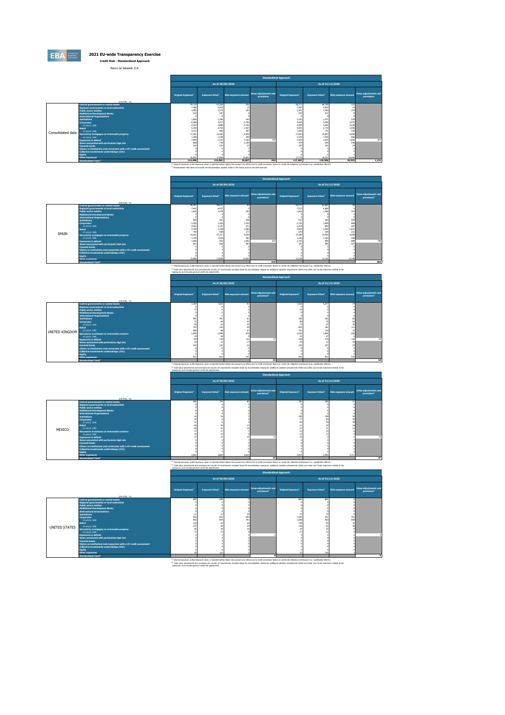

Banco de Sabadell, S.A.

|                   |                                                                             |                                                                                                                                                                                                              |                       |                             | <b>Standardised Approach</b>        |                          |                       |                             |                                     |
|-------------------|-----------------------------------------------------------------------------|--------------------------------------------------------------------------------------------------------------------------------------------------------------------------------------------------------------|-----------------------|-----------------------------|-------------------------------------|--------------------------|-----------------------|-----------------------------|-------------------------------------|
|                   |                                                                             |                                                                                                                                                                                                              | As of 30/09/2020      |                             |                                     |                          |                       | As of 31/12/2020            |                                     |
|                   | (min EUR. %)                                                                | <b>Original Exposure</b>                                                                                                                                                                                     | <b>Exposure Value</b> | <b>Risk exposure amount</b> | Value adjustments and<br>provisions | <b>Original Exposure</b> | <b>Exposure Value</b> | <b>Risk exposure amount</b> | Value adjustments and<br>provisions |
|                   | <b>Central governments or central banks</b>                                 | 54,214                                                                                                                                                                                                       | 63.369                | 256                         |                                     | 58.271                   | 66,769                | 222                         |                                     |
|                   | Regional governments or local authorities                                   | 7,468                                                                                                                                                                                                        | 6.453                 | 15                          |                                     | 7.587                    | 6.822                 | 14                          |                                     |
|                   | <b>Public sector entities</b>                                               | 1,890<br>413                                                                                                                                                                                                 | 1,553<br>597          | 203                         |                                     | 1.901<br>447             | 1,566<br>611          | 219                         |                                     |
|                   | <b>Multilateral Development Banks</b><br><b>International Organisations</b> |                                                                                                                                                                                                              |                       |                             |                                     |                          |                       |                             |                                     |
|                   | <b>Institutions</b>                                                         | 1.649                                                                                                                                                                                                        | 1,560                 | 544                         |                                     | 1,555                    | 1,471                 | 534                         |                                     |
|                   | <b>Cornorates</b>                                                           | 6,286                                                                                                                                                                                                        | 3.217                 | 2,760                       |                                     | 5.665                    | 2,906                 | 2,476                       |                                     |
|                   | of which: SME                                                               | 5.533                                                                                                                                                                                                        | 2,888                 | 2.432                       |                                     | 4.909                    | 2,665                 | 2,238                       |                                     |
|                   | Retail                                                                      | 5.190                                                                                                                                                                                                        | 2.763                 | 1.927                       |                                     | 5.091                    | 2,714                 | 1.906                       |                                     |
|                   | of which: SMF                                                               | 2.011                                                                                                                                                                                                        | 800                   | 467                         |                                     | 1.904                    | 731                   | 430                         |                                     |
| Consolidated data | Secured by mortgages on immovable property                                  | 17,301                                                                                                                                                                                                       | 15,563                | 5,936                       |                                     | 17,043                   | 15,847                | 6,090                       |                                     |
|                   | of which: SMF                                                               | 1.369                                                                                                                                                                                                        | 1,248                 | 540                         |                                     | 1.534                    | 1,430                 | 666                         |                                     |
|                   | <b>Exposures in default</b>                                                 | 1.944                                                                                                                                                                                                        | 1,131                 | 1,183                       | 70 <sup>°</sup>                     | 1.955                    | 1,024                 | 1,056                       | 874                                 |
|                   | Items associated with particularly high risk                                | 968                                                                                                                                                                                                          | 739                   | 1.109                       |                                     | 479                      | 364                   | 546                         |                                     |
|                   | <b>Covered bonds</b>                                                        | 232                                                                                                                                                                                                          | 232                   | 77                          |                                     | 235                      | 235                   | $\overline{2}$              |                                     |
|                   | Claims on institutions and cornorates with a ST credit assessment           |                                                                                                                                                                                                              |                       |                             |                                     |                          |                       |                             |                                     |
|                   | Collective investments undertakings (CIU)                                   |                                                                                                                                                                                                              |                       |                             |                                     |                          |                       |                             |                                     |
|                   | <b>Equity</b><br>Other exposures                                            | 16,932                                                                                                                                                                                                       | 17,908                | 15.851                      |                                     | 17.179                   | 18.257                | 16.446                      |                                     |
|                   | Standardised Total <sup>2</sup>                                             | 114,488                                                                                                                                                                                                      | 115,084               | 29.807                      | 992                                 | 117,404                  | 118,586               | 29,533                      | 1,121                               |
|                   |                                                                             | <sup>(1)</sup> Original exposure, unlike Exposure value, is reported before taking into account any effect due to credit conversion factors or credit risk mitigation techniques (e.g. substitution effects) |                       |                             |                                     |                          |                       |                             |                                     |
|                   |                                                                             | (2) Standardized Trital does not include the Secretarisation nocken unlike in the results now to the 2019 exercise                                                                                           |                       |                             |                                     |                          |                       |                             |                                     |
|                   |                                                                             |                                                                                                                                                                                                              |                       |                             |                                     |                          |                       |                             |                                     |

|       |                                                                   | <b>Standardised Approach</b> |                                    |                             |                                                  |                                       |                       |                      |                                                  |  |
|-------|-------------------------------------------------------------------|------------------------------|------------------------------------|-----------------------------|--------------------------------------------------|---------------------------------------|-----------------------|----------------------|--------------------------------------------------|--|
|       |                                                                   |                              |                                    | As of 30/09/2020            |                                                  |                                       |                       | As of 31/12/2020     |                                                  |  |
|       | (min EUR. %)                                                      | Original Exposure            | <b>Exposure Value</b> <sup>1</sup> | <b>Risk exposure amount</b> | Value adjustments and<br>provisions <sup>2</sup> | <b>Original Exposure</b> <sup>1</sup> | <b>Exposure Value</b> | Risk exposure amount | Value adjustments and<br>provisions <sup>2</sup> |  |
|       | <b>Central governments or central banks</b>                       | 40,457                       | 48,671                             | S0                          |                                                  | 45.071                                | 52.803                | 50                   |                                                  |  |
|       | Regional governments or local authorities                         | 7.452                        | 6.437                              |                             |                                                  | 7.572                                 | 6,808                 |                      |                                                  |  |
|       | <b>Public sector entities</b>                                     | 1,618                        | 1,378                              | 203                         |                                                  | 1,626                                 | 1.386                 | 219                  |                                                  |  |
|       | <b>Multilateral Development Banks</b>                             |                              |                                    |                             |                                                  |                                       |                       |                      |                                                  |  |
|       | <b>International Organisations</b>                                |                              |                                    |                             |                                                  |                                       |                       |                      |                                                  |  |
|       | <b>Institutions</b>                                               | 604                          | 555                                | 248                         |                                                  | 541                                   | 483                   | 209                  |                                                  |  |
|       | Corporates                                                        | 3,393                        | 1,354                              | 1,222                       |                                                  | 2,735                                 | 1,000                 | 880                  |                                                  |  |
|       | of which: SME                                                     | 2,902                        | 1.101                              | 971                         |                                                  | 2,274                                 | 804                   | 687                  |                                                  |  |
|       | Retail                                                            | 3,769                        | 2.338                              | 1,660                       |                                                  | 3,659                                 | 2,266                 | 1,623                |                                                  |  |
| SPAIN | of which: SME                                                     | 799                          | 480                                | 277                         |                                                  | 670                                   | 384                   | 221                  |                                                  |  |
|       | Secured by mortgages on immovable property                        | 14.621                       | 13.117                             | 5.054                       |                                                  | 14.380                                | 13,402                | 5,208                |                                                  |  |
|       | of which: SME                                                     | 1.134                        | 1,034                              | 461                         |                                                  | 1.250                                 | 1,164                 | 568                  |                                                  |  |
|       | <b>Exposures in default</b>                                       | 1.699                        | 953                                | 1,001                       | 637                                              | 1.701                                 | 858                   | 888                  | 798                                              |  |
|       | Items associated with particularly high risk                      | 857                          | 658                                | 987                         |                                                  | 370                                   | 285                   | 427                  |                                                  |  |
|       | <b>Covered bonds</b>                                              |                              |                                    |                             |                                                  |                                       |                       |                      |                                                  |  |
|       | Claims on institutions and corporates with a ST credit assessment |                              |                                    |                             |                                                  |                                       |                       |                      |                                                  |  |
|       | Collective investments undertakings (CIU)                         |                              |                                    |                             |                                                  |                                       |                       |                      |                                                  |  |
|       | <b>Equity</b>                                                     |                              |                                    |                             |                                                  |                                       |                       |                      |                                                  |  |
|       | Other exposures                                                   | 12,009                       | 12,098                             | 11,653                      |                                                  | 12.138                                | 12.319                | 12,148               |                                                  |  |
|       | Standardised Total <sup>2</sup>                                   |                              |                                    |                             | 829                                              |                                       |                       |                      | 964                                              |  |

**Standardised Total<sup>2</sup> 829 964** (1) Original exposure, unlike Exposure value, is reported before taking into account any effect due to credit conversion factors or credit risk mitigation techniques (e.g. substitution effects). (2) Total value adjustments and provisions per country of counterparty excludes those for securistisation exposures, additional valuation adjustments (AVAs) and other own funds reductions related to the exposures, but includes general credit risk adjustments.

|                |                                                                                                                | <b>Standardised Approach</b>         |                                   |                      |                                                  |                                                                                                                                                                                                    |                                   |                             |                                                  |  |  |
|----------------|----------------------------------------------------------------------------------------------------------------|--------------------------------------|-----------------------------------|----------------------|--------------------------------------------------|----------------------------------------------------------------------------------------------------------------------------------------------------------------------------------------------------|-----------------------------------|-----------------------------|--------------------------------------------------|--|--|
|                |                                                                                                                |                                      |                                   | As of 30/09/2020     |                                                  |                                                                                                                                                                                                    |                                   | As of 31/12/2020            |                                                  |  |  |
|                | (min EUR. %)                                                                                                   | <b>Original Exposure<sup>1</sup></b> | <b>Exposure Value<sup>1</sup></b> | Risk exposure amount | Value adjustments and<br>provisions <sup>2</sup> | <b>Original Exposure<sup>1</sup></b>                                                                                                                                                               | <b>Exposure Value<sup>1</sup></b> | <b>Risk exposure amount</b> | Value adjustments and<br>provisions <sup>2</sup> |  |  |
|                | <b>Central governments or central banks</b>                                                                    | 7,204                                | 7,835                             | Q <sub>1</sub>       |                                                  | 7.558                                                                                                                                                                                              | 8.247                             | 74                          |                                                  |  |  |
|                | Regional governments or local authorities                                                                      |                                      |                                   |                      |                                                  |                                                                                                                                                                                                    |                                   |                             |                                                  |  |  |
|                | <b>Public sector entities</b>                                                                                  |                                      |                                   |                      |                                                  |                                                                                                                                                                                                    |                                   |                             |                                                  |  |  |
|                | <b>Multilateral Development Banks</b><br><b>International Organisations</b>                                    |                                      |                                   |                      |                                                  |                                                                                                                                                                                                    |                                   |                             |                                                  |  |  |
|                | <b>Institutions</b>                                                                                            |                                      | 491                               |                      |                                                  | 438                                                                                                                                                                                                | 43                                |                             |                                                  |  |  |
|                | <b>Corporates</b>                                                                                              |                                      |                                   | S.                   |                                                  |                                                                                                                                                                                                    | $\overline{v}$                    | 64                          |                                                  |  |  |
|                | of which: SME                                                                                                  | 59                                   |                                   |                      |                                                  |                                                                                                                                                                                                    | £.                                | 55                          |                                                  |  |  |
|                | Retail                                                                                                         | 747                                  | 154                               | 99                   |                                                  | 835                                                                                                                                                                                                | 181                               | 113                         |                                                  |  |  |
| UNITED KINGDOM | of which: SME                                                                                                  | 686                                  | QS                                | 57                   |                                                  | 781                                                                                                                                                                                                | 125                               | 75                          |                                                  |  |  |
|                | Secured by mortgages on immovable property                                                                     | 2.094                                | 1,896                             | 679                  |                                                  | 2.032                                                                                                                                                                                              | 1,844                             | 660                         |                                                  |  |  |
|                | of which: SME                                                                                                  | 33                                   | 25                                |                      |                                                  | 37                                                                                                                                                                                                 | $\overline{27}$                   |                             |                                                  |  |  |
|                | <b>Exposures in default</b>                                                                                    | 139                                  | 120                               | 121                  |                                                  | 140                                                                                                                                                                                                | 119                               | 119                         | 20                                               |  |  |
|                | Items associated with particularly high risk                                                                   | 23<br>777                            |                                   | 17                   |                                                  |                                                                                                                                                                                                    |                                   |                             |                                                  |  |  |
|                | <b>Covered bonds</b>                                                                                           |                                      | 232                               |                      |                                                  | 235                                                                                                                                                                                                | 235                               |                             |                                                  |  |  |
|                | Claims on institutions and corporates with a ST credit assessment<br>Collective investments undertakings (CIU) |                                      |                                   |                      |                                                  |                                                                                                                                                                                                    |                                   |                             |                                                  |  |  |
|                | <b>Equity</b>                                                                                                  |                                      |                                   |                      |                                                  |                                                                                                                                                                                                    |                                   |                             |                                                  |  |  |
|                | Other exposures                                                                                                | 813                                  | R1                                | 541                  |                                                  | 825                                                                                                                                                                                                | 821                               | 542                         |                                                  |  |  |
|                | Standardised Total <sup>2</sup>                                                                                |                                      |                                   |                      | 33                                               |                                                                                                                                                                                                    |                                   |                             | 34                                               |  |  |
|                |                                                                                                                |                                      |                                   |                      |                                                  | (1) Original exposure, unlike Exposure value, is reported before taking into account any effect due to credit conversion factors or credit risk mitigation techniques (e.g. substitution effects). |                                   |                             |                                                  |  |  |

<sup>07</sup> Total value afusiments and crevisions per counter of creations and the construction of performation and valuation affects related to the constructions related to the expect of the constructions related to the expect o **Standardised Approach**

|        |                                                                                                                |                           | As of 30/09/2020       |                             |                                                  |                                      | As of 31/12/2020                  |                             |                                                  |  |  |
|--------|----------------------------------------------------------------------------------------------------------------|---------------------------|------------------------|-----------------------------|--------------------------------------------------|--------------------------------------|-----------------------------------|-----------------------------|--------------------------------------------------|--|--|
|        | (mln EUR, %)                                                                                                   | <b>Original Exposure1</b> | <b>Exposure Value1</b> | <b>Risk exposure amount</b> | Value adjustments and<br>provisions <sup>2</sup> | <b>Original Exposure<sup>1</sup></b> | <b>Exposure Value<sup>1</sup></b> | <b>Risk exposure amount</b> | Value adjustments and<br>provisions <sup>2</sup> |  |  |
|        | Central governments or central banks                                                                           | 699                       | 734                    | gt,                         |                                                  | 780                                  | 780                               | 51                          |                                                  |  |  |
|        | Regional governments or local authorities<br><b>Public sector entities</b>                                     |                           |                        |                             |                                                  |                                      |                                   |                             |                                                  |  |  |
|        | <b>Multilateral Development Banks</b>                                                                          |                           |                        |                             |                                                  |                                      |                                   |                             |                                                  |  |  |
|        | <b>International Organisations</b>                                                                             |                           |                        |                             |                                                  |                                      |                                   |                             |                                                  |  |  |
|        | <b>Institutions</b>                                                                                            |                           |                        |                             |                                                  | 109                                  | 109                               |                             |                                                  |  |  |
|        | <b>Corporates</b>                                                                                              |                           |                        |                             |                                                  |                                      |                                   | 39                          |                                                  |  |  |
|        | of which: SME                                                                                                  |                           |                        |                             |                                                  |                                      |                                   | 39                          |                                                  |  |  |
|        | Retail<br>of which: SME                                                                                        |                           |                        |                             |                                                  |                                      |                                   |                             |                                                  |  |  |
| MEXICO | Secured by mortgages on immovable property                                                                     |                           |                        |                             |                                                  |                                      |                                   |                             |                                                  |  |  |
|        | of which: SME                                                                                                  |                           |                        |                             |                                                  |                                      |                                   |                             |                                                  |  |  |
|        | <b>Exposures in default</b>                                                                                    |                           |                        |                             |                                                  |                                      |                                   |                             | 23                                               |  |  |
|        | Items associated with particularly high risk                                                                   |                           |                        |                             |                                                  |                                      |                                   |                             |                                                  |  |  |
|        | <b>Covered bonds</b>                                                                                           |                           |                        |                             |                                                  |                                      |                                   |                             |                                                  |  |  |
|        | Claims on institutions and corporates with a ST credit assessment<br>Collective investments undertakings (CIU) |                           |                        |                             |                                                  |                                      |                                   |                             |                                                  |  |  |
|        | Equity                                                                                                         |                           |                        |                             |                                                  |                                      |                                   |                             |                                                  |  |  |
|        | Other exposures                                                                                                | 3.922                     | 3,884                  | 3,615                       |                                                  | 4.014                                | 3.939                             | 3,717                       |                                                  |  |  |
|        | Standardised Total <sup>2</sup>                                                                                |                           |                        |                             | 42                                               |                                      |                                   |                             | 47                                               |  |  |

The main of the content of the state of the state of the state of the state of the state of the state of the state of the state of the state of the state of the state of the state of the state of the state of the state of

|               |                                                                                           | <b>Standardised Approach</b>                             |                                   |                                                                                                                                                                                                                       |                                                  |                                      |                                   |                             |                                                  |  |  |
|---------------|-------------------------------------------------------------------------------------------|----------------------------------------------------------|-----------------------------------|-----------------------------------------------------------------------------------------------------------------------------------------------------------------------------------------------------------------------|--------------------------------------------------|--------------------------------------|-----------------------------------|-----------------------------|--------------------------------------------------|--|--|
|               |                                                                                           |                                                          |                                   | As of 30/09/2020                                                                                                                                                                                                      |                                                  |                                      |                                   | As of 31/12/2020            |                                                  |  |  |
|               | (min EUR. %)                                                                              | <b>Original Exposure<sup>1</sup></b>                     | <b>Exposure Value<sup>1</sup></b> | <b>Risk exposure amount</b>                                                                                                                                                                                           | Value adjustments and<br>provisions <sup>2</sup> | <b>Original Exposure<sup>1</sup></b> | <b>Exposure Value<sup>1</sup></b> | <b>Risk exposure amount</b> | Value adjustments and<br>provisions <sup>2</sup> |  |  |
|               | <b>Central governments or central banks</b>                                               | 948                                                      | 948                               |                                                                                                                                                                                                                       |                                                  | 881                                  | 881                               |                             |                                                  |  |  |
|               | Regional governments or local authorities                                                 |                                                          |                                   |                                                                                                                                                                                                                       |                                                  |                                      |                                   |                             |                                                  |  |  |
|               | <b>Public sector entities</b>                                                             |                                                          |                                   |                                                                                                                                                                                                                       |                                                  |                                      |                                   |                             |                                                  |  |  |
|               | <b>Multilateral Development Banks</b><br><b>International Organisations</b>               |                                                          |                                   |                                                                                                                                                                                                                       |                                                  |                                      |                                   |                             |                                                  |  |  |
|               | <b>Tostitutions</b>                                                                       |                                                          |                                   |                                                                                                                                                                                                                       |                                                  |                                      |                                   |                             |                                                  |  |  |
|               | Corporates                                                                                | 936                                                      | 831                               | 603                                                                                                                                                                                                                   |                                                  | 1,020                                | 931                               | 701                         |                                                  |  |  |
|               | of which: SMF                                                                             | 920                                                      | 819                               | 591                                                                                                                                                                                                                   |                                                  | 1.008                                | 92                                | 690                         |                                                  |  |  |
|               | Retail                                                                                    | 132                                                      |                                   | 36                                                                                                                                                                                                                    |                                                  | 130                                  |                                   |                             |                                                  |  |  |
| UNITED STATES | of which: SME                                                                             | 122                                                      | r.                                |                                                                                                                                                                                                                       |                                                  | 126                                  |                                   |                             |                                                  |  |  |
|               | Secured by mortgages on immovable property                                                |                                                          |                                   |                                                                                                                                                                                                                       |                                                  |                                      |                                   |                             |                                                  |  |  |
|               | of which: SMF                                                                             |                                                          |                                   |                                                                                                                                                                                                                       |                                                  |                                      |                                   |                             | ø                                                |  |  |
|               | <b>Exposures in default</b>                                                               |                                                          |                                   |                                                                                                                                                                                                                       |                                                  |                                      |                                   |                             |                                                  |  |  |
|               | Items associated with particularly high risk                                              |                                                          |                                   |                                                                                                                                                                                                                       |                                                  |                                      |                                   |                             |                                                  |  |  |
|               | <b>Covered bonds</b><br>Claims on institutions and corporates with a ST credit assessment |                                                          |                                   |                                                                                                                                                                                                                       |                                                  |                                      |                                   |                             |                                                  |  |  |
|               | Collective investments undertakings (CIU)                                                 |                                                          |                                   |                                                                                                                                                                                                                       |                                                  |                                      |                                   |                             |                                                  |  |  |
|               | <b>Equity</b>                                                                             |                                                          |                                   |                                                                                                                                                                                                                       |                                                  |                                      |                                   |                             |                                                  |  |  |
|               | <b>Other exposures</b>                                                                    |                                                          | 122                               |                                                                                                                                                                                                                       |                                                  |                                      | 12                                |                             |                                                  |  |  |
|               | Standardised Total <sup>2</sup>                                                           |                                                          |                                   |                                                                                                                                                                                                                       |                                                  |                                      |                                   |                             |                                                  |  |  |
|               |                                                                                           |                                                          |                                   | <sup>(1)</sup> Original exposure, unlike Exposure value, is reported before taking into account any effect due to credit conversion factors or credit risk mitigation techniques (e.g. substitution effects).         |                                                  |                                      |                                   |                             |                                                  |  |  |
|               |                                                                                           |                                                          |                                   | <sup>(2)</sup> Total value adjustments and provisions per country of counterparty excludes those for securistication exposures, additional valuation adjustments (AVAs) and other own funds reductions related to the |                                                  |                                      |                                   |                             |                                                  |  |  |
|               |                                                                                           | exposures, but includes general credit risk adjustments. |                                   |                                                                                                                                                                                                                       |                                                  |                                      |                                   |                             |                                                  |  |  |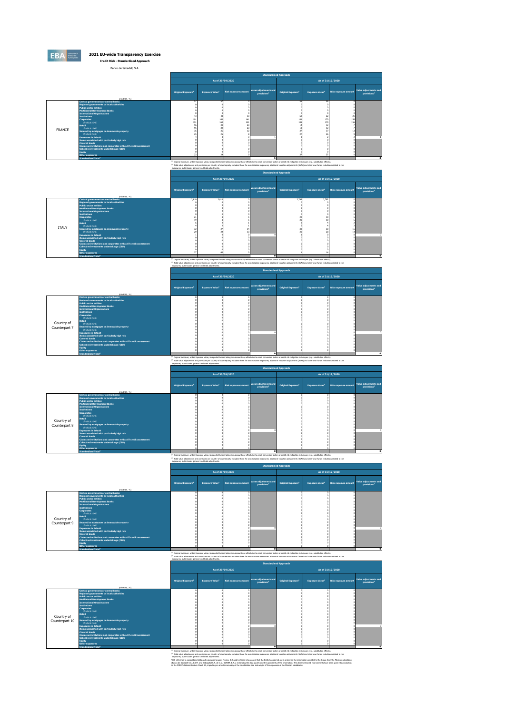

Banco de Sabadell, S.A.

|               | Banco de Sabadell, S.A.                                                                                                                                                                                                                                                                                                                                                                                                                                                                                                                                                                                                                                         |                                      |                                                |                              |                                                  |                                      |                                                 |                      |                                                  |
|---------------|-----------------------------------------------------------------------------------------------------------------------------------------------------------------------------------------------------------------------------------------------------------------------------------------------------------------------------------------------------------------------------------------------------------------------------------------------------------------------------------------------------------------------------------------------------------------------------------------------------------------------------------------------------------------|--------------------------------------|------------------------------------------------|------------------------------|--------------------------------------------------|--------------------------------------|-------------------------------------------------|----------------------|--------------------------------------------------|
|               |                                                                                                                                                                                                                                                                                                                                                                                                                                                                                                                                                                                                                                                                 |                                      |                                                |                              |                                                  | <b>Standardised Approach</b>         |                                                 |                      |                                                  |
|               |                                                                                                                                                                                                                                                                                                                                                                                                                                                                                                                                                                                                                                                                 |                                      |                                                | As of 30/09/2020             |                                                  |                                      |                                                 | As of 31/12/2020     |                                                  |
|               | (min FLIR 96)                                                                                                                                                                                                                                                                                                                                                                                                                                                                                                                                                                                                                                                   | <b>Original Exposure<sup>1</sup></b> | <b>Exposure Value<sup>1</sup></b>              | <b>Risk exposure amount</b>  | Value adjustments and<br>provisions <sup>2</sup> | <b>Original Exposure<sup>1</sup></b> | <b>Exposure Value<sup>1</sup></b>               | Risk exposure amount | Value adjustments and<br>provisions <sup>2</sup> |
| <b>FRANCE</b> | <b>Central governments or central banks</b><br>Regional governments or local authorities<br><b>Public sector entities</b><br><b>Multilateral Development Banks</b><br><b>International Organisations</b><br><b>Institutions</b><br><b>Corporates</b><br>of which: SME<br>Retail<br>of which: SME<br>Secured by mortgages on immovable property<br>of which: SME<br><b>Exposures in default</b><br>Items associated with particularly high risk<br><b>Covered bonds</b><br>Claims on institutions and corporates with a ST credit assessment<br>Collective investments undertakings (CIU)<br><b>Equity</b><br>Other exposures<br>Standardised Total <sup>2</sup> | 191<br>191                           | 57<br>43<br>160<br>160<br>39<br>39<br>36<br>25 | 13<br>141<br>141<br>23<br>23 | ×.                                               | $\mathcal{F}$<br>181<br>181          | <b>CA</b><br>62<br>170<br>170<br>12<br>12<br>37 | 21<br>156<br>156     |                                                  |
|               |                                                                                                                                                                                                                                                                                                                                                                                                                                                                                                                                                                                                                                                                 | state of the                         |                                                |                              |                                                  |                                      |                                                 |                      |                                                  |

<sup>co</sup> Orisial excoure, unlike Excoure value, is reconted before taking into account any effect due to credit conversion factos or ordit risk missions interimients (e.e. substitution effects).<br><sup>Or</sup> Total value and understand

|                                                                                                                                                                                                                                                                                                                                                                                                                                                                                                                                                                                                                                                                                        | <b>Standardised Approach</b>                             |                        |                             |                                                                                                                                                                                                                                                                                                                                                                                                                                            |                                      |                                   |                             |                                                  |
|----------------------------------------------------------------------------------------------------------------------------------------------------------------------------------------------------------------------------------------------------------------------------------------------------------------------------------------------------------------------------------------------------------------------------------------------------------------------------------------------------------------------------------------------------------------------------------------------------------------------------------------------------------------------------------------|----------------------------------------------------------|------------------------|-----------------------------|--------------------------------------------------------------------------------------------------------------------------------------------------------------------------------------------------------------------------------------------------------------------------------------------------------------------------------------------------------------------------------------------------------------------------------------------|--------------------------------------|-----------------------------------|-----------------------------|--------------------------------------------------|
|                                                                                                                                                                                                                                                                                                                                                                                                                                                                                                                                                                                                                                                                                        |                                                          |                        | As of 30/09/2020            |                                                                                                                                                                                                                                                                                                                                                                                                                                            |                                      |                                   | As of 31/12/2020            |                                                  |
| (min FLIR 56)                                                                                                                                                                                                                                                                                                                                                                                                                                                                                                                                                                                                                                                                          | Original Exposure <sup>1</sup>                           | <b>Exposure Value1</b> | <b>Risk exposure amount</b> | Value adjustments and<br>provisions <sup>2</sup>                                                                                                                                                                                                                                                                                                                                                                                           | <b>Original Exposure<sup>1</sup></b> | <b>Exposure Value<sup>1</sup></b> | <b>Risk exposure amount</b> | Value adjustments and<br>provisions <sup>2</sup> |
| <b>Central governments or central banks</b><br>Regional governments or local authorities<br><b>Public sector entities</b><br><b>Multilateral Development Banks</b><br><b>International Organisations</b><br><b>Institutions</b><br><b>Corporates</b><br>of which: SME<br><b>Retail</b><br>of which: SMF<br><b>ITALY</b><br>Secured by mortgages on immovable property<br>of which: SME<br><b>Exposures in default</b><br>Items associated with particularly high risk<br><b>Covered bonds</b><br>Claims on institutions and corporates with a ST credit assessment<br>Collective investments undertakings (CIU)<br><b>Equity</b><br>Other exposures<br>Standardised Total <sup>2</sup> | 2,810                                                    | 2,810                  |                             | $\mathbf{a}$<br><sup>(1)</sup> Original exposure, unlike Exposure value, is reported before taking into account any effect due to credit conversion factors or credit risk mitigation techniques (e.g. substitution effects).<br>(2) Total value adjustments and provisions per country of counterparty excludes those for securistication exposures, additional valuation adjustments (AWA) and other own funds reductions related to the | 2.792                                | 2.792                             |                             |                                                  |
|                                                                                                                                                                                                                                                                                                                                                                                                                                                                                                                                                                                                                                                                                        | exposures, but includes general credit risk adjustments. |                        |                             |                                                                                                                                                                                                                                                                                                                                                                                                                                            | <b>Standardised Approach</b>         |                                   |                             |                                                  |

|               |                                                                   | <b>Standardised Approach</b> |                        |                             |                                                  |                                      |                                   |                             |                                                  |
|---------------|-------------------------------------------------------------------|------------------------------|------------------------|-----------------------------|--------------------------------------------------|--------------------------------------|-----------------------------------|-----------------------------|--------------------------------------------------|
|               |                                                                   | As of 30/09/2020             |                        |                             |                                                  |                                      |                                   | As of 31/12/2020            |                                                  |
|               | (min FLIR 56)                                                     | <b>Original Exposure1</b>    | <b>Exposure Value1</b> | <b>Risk exposure amount</b> | Value adjustments and<br>provisions <sup>2</sup> | <b>Original Exposure<sup>1</sup></b> | <b>Exposure Value<sup>1</sup></b> | <b>Risk exposure amount</b> | Value adjustments and<br>provisions <sup>2</sup> |
|               | Central governments or central banks                              |                              |                        |                             |                                                  |                                      |                                   |                             |                                                  |
|               | Regional governments or local authorities                         |                              |                        |                             |                                                  |                                      |                                   |                             |                                                  |
|               | <b>Public sector entities</b>                                     |                              |                        |                             |                                                  |                                      |                                   |                             |                                                  |
|               | <b>Multilateral Development Banks</b>                             |                              |                        |                             |                                                  |                                      |                                   |                             |                                                  |
|               | <b>International Organisations</b>                                |                              |                        |                             |                                                  |                                      |                                   |                             |                                                  |
|               | <b>Institutions</b>                                               |                              |                        |                             |                                                  |                                      |                                   |                             |                                                  |
|               | <b>Corporates</b>                                                 |                              |                        |                             |                                                  |                                      |                                   |                             |                                                  |
|               | of which: SME<br><b>Retail</b>                                    |                              |                        |                             |                                                  |                                      |                                   |                             |                                                  |
| Country of    | of which: SME                                                     |                              |                        |                             |                                                  |                                      |                                   |                             |                                                  |
|               | Secured by mortgages on immovable property                        |                              |                        |                             |                                                  |                                      |                                   |                             |                                                  |
| Counterpart 7 | of which: SME                                                     |                              |                        |                             |                                                  |                                      |                                   |                             |                                                  |
|               | <b>Exposures in default</b>                                       |                              |                        |                             |                                                  |                                      |                                   |                             | ø                                                |
|               | Items associated with particularly high risk                      |                              |                        |                             |                                                  |                                      |                                   |                             |                                                  |
|               | <b>Covered bonds</b>                                              |                              |                        |                             |                                                  |                                      |                                   |                             |                                                  |
|               | Claims on institutions and corporates with a ST credit assessment |                              |                        |                             |                                                  |                                      |                                   |                             |                                                  |
|               | Collective investments undertakings (CIU)                         |                              |                        |                             |                                                  |                                      |                                   |                             |                                                  |
|               | Foulty:                                                           |                              |                        |                             |                                                  |                                      |                                   |                             |                                                  |
|               | Other exposures                                                   |                              |                        |                             |                                                  |                                      |                                   |                             |                                                  |
|               | <b>Chandardicad Total<sup>2</sup></b>                             |                              |                        |                             |                                                  |                                      |                                   |                             |                                                  |

**Standardised Total<sup>2</sup> 0 0** (1) Original exposure, unlike Exposure value, is reported before taking into account any effect due to credit conversion factors or credit risk mitigation techniques (e.g. substitution effects). (2) Total value adjustments and provisions per country of counterparty excludes those for securistisation exposures, additional valuation adjustments (AVAs) and other own funds reductions related to the exposures, but includes general credit risk adjustments.

|                             |                                                                                                                                                                                                                                                                                                                                                                                                                                                                                                                                                                                                                              | <b>Standardised Approach</b>         |                        |                             |                                                  |                                      |                                   |                             |                                                  |  |
|-----------------------------|------------------------------------------------------------------------------------------------------------------------------------------------------------------------------------------------------------------------------------------------------------------------------------------------------------------------------------------------------------------------------------------------------------------------------------------------------------------------------------------------------------------------------------------------------------------------------------------------------------------------------|--------------------------------------|------------------------|-----------------------------|--------------------------------------------------|--------------------------------------|-----------------------------------|-----------------------------|--------------------------------------------------|--|
|                             |                                                                                                                                                                                                                                                                                                                                                                                                                                                                                                                                                                                                                              |                                      | As of 30/09/2020       |                             |                                                  |                                      | As of 31/12/2020                  |                             |                                                  |  |
|                             | (min FLIR 56)                                                                                                                                                                                                                                                                                                                                                                                                                                                                                                                                                                                                                | <b>Original Exposure<sup>1</sup></b> | <b>Exposure Value1</b> | <b>Risk exposure amount</b> | Value adjustments and<br>provisions <sup>2</sup> | <b>Original Exposure<sup>1</sup></b> | <b>Exposure Value<sup>1</sup></b> | <b>Risk exposure amount</b> | Value adjustments and<br>provisions <sup>2</sup> |  |
| Country of<br>Counterpart 8 | Central governments or central banks<br>Regional governments or local authorities<br><b>Public sector entities</b><br><b>Multilateral Development Banks</b><br><b>International Organisations</b><br><b>Institutions</b><br><b>Corporates</b><br>of which: SME<br><b>Retail</b><br>of which: SME<br>Secured by mortgages on immovable property<br>of which: SME<br><b>Exposures in default</b><br>Items associated with particularly high risk<br><b>Covered bonds</b><br>Claims on institutions and corporates with a ST credit assessment<br>Collective investments undertakings (CIU)<br><b>Equity</b><br>Other exposures |                                      |                        |                             |                                                  |                                      |                                   |                             | ø                                                |  |

che esperanti della companya della companya della control della control della control control della control della control della control della control della control della control della control della control della control de

|                             |                                                                                                                                                                                                                                                                                                                                                                                                                                                                                                                                                                                                                                     |                                      |                        | As of 30/09/2020            |                                                                                                                                                                                                                                                                                                                                                                                                                                        |                                      |                                   | As of 31/12/2020     |                                                  |  |  |
|-----------------------------|-------------------------------------------------------------------------------------------------------------------------------------------------------------------------------------------------------------------------------------------------------------------------------------------------------------------------------------------------------------------------------------------------------------------------------------------------------------------------------------------------------------------------------------------------------------------------------------------------------------------------------------|--------------------------------------|------------------------|-----------------------------|----------------------------------------------------------------------------------------------------------------------------------------------------------------------------------------------------------------------------------------------------------------------------------------------------------------------------------------------------------------------------------------------------------------------------------------|--------------------------------------|-----------------------------------|----------------------|--------------------------------------------------|--|--|
|                             | (min EUR. %)                                                                                                                                                                                                                                                                                                                                                                                                                                                                                                                                                                                                                        | <b>Original Exposure<sup>1</sup></b> | <b>Exposure Value1</b> | <b>Risk exposure amount</b> | Value adjustments and<br>provisions <sup>2</sup>                                                                                                                                                                                                                                                                                                                                                                                       | <b>Original Exposure<sup>1</sup></b> | <b>Exposure Value<sup>1</sup></b> | Risk exposure amount | Value adjustments and<br>provisions <sup>2</sup> |  |  |
| Country of<br>Counterpart 9 | <b>Central governments or central banks</b><br>Regional governments or local authorities<br><b>Public sector entities</b><br><b>Multilateral Development Banks</b><br><b>International Organisations</b><br><b>Institutions</b><br><b>Corporates</b><br>of which: SME<br><b>Retail</b><br>of which: SME<br>Secured by mortgages on immovable property<br>of which: SME<br><b>Exposures in default</b><br>Items associated with particularly high risk<br><b>Covered bonds</b><br>Claims on institutions and corporates with a ST credit assessment<br>Collective investments undertakings (CIU)<br>Foulty<br><b>Other exposures</b> |                                      |                        |                             |                                                                                                                                                                                                                                                                                                                                                                                                                                        |                                      |                                   |                      | ø                                                |  |  |
|                             | Standardised Total <sup>2</sup>                                                                                                                                                                                                                                                                                                                                                                                                                                                                                                                                                                                                     |                                      |                        |                             |                                                                                                                                                                                                                                                                                                                                                                                                                                        |                                      |                                   |                      |                                                  |  |  |
|                             |                                                                                                                                                                                                                                                                                                                                                                                                                                                                                                                                                                                                                                     |                                      |                        |                             | <sup>(1)</sup> Original exposure, unlike Exposure value, is reported before taking into account any effect due to credit conversion factors or credit risk mitigation techniques (e.g. substitution effects).<br><sup>(2)</sup> Total value adjustments and provisions per country of counterparty excludes those for securistisation exposures. additional valuation adjustments (AVAs) and other own funds reductions related to the |                                      |                                   |                      |                                                  |  |  |

 $^{(2)}$  Original exposure, unlike Expos<br> $^{(2)}$  Total value adjustments and proposures, but includes general of

|                |                                                                                          | <b>Standardised Approach</b>         |                        |                             |                                                  |                                      |                                   |                             |                                                  |  |
|----------------|------------------------------------------------------------------------------------------|--------------------------------------|------------------------|-----------------------------|--------------------------------------------------|--------------------------------------|-----------------------------------|-----------------------------|--------------------------------------------------|--|
|                |                                                                                          |                                      |                        | As of 30/09/2020            |                                                  |                                      |                                   | As of 31/12/2020            |                                                  |  |
|                | (min EUR. %)                                                                             | <b>Original Exposure<sup>1</sup></b> | <b>Exposure Value1</b> | <b>Risk exposure amount</b> | Value adjustments and<br>provisions <sup>2</sup> | <b>Original Exposure<sup>1</sup></b> | <b>Exposure Value<sup>1</sup></b> | <b>Risk exposure amount</b> | Value adjustments and<br>provisions <sup>2</sup> |  |
|                | <b>Central governments or central banks</b><br>Regional governments or local authorities |                                      |                        |                             |                                                  |                                      |                                   |                             |                                                  |  |
|                | <b>Public sector entities</b>                                                            |                                      |                        |                             |                                                  |                                      |                                   |                             |                                                  |  |
|                | <b>Multilateral Development Banks</b>                                                    |                                      |                        |                             |                                                  |                                      |                                   |                             |                                                  |  |
|                | <b>International Organisations</b>                                                       |                                      |                        |                             |                                                  |                                      |                                   |                             |                                                  |  |
|                | <b>Institutions</b>                                                                      |                                      |                        |                             |                                                  |                                      |                                   |                             |                                                  |  |
|                | <b>Corporates</b>                                                                        |                                      |                        |                             |                                                  |                                      |                                   |                             |                                                  |  |
|                | of which: SME<br><b>Retail</b>                                                           |                                      |                        |                             |                                                  |                                      |                                   |                             |                                                  |  |
| Country of     | of which: SME                                                                            |                                      |                        |                             |                                                  |                                      |                                   |                             |                                                  |  |
| Counterpart 10 | Secured by mortgages on immovable property                                               |                                      |                        |                             |                                                  |                                      |                                   |                             |                                                  |  |
|                | of which: SME                                                                            |                                      |                        |                             |                                                  |                                      |                                   |                             |                                                  |  |
|                | <b>Exposures in default</b>                                                              |                                      |                        |                             |                                                  |                                      |                                   |                             | ø                                                |  |
|                | Items associated with particularly high risk<br><b>Covered bonds</b>                     |                                      |                        |                             |                                                  |                                      |                                   |                             |                                                  |  |
|                | Claims on institutions and corporates with a ST credit assessment                        |                                      |                        |                             |                                                  |                                      |                                   |                             |                                                  |  |
|                | Collective investments undertakings (CIU)                                                |                                      |                        |                             |                                                  |                                      |                                   |                             |                                                  |  |
|                | <b>Equity</b>                                                                            |                                      |                        |                             |                                                  |                                      |                                   |                             |                                                  |  |
|                | Other exposures                                                                          |                                      |                        |                             |                                                  |                                      |                                   |                             |                                                  |  |
|                | Standardised Total <sup>2</sup>                                                          |                                      |                        |                             |                                                  |                                      |                                   |                             |                                                  |  |

and the state of the state of the state of the state of the state in a count of the state in the controller and the state of the state of the state of the state of the state of the state of the state of the state of the st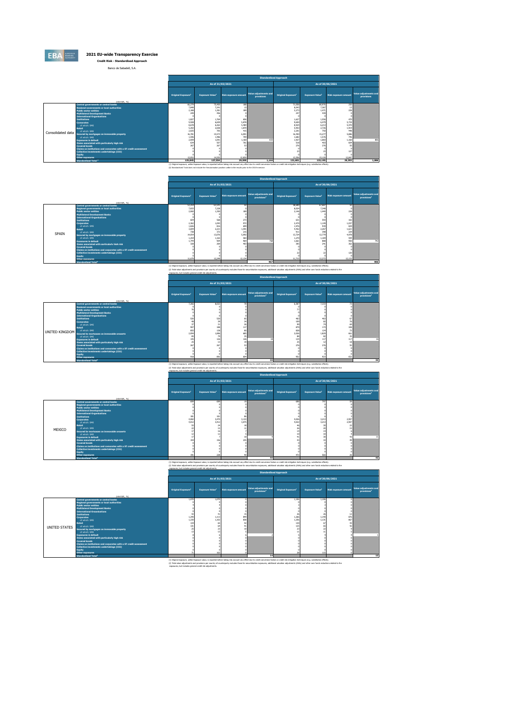

Banco de Sabadell, S.A.

|                   |                                                                  | <b>Standardised Approach</b>   |                       |                                                                                                                       |                                     |                                                                                                                                                                                                    |                       |                             |                                     |  |  |
|-------------------|------------------------------------------------------------------|--------------------------------|-----------------------|-----------------------------------------------------------------------------------------------------------------------|-------------------------------------|----------------------------------------------------------------------------------------------------------------------------------------------------------------------------------------------------|-----------------------|-----------------------------|-------------------------------------|--|--|
|                   |                                                                  |                                |                       | As of 31/03/2021                                                                                                      |                                     |                                                                                                                                                                                                    |                       | As of 30/06/2021            |                                     |  |  |
|                   | (min EUR, %)                                                     | Original Exposure <sup>1</sup> | <b>Exposure Value</b> | Risk exposure amount                                                                                                  | Value adjustments and<br>provisions | Original Exposure <sup>1</sup>                                                                                                                                                                     | <b>Exposure Value</b> | <b>Risk exposure amount</b> | Value adjustments and<br>provisions |  |  |
|                   | <b>Central governments or central banks</b>                      | 66,279                         | 75,400                | 188                                                                                                                   |                                     | 71,058                                                                                                                                                                                             | 80,976                | 250                         |                                     |  |  |
|                   | Regional governments or local authorities                        | 7,848                          | 7.241                 |                                                                                                                       |                                     | 8,043                                                                                                                                                                                              | 7.367                 | 13                          |                                     |  |  |
|                   | <b>Public sector entities</b>                                    | 2,188                          | 1,381                 | 189                                                                                                                   |                                     | 2,273                                                                                                                                                                                              | 1.471                 | 228                         |                                     |  |  |
|                   | <b>Multilateral Development Banks</b>                            | 249                            | 456                   |                                                                                                                       |                                     | 247                                                                                                                                                                                                | 439                   |                             |                                     |  |  |
|                   | <b>International Organisations</b><br><b>Institutions</b>        | 1.827                          | 1.764                 | 656                                                                                                                   |                                     | 1,627                                                                                                                                                                                              | 1,556                 | 470                         |                                     |  |  |
|                   | <b>Comorates</b>                                                 | 9,508                          | 6,659                 | 5,878                                                                                                                 |                                     | 9,650                                                                                                                                                                                              | 6,479                 | 5,734                       |                                     |  |  |
|                   | of which: SME                                                    | 8,678                          | 6.262                 | 5,484                                                                                                                 |                                     | 8,924                                                                                                                                                                                              | 6,213                 | 5,470                       |                                     |  |  |
|                   | Retail                                                           | 5,202                          | 2,658                 | 1,870                                                                                                                 |                                     | 5,953                                                                                                                                                                                              | 2,726                 | 1,919                       |                                     |  |  |
|                   | of which: SME                                                    | 2,025                          | 705                   | 415                                                                                                                   |                                     | 2,201                                                                                                                                                                                              | 750                   | 448                         |                                     |  |  |
| Consolidated data | Secured by mortgages on immovable property                       | 16,781                         | 15.573                | 6,001                                                                                                                 |                                     | 16,450                                                                                                                                                                                             | 15,277                | 5,886                       |                                     |  |  |
|                   | of which: SMF                                                    | 1,596                          | 1,486                 | 709                                                                                                                   |                                     | 1,682                                                                                                                                                                                              | 1.576                 | 746                         |                                     |  |  |
|                   | <b>Exposures in default</b>                                      | 2,005                          | 1,091                 | 1,160                                                                                                                 | 83                                  | 1,927                                                                                                                                                                                              | 1.083                 | 1,160                       | 805                                 |  |  |
|                   | Items associated with particularly high risk                     | 634                            | 507                   | 761                                                                                                                   |                                     | 518                                                                                                                                                                                                | 403                   | 604                         |                                     |  |  |
|                   | <b>Covered bonds</b>                                             | 267                            | 267                   | S3                                                                                                                    |                                     | 276                                                                                                                                                                                                | 275                   | 5S                          |                                     |  |  |
|                   | Claims on institutions and comorates with a ST credit assessment |                                |                       |                                                                                                                       |                                     |                                                                                                                                                                                                    |                       |                             |                                     |  |  |
|                   | Collective investments undertakings (CIU)                        |                                |                       |                                                                                                                       |                                     |                                                                                                                                                                                                    |                       | 127                         |                                     |  |  |
|                   | Equity                                                           | 13.057                         | 14.555                | 12,830                                                                                                                |                                     | 13.556                                                                                                                                                                                             | 15,120                | 12,847                      |                                     |  |  |
|                   | Other exposures<br>Standardised Total <sup>2</sup>               | 125,845                        | 127.554               | 29.599                                                                                                                | 1.144                               | 131,601                                                                                                                                                                                            | 133.195               | 29.293                      | 1.086                               |  |  |
|                   |                                                                  |                                |                       |                                                                                                                       |                                     |                                                                                                                                                                                                    |                       |                             |                                     |  |  |
|                   |                                                                  |                                |                       |                                                                                                                       |                                     | (1) Original exposure, unlike Exposure value, is reported before taking into account any effect due to credit conversion factors or credit risk mitigation techniques (e.g. substitution effects). |                       |                             |                                     |  |  |
|                   |                                                                  |                                |                       | (2) Standardised Total does not include the Secutarisation position unlike in the results prior to the 2019 exercise. |                                     |                                                                                                                                                                                                    |                       |                             |                                     |  |  |

|       |                                                                      | <b>Standardised Approach</b>                                                                                                                                                                               |                       |                      |                                                  |                                |                                    |                             |                                                  |  |  |
|-------|----------------------------------------------------------------------|------------------------------------------------------------------------------------------------------------------------------------------------------------------------------------------------------------|-----------------------|----------------------|--------------------------------------------------|--------------------------------|------------------------------------|-----------------------------|--------------------------------------------------|--|--|
|       |                                                                      |                                                                                                                                                                                                            | As of 31/03/2021      |                      |                                                  |                                | As of 30/06/2021                   |                             |                                                  |  |  |
|       | (min EUR, %)                                                         | Original Exposure                                                                                                                                                                                          | <b>Exposure Value</b> | Risk exposure amount | Value adjustments and<br>provisions <sup>2</sup> | Original Exposure <sup>1</sup> | <b>Exposure Value</b> <sup>1</sup> | <b>Risk exposure amount</b> | Value adjustments and<br>provisions <sup>2</sup> |  |  |
|       | <b>Central governments or central banks</b>                          | 53,254                                                                                                                                                                                                     | 61,541                | s                    |                                                  | 58,689                         | 67,687                             | 50                          |                                                  |  |  |
|       | Regional governments or local authorities                            | 7,833                                                                                                                                                                                                      | 7,228                 |                      |                                                  | 8,024                          | 7,348                              |                             |                                                  |  |  |
|       | <b>Public sector entities</b>                                        | 2,060                                                                                                                                                                                                      | 1,350                 | 189                  |                                                  | 2.146                          | 1,440                              | 228                         |                                                  |  |  |
|       | Multilateral Development Banks                                       |                                                                                                                                                                                                            |                       |                      |                                                  |                                |                                    |                             |                                                  |  |  |
|       | <b>International Organisations</b>                                   |                                                                                                                                                                                                            |                       |                      |                                                  |                                |                                    |                             |                                                  |  |  |
|       | <b>Institutions</b>                                                  | 604                                                                                                                                                                                                        | 568                   | 273                  |                                                  | 631                            | 593                                | 165                         |                                                  |  |  |
|       | <b>Corporates</b>                                                    | 2,362                                                                                                                                                                                                      | 1,093                 | 972                  |                                                  | 2,474                          | 1,149                              | 1,037                       |                                                  |  |  |
|       | of which: SME                                                        | 1,826                                                                                                                                                                                                      | 816                   | 699                  |                                                  | 1,976                          | 939                                | 829                         |                                                  |  |  |
|       | Retail                                                               | 3,694                                                                                                                                                                                                      | 2,221                 | 1,591                |                                                  | 4.452                          | 2,267                              | 1,621                       |                                                  |  |  |
| SPAIN | of which: SME                                                        | 738                                                                                                                                                                                                        | 372                   | 215                  |                                                  | 911                            | 398                                | 229                         |                                                  |  |  |
|       | Secured by mortgages on immovable property                           | 14,054                                                                                                                                                                                                     | 13,076                | 5,092                |                                                  | 13,724                         | 12,779                             | 4,978                       |                                                  |  |  |
|       | of which: SMF                                                        | 1,254<br>1,744                                                                                                                                                                                             | 1,165                 | 583                  |                                                  | 1,270<br>1,661                 | 1.184                              | 594<br>950                  |                                                  |  |  |
|       | <b>Exposures in default</b>                                          |                                                                                                                                                                                                            | 904                   | 954<br>407           | 768                                              |                                | 888                                |                             | 742                                              |  |  |
|       | Items associated with particularly high risk<br><b>Covered bonds</b> | 328                                                                                                                                                                                                        | 269                   |                      |                                                  | 305                            | 241                                | 362                         |                                                  |  |  |
|       | Claims on institutions and corporates with a ST credit assessment    |                                                                                                                                                                                                            |                       |                      |                                                  |                                |                                    |                             |                                                  |  |  |
|       | Collective investments undertakings (CIU)                            |                                                                                                                                                                                                            |                       |                      |                                                  |                                |                                    | 120                         |                                                  |  |  |
|       | Equity                                                               |                                                                                                                                                                                                            |                       |                      |                                                  |                                |                                    |                             |                                                  |  |  |
|       | Other exposures                                                      | 11.679                                                                                                                                                                                                     | 12,249                | 12.134               |                                                  | 11.715                         | 12,272                             | 12.133                      |                                                  |  |  |
|       | Standardised Total <sup>2</sup>                                      |                                                                                                                                                                                                            |                       |                      | 967                                              |                                |                                    |                             | 905                                              |  |  |
|       |                                                                      | (1) Original exposure, unlike Exposure value, is reported before taking into account any effect due to credit conversion factors or credit risk mitigation techniques (e.g. substitution effects).         |                       |                      |                                                  |                                |                                    |                             |                                                  |  |  |
|       |                                                                      | (2) Total value adjustments and provisions per country of counterparty excludes those for securistisation exposures, additional valuation adjustments (AVAs) and other own funds reductions related to the |                       |                      |                                                  |                                |                                    |                             |                                                  |  |  |
|       |                                                                      | exposures, but includes general credit risk adjustments.                                                                                                                                                   |                       |                      |                                                  |                                |                                    |                             |                                                  |  |  |
|       |                                                                      |                                                                                                                                                                                                            |                       |                      |                                                  |                                |                                    |                             |                                                  |  |  |
|       |                                                                      | <b>Standardised Approach</b>                                                                                                                                                                               |                       |                      |                                                  |                                |                                    |                             |                                                  |  |  |

|                |                                                                                                                                                                                                                                                                                                                                                                                                                                                                                                                                                                                                                                                         |                                                          |                                                        |                                                                                     |                                                  | <b><i><u><b>Armines Alson Whiteheats</b></u></i></b>                                                                                                                                                                                                                                                                                                                                                                                                                                           |                                                                                  |                                                                          |                                                  |
|----------------|---------------------------------------------------------------------------------------------------------------------------------------------------------------------------------------------------------------------------------------------------------------------------------------------------------------------------------------------------------------------------------------------------------------------------------------------------------------------------------------------------------------------------------------------------------------------------------------------------------------------------------------------------------|----------------------------------------------------------|--------------------------------------------------------|-------------------------------------------------------------------------------------|--------------------------------------------------|------------------------------------------------------------------------------------------------------------------------------------------------------------------------------------------------------------------------------------------------------------------------------------------------------------------------------------------------------------------------------------------------------------------------------------------------------------------------------------------------|----------------------------------------------------------------------------------|--------------------------------------------------------------------------|--------------------------------------------------|
|                |                                                                                                                                                                                                                                                                                                                                                                                                                                                                                                                                                                                                                                                         |                                                          |                                                        | As of 31/03/2021                                                                    |                                                  |                                                                                                                                                                                                                                                                                                                                                                                                                                                                                                | As of 30/06/2021                                                                 |                                                                          |                                                  |
|                | (min EUR, %)                                                                                                                                                                                                                                                                                                                                                                                                                                                                                                                                                                                                                                            | Original Exposure <sup>1</sup>                           | <b>Exposure Value<sup>1</sup></b>                      | <b>Risk exposure amount</b>                                                         | Value adjustments and<br>provisions <sup>2</sup> | <b>Original Exposure<sup>1</sup></b>                                                                                                                                                                                                                                                                                                                                                                                                                                                           | <b>Exposure Value1</b>                                                           | <b>Risk exposure amount</b>                                              | Value adjustments and<br>provisions <sup>2</sup> |
| UNITED KINGDOM | Central governments or central banks<br>Regional governments or local authorities<br><b>Public sector entities</b><br><b>Multilateral Development Banks</b><br><b>International Organisations</b><br><b>Institutions</b><br><b>Comorates</b><br>of which: SME<br><b>Retail</b><br>of which: SME<br>Secured by mortgages on immovable property<br>of which: SMF<br><b>Exposures in default</b><br>Items associated with particularly high risk<br><b>Covered bonds</b><br>Claims on institutions and corporates with a ST credit assessment<br>Collective investments undertakings (CIU)<br>Fouity<br>Other exposures<br>Standardised Total <sup>2</sup> | 7.266<br>907<br>855<br>2,094<br>010                      | 8.022<br>188<br>138<br>1,896<br>79<br>126<br>267<br>89 | $\overline{\mathcal{M}}$<br>26<br>117<br>80<br>689<br>35<br>126<br>19<br><b>RDS</b> | 33                                               | 6,587<br>467<br>109<br>œ<br>875<br>828<br>2,026<br>88<br>134<br>275<br>952<br>(1) Original exposure, unlike Exposure value, is reported before taking into account any effect due to credit conversion factors or credit risk mitigation techniques (e.g. substitution effects).<br>(2) Total value adjustments and provisions per country of counterparty excludes those for securistisation exposures, additional valuation adjustments (AVAs) and other own funds reductions related to the | 7,333<br>463<br>82<br>74<br>173<br>124<br>1,829<br>82<br>117<br>12<br>276<br>923 | 73<br>67<br>76<br>69<br>108<br>72<br>661<br>35<br>117<br>18<br>5S<br>652 | 16<br>32                                         |
|                |                                                                                                                                                                                                                                                                                                                                                                                                                                                                                                                                                                                                                                                         | exposures, but includes general credit risk adjustments. |                                                        |                                                                                     | <b>Standardised Approach</b>                     |                                                                                                                                                                                                                                                                                                                                                                                                                                                                                                |                                                                                  |                                                                          |                                                  |

|        |                                                                                                                                                                                                                                                                                                                                                                                                                                                                                                                                                                                                                              |                                                        |                                                      |                             |                                                  | <b>Standardised Approach</b>   |                                   |                                  |                                                  |
|--------|------------------------------------------------------------------------------------------------------------------------------------------------------------------------------------------------------------------------------------------------------------------------------------------------------------------------------------------------------------------------------------------------------------------------------------------------------------------------------------------------------------------------------------------------------------------------------------------------------------------------------|--------------------------------------------------------|------------------------------------------------------|-----------------------------|--------------------------------------------------|--------------------------------|-----------------------------------|----------------------------------|--------------------------------------------------|
|        |                                                                                                                                                                                                                                                                                                                                                                                                                                                                                                                                                                                                                              |                                                        |                                                      | As of 31/03/2021            |                                                  |                                |                                   | As of 30/06/2021                 |                                                  |
|        | (min EUR, %)                                                                                                                                                                                                                                                                                                                                                                                                                                                                                                                                                                                                                 | Original Exposure <sup>1</sup>                         | <b>Exposure Value<sup>1</sup></b>                    | Risk exposure amount        | Value adjustments and<br>provisions <sup>2</sup> | Original Exposure <sup>1</sup> | <b>Exposure Value<sup>1</sup></b> | <b>Risk exposure amount</b>      | Value adjustments and<br>provisions <sup>2</sup> |
| MEXICO | <b>Central governments or central banks</b><br>Regional governments or local authorities<br><b>Public sector entities</b><br><b>Multilateral Development Banks</b><br><b>International Organisations</b><br><b>Institutions</b><br><b>Corporates</b><br>of which: SME<br>Retail<br>of which: SME<br>Secured by mortgages on immovable property<br>of which: SMF<br><b>Exposures in default</b><br>Items associated with particularly high risk<br><b>Covered bonds</b><br>Claims on institutions and corporates with a ST credit assessment<br>Collective investments undertakings (CIU)<br><b>Equity</b><br>Other exposures | 699<br>181<br>4,082<br>4.012<br><b>SS</b><br>19<br>191 | 699<br>181<br>3,470<br>3,412<br>$^{2}$<br>156<br>228 | 86<br>3,133<br>3,075<br>735 |                                                  | 698<br>4.026<br>4.022<br>477   | 797<br>3,213<br>3,213<br>x<br>565 | 59<br>2,907<br>2,907<br>22<br>26 | 11                                               |
|        | <b>Standardised Total</b>                                                                                                                                                                                                                                                                                                                                                                                                                                                                                                                                                                                                    |                                                        |                                                      |                             | 44                                               |                                |                                   |                                  | 42                                               |

(1) Original exposure, unite Exposure sales, is reported before taking the country effect due to end concerned from or credit risk mitigates individuals (fixed).<br>(1) Table wise adjustment out provide an outright of exclusi

|                                                                                                                                                                                                                                                                                                                                                                                                                                       |                                                                                                                                                                                                                                                                                                                                                                                                                                                                              |                                   |                      | <b>Standardised Approach</b>                     |                                |                         |                             |                                                  |  |  |  |  |
|---------------------------------------------------------------------------------------------------------------------------------------------------------------------------------------------------------------------------------------------------------------------------------------------------------------------------------------------------------------------------------------------------------------------------------------|------------------------------------------------------------------------------------------------------------------------------------------------------------------------------------------------------------------------------------------------------------------------------------------------------------------------------------------------------------------------------------------------------------------------------------------------------------------------------|-----------------------------------|----------------------|--------------------------------------------------|--------------------------------|-------------------------|-----------------------------|--------------------------------------------------|--|--|--|--|
|                                                                                                                                                                                                                                                                                                                                                                                                                                       |                                                                                                                                                                                                                                                                                                                                                                                                                                                                              | As of 31/03/2021                  |                      |                                                  |                                |                         | As of 30/06/2021            |                                                  |  |  |  |  |
| (min EUR, %)                                                                                                                                                                                                                                                                                                                                                                                                                          | Original Exposure <sup>1</sup>                                                                                                                                                                                                                                                                                                                                                                                                                                               | <b>Exposure Value<sup>1</sup></b> | Risk exposure amount | Value adjustments and<br>provisions <sup>2</sup> | Original Exposure <sup>1</sup> | <b>Exposure Value1</b>  | <b>Risk exposure amount</b> | Value adjustments and<br>provisions <sup>2</sup> |  |  |  |  |
| Central governments or central banks<br>Regional governments or local authorities<br><b>Public sector entities</b><br><b>Multilateral Development Banks</b><br><b>International Organisations</b><br><b>Institutions</b><br><b>Corporates</b><br>of which: SME                                                                                                                                                                        | 1.070<br>1,240<br>1,230                                                                                                                                                                                                                                                                                                                                                                                                                                                      | 1.070<br>1,113<br>1.102           | 849<br>838           |                                                  | 1.106<br>1,266<br>1,256        | 1.106<br>1,140<br>1,131 | 12<br>876<br>867            |                                                  |  |  |  |  |
| 134<br>130<br>65<br>42<br>43<br>67<br>Retail<br>131<br>125<br>of which: SME<br>UNITED STATES<br>Secured by mortgages on immovable property<br>of which: SME<br><b>Exposures in default</b><br>Items associated with particularly high risk<br><b>Covered bonds</b><br>Claims on institutions and corporates with a ST credit assessment<br>Collective investments undertakings (CIU)<br><b>Equity</b><br>115<br>Other exposures<br>14 |                                                                                                                                                                                                                                                                                                                                                                                                                                                                              |                                   |                      |                                                  |                                |                         |                             |                                                  |  |  |  |  |
| Standardised Total <sup>2</sup>                                                                                                                                                                                                                                                                                                                                                                                                       |                                                                                                                                                                                                                                                                                                                                                                                                                                                                              |                                   |                      |                                                  |                                |                         |                             | 13                                               |  |  |  |  |
|                                                                                                                                                                                                                                                                                                                                                                                                                                       | (1) Original exposure, unlike Exposure value, is reported before taking into account any effect due to credit conversion factors or credit risk mitigation techniques (e.g. substitution effects).<br>(2) Total value adjustments and provisions per country of counterparty excludes those for securistisation exposures, additional valuation adjustments (AVAs) and other own funds reductions related to the<br>exposures, but includes general credit risk adjustments. |                                   |                      |                                                  |                                |                         |                             |                                                  |  |  |  |  |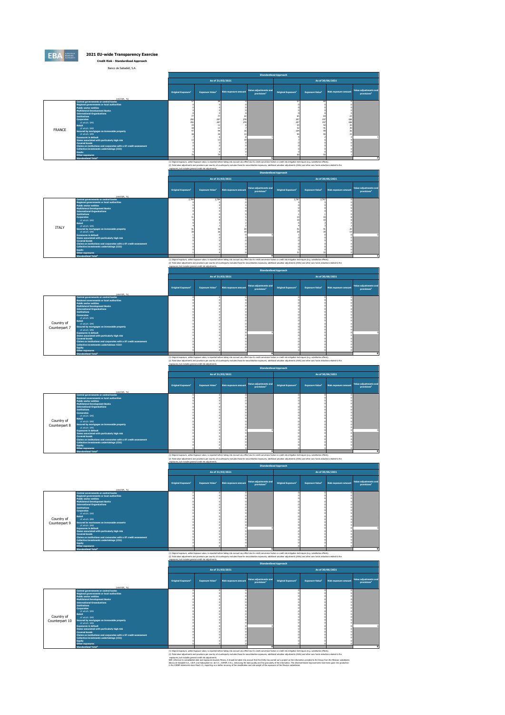

Banco de Sabadell, S.A.

|               |                                                                                                                                                                                                                                                                                                                                                                                                                                                                                                                                                                                                                              |                                |                                   |                      | <b>Standardised Approach</b>                     |                                                                  |                                   |                              |                                                  |
|---------------|------------------------------------------------------------------------------------------------------------------------------------------------------------------------------------------------------------------------------------------------------------------------------------------------------------------------------------------------------------------------------------------------------------------------------------------------------------------------------------------------------------------------------------------------------------------------------------------------------------------------------|--------------------------------|-----------------------------------|----------------------|--------------------------------------------------|------------------------------------------------------------------|-----------------------------------|------------------------------|--------------------------------------------------|
|               |                                                                                                                                                                                                                                                                                                                                                                                                                                                                                                                                                                                                                              |                                |                                   | As of 31/03/2021     |                                                  |                                                                  |                                   | As of 30/06/2021             |                                                  |
|               | (min EUR, %)                                                                                                                                                                                                                                                                                                                                                                                                                                                                                                                                                                                                                 | Original Exposure <sup>1</sup> | <b>Exposure Value<sup>1</sup></b> | Risk exposure amount | Value adjustments and<br>provisions <sup>2</sup> | <b>Original Exposure<sup>1</sup></b>                             | <b>Exposure Value<sup>1</sup></b> | Risk exposure amount         | Value adjustments and<br>provisions <sup>2</sup> |
| <b>FRANCE</b> | <b>Central governments or central banks</b><br>Regional governments or local authorities<br><b>Public sector entities</b><br><b>Multilateral Development Banks</b><br><b>International Organisations</b><br><b>Institutions</b><br><b>Corporates</b><br>of which: SME<br><b>Retail</b><br>of which: SME<br>Secured by mortgages on immovable property<br>of which: SMF<br><b>Exposures in default</b><br>Items associated with particularly high risk<br><b>Covered bonds</b><br>Claims on institutions and corporates with a ST credit assessment<br>Collective investments undertakings (CIU)<br>Equity<br>Other exposures | 292<br>292                     | 287<br>287                        | 778<br>778           |                                                  | ×.<br>65<br>207<br>207<br>$\ddot{\phantom{a}}$<br>$\circ$<br>104 | 64<br>197<br>197                  | 23<br>188<br>188<br>30<br>30 |                                                  |
|               | Standardised Total <sup>2</sup>                                                                                                                                                                                                                                                                                                                                                                                                                                                                                                                                                                                              |                                |                                   |                      |                                                  |                                                                  |                                   |                              |                                                  |

(1) Original exposure, unite Exposure sales, is reported before taking the country effect due to end convenient factors are credit risk mitigates individual (e.g., substation effects).<br>(2) Table wise adjustments on provide

|              |                                                                   |                                |                                   |                             | <b>Standardised Approach</b>                     |                                |                                   |                             |                                                  |
|--------------|-------------------------------------------------------------------|--------------------------------|-----------------------------------|-----------------------------|--------------------------------------------------|--------------------------------|-----------------------------------|-----------------------------|--------------------------------------------------|
|              |                                                                   |                                | As of 31/03/2021                  |                             |                                                  |                                | As of 30/06/2021                  |                             |                                                  |
|              | (mln EUR, %)                                                      | Original Exposure <sup>1</sup> | <b>Exposure Value<sup>1</sup></b> | <b>Risk exposure amount</b> | Value adjustments and<br>provisions <sup>2</sup> | Original Exposure <sup>1</sup> | <b>Exposure Value<sup>1</sup></b> | <b>Risk exposure amount</b> | Value adjustments and<br>provisions <sup>2</sup> |
|              | Central governments or central banks                              | 2.784                          | 2,784                             |                             |                                                  | 2.767                          | 2,767                             |                             |                                                  |
|              | Regional governments or local authorities                         |                                |                                   |                             |                                                  |                                |                                   |                             |                                                  |
|              | <b>Public sector entities</b>                                     |                                |                                   |                             |                                                  |                                |                                   |                             |                                                  |
|              | <b>Multilateral Development Banks</b>                             |                                |                                   |                             |                                                  |                                |                                   |                             |                                                  |
|              | <b>International Organisations</b>                                |                                |                                   |                             |                                                  |                                |                                   |                             |                                                  |
|              | <b>Institutions</b>                                               |                                |                                   |                             |                                                  |                                |                                   |                             |                                                  |
|              | <b>Corporates</b><br>of which: SME                                |                                |                                   |                             |                                                  |                                |                                   |                             |                                                  |
|              | Retail                                                            |                                |                                   |                             |                                                  |                                |                                   |                             |                                                  |
|              | of which: SME                                                     |                                |                                   |                             |                                                  |                                |                                   |                             |                                                  |
| <b>ITALY</b> | Secured by mortgages on immovable property                        |                                |                                   |                             |                                                  |                                |                                   |                             |                                                  |
|              | of which: SME                                                     |                                |                                   |                             |                                                  |                                |                                   |                             |                                                  |
|              | <b>Exposures in default</b>                                       |                                |                                   |                             |                                                  |                                |                                   |                             |                                                  |
|              | Items associated with particularly high risk                      |                                |                                   |                             |                                                  |                                |                                   |                             |                                                  |
|              | <b>Covered bonds</b>                                              |                                |                                   |                             |                                                  |                                |                                   |                             |                                                  |
|              | Claims on institutions and corporates with a ST credit assessment |                                |                                   |                             |                                                  |                                |                                   |                             |                                                  |
|              | Collective investments undertakings (CIU)                         |                                |                                   |                             |                                                  |                                |                                   |                             |                                                  |
|              | <b>Equity</b>                                                     |                                |                                   |                             |                                                  |                                |                                   |                             |                                                  |
|              | Other exposures                                                   |                                |                                   |                             |                                                  |                                |                                   |                             |                                                  |
|              | Standardised Total <sup>2</sup>                                   |                                |                                   |                             |                                                  |                                |                                   |                             |                                                  |

3. 2020<br>(1) Only af explain, while Explain tubus, is explained to the first of the control of the state of the interior<br>Company of the Explaint which is explained to many any models that the state of party of the interior

|                                                               |                                                                                                                                                                                                                                                                                                                                                                                                                                                                                                                                                                                                   |                                |                                   | As of 31/03/2021     |                                                  |                                | As of 30/06/2021       |                             |                                                  |
|---------------------------------------------------------------|---------------------------------------------------------------------------------------------------------------------------------------------------------------------------------------------------------------------------------------------------------------------------------------------------------------------------------------------------------------------------------------------------------------------------------------------------------------------------------------------------------------------------------------------------------------------------------------------------|--------------------------------|-----------------------------------|----------------------|--------------------------------------------------|--------------------------------|------------------------|-----------------------------|--------------------------------------------------|
|                                                               |                                                                                                                                                                                                                                                                                                                                                                                                                                                                                                                                                                                                   |                                |                                   |                      |                                                  |                                |                        |                             |                                                  |
|                                                               | (min EUR, %)                                                                                                                                                                                                                                                                                                                                                                                                                                                                                                                                                                                      | Original Exposure <sup>1</sup> | <b>Exposure Value<sup>1</sup></b> | Risk exposure amount | Value adjustments and<br>provisions <sup>2</sup> | Original Exposure <sup>1</sup> | <b>Exposure Value1</b> | <b>Risk exposure amount</b> | Value adjustments and<br>provisions <sup>2</sup> |
| <b>Retail</b><br>Country of<br>Counterpart 7<br><b>Equity</b> | <b>Central governments or central banks</b><br>Regional governments or local authorities<br><b>Public sector entities</b><br><b>Multilateral Development Banks</b><br><b>International Organisations</b><br><b>Institutions</b><br><b>Corporates</b><br>of which: SME<br>of which: SME<br>Secured by mortgages on immovable property<br>of which: SME<br><b>Exposures in default</b><br>Items associated with particularly high risk<br><b>Covered bonds</b><br>Claims on institutions and corporates with a ST credit assessment<br>Collective investments undertakings (CIU)<br>Other exposures |                                |                                   |                      |                                                  |                                |                        |                             | <b>D</b>                                         |
|                                                               | Standardised Total <sup>2</sup>                                                                                                                                                                                                                                                                                                                                                                                                                                                                                                                                                                   |                                |                                   |                      |                                                  |                                |                        |                             |                                                  |

0<br>(1) Only af expans of the Sphane of the New York and the Sphane of the Sphane of the Sphane of the Sphane of the Sphane of the Sphane of the Sphane of the Sphane of the Sphane of the Sphane of the Sphane of the Sphane of

|               |                                                                            |                                                          |                                   |                      |                                                                                                                                                                                                            | <b>Standardised Approach</b>   |                        |                             |                                                  |  |  |
|---------------|----------------------------------------------------------------------------|----------------------------------------------------------|-----------------------------------|----------------------|------------------------------------------------------------------------------------------------------------------------------------------------------------------------------------------------------------|--------------------------------|------------------------|-----------------------------|--------------------------------------------------|--|--|
|               |                                                                            |                                                          |                                   | As of 31/03/2021     |                                                                                                                                                                                                            |                                |                        | As of 30/06/2021            |                                                  |  |  |
|               | (min EUR, %)                                                               | Original Exposure <sup>1</sup>                           | <b>Exposure Value<sup>1</sup></b> | Risk exposure amount | <b>Value adjustments and</b><br>provisions <sup>2</sup>                                                                                                                                                    | Original Exposure <sup>1</sup> | <b>Exposure Value1</b> | <b>Risk exposure amount</b> | Value adjustments and<br>provisions <sup>2</sup> |  |  |
|               | Central governments or central banks                                       |                                                          |                                   |                      |                                                                                                                                                                                                            |                                |                        |                             |                                                  |  |  |
|               | Regional governments or local authorities<br><b>Public sector entities</b> |                                                          |                                   |                      |                                                                                                                                                                                                            |                                |                        |                             |                                                  |  |  |
|               | <b>Multilateral Development Banks</b>                                      |                                                          |                                   |                      |                                                                                                                                                                                                            |                                |                        |                             |                                                  |  |  |
|               | <b>International Organisations</b>                                         |                                                          |                                   |                      |                                                                                                                                                                                                            |                                |                        |                             |                                                  |  |  |
|               | <b>Institutions</b>                                                        |                                                          |                                   |                      |                                                                                                                                                                                                            |                                |                        |                             |                                                  |  |  |
|               | <b>Corporates</b>                                                          |                                                          |                                   |                      |                                                                                                                                                                                                            |                                |                        |                             |                                                  |  |  |
|               | of which: SMF<br><b>Retail</b>                                             |                                                          |                                   |                      |                                                                                                                                                                                                            |                                |                        |                             |                                                  |  |  |
| Country of    | of which: SME                                                              |                                                          |                                   |                      |                                                                                                                                                                                                            |                                |                        |                             |                                                  |  |  |
| Counterpart 8 | Secured by mortgages on immovable property                                 |                                                          |                                   |                      |                                                                                                                                                                                                            |                                |                        |                             |                                                  |  |  |
|               | of which: SMF                                                              |                                                          |                                   |                      |                                                                                                                                                                                                            |                                |                        |                             |                                                  |  |  |
|               | <b>Exposures in default</b>                                                |                                                          |                                   |                      |                                                                                                                                                                                                            |                                |                        |                             |                                                  |  |  |
|               | Items associated with particularly high risk<br><b>Covered bonds</b>       |                                                          |                                   |                      |                                                                                                                                                                                                            |                                |                        |                             |                                                  |  |  |
|               | Claims on institutions and corporates with a ST credit assessment          |                                                          |                                   |                      |                                                                                                                                                                                                            |                                |                        |                             |                                                  |  |  |
|               | Collective investments undertakings (CIU)                                  |                                                          |                                   |                      |                                                                                                                                                                                                            |                                |                        |                             |                                                  |  |  |
|               | <b>Equity</b>                                                              |                                                          |                                   |                      |                                                                                                                                                                                                            |                                |                        |                             |                                                  |  |  |
|               | Other exposures                                                            |                                                          |                                   |                      |                                                                                                                                                                                                            |                                |                        |                             |                                                  |  |  |
|               | Standardised Total <sup>2</sup>                                            |                                                          |                                   |                      | $\bullet$                                                                                                                                                                                                  |                                |                        |                             |                                                  |  |  |
|               |                                                                            |                                                          |                                   |                      | (1) Original exposure, unlike Exposure value, is reported before taking into account any effect due to credit conversion factors or credit risk mitigation techniques (e.g. substitution effects).         |                                |                        |                             |                                                  |  |  |
|               |                                                                            |                                                          |                                   |                      | (2) Total value adjustments and provisions per country of counterparty excludes those for securistisation exposures, additional valuation adjustments (AVAs) and other own funds reductions related to the |                                |                        |                             |                                                  |  |  |
|               |                                                                            | exposures, but includes general credit risk adjustments. |                                   |                      |                                                                                                                                                                                                            |                                |                        |                             |                                                  |  |  |
|               | <b>Standardised Approach</b>                                               |                                                          |                                   |                      |                                                                                                                                                                                                            |                                |                        |                             |                                                  |  |  |

| As of 31/03/2021<br>As of 30/06/2021<br>Value adjustments and<br>Original Exposure <sup>1</sup><br>Original Exposure <sup>1</sup><br><b>Exposure Value<sup>1</sup></b><br><b>Exposure Value1</b><br><b>Risk exposure amount</b><br><b>Risk exposure amount</b><br>provisions <sup>2</sup><br>provisions <sup>2</sup><br>(min EUR, %)<br>Central governments or central banks<br>Regional governments or local authorities<br><b>Public sector entities</b><br><b>Multilateral Development Banks</b><br><b>International Organisations</b><br><b>Institutions</b><br><b>Corporates</b><br>of which: SME<br>Retail<br>Country of<br>of which: SME<br>Counterpart 9<br>Secured by mortgages on immovable property<br>of which: SME<br><b>Exposures in default</b><br>Items associated with particularly high risk<br><b>Covered bonds</b><br>Claims on institutions and corporates with a ST credit assessment<br>Collective investments undertakings (CIU)<br><b>Equity</b><br>Other exposures |                                 |  |  | standardised Approach |  |                       |
|----------------------------------------------------------------------------------------------------------------------------------------------------------------------------------------------------------------------------------------------------------------------------------------------------------------------------------------------------------------------------------------------------------------------------------------------------------------------------------------------------------------------------------------------------------------------------------------------------------------------------------------------------------------------------------------------------------------------------------------------------------------------------------------------------------------------------------------------------------------------------------------------------------------------------------------------------------------------------------------------|---------------------------------|--|--|-----------------------|--|-----------------------|
|                                                                                                                                                                                                                                                                                                                                                                                                                                                                                                                                                                                                                                                                                                                                                                                                                                                                                                                                                                                              |                                 |  |  |                       |  |                       |
|                                                                                                                                                                                                                                                                                                                                                                                                                                                                                                                                                                                                                                                                                                                                                                                                                                                                                                                                                                                              |                                 |  |  |                       |  | Value adjustments and |
|                                                                                                                                                                                                                                                                                                                                                                                                                                                                                                                                                                                                                                                                                                                                                                                                                                                                                                                                                                                              | Standardised Total <sup>2</sup> |  |  |                       |  |                       |

0 0 0 0 0 0 **0 0** (1) Original exposure, unlike Exposure value, is reported before taking into account any effect due to credit conversion factors or credit risk mitigation techniques (e.g. substitution effects). (2) Total value adjustments and provisions per country of counterparty excludes those for securistisation exposures, additional valuation adjustments (AUAs) and other own funds reductions related to the<br>exposures, but incl

|                                                                                                                                                                                                                                                                                                                                                                                                                                                                                                                                                                                                                                                                                                       |              |                                |                                   |                             | <b>Standardised Approach</b>                     |                                |                        |                             |                                                  |
|-------------------------------------------------------------------------------------------------------------------------------------------------------------------------------------------------------------------------------------------------------------------------------------------------------------------------------------------------------------------------------------------------------------------------------------------------------------------------------------------------------------------------------------------------------------------------------------------------------------------------------------------------------------------------------------------------------|--------------|--------------------------------|-----------------------------------|-----------------------------|--------------------------------------------------|--------------------------------|------------------------|-----------------------------|--------------------------------------------------|
|                                                                                                                                                                                                                                                                                                                                                                                                                                                                                                                                                                                                                                                                                                       |              |                                |                                   | As of 31/03/2021            |                                                  |                                |                        | As of 30/06/2021            |                                                  |
|                                                                                                                                                                                                                                                                                                                                                                                                                                                                                                                                                                                                                                                                                                       | (min EUR, %) | Original Exposure <sup>1</sup> | <b>Exposure Value<sup>1</sup></b> | <b>Risk exposure amount</b> | Value adjustments and<br>provisions <sup>2</sup> | Original Exposure <sup>1</sup> | <b>Exposure Value1</b> | <b>Risk exposure amount</b> | Value adjustments and<br>provisions <sup>2</sup> |
| Central governments or central banks<br>Regional governments or local authorities<br><b>Public sector entities</b><br><b>Multilateral Development Banks</b><br><b>International Organisations</b><br><b>Institutions</b><br><b>Corporates</b><br>of which: SME<br><b>Retail</b><br>Country of<br>of which: SME<br>Secured by mortgages on immovable property<br>Counterpart 10<br>of which: SME<br><b>Exposures in default</b><br>Items associated with particularly high risk<br><b>Covered bonds</b><br>Claims on institutions and corporates with a ST credit assessment<br>Collective investments undertakings (CIU)<br><b>Equity</b><br>Other exposures<br><b>Standardised Total<sup>2</sup></b> |              |                                |                                   |                             |                                                  |                                |                        |                             |                                                  |

0 0 0 0 0 0 0 0 0 0 0 0 **0 0** (1) Original exposure, unlike Exposure value, is reported before taking into account any effect due to credit conversion factors or credit risk mitigation techniques (e.g. substitution effects). (2) Total value adjustments and provisions per country of counterparty excludes those for securistisation exposures, additional valuation adjustments (AVAs) and other own funds reductions related to the exposures, but includes general credit risk adjustments. With reference to consolidated data and exposures towards Mexico, it should be taken into account that the Entity has carried out a project on the information provided to the Group from the Mexican subsidiaries (Banco de Sabadell S.A., I.B.M. and Sabcapital S.A. de C.V., SOFOM, E.R.), enhancing the data quality and the granularity of the information. The aforementioned improvements have been gone into production in the COREP statements since March 21, impacting on a better accuracy of the classification and risk-weight of the exposures of the Mexican subsidiaries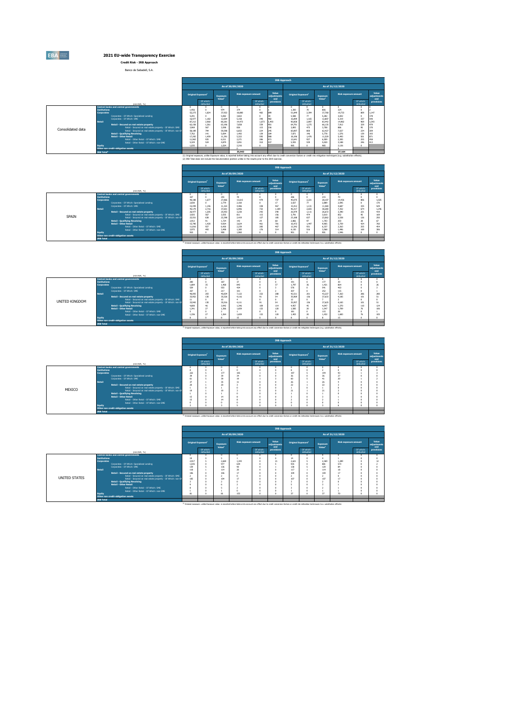

**2021 EU-wide Transparency Exercise Credit Risk - IRB Approach**

Banco de Sabadell, S.A.

|                   |                     |                                                             |                 |                                |                                |                             |                        | <b>IRB Approach</b>         |                 |                                                                  |                 |                             |                        |                             |
|-------------------|---------------------|-------------------------------------------------------------|-----------------|--------------------------------|--------------------------------|-----------------------------|------------------------|-----------------------------|-----------------|------------------------------------------------------------------|-----------------|-----------------------------|------------------------|-----------------------------|
|                   |                     |                                                             |                 |                                |                                | As of 30/09/2020            |                        |                             |                 |                                                                  |                 | As of 31/12/2020            |                        |                             |
|                   |                     |                                                             |                 | Original Exposure <sup>1</sup> | Exposure<br>Value <sup>1</sup> | <b>Risk exposure amount</b> |                        | Value<br>adjustments<br>and |                 | Original Exposure <sup>1</sup><br>Exposure<br>Value <sup>2</sup> |                 | <b>Risk exposure amount</b> |                        | Value<br>adjustments<br>and |
|                   |                     | (min EUR. %)                                                |                 | Of which:<br>defaulted         |                                |                             | Of which:<br>defaulted | provisions                  |                 | Of which:<br>defaulted                                           |                 |                             | Of which:<br>defaulted | provisions                  |
|                   |                     | Central banks and central governments                       |                 |                                | 974                            | 374                         |                        |                             |                 | $\pi$                                                            | o               | 324                         |                        |                             |
|                   | <b>Institutions</b> |                                                             | 1.456           | 1.824                          |                                |                             | $\Omega$               |                             | 1.300           | 2,394                                                            | 806             |                             |                        |                             |
|                   | <b>Corporates</b>   | Corporates - Of Which: Soecialised Lending                  | 52,273<br>5.291 |                                | 37,922<br>5.082                | 18,880<br>3.822             | 482<br>$\Omega$        | 899                         | 51,849<br>5.588 | $\overline{\overline{\overline{z}}}$                             | 37,768<br>5.282 | 19.733<br>3.832             | 809                    | 1,147<br>178                |
|                   |                     | Corporates - Of Which: SME                                  | 16,977          | 1.182                          | 12,604                         | 5.158                       | 340                    | 682                         | 16,899          | 1.165                                                            | 12.807          | 5.319                       | 337                    | 540                         |
|                   | Retail              |                                                             | 87,212          | 2,960                          | 80.281                         | 14,473                      | 1.073                  | 1.493                       | 90,858          | 2.897                                                            | 83,442          | 14.982                      | 969                    | 1,543                       |
|                   |                     | Retail - Secured on real estate property                    | 62.158          | 1.361                          | 63.196                         | 7,658                       | 339                    | 401                         | 64,791          | 1.275                                                            | 66,135          | 7.912                       | 329                    | 479                         |
|                   |                     | Retail - Secured on real estate property - Of Which: SME    | 3.969           | 567                            | 3,598                          | 826                         | 115                    | 156                         | 3,893           | 475                                                              | 3,708           | 886                         | 95                     | 170                         |
| Consolidated data |                     | Retail - Secured on real estate property - Of Which: non-Sf | 58,189          | 794                            | 59.598                         | 6.832                       | 224                    | 245                         | 60,897          | 800                                                              | 62,427          | 7.027                       | 234                    | 309                         |
|                   |                     | <b>Retail - Qualifying Revolving</b>                        | 7.762           | 141                            | 5,694                          | 1.492                       | 139                    | 184                         | 7.871           | 145                                                              | 5.778           | 1.576                       | 139                    | 193                         |
|                   |                     | <b>Retail - Other Retail</b>                                | 17,292          | 1.459                          | 11.391                         | 5.322                       | 595                    | 908                         | 18.196          | 1.476                                                            | 11.529          | 5.493                       | 501                    | 871                         |
|                   |                     | Retail - Other Retail - Of Which: SME                       | 11,963          | 935                            | 6.511                          | 2.271                       | 285                    | 471                         | 12,641          | 937                                                              | 6,509           | 2.305                       | 255                    | 458                         |
|                   |                     | Retail - Other Retail - Of Which: non-SME                   | 5.329           | 524                            | 4.879                          | 3.051                       | 310                    | 477                         | 5.555           | 539                                                              | 5.020           | 3.188                       | 246                    | 413                         |
|                   | Equity              |                                                             | 1.035           |                                | 1.024                          | 2.216                       | $\Omega$               |                             | 985             |                                                                  | 985             | 2.126                       |                        |                             |
|                   |                     | Other non credit-obligation assets                          |                 |                                |                                | 35.943                      |                        |                             |                 |                                                                  |                 | 37.164                      |                        |                             |
|                   | TOO TANK            |                                                             |                 |                                |                                |                             |                        |                             |                 |                                                                  |                 |                             |                        |                             |

37,164 37,164 37,164 36,943<br>(1) Original exposure, utilite Exposure value, is expose value, it and policy and a beta started and to credit conversion factors or credit risk miliogation techniques (e.g. substruction effects

| As of 30/09/2020<br>As of 31/12/2020<br>Value<br><b>Risk exposure amount</b><br><b>Risk exposure amount</b><br>Original Exposure <sup>1</sup><br><b>Original Exposure<sup>1</sup></b><br>Exposure<br>Exposure<br>adjustments<br>Value <sup>1</sup><br>Value <sup>1</sup><br>and<br>Of which:<br>Of which:<br>Of which:<br>Of which:<br>provisions<br>defaulted<br>defaulted<br>defaulted<br>defaulted<br>(min EUR. %)<br>Central banks and central governments<br>n<br>255<br>286<br>78<br>215<br>327<br>$\mathbf{m}$<br><b>Tostitutions</b><br>$\Omega$<br>2.221<br>27,866<br>479<br>737<br>40.075<br>28,107<br>806<br>40.188<br>1.677<br>13,615<br>14.436<br><b>Corporates</b><br>77<br>2.889<br>2.830<br>2.779<br>17<br>3.027<br>2.095<br>2.160<br>Corporates - Of Which: Soecialised Lending<br>$\alpha$<br>11.322<br>467<br>1.131<br>4.687<br>335<br>15,449<br>1.146<br>4,486<br>338<br>15.412<br>11,580<br>Corporates - Of Which: SME<br>2.655<br>46.317<br>2,716<br>37,601<br>737<br>38,280<br>7.352<br>6.996<br>674<br>Retail<br>45.179<br>1.189<br>1.111<br>3.390<br>1,205<br>340<br>26,979<br>26,672<br>26,477<br>25.953<br>3,230<br>242<br>221<br>Retail - Secured on real estate property<br>474<br>3.925<br>567<br>155<br>852<br>Retail - Secured on real estate property - Of Which: SME<br>3.555<br>811<br>115<br>3.791<br>3.610<br>95<br>SPAIN<br>22,551<br>22.398<br>637<br>23,062<br>126<br>638<br>185<br>23,188<br>2.538<br>Retail - Secured on real estate property - Of Which: non-Sf<br>2.419<br>127<br>97<br>1,703<br>203<br>79<br>2,866<br><b>Retail - Qualifying Revolving</b><br>2.912<br>91<br>1.724<br>142<br>28<br>68<br>1.447<br>9.905<br>15,790<br>1.420<br>9.924<br>461<br>781<br>16.472<br>3.759<br>474<br><b>Retail - Other Retail</b><br>3.624<br>931<br>927<br>467<br>6.337<br>2.263<br>255<br>11,816<br>6.426<br>2.239<br>285<br>12.342<br>Retail - Other Retail - Of Which: SMF<br>516<br>1.495<br>3.975<br>493<br>3,498<br>1.385<br>176<br>314<br>4.130<br>3,568<br>169<br>Retail - Other Retail - Of Which: non-SMF<br>910<br>1,960<br>901<br>901<br>1,946<br>900<br>$\sim$ |        |  |  |  | <b>IRB Approach</b> |  |  |                             |
|---------------------------------------------------------------------------------------------------------------------------------------------------------------------------------------------------------------------------------------------------------------------------------------------------------------------------------------------------------------------------------------------------------------------------------------------------------------------------------------------------------------------------------------------------------------------------------------------------------------------------------------------------------------------------------------------------------------------------------------------------------------------------------------------------------------------------------------------------------------------------------------------------------------------------------------------------------------------------------------------------------------------------------------------------------------------------------------------------------------------------------------------------------------------------------------------------------------------------------------------------------------------------------------------------------------------------------------------------------------------------------------------------------------------------------------------------------------------------------------------------------------------------------------------------------------------------------------------------------------------------------------------------------------------------------------------------------------------------------------------------------------------------------------------------------------------------------------------------------------------------------------------------------------------------------------------------------------------------------------------------------------------------------------------------------------------------------------------------------------------|--------|--|--|--|---------------------|--|--|-----------------------------|
|                                                                                                                                                                                                                                                                                                                                                                                                                                                                                                                                                                                                                                                                                                                                                                                                                                                                                                                                                                                                                                                                                                                                                                                                                                                                                                                                                                                                                                                                                                                                                                                                                                                                                                                                                                                                                                                                                                                                                                                                                                                                                                                     |        |  |  |  |                     |  |  |                             |
|                                                                                                                                                                                                                                                                                                                                                                                                                                                                                                                                                                                                                                                                                                                                                                                                                                                                                                                                                                                                                                                                                                                                                                                                                                                                                                                                                                                                                                                                                                                                                                                                                                                                                                                                                                                                                                                                                                                                                                                                                                                                                                                     |        |  |  |  |                     |  |  | Value<br>adjustments<br>and |
|                                                                                                                                                                                                                                                                                                                                                                                                                                                                                                                                                                                                                                                                                                                                                                                                                                                                                                                                                                                                                                                                                                                                                                                                                                                                                                                                                                                                                                                                                                                                                                                                                                                                                                                                                                                                                                                                                                                                                                                                                                                                                                                     |        |  |  |  |                     |  |  | provisions                  |
|                                                                                                                                                                                                                                                                                                                                                                                                                                                                                                                                                                                                                                                                                                                                                                                                                                                                                                                                                                                                                                                                                                                                                                                                                                                                                                                                                                                                                                                                                                                                                                                                                                                                                                                                                                                                                                                                                                                                                                                                                                                                                                                     |        |  |  |  |                     |  |  | $\sqrt{2}$                  |
|                                                                                                                                                                                                                                                                                                                                                                                                                                                                                                                                                                                                                                                                                                                                                                                                                                                                                                                                                                                                                                                                                                                                                                                                                                                                                                                                                                                                                                                                                                                                                                                                                                                                                                                                                                                                                                                                                                                                                                                                                                                                                                                     |        |  |  |  |                     |  |  |                             |
|                                                                                                                                                                                                                                                                                                                                                                                                                                                                                                                                                                                                                                                                                                                                                                                                                                                                                                                                                                                                                                                                                                                                                                                                                                                                                                                                                                                                                                                                                                                                                                                                                                                                                                                                                                                                                                                                                                                                                                                                                                                                                                                     |        |  |  |  |                     |  |  | 1,025<br>170                |
|                                                                                                                                                                                                                                                                                                                                                                                                                                                                                                                                                                                                                                                                                                                                                                                                                                                                                                                                                                                                                                                                                                                                                                                                                                                                                                                                                                                                                                                                                                                                                                                                                                                                                                                                                                                                                                                                                                                                                                                                                                                                                                                     |        |  |  |  |                     |  |  | 529                         |
|                                                                                                                                                                                                                                                                                                                                                                                                                                                                                                                                                                                                                                                                                                                                                                                                                                                                                                                                                                                                                                                                                                                                                                                                                                                                                                                                                                                                                                                                                                                                                                                                                                                                                                                                                                                                                                                                                                                                                                                                                                                                                                                     |        |  |  |  |                     |  |  | 1.246                       |
|                                                                                                                                                                                                                                                                                                                                                                                                                                                                                                                                                                                                                                                                                                                                                                                                                                                                                                                                                                                                                                                                                                                                                                                                                                                                                                                                                                                                                                                                                                                                                                                                                                                                                                                                                                                                                                                                                                                                                                                                                                                                                                                     |        |  |  |  |                     |  |  | 419                         |
|                                                                                                                                                                                                                                                                                                                                                                                                                                                                                                                                                                                                                                                                                                                                                                                                                                                                                                                                                                                                                                                                                                                                                                                                                                                                                                                                                                                                                                                                                                                                                                                                                                                                                                                                                                                                                                                                                                                                                                                                                                                                                                                     |        |  |  |  |                     |  |  | 169                         |
|                                                                                                                                                                                                                                                                                                                                                                                                                                                                                                                                                                                                                                                                                                                                                                                                                                                                                                                                                                                                                                                                                                                                                                                                                                                                                                                                                                                                                                                                                                                                                                                                                                                                                                                                                                                                                                                                                                                                                                                                                                                                                                                     |        |  |  |  |                     |  |  | 250                         |
|                                                                                                                                                                                                                                                                                                                                                                                                                                                                                                                                                                                                                                                                                                                                                                                                                                                                                                                                                                                                                                                                                                                                                                                                                                                                                                                                                                                                                                                                                                                                                                                                                                                                                                                                                                                                                                                                                                                                                                                                                                                                                                                     |        |  |  |  |                     |  |  | 67                          |
|                                                                                                                                                                                                                                                                                                                                                                                                                                                                                                                                                                                                                                                                                                                                                                                                                                                                                                                                                                                                                                                                                                                                                                                                                                                                                                                                                                                                                                                                                                                                                                                                                                                                                                                                                                                                                                                                                                                                                                                                                                                                                                                     |        |  |  |  |                     |  |  | 760                         |
|                                                                                                                                                                                                                                                                                                                                                                                                                                                                                                                                                                                                                                                                                                                                                                                                                                                                                                                                                                                                                                                                                                                                                                                                                                                                                                                                                                                                                                                                                                                                                                                                                                                                                                                                                                                                                                                                                                                                                                                                                                                                                                                     |        |  |  |  |                     |  |  | 454                         |
|                                                                                                                                                                                                                                                                                                                                                                                                                                                                                                                                                                                                                                                                                                                                                                                                                                                                                                                                                                                                                                                                                                                                                                                                                                                                                                                                                                                                                                                                                                                                                                                                                                                                                                                                                                                                                                                                                                                                                                                                                                                                                                                     |        |  |  |  |                     |  |  | 306                         |
|                                                                                                                                                                                                                                                                                                                                                                                                                                                                                                                                                                                                                                                                                                                                                                                                                                                                                                                                                                                                                                                                                                                                                                                                                                                                                                                                                                                                                                                                                                                                                                                                                                                                                                                                                                                                                                                                                                                                                                                                                                                                                                                     | Equity |  |  |  |                     |  |  | $\sim$                      |
| Other non credit-obligation assets                                                                                                                                                                                                                                                                                                                                                                                                                                                                                                                                                                                                                                                                                                                                                                                                                                                                                                                                                                                                                                                                                                                                                                                                                                                                                                                                                                                                                                                                                                                                                                                                                                                                                                                                                                                                                                                                                                                                                                                                                                                                                  |        |  |  |  |                     |  |  |                             |
| <b>IRB Total</b>                                                                                                                                                                                                                                                                                                                                                                                                                                                                                                                                                                                                                                                                                                                                                                                                                                                                                                                                                                                                                                                                                                                                                                                                                                                                                                                                                                                                                                                                                                                                                                                                                                                                                                                                                                                                                                                                                                                                                                                                                                                                                                    |        |  |  |  |                     |  |  |                             |

|                       |                     |                                                                       |        |                                      |                                |                             |                             | <b>IRB Approach</b> |                                |                        |                                |                      |                        |                             |
|-----------------------|---------------------|-----------------------------------------------------------------------|--------|--------------------------------------|--------------------------------|-----------------------------|-----------------------------|---------------------|--------------------------------|------------------------|--------------------------------|----------------------|------------------------|-----------------------------|
|                       |                     |                                                                       |        |                                      |                                | As of 30/09/2020            |                             |                     |                                |                        |                                | As of 31/12/2020     |                        |                             |
|                       |                     |                                                                       |        | <b>Original Exposure<sup>1</sup></b> | Exposure<br>Value <sup>1</sup> | <b>Risk exposure amount</b> | Value<br>adjustments<br>and |                     | Original Exposure <sup>1</sup> |                        | Exposure<br>Value <sup>1</sup> | Risk exposure amount |                        | Value<br>adjustments<br>and |
|                       |                     | (min EUR. %)                                                          |        | Of which:<br>defaulted               |                                |                             | Of which:<br>defaulted      | provisions          |                                | Of which:<br>defaulted |                                |                      | Of which:<br>defaulted | provisions                  |
|                       | <b>Institutions</b> | <b>Central banks and central governments</b>                          | 200    |                                      | 187                            | 37                          |                             |                     | 191                            |                        | 177                            | $\mathfrak{m}$       |                        |                             |
|                       | <b>Corporates</b>   |                                                                       | 1.884  | 35                                   | 1,468                          | 843                         |                             | 37                  | 1.797                          | 36                     | 1.421                          | 864                  |                        | 26                          |
|                       |                     | Corporates - Of Which: Soecialised Lending                            | 529    |                                      | sm                             | 474                         |                             |                     | 576                            |                        | 541                            | 463                  |                        |                             |
|                       |                     | Corporates - Of Which: SME                                            | 257    |                                      | 217                            | 101                         |                             |                     | 307                            |                        | 252                            | 115                  |                        |                             |
|                       | <b>Retail</b>       |                                                                       | 40.093 | 203                                  | 40.834                         | 7.122                       | 332                         | 788                 | 42.511                         | 201                    | 43,227                         | 7,263                | 286                    | 280                         |
|                       |                     | Retail - Secured on real estate property                              | 33,952 | 130                                  | 35.526                         | 4,116                       | 91                          | 54                  | 35,969                         | 136                    | 37,633                         | 4.185                | 101                    | 51                          |
| <b>UNITED KINGDOM</b> |                     | Retail - Secured on real estate property - Of Which: SME              | 11     |                                      | 10 <sub>1</sub>                |                             |                             |                     | 12                             |                        |                                |                      |                        |                             |
|                       |                     | Retail - Secured on real estate property - Of Which: non-Sf           | 33,942 | 130                                  | 35.516                         | 4.111                       | 91                          | S.                  | 35.957                         | 136                    | 37,625                         | 4.183                | 101                    | 51                          |
|                       |                     | <b>Retail - Qualifying Revolving</b>                                  | 4.800  | 46<br>27                             | 3.942<br>1.366                 | 1.346                       | 109                         | 114<br>120          | 4.957                          | 45<br>20 <sub>0</sub>  | 4.047                          | 1.370<br>1.709       | 110                    | 124<br>106                  |
|                       |                     | <b>Retail - Other Retail</b><br>Retail - Other Retail - Of Which: SME | 1.341  |                                      |                                | 1,659                       | 132                         |                     | 1.585<br>181                   |                        | 1.547<br>115                   | $\mathcal{R}$        | 76                     |                             |
|                       |                     | Retail - Other Retail - Of Which: non-SME                             | 1.336  | 27                                   | 1,364                          | 1,659                       | 132                         | 120                 | 1.403                          | 20                     | 1.432                          | 1.683                | 76                     | 105                         |
|                       | <b>Equity</b>       |                                                                       |        |                                      |                                | 15                          |                             |                     |                                |                        |                                | 15                   |                        | $\sim$                      |
|                       |                     | Other non credit-obligation assets                                    |        |                                      |                                |                             |                             |                     |                                |                        |                                |                      |                        |                             |
|                       | <b>IRB Total</b>    |                                                                       |        |                                      |                                |                             |                             |                     |                                |                        |                                |                      |                        |                             |

(1) Original exposure, unlike Exposure value, is reported before taking into account any effect due to credit conversion factors or credit risk mitigation techniques (e.g. substitution effects).

|        |                     |                                                             |                                                                                                                                                                                                               |                                |                                |                             |                        | <b>IRB Approach</b>         |           |                                |                                       |                      |                        |                             |
|--------|---------------------|-------------------------------------------------------------|---------------------------------------------------------------------------------------------------------------------------------------------------------------------------------------------------------------|--------------------------------|--------------------------------|-----------------------------|------------------------|-----------------------------|-----------|--------------------------------|---------------------------------------|----------------------|------------------------|-----------------------------|
|        |                     |                                                             |                                                                                                                                                                                                               |                                |                                | As of 30/09/2020            |                        |                             |           |                                |                                       | As of 31/12/2020     |                        |                             |
|        |                     |                                                             |                                                                                                                                                                                                               | Original Exposure <sup>1</sup> | Exposure<br>Value <sup>1</sup> | <b>Risk exposure amount</b> |                        | Value<br>adjustments<br>and |           | Original Exposure <sup>1</sup> | <b>Exposure</b><br>Value <sup>1</sup> | Risk exposure amount |                        | Value<br>adjustments<br>and |
|        |                     | (min EUR, %)                                                |                                                                                                                                                                                                               | Of which:<br>defaulted         |                                |                             | Of which:<br>defaulted | provisions                  |           | Of which:<br>defaulted         |                                       |                      | Of which:<br>defaulted | provisions                  |
|        |                     | Central banks and central governments                       |                                                                                                                                                                                                               |                                | $\Omega$                       |                             | $\sim$                 | <b>O</b>                    |           |                                |                                       |                      |                        |                             |
|        | <b>Tostitutions</b> |                                                             |                                                                                                                                                                                                               |                                | 177                            |                             |                        | $\theta$<br>٠,              |           | $\Omega$                       |                                       | q2                   |                        |                             |
|        | <b>Corporates</b>   | Corporates - Of Which: Soecialised Lending                  | 222<br>39                                                                                                                                                                                                     |                                | 39                             | 105<br>34                   |                        | <b>O</b>                    | 197<br>36 |                                | 194<br>36                             | $\overline{27}$      |                        |                             |
|        |                     | Corporates - Of Which: SME                                  | 61                                                                                                                                                                                                            |                                | 39                             | 19                          |                        | ×                           | 60        |                                | 41                                    | $\mathbf{z}$         |                        |                             |
|        | <b>Retail</b>       |                                                             | 37                                                                                                                                                                                                            |                                | 35                             | 11                          |                        | <b>O</b>                    | 26        |                                | 26                                    |                      |                        |                             |
|        |                     | Retail - Secured on real estate property                    | $\mathbf{m}$                                                                                                                                                                                                  |                                | 20                             |                             |                        | <b>O</b>                    | 22        |                                | $\overline{2}$                        |                      |                        |                             |
|        |                     | Retail - Secured on real estate property - Of Which: SME    |                                                                                                                                                                                                               |                                |                                |                             |                        | <b>O</b>                    |           |                                |                                       |                      |                        |                             |
| MEXICO |                     | Retail - Secured on real estate property - Of Which: non-Sf | 19                                                                                                                                                                                                            |                                | 19                             |                             |                        | <b>O</b>                    | 21        |                                | 21                                    |                      |                        |                             |
|        |                     | <b>Retail - Qualifying Revolving</b>                        |                                                                                                                                                                                                               |                                |                                |                             |                        | <b>O</b>                    |           | ø                              |                                       |                      |                        |                             |
|        |                     | <b>Retail - Other Retail</b>                                |                                                                                                                                                                                                               |                                | 14                             |                             |                        | $\Omega$                    |           | <b>O</b>                       |                                       |                      |                        |                             |
|        |                     | Retail - Other Retail - Of Which: SME                       |                                                                                                                                                                                                               |                                | 14<br>ß                        |                             |                        | <b>O</b><br><b>O</b>        |           | <b>O</b>                       |                                       |                      |                        |                             |
|        | Equity              | Retail - Other Retail - Of Which: non-SME                   |                                                                                                                                                                                                               |                                |                                |                             |                        | <b>O</b>                    |           |                                |                                       |                      |                        |                             |
|        |                     | Other non credit-obligation assets                          |                                                                                                                                                                                                               |                                |                                |                             |                        |                             |           |                                |                                       |                      |                        |                             |
|        | <b>IRB Total</b>    |                                                             |                                                                                                                                                                                                               |                                |                                |                             |                        |                             |           |                                |                                       |                      |                        |                             |
|        |                     |                                                             | <sup>(1)</sup> Original exposure, unlike Exposure value, is reported before taking into account any effect due to credit conversion factors or credit risk mitigation techniques (e.g. substitution effects). |                                |                                |                             |                        |                             |           |                                |                                       |                      |                        |                             |

|                      |                                                                          |                                                             |                                      |                        |                                |                                                                                                                                                                                                               |                        | <b>IRB Approach</b>         |              |                                |                                |                      |                        |                             |
|----------------------|--------------------------------------------------------------------------|-------------------------------------------------------------|--------------------------------------|------------------------|--------------------------------|---------------------------------------------------------------------------------------------------------------------------------------------------------------------------------------------------------------|------------------------|-----------------------------|--------------|--------------------------------|--------------------------------|----------------------|------------------------|-----------------------------|
|                      |                                                                          |                                                             |                                      |                        |                                | As of 30/09/2020                                                                                                                                                                                              |                        |                             |              |                                |                                | As of 31/12/2020     |                        |                             |
|                      |                                                                          |                                                             | <b>Original Exposure<sup>1</sup></b> |                        | Exposure<br>Value <sup>1</sup> | <b>Risk exposure amount</b>                                                                                                                                                                                   |                        | Value<br>adjustments<br>and |              | Original Exposure <sup>1</sup> | Exposure<br>Value <sup>1</sup> | Risk exposure amount |                        | Value<br>adjustments<br>and |
|                      | (min EUR. %)                                                             |                                                             |                                      | Of which:<br>defaulted |                                |                                                                                                                                                                                                               | Of which:<br>defaulted | provisions                  |              | Of which:<br>defaulted         |                                |                      | Of which:<br>defaulted | provisions                  |
|                      | Central banks and central governments                                    |                                                             | o                                    |                        |                                |                                                                                                                                                                                                               |                        | o                           |              |                                |                                |                      |                        |                             |
|                      | <b>Institutions</b>                                                      |                                                             | 19                                   |                        |                                |                                                                                                                                                                                                               |                        |                             | 14           |                                |                                |                      |                        |                             |
|                      | <b>Corporates</b>                                                        |                                                             | 2,917<br>1.035                       |                        | 2,669<br>977                   | 1.343                                                                                                                                                                                                         |                        | 21                          | 2.621<br>935 |                                | 2.369                          | 1,289<br>573         |                        | 12                          |
|                      | Corporates - Of Which: Soecialised Lending<br>Corporates - Of Which: SME |                                                             | 139                                  |                        | 135                            | 639<br>90                                                                                                                                                                                                     |                        |                             | 138          |                                | 881<br>129                     | <b>Rd</b>            |                        |                             |
|                      | <b>Retail</b>                                                            |                                                             | 118                                  |                        | 114                            | 20                                                                                                                                                                                                            |                        |                             | 117          |                                | 114                            | 18                   |                        |                             |
|                      | Retail - Secured on real estate property                                 |                                                             | 106                                  |                        | 105                            | 17                                                                                                                                                                                                            |                        |                             | 109          |                                | 109                            |                      |                        |                             |
|                      |                                                                          | Retail - Secured on real estate property - Of Which: SME    | $\overline{ }$                       |                        |                                |                                                                                                                                                                                                               |                        | o                           | ٠            |                                |                                |                      |                        |                             |
| <b>UNITED STATES</b> |                                                                          | Retail - Secured on real estate property - Of Which: non-Sf | 105                                  |                        | 104                            | 17                                                                                                                                                                                                            |                        | o                           | 107          |                                | 107                            |                      |                        |                             |
|                      | <b>Retail - Qualifying Revolving</b>                                     |                                                             |                                      |                        |                                |                                                                                                                                                                                                               |                        |                             |              |                                |                                |                      |                        |                             |
|                      | <b>Retail - Other Retail</b>                                             |                                                             |                                      |                        |                                |                                                                                                                                                                                                               |                        |                             |              |                                |                                |                      |                        |                             |
|                      |                                                                          | Retail - Other Retail - Of Which: SME                       |                                      |                        |                                |                                                                                                                                                                                                               |                        |                             |              |                                |                                |                      |                        |                             |
|                      |                                                                          | Retail - Other Retail - Of Which: non-SME                   |                                      |                        |                                |                                                                                                                                                                                                               |                        |                             |              |                                |                                |                      |                        |                             |
|                      | <b>Equity</b>                                                            |                                                             | R1                                   |                        | 81                             | 153                                                                                                                                                                                                           |                        | o                           | 37           |                                | 77                             | $\pi$                |                        |                             |
|                      | Other non credit-obligation assets                                       |                                                             |                                      |                        |                                |                                                                                                                                                                                                               |                        |                             |              |                                |                                |                      |                        |                             |
|                      | <b>IRB Total</b>                                                         |                                                             |                                      |                        |                                |                                                                                                                                                                                                               |                        |                             |              |                                |                                |                      |                        |                             |
|                      |                                                                          |                                                             |                                      |                        |                                | <sup>(1)</sup> Original exposure, unlike Exposure value, is reported before taking into account any effect due to credit conversion factors or credit risk mitigation techniques (e.g. substitution effects). |                        |                             |              |                                |                                |                      |                        |                             |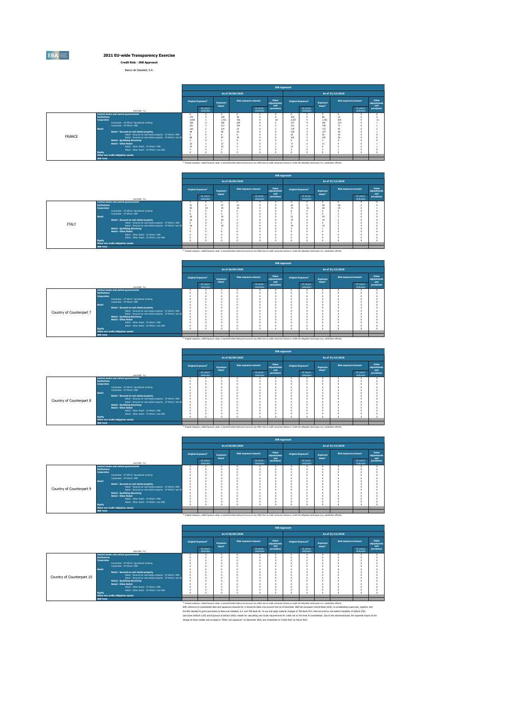**Credit Risk - IRB Approach** Banco de Sabadell, S.A.

|        |                                                                                                                         |                                                                           |                                |                                |                                                                                                                                                                                                    |                        | <b>IRB Approach</b>         |            |                                      |                                |                      |                        |                             |  |
|--------|-------------------------------------------------------------------------------------------------------------------------|---------------------------------------------------------------------------|--------------------------------|--------------------------------|----------------------------------------------------------------------------------------------------------------------------------------------------------------------------------------------------|------------------------|-----------------------------|------------|--------------------------------------|--------------------------------|----------------------|------------------------|-----------------------------|--|
|        |                                                                                                                         |                                                                           |                                |                                | As of 30/09/2020                                                                                                                                                                                   |                        |                             |            |                                      |                                | As of 31/12/2020     |                        |                             |  |
|        |                                                                                                                         |                                                                           | Original Exposure <sup>1</sup> | Exposure<br>Value <sup>1</sup> | <b>Risk exposure amount</b>                                                                                                                                                                        |                        | Value<br>adjustments<br>and |            | <b>Original Exposure<sup>1</sup></b> | Exposure<br>Value <sup>1</sup> | Risk exposure amount |                        | Value<br>adjustments<br>and |  |
|        | (min EUR, %)                                                                                                            |                                                                           | Of which:<br>defaulted         |                                |                                                                                                                                                                                                    | Of which:<br>defaulted | provisions                  |            | Of which:<br>defaulted               |                                |                      | Of which:<br>defaulted | provisions                  |  |
|        | Central banks and central governments                                                                                   | $\circ$                                                                   |                                |                                | o                                                                                                                                                                                                  |                        |                             |            | $\Omega$                             |                                |                      |                        | $\sim$                      |  |
|        | <b>Tostitutions</b>                                                                                                     | 170                                                                       |                                | 154                            | 28                                                                                                                                                                                                 | o                      |                             | 102        |                                      | 86                             | 16                   |                        | 12                          |  |
|        | <b>Corporates</b>                                                                                                       | 765<br>R35<br>1.753<br>2.537<br>1.761<br>2.430<br>18<br>787<br>204<br>337 |                                |                                |                                                                                                                                                                                                    |                        |                             |            |                                      |                                |                      |                        |                             |  |
|        | Corporates - Of Which: Soecialised Lending                                                                              | 326                                                                       |                                |                                |                                                                                                                                                                                                    |                        |                             |            |                                      | 291                            | 212                  |                        |                             |  |
|        | Corporates - Of Which: SME<br>Retail                                                                                    | 251                                                                       |                                | 211                            | 103                                                                                                                                                                                                |                        |                             | 213        |                                      | 159                            | 72<br>42             |                        |                             |  |
|        |                                                                                                                         | 126<br>98                                                                 |                                | 114<br>98                      | 23<br>19                                                                                                                                                                                           |                        |                             | 179<br>158 |                                      | 172<br>157                     | 38                   |                        |                             |  |
|        | Retail - Secured on real estate property                                                                                | $^{\circ}$                                                                |                                |                                | o                                                                                                                                                                                                  |                        |                             | 56         |                                      | 56                             | 18                   |                        |                             |  |
| FRANCE | Retail - Secured on real estate property - Of Which: SME<br>Retail - Secured on real estate property - Of Which: non-Sf | 98                                                                        |                                | 97                             | 19                                                                                                                                                                                                 |                        |                             | 102        |                                      | 101                            | $\mathbf{m}$         |                        |                             |  |
|        | <b>Retail - Qualifving Revolving</b>                                                                                    |                                                                           |                                |                                | o                                                                                                                                                                                                  |                        |                             |            |                                      |                                |                      |                        |                             |  |
|        | <b>Retail - Other Retail</b>                                                                                            | 22                                                                        |                                | 13                             |                                                                                                                                                                                                    |                        |                             | 17         |                                      | 11                             |                      |                        |                             |  |
|        | Retail - Other Retail - Of Which: SMF                                                                                   | 19                                                                        |                                | 10 <sub>10</sub>               |                                                                                                                                                                                                    |                        |                             | 14         |                                      |                                |                      |                        |                             |  |
|        | Retail - Other Retail - Of Which: non-SME                                                                               | ٦                                                                         |                                |                                |                                                                                                                                                                                                    |                        |                             |            |                                      |                                |                      |                        |                             |  |
|        | Equity                                                                                                                  | $\Omega$                                                                  |                                |                                | ×                                                                                                                                                                                                  | o                      |                             |            | ö                                    |                                |                      |                        |                             |  |
|        | Other non credit-obligation assets                                                                                      |                                                                           |                                |                                |                                                                                                                                                                                                    |                        |                             |            |                                      |                                |                      |                        |                             |  |
|        | <b>IRB Total</b>                                                                                                        |                                                                           |                                |                                |                                                                                                                                                                                                    |                        |                             |            |                                      |                                |                      |                        |                             |  |
|        |                                                                                                                         |                                                                           |                                |                                | (1) Original exposure, unlike Exposure value, is reported before taking into account any effect due to credit conversion factors or credit risk mitigation techniques (e.g. substitution effects). |                        |                             |            |                                      |                                |                      |                        |                             |  |

|              |                                                             |         |                                |                                |                                                                                                                                                                                                               |                        | <b>IRB Approach</b>         |    |                                |                                       |                         |                        |                             |
|--------------|-------------------------------------------------------------|---------|--------------------------------|--------------------------------|---------------------------------------------------------------------------------------------------------------------------------------------------------------------------------------------------------------|------------------------|-----------------------------|----|--------------------------------|---------------------------------------|-------------------------|------------------------|-----------------------------|
|              |                                                             |         |                                |                                | As of 30/09/2020                                                                                                                                                                                              |                        |                             |    |                                |                                       | As of 31/12/2020        |                        |                             |
|              |                                                             |         | Original Exposure <sup>1</sup> | Exposure<br>Value <sup>1</sup> | <b>Risk exposure amount</b>                                                                                                                                                                                   |                        | Value<br>adjustments<br>and |    | Original Exposure <sup>1</sup> | <b>Exposure</b><br>Value <sup>1</sup> | Risk exposure amount    |                        | Value<br>adjustments<br>and |
|              | (min EUR, %)                                                |         | Of which:<br>defaulted         |                                |                                                                                                                                                                                                               | Of which:<br>defaulted | provisions                  |    | Of which:<br>defaulted         |                                       |                         | Of which:<br>defaulted | provisions                  |
|              | Central banks and central governments                       | $\circ$ |                                | $\sim$                         |                                                                                                                                                                                                               |                        |                             |    |                                | n                                     |                         |                        |                             |
|              | <b>Institutions</b>                                         | 51      |                                | 47                             | 24                                                                                                                                                                                                            |                        |                             | 62 |                                | 58                                    | $\overline{\mathbf{z}}$ |                        |                             |
|              | <b>Corporates</b>                                           | 92      | 54                             | 45                             | 19                                                                                                                                                                                                            |                        |                             | 73 | 35                             | 38                                    | 19                      |                        |                             |
|              | Corporates - Of Which: Specialised Lending                  | n       |                                |                                |                                                                                                                                                                                                               |                        |                             | n  |                                |                                       |                         |                        |                             |
|              | Corporates - Of Which: SME                                  | ×       |                                |                                |                                                                                                                                                                                                               |                        |                             |    |                                |                                       |                         |                        |                             |
|              | <b>Retail</b>                                               | 20      |                                | 19                             |                                                                                                                                                                                                               |                        |                             | 21 |                                | 20                                    |                         |                        |                             |
|              | Retail - Secured on real estate property                    | 18      |                                | 18<br>ó                        |                                                                                                                                                                                                               |                        |                             | 19 |                                | 19                                    |                         |                        |                             |
| <b>ITALY</b> | Retail - Secured on real estate property - Of Which: SME    | $\circ$ |                                |                                |                                                                                                                                                                                                               |                        |                             | n  |                                |                                       |                         |                        |                             |
|              | Retail - Secured on real estate property - Of Which: non-Sf | 18      |                                | 18                             |                                                                                                                                                                                                               |                        |                             | 19 |                                | 19                                    |                         |                        |                             |
|              | <b>Retail - Qualifying Revolving</b>                        |         |                                |                                |                                                                                                                                                                                                               |                        |                             |    |                                |                                       |                         |                        |                             |
|              | <b>Retail - Other Retail</b>                                |         |                                |                                |                                                                                                                                                                                                               |                        |                             | n  |                                |                                       |                         |                        |                             |
|              | Retail - Other Retail - Of Which: SME                       | o       |                                | o                              |                                                                                                                                                                                                               |                        |                             | n  |                                |                                       |                         |                        |                             |
|              | Retail - Other Retail - Of Which: non-SME                   | n       |                                | $\sim$                         |                                                                                                                                                                                                               |                        |                             | o  |                                |                                       |                         |                        |                             |
|              | <b>Equity</b>                                               |         |                                |                                |                                                                                                                                                                                                               |                        |                             |    |                                |                                       |                         |                        |                             |
|              | Other non credit-obligation assets                          |         |                                |                                |                                                                                                                                                                                                               |                        |                             |    |                                |                                       |                         |                        |                             |
|              | <b>IRB Total</b>                                            |         |                                |                                |                                                                                                                                                                                                               |                        |                             |    |                                |                                       |                         |                        |                             |
|              |                                                             |         |                                |                                | <sup>(1)</sup> Original exposure, unlike Exposure value, is reported before taking into account any effect due to credit conversion factors or credit risk mitigation techniques (e.g. substitution effects). |                        |                             |    |                                |                                       |                         |                        |                             |

|                          |                     |                                                                                                      |                                |                                |                                                                                                                                                                                                               |                        | <b>IRB Approach</b>         |   |                                |                                |                      |                        |                             |
|--------------------------|---------------------|------------------------------------------------------------------------------------------------------|--------------------------------|--------------------------------|---------------------------------------------------------------------------------------------------------------------------------------------------------------------------------------------------------------|------------------------|-----------------------------|---|--------------------------------|--------------------------------|----------------------|------------------------|-----------------------------|
|                          |                     |                                                                                                      |                                |                                | As of 30/09/2020                                                                                                                                                                                              |                        |                             |   |                                |                                | As of 31/12/2020     |                        |                             |
|                          |                     |                                                                                                      | Original Exposure <sup>1</sup> | Exposure<br>Value <sup>1</sup> | <b>Risk exposure amount</b>                                                                                                                                                                                   |                        | Value<br>adjustments<br>and |   | Original Exposure <sup>1</sup> | Exposure<br>Value <sup>1</sup> | Risk exposure amount |                        | Value<br>adjustments<br>and |
|                          |                     | (min EUR. %)                                                                                         | Of which:<br>defaulted         |                                |                                                                                                                                                                                                               | Of which:<br>defaulted | provisions                  |   | Of which:<br>defaulted         |                                |                      | Of which:<br>defaulted | provisions                  |
|                          |                     | Central banks and central governments                                                                |                                |                                |                                                                                                                                                                                                               |                        |                             |   |                                |                                |                      |                        |                             |
|                          | <b>Institutions</b> |                                                                                                      |                                |                                |                                                                                                                                                                                                               |                        |                             |   | $\sim$                         |                                |                      |                        |                             |
|                          | <b>Corporates</b>   |                                                                                                      |                                |                                |                                                                                                                                                                                                               |                        |                             |   | $\sim$<br>$\sim$               |                                |                      |                        |                             |
|                          |                     | Corporates - Of Which: Specialised Lending<br>Corporates - Of Which: SME                             |                                |                                |                                                                                                                                                                                                               |                        |                             |   | o                              |                                |                      |                        |                             |
|                          | <b>Retail</b>       |                                                                                                      |                                |                                |                                                                                                                                                                                                               |                        |                             | r | $\sim$                         |                                |                      |                        |                             |
|                          |                     |                                                                                                      |                                |                                |                                                                                                                                                                                                               |                        |                             |   | $\sim$                         |                                |                      |                        |                             |
|                          |                     | Retail - Secured on real estate property<br>Retail - Secured on real estate property - Of Which: SME |                                |                                |                                                                                                                                                                                                               |                        |                             |   | $\sim$                         |                                |                      |                        |                             |
| Country of Counterpart 7 |                     | Retail - Secured on real estate property - Of Which: non-Sf                                          |                                |                                |                                                                                                                                                                                                               |                        |                             |   | $\sim$                         |                                |                      |                        |                             |
|                          |                     | <b>Retail - Qualifying Revolving</b>                                                                 |                                |                                |                                                                                                                                                                                                               |                        |                             |   | o                              |                                |                      |                        |                             |
|                          |                     | <b>Retail - Other Retail</b>                                                                         |                                |                                |                                                                                                                                                                                                               |                        |                             | r | $\sim$                         |                                |                      |                        |                             |
|                          |                     | Retail - Other Retail - Of Which: SME                                                                |                                |                                |                                                                                                                                                                                                               |                        |                             | × | $\sim$                         |                                |                      |                        |                             |
|                          |                     | Retail - Other Retail - Of Which: non-SME                                                            |                                |                                |                                                                                                                                                                                                               |                        |                             |   | $\sim$                         |                                |                      |                        |                             |
|                          | Equity              |                                                                                                      |                                |                                |                                                                                                                                                                                                               |                        | o                           | ٠ | $\sim$                         | $\sim$                         |                      |                        |                             |
|                          |                     | Other non credit-obligation assets                                                                   |                                |                                |                                                                                                                                                                                                               |                        |                             |   |                                |                                |                      |                        |                             |
|                          | <b>IRB Total</b>    |                                                                                                      |                                |                                |                                                                                                                                                                                                               |                        |                             |   |                                |                                |                      |                        |                             |
|                          |                     |                                                                                                      |                                |                                | <sup>(1)</sup> Original exposure, unlike Exposure value, is reported before taking into account any effect due to credit conversion factors or credit risk mitigation techniques (e.g. substitution effects). |                        |                             |   |                                |                                |                      |                        |                             |

|                          |                     |                                                             |   |                                |                    |                                                                                                                                                                                           |                        | <b>IRB Approach</b>  |                                |                    |                      |                        |                             |
|--------------------------|---------------------|-------------------------------------------------------------|---|--------------------------------|--------------------|-------------------------------------------------------------------------------------------------------------------------------------------------------------------------------------------|------------------------|----------------------|--------------------------------|--------------------|----------------------|------------------------|-----------------------------|
|                          |                     |                                                             |   |                                |                    | As of 30/09/2020                                                                                                                                                                          |                        |                      |                                |                    | As of 31/12/2020     |                        |                             |
|                          |                     |                                                             |   | Original Exposure <sup>1</sup> | Exposure           | <b>Risk exposure amount</b>                                                                                                                                                               |                        | Value<br>adjustments | Original Exposure <sup>1</sup> | Exposure           | Risk exposure amount |                        | Value<br>adjustments<br>and |
|                          |                     | (min EUR, %)                                                |   | Of which:<br>defaulted         | Value <sup>1</sup> |                                                                                                                                                                                           | Of which:<br>defaulted | and<br>provisions    | Of which:<br>defaulted         | Value <sup>1</sup> |                      | Of which:<br>defaulted | provisions                  |
|                          |                     | Central banks and central governments                       | × |                                | $\Omega$           |                                                                                                                                                                                           |                        | $\circ$              |                                |                    | $\sqrt{2}$           | o                      |                             |
|                          | <b>Institutions</b> |                                                             |   |                                | o                  |                                                                                                                                                                                           |                        | ¢                    |                                |                    |                      |                        |                             |
|                          | <b>Corporates</b>   |                                                             |   |                                | $\sim$<br>o        |                                                                                                                                                                                           |                        | $\theta$<br>$\theta$ | ó                              |                    |                      | o                      |                             |
|                          |                     | Corporates - Of Which: Specialised Lending                  |   |                                |                    |                                                                                                                                                                                           |                        | ¢                    | ñ                              |                    |                      |                        |                             |
|                          | Retail              | Corporates - Of Which: SME                                  |   |                                | $\Omega$<br>o      |                                                                                                                                                                                           |                        | $\theta$             |                                |                    |                      | ×<br>×                 |                             |
|                          |                     | Retail - Secured on real estate property                    |   |                                | $\Omega$           |                                                                                                                                                                                           |                        | $\theta$             | ó                              |                    |                      | $\theta$               |                             |
|                          |                     | Retail - Secured on real estate property - Of Which: SME    | × |                                | $\Omega$           |                                                                                                                                                                                           |                        | $\theta$             | ó                              |                    |                      | o                      |                             |
| Country of Counterpart 8 |                     | Retail - Secured on real estate property - Of Which: non-Sf |   |                                | o                  |                                                                                                                                                                                           |                        | ¢                    |                                |                    |                      |                        |                             |
|                          |                     | <b>Retail - Qualifying Revolving</b>                        |   |                                | o                  |                                                                                                                                                                                           |                        | $\theta$             | ń                              |                    |                      | ×                      |                             |
|                          |                     | <b>Retail - Other Retail</b>                                |   |                                | $\Omega$           |                                                                                                                                                                                           |                        | $\theta$             | ó                              |                    |                      | $\theta$               |                             |
|                          |                     | Retail - Other Retail - Of Which: SME                       |   |                                | $\Omega$           |                                                                                                                                                                                           |                        | $\theta$             | ö                              |                    |                      | o                      |                             |
|                          |                     | Retail - Other Retail - Of Which: non-SME                   |   |                                | o                  |                                                                                                                                                                                           |                        | ¢                    |                                |                    |                      |                        |                             |
|                          | <b>Equity</b>       |                                                             | × |                                | $\sim$             |                                                                                                                                                                                           |                        | $\theta$             | ó                              |                    |                      | $\Omega$               |                             |
|                          |                     | Other non credit-obligation assets                          |   |                                |                    |                                                                                                                                                                                           |                        |                      |                                |                    |                      |                        |                             |
|                          | <b>IRB Total</b>    |                                                             |   |                                |                    |                                                                                                                                                                                           |                        |                      |                                |                    |                      |                        |                             |
|                          |                     |                                                             |   |                                |                    | (1) Odeleal pennaira i infilio Pennaira valua la ranovtad hafno takino into annunt any offert due to medit mevante factors or medit risk mitigation tarbosius (e.g. g.both tion diferts). |                        |                      |                                |                    |                      |                        |                             |

|                          |                                       |                                                             |                                      |                                       |                             |                        | <b>IRB Approach</b>         |          |                                |                                |                      |                        |                             |
|--------------------------|---------------------------------------|-------------------------------------------------------------|--------------------------------------|---------------------------------------|-----------------------------|------------------------|-----------------------------|----------|--------------------------------|--------------------------------|----------------------|------------------------|-----------------------------|
|                          |                                       |                                                             |                                      |                                       | As of 30/09/2020            |                        |                             |          |                                |                                | As of 31/12/2020     |                        |                             |
|                          |                                       |                                                             | <b>Original Exposure<sup>1</sup></b> | <b>Exposure</b><br>Value <sup>1</sup> | <b>Risk exposure amount</b> |                        | Value<br>adjustments<br>and |          | Original Exposure <sup>1</sup> | Exposure<br>Value <sup>1</sup> | Risk exposure amount |                        | Value<br>adjustments<br>and |
|                          |                                       | (min EUR. %)                                                | Of which:<br>defaulted               |                                       |                             | Of which:<br>defaulted | provisions                  |          | Of which:<br>defaulted         |                                |                      | Of which:<br>defaulted | provisions                  |
|                          | Central banks and central governments |                                                             |                                      | $\sim$                                | $\circ$                     | $\Omega$               | $\Omega$                    |          | <b>O</b>                       | o                              |                      |                        |                             |
|                          | <b>Institutions</b>                   |                                                             |                                      |                                       | <b>O</b>                    | $\Omega$               | o                           |          | ø                              |                                |                      |                        |                             |
|                          | <b>Corporates</b>                     |                                                             |                                      |                                       | o                           | $\Omega$               | o                           |          |                                |                                |                      |                        |                             |
|                          |                                       | Corporates - Of Which: Specialised Lending                  |                                      |                                       | o                           | $\Omega$               | o                           | n        | ø                              | $\theta$                       |                      |                        |                             |
|                          | Corporates - Of Which: SME            |                                                             |                                      |                                       | o                           | $\sim$                 | -O                          | n        | ø                              | o                              |                      |                        |                             |
|                          | <b>Retail</b>                         |                                                             |                                      |                                       | o                           | $\Omega$               | -O                          |          | ø                              | $\theta$                       |                      |                        |                             |
|                          |                                       | Retail - Secured on real estate property                    |                                      |                                       | o                           |                        | o                           |          |                                | ٥                              |                      |                        |                             |
| Country of Counterpart 9 |                                       | Retail - Secured on real estate property - Of Which: SME    |                                      |                                       | o                           |                        | o                           |          | ø                              |                                |                      |                        |                             |
|                          |                                       | Retail - Secured on real estate property - Of Which: non-Sf |                                      | $\sim$                                | <b>O</b>                    | $\Omega$               | $\Omega$                    | <b>D</b> | ø                              | <b>O</b>                       |                      |                        |                             |
|                          | <b>Retail - Qualifying Revolving</b>  |                                                             |                                      |                                       | o                           | $\Omega$               | o                           |          | ø                              | o                              |                      |                        |                             |
|                          | <b>Retail - Other Retail</b>          |                                                             |                                      |                                       | o                           |                        | -O                          |          | ø                              | o                              |                      |                        |                             |
|                          |                                       | Retail - Other Retail - Of Which: SME                       |                                      |                                       | $\theta$                    | $\Omega$               | -O                          |          | ø                              | o                              |                      |                        |                             |
|                          |                                       | Retail - Other Retail - Of Which: non-SME                   |                                      |                                       | o                           |                        | -O                          |          |                                | o                              |                      |                        |                             |
|                          | Equity                                |                                                             |                                      |                                       | <b>O</b>                    | $\Omega$               | o                           | ٠        | ø                              | $\Omega$                       |                      |                        |                             |
|                          | Other non credit-obligation assets    |                                                             |                                      |                                       |                             |                        |                             |          |                                |                                |                      |                        |                             |
|                          | <b>IRB Total</b>                      |                                                             |                                      |                                       |                             |                        |                             |          |                                |                                |                      |                        |                             |

(1) Original exposure, unlike Exposure value, is reported before taking into account any effect due to credit conversion factors or credit risk mitigation techniques (e.g. substitution effects).

|                           |                                                                      |                                |                                |                                                                                                                                                                                                               |                        | <b>IRB Approach</b>         |                                |                                |                             |                        |                             |
|---------------------------|----------------------------------------------------------------------|--------------------------------|--------------------------------|---------------------------------------------------------------------------------------------------------------------------------------------------------------------------------------------------------------|------------------------|-----------------------------|--------------------------------|--------------------------------|-----------------------------|------------------------|-----------------------------|
|                           |                                                                      |                                |                                | As of 30/09/2020                                                                                                                                                                                              |                        |                             |                                |                                | As of 31/12/2020            |                        |                             |
|                           |                                                                      | Original Exposure <sup>1</sup> | Exposure<br>Value <sup>1</sup> | <b>Risk exposure amount</b>                                                                                                                                                                                   |                        | Value<br>adjustments<br>and | Original Exposure <sup>1</sup> | Exposure<br>Value <sup>1</sup> | <b>Risk exposure amount</b> |                        | Value<br>adjustments<br>and |
|                           | (min EUR. %)                                                         | Of which:<br>defaulted         |                                |                                                                                                                                                                                                               | Of which:<br>defaulted | provisions                  | Of which:<br>defaulted         |                                |                             | Of which:<br>defaulted | provisions                  |
|                           | Central banks and central governments                                |                                |                                |                                                                                                                                                                                                               |                        |                             |                                | $\sim$                         |                             |                        |                             |
|                           | <b>Institutions</b>                                                  |                                |                                |                                                                                                                                                                                                               |                        |                             |                                |                                |                             |                        |                             |
|                           | <b>Corporates</b>                                                    |                                |                                |                                                                                                                                                                                                               |                        |                             |                                |                                |                             |                        |                             |
|                           | Corporates - Of Which: Specialised Lending                           |                                |                                |                                                                                                                                                                                                               |                        |                             |                                |                                |                             |                        |                             |
|                           | Corporates - Of Which: SME                                           |                                |                                |                                                                                                                                                                                                               |                        |                             |                                |                                |                             |                        |                             |
|                           | <b>Retail</b>                                                        |                                |                                |                                                                                                                                                                                                               |                        |                             |                                |                                |                             |                        |                             |
|                           | Retail - Secured on real estate property                             |                                |                                |                                                                                                                                                                                                               |                        |                             |                                |                                |                             |                        |                             |
| Country of Counterpart 10 | Retail - Secured on real estate property - Of Which: SME             |                                |                                |                                                                                                                                                                                                               |                        |                             |                                |                                |                             |                        |                             |
|                           | Retail - Secured on real estate property - Of Which: non-Sf          |                                |                                |                                                                                                                                                                                                               |                        |                             |                                |                                |                             |                        |                             |
|                           | <b>Retail - Qualifying Revolving</b><br><b>Retail - Other Retail</b> |                                |                                |                                                                                                                                                                                                               |                        |                             |                                |                                |                             |                        |                             |
|                           | Retail - Other Retail - Of Which: SME                                |                                |                                |                                                                                                                                                                                                               |                        |                             |                                |                                |                             |                        |                             |
|                           | Retail - Other Retail - Of Which: non-SME                            |                                |                                |                                                                                                                                                                                                               |                        |                             |                                |                                |                             |                        |                             |
|                           | Equity                                                               |                                |                                |                                                                                                                                                                                                               | n                      |                             |                                |                                |                             |                        |                             |
|                           | Other non credit-obligation assets                                   |                                |                                |                                                                                                                                                                                                               |                        |                             |                                |                                |                             |                        |                             |
|                           | <b>IRB Total</b>                                                     |                                |                                |                                                                                                                                                                                                               |                        |                             |                                |                                |                             |                        |                             |
|                           |                                                                      |                                |                                | <sup>(1)</sup> Original exposure, unlike Exposure value, is reported before taking into account any effect due to credit conversion factors or credit risk mitigation techniques (e.g. substitution effects). |                        |                             |                                |                                |                             |                        |                             |

<sup>10</sup> Gissin sosse units lessure vius in sosted Met leave and the first state of the state of the state of the state of the state of the state of the state of the state of the state of the state of the state of the state of

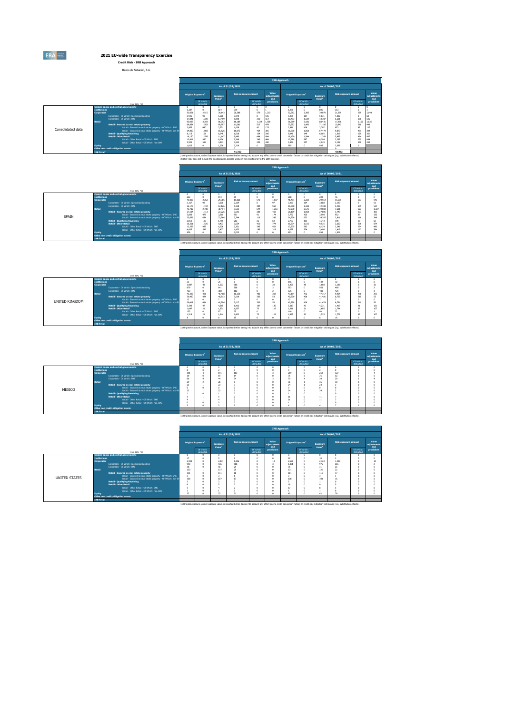

**2021 EU-wide Transparency Exercise Credit Risk - IRB Approach**

Banco de Sabadell, S.A.

|                   |                                                                     |                                                                                                                         |                                |                        |                                |                             |                        |                             | <b>IRB Approach</b>                  |                        |                                |                             |                        |                             |
|-------------------|---------------------------------------------------------------------|-------------------------------------------------------------------------------------------------------------------------|--------------------------------|------------------------|--------------------------------|-----------------------------|------------------------|-----------------------------|--------------------------------------|------------------------|--------------------------------|-----------------------------|------------------------|-----------------------------|
|                   |                                                                     |                                                                                                                         |                                |                        |                                | As of 31/03/2021            |                        |                             |                                      |                        |                                | As of 30/06/2021            |                        |                             |
|                   |                                                                     |                                                                                                                         | Original Exposure <sup>1</sup> |                        | Exposure<br>Value <sup>1</sup> | <b>Risk exposure amount</b> |                        | Value<br>adjustments<br>and | <b>Original Exposure<sup>1</sup></b> |                        | Exposure<br>Value <sup>1</sup> | <b>Risk exposure amount</b> |                        | Value<br>adjustments<br>and |
|                   |                                                                     | (min EUR, %)                                                                                                            |                                | Of which:<br>defaulted |                                |                             | Of which:<br>defaulted | provisions                  |                                      | Of which:<br>defaulted |                                |                             | Of which:<br>defaulted | provisions                  |
|                   | <b>Central banks and central governments</b><br><b>Institutions</b> |                                                                                                                         |                                |                        |                                | 319                         | $\Omega$<br>$\Omega$   |                             | $\Omega$<br>1.288                    |                        | 805                            | 353                         |                        |                             |
|                   | <b>Corporates</b>                                                   | Corporates - Of Which: Specialised Lending                                                                              | 53,051<br>5.946                | 2.515<br>99            | 39.143<br>5.586                | 20,588<br>3,979             | 579<br>$\Omega$        | 1.203<br>105                | 52,982<br>5.975                      | 2.385<br>117           | 39.070<br>5.631                | 21,659<br>4.012             | 569                    | 1,044                       |
|                   |                                                                     | Corporates - Of Which: SME                                                                                              | 17,841                         | 1.220<br>3,269         | 13,459                         | 5,890                       | 310                    | 564                         | 18.493                               | 1.129<br>3.186         | 13,787                         | 6.621                       | 280                    | 536                         |
|                   | <b>Retail</b>                                                       | Retail - Secured on real estate property                                                                                | 95,097<br>68.834               | 1.563                  | 86,792<br>69,597               | 18,189<br>11.081            | 1.134<br>515           | 1.580<br>479                | 96,569<br>70.392                     | 1.493                  | 88,431<br>71.185               | 17,956<br>10.843            | 1.102<br>518           | 1,635<br>146                |
| Consolidated data |                                                                     | Retail - Secured on real estate property - Of Which: SME<br>Retail - Secured on real estate property - Of Which: non-SP | 3.953<br>64,880                | 480<br>1.083           | 3.771<br>65,826                | 1,006<br>10.075             | 92<br>424              | 175<br>305                  | 3.886<br>66,506                      | 426<br>1.068           | 3,707<br>67.479                | 973<br>9,870                | 87<br>431              | 137<br>309                  |
|                   |                                                                     | Retail - Qualifving Revolving<br><b>Retail - Other Retail</b>                                                           | 8.113<br>18.150                | 151<br>1.556           | 6.048<br>11.147                | 1,618<br>5.490              | 134<br>484             | 206<br>894                  | 8,046<br>18,130                      | 149<br>1.544           | 6,002<br>11.243                | 1,619<br>5.495              | 120<br>464             | 201<br>987                  |
|                   |                                                                     | Retail - Other Retail - Of Which: SMF                                                                                   | 12.611<br>5.539                | 990<br>566             | 6.176<br>4.971                 | 2,248<br>3,242              | 245<br>239             | 464<br>430                  | 12.588<br>5.542                      | 987<br>557             | 6,294<br>4,949                 | 2.297<br>3.198              | 235<br>230             | 494<br>493                  |
|                   | <b>Equity</b>                                                       | Retail - Other Retail - Of Which: non-SME                                                                               | 1.026                          |                        | 1.026                          | 2,216                       | $\Omega$               |                             | 985                                  |                        | 985                            | 2.095                       |                        |                             |
|                   | <b>IRB Total<sup>2</sup></b>                                        | Other non credit-obligation assets                                                                                      |                                |                        |                                | 41.312                      |                        |                             |                                      |                        |                                | 42.062                      |                        |                             |

42,962<br>(1) Original exposure, unlike Exposure value, is reported before taking into account any effect due to credit conversion factors or credit risk mitigation techniques (e.g. substitution effects).<br>(2) IRB Total does n

|       |                                                                                              |                                |                        |                                |                                                                                                                                                                                                    |                        | <b>IRB Approach</b>         |                                      |                        |                                |                             |                        |                             |
|-------|----------------------------------------------------------------------------------------------|--------------------------------|------------------------|--------------------------------|----------------------------------------------------------------------------------------------------------------------------------------------------------------------------------------------------|------------------------|-----------------------------|--------------------------------------|------------------------|--------------------------------|-----------------------------|------------------------|-----------------------------|
|       |                                                                                              |                                |                        |                                | As of 31/03/2021                                                                                                                                                                                   |                        |                             |                                      |                        |                                | As of 30/06/2021            |                        |                             |
|       |                                                                                              | Original Exposure <sup>1</sup> |                        | Exposure<br>Value <sup>1</sup> | Risk exposure amount                                                                                                                                                                               |                        | Value<br>adjustments<br>and | <b>Original Exposure<sup>1</sup></b> |                        | Exposure<br>Value <sup>1</sup> | <b>Risk exposure amount</b> |                        | Value<br>adjustments<br>and |
|       | (min EUR, %)                                                                                 |                                | Of which:<br>defaulted |                                |                                                                                                                                                                                                    | Of which:<br>defaulted | provisions                  |                                      | Of which:<br>defaulted |                                |                             | Of which:<br>defaulted | provisions                  |
|       | <b>Central banks and central governments</b>                                                 |                                | $\Omega$               | $\Omega$                       |                                                                                                                                                                                                    |                        |                             | $\Omega$                             | $\Omega$               |                                | $\Omega$                    |                        | $\overline{\ }$             |
|       | <b>Tostitutions</b>                                                                          | 263                            | $\Omega$               | 194                            | 65                                                                                                                                                                                                 | $\Omega$               |                             | 268                                  | $\Omega$               | 200                            | 76                          |                        | $\circ$                     |
|       | <b>Corporates</b>                                                                            | 41.093                         | 2.262                  | 29.305                         | 15.028                                                                                                                                                                                             | 573                    | 1.037                       | 41.491                               | 2.223                  | 29.564                         | 15,681                      | 563                    | 945                         |
|       | Corporates - Of Which: Specialised Lending                                                   | 3.167                          | 99                     | 3,000                          | 2.154                                                                                                                                                                                              | $\sim$                 | 97                          | 3,260                                | 114                    | 3,088                          | 2,190                       |                        | 61                          |
|       | Corporates - Of Which: SME                                                                   | 16.179                         | 1.194                  | 12.126                         | 5.118                                                                                                                                                                                              | 304                    | 550                         | 16,700                               | 1,108                  | 12,308                         | 5,498                       | 275                    | 514                         |
|       | <b>Retail</b>                                                                                | 46,712                         | 2.738                  | 38.414                         | 7.531                                                                                                                                                                                              | 644                    | 1.261                       | 47.230                               | 2.675                  | 39,083                         | 7,601                       | 627                    | 1,327                       |
|       | Retail - Secured on real estate property                                                     | 27.534<br>3,838                | 1.113<br>479           | 27,226<br>3.660                | 3,695<br>951                                                                                                                                                                                       | 208<br>Q1              | 418<br>174                  | 28,109<br>3.772                      | 1.058<br>475           | 27,805<br>3,598                | 3.743<br>932                | 203<br>87              | 385<br>136                  |
| SPAIN | Retail - Secured on real estate property - Of Which: SME                                     |                                |                        |                                |                                                                                                                                                                                                    |                        |                             |                                      |                        |                                |                             |                        |                             |
|       | Retail - Secured on real estate property - Of Which: non-St<br>Retail - Qualifving Revolving | 23,696<br>2,818                | 634<br>100             | 23,566<br>1.755                | 2,744<br>202                                                                                                                                                                                       | 116<br>26              | 245<br>69                   | 24.336<br>2.787                      | 632<br>101             | 24,207<br>1,743                | 2.811<br>198                | 116<br>28              | 248<br>68                   |
|       | <b>Retail - Other Retail</b>                                                                 | 16,361                         | 1.525                  | 9.433                          | 3,634                                                                                                                                                                                              | 410                    | 774                         | 16.334                               | 1.515                  | 9.535                          | 3,660                       | 396                    | 874                         |
|       | Retail - Other Retail - Of Which: SMF                                                        | 12.356                         | 983                    | 6.026                          | 2,201                                                                                                                                                                                              | 245                    | 461                         | 12.305                               | 982                    | 6.129                          | 2.241                       | 234                    | 490                         |
|       | Retail - Other Retail - Of Which: non-SMF                                                    | 4.005                          | S42                    | 3.407                          | 1,433                                                                                                                                                                                              | 165                    | 313                         | 4.029                                | 534                    | 3.406                          | 1,419                       | 162                    | 384                         |
|       | <b>Equity</b>                                                                                | 938                            | $\alpha$               | 938                            | 2.023                                                                                                                                                                                              | $\sim$                 |                             | 893                                  | $\sim$                 | 893                            | 1.906                       |                        | ö                           |
|       | Other non credit-obligation assets                                                           |                                |                        |                                |                                                                                                                                                                                                    |                        |                             |                                      |                        |                                |                             |                        |                             |
|       | <b>IRB Total</b>                                                                             |                                |                        |                                |                                                                                                                                                                                                    |                        |                             |                                      |                        |                                |                             |                        |                             |
|       |                                                                                              |                                |                        |                                | (1) Original exposure, unlike Exposure value, is reported before taking into account any effect due to credit conversion factors or credit risk mitigation techniques (e.g. substitution effects). |                        |                             |                                      |                        |                                |                             |                        |                             |

|                       |                     |                                                                          |            |                                |                          |                                                                                                                                                                                                    |                        | <b>IRB Approach</b>         |                                      |                        |                                |                             |                        |                             |
|-----------------------|---------------------|--------------------------------------------------------------------------|------------|--------------------------------|--------------------------|----------------------------------------------------------------------------------------------------------------------------------------------------------------------------------------------------|------------------------|-----------------------------|--------------------------------------|------------------------|--------------------------------|-----------------------------|------------------------|-----------------------------|
|                       |                     |                                                                          |            |                                |                          | As of 31/03/2021                                                                                                                                                                                   |                        |                             |                                      |                        |                                | As of 30/06/2021            |                        |                             |
|                       |                     |                                                                          |            | Original Exposure <sup>1</sup> | <b>Exposure</b><br>Value | <b>Risk exposure amount</b>                                                                                                                                                                        |                        | Value<br>adjustments<br>and | <b>Original Exposure<sup>1</sup></b> |                        | Exposure<br>Value <sup>1</sup> | <b>Risk exposure amount</b> |                        | Value<br>adjustments<br>and |
|                       |                     | (min EUR, %)                                                             |            | Of which:<br>defaulted         |                          |                                                                                                                                                                                                    | Of which:<br>defaulted | provisions                  |                                      | Of which:<br>defaulted |                                |                             | Of which:<br>defaulted | provisions                  |
|                       |                     | <b>Central banks and central governments</b>                             |            |                                |                          |                                                                                                                                                                                                    |                        |                             |                                      |                        | $\sim$                         |                             |                        |                             |
|                       | <b>Institutions</b> |                                                                          | 35         |                                | 21                       |                                                                                                                                                                                                    |                        |                             | 156                                  |                        | 142                            | $\overline{ }$              |                        |                             |
|                       | <b>Corporates</b>   |                                                                          | 1.987      | 40                             | 1,603<br>641             | 986<br>506                                                                                                                                                                                         |                        | 30 <sub>0</sub>             | 1.999                                | 48                     | 1,660                          | 1.188<br>469                |                        |                             |
|                       |                     | Corporates - Of Which: Specialised Lending<br>Corporates - Of Which: SME | 679<br>463 |                                | 360                      | 182                                                                                                                                                                                                |                        |                             | 593<br>576                           |                        | 560<br>488                     | 421                         |                        |                             |
|                       | <b>Retail</b>       |                                                                          | 46.325     | 491                            | 46,408                   | 10.258                                                                                                                                                                                             | 483                    | 303                         | 47.194                               | 472                    | 47.317                         | 9.964                       | 468                    | 291                         |
|                       |                     | Retail - Secured on real estate property                                 | 39.430     | 424                            | 40.513                   | 7,019                                                                                                                                                                                              | 303                    | 53                          | 40.370                               | 408                    | 41,481                         | 6.753                       | 310                    | 53                          |
|                       |                     | Retail - Secured on real estate property - Of Which: SME                 | 12         |                                |                          |                                                                                                                                                                                                    |                        |                             | 12                                   |                        |                                |                             |                        |                             |
| <b>UNITED KINGDOM</b> |                     | Retail - Secured on real estate property - Of Which: non-SP              | 39,418     | 474                            | 40,506                   | 7.017                                                                                                                                                                                              | 303                    | 53                          | 40.358                               | 408                    | 41,474                         | 6.751                       | 310                    | 52                          |
|                       |                     | <b>Retail - Qualifying Revolving</b>                                     | 5.248      | 47                             | 4.265                    | 1.412                                                                                                                                                                                              | 107                    | 135                         | 5.213                                | 43.                    | 4,231                          | 1.417                       | 91                     | 131                         |
|                       |                     | <b>Retail - Other Retail</b>                                             | 1.647      | $\overline{21}$                | 1.631                    | 1.827                                                                                                                                                                                              | 73                     | 116                         | 1.611                                | 21                     | 1,605                          | 1.794                       | 67                     | 107                         |
|                       |                     | Retail - Other Retail - Of Which: SME                                    | 133        |                                | 87                       | 25                                                                                                                                                                                                 | o                      |                             | 116                                  |                        | 80 <sub>1</sub>                | 22                          |                        |                             |
|                       |                     | Retail - Other Retail - Of Which: non-SME                                | 1.514      | $\overline{21}$                | 1.544                    | 1,802                                                                                                                                                                                              | 73                     | 115                         | 1.495                                | $\mathbf{m}$           | 1.525                          | 1.772                       | 67                     | 107                         |
|                       | <b>Equity</b>       |                                                                          |            |                                |                          | 15                                                                                                                                                                                                 | ٠                      |                             |                                      |                        |                                | 16                          | n                      |                             |
|                       |                     | Other non credit-obligation assets                                       |            |                                |                          |                                                                                                                                                                                                    |                        |                             |                                      |                        |                                |                             |                        |                             |
|                       | <b>IRB Total</b>    |                                                                          |            |                                |                          |                                                                                                                                                                                                    |                        |                             |                                      |                        |                                |                             |                        |                             |
|                       |                     |                                                                          |            |                                |                          | (1) Original exposure, unlike Exposure value, is reported before taking into account any effect due to credit conversion factors or credit risk mitigation techniques (e.g. substitution effects). |                        |                             |                                      |                        |                                |                             |                        |                             |

|        |                                          |                                                                |                                |                        |                                |                                                                                                                                                                                                    |                        | <b>IRB Approach</b>         |                          |                        |                                |                             |                        |                             |
|--------|------------------------------------------|----------------------------------------------------------------|--------------------------------|------------------------|--------------------------------|----------------------------------------------------------------------------------------------------------------------------------------------------------------------------------------------------|------------------------|-----------------------------|--------------------------|------------------------|--------------------------------|-----------------------------|------------------------|-----------------------------|
|        |                                          |                                                                |                                |                        |                                | As of 31/03/2021                                                                                                                                                                                   |                        |                             |                          |                        |                                | As of 30/06/2021            |                        |                             |
|        |                                          |                                                                | Original Exposure <sup>1</sup> |                        | Exposure<br>Value <sup>1</sup> | <b>Risk exposure amount</b>                                                                                                                                                                        |                        | Value<br>adjustments<br>and | <b>Original Exposure</b> |                        | Exposure<br>Value <sup>3</sup> | <b>Risk exposure amount</b> |                        | Value<br>adjustments<br>and |
|        |                                          | (min EUR, %)                                                   |                                | Of which:<br>defaulted |                                |                                                                                                                                                                                                    | Of which:<br>defaulted | provisions                  |                          | Of which:<br>defaulted |                                |                             | Of which:<br>defaulted | provisions                  |
|        |                                          | <b>Central banks and central governments</b>                   |                                | o                      | o                              | $\sqrt{2}$                                                                                                                                                                                         | $\sim$                 | $\sim$                      | $\Omega$                 |                        |                                |                             |                        |                             |
|        | <b>Institutions</b><br><b>Corporates</b> |                                                                | 191                            |                        | 191                            | $\sqrt{2}$<br>103                                                                                                                                                                                  |                        | $\sim$                      | 269                      |                        | 259                            | ø<br>127                    |                        |                             |
|        |                                          | Corporates - Of Which: Specialised Lending                     | 19                             |                        | 19                             | 14                                                                                                                                                                                                 | o                      |                             | 75                       |                        | 75                             | 52                          |                        |                             |
|        |                                          | Corporates - Of Which: SME                                     | 66                             |                        | $\overline{a}$                 | 34                                                                                                                                                                                                 |                        |                             | 70                       |                        | 39                             | 20                          |                        |                             |
|        | Retail                                   |                                                                | 29                             |                        | 28                             |                                                                                                                                                                                                    |                        | $\sqrt{2}$                  | 36                       |                        | 36                             | 10                          |                        |                             |
|        |                                          | Retail - Secured on real estate property                       | 23                             |                        | 23                             |                                                                                                                                                                                                    | ٥                      | $\sqrt{2}$                  | 24                       |                        | 24                             |                             |                        |                             |
| MEXICO |                                          | Retail - Secured on real estate property - Of Which: SME       | $\sqrt{2}$                     |                        | o                              |                                                                                                                                                                                                    | ٥                      |                             |                          |                        |                                |                             |                        |                             |
|        |                                          | Retail - Secured on real estate property - Of Which: non-SI    | 22                             |                        | 22                             |                                                                                                                                                                                                    |                        | $\sqrt{2}$                  | 24                       |                        | 24                             |                             |                        |                             |
|        |                                          | <b>Retail - Qualifying Revolving</b>                           |                                |                        |                                |                                                                                                                                                                                                    | o                      | $\sim$<br>$\sqrt{2}$        |                          |                        |                                |                             |                        |                             |
|        |                                          | Retail - Other Retail<br>Retail - Other Retail - Of Which: SME |                                |                        |                                |                                                                                                                                                                                                    | ٥                      | $\sqrt{2}$                  | $_{11}$<br>$_{11}$       |                        | 11<br>11                       |                             |                        |                             |
|        |                                          | Retail - Other Retail - Of Which: non-SME                      |                                |                        | $\theta$                       |                                                                                                                                                                                                    |                        | $\sim$                      |                          |                        |                                |                             |                        |                             |
|        | <b>Equity</b>                            |                                                                |                                |                        | ٠                              |                                                                                                                                                                                                    | ٥                      | $\sqrt{2}$                  |                          |                        |                                |                             |                        |                             |
|        | Other non credit-obligation assets       |                                                                |                                |                        |                                |                                                                                                                                                                                                    |                        |                             |                          |                        |                                |                             |                        |                             |
|        | <b>IRB Total</b>                         |                                                                |                                |                        |                                |                                                                                                                                                                                                    |                        |                             |                          |                        |                                |                             |                        |                             |
|        |                                          |                                                                |                                |                        |                                | (1) Original exposure, unlike Exposure value, is reported before taking into account any effect due to credit conversion factors or credit risk mitigation techniques (e.g. substitution effects). |                        |                             |                          |                        |                                |                             |                        |                             |

**IRB Approach**

|                      |                                                                                                     |       |                                |                                | As of 31/03/2021                                                                                                                                                                                   |                        |                             |       |                                |                                | As of 30/06/2021            |                        |                             |
|----------------------|-----------------------------------------------------------------------------------------------------|-------|--------------------------------|--------------------------------|----------------------------------------------------------------------------------------------------------------------------------------------------------------------------------------------------|------------------------|-----------------------------|-------|--------------------------------|--------------------------------|-----------------------------|------------------------|-----------------------------|
|                      |                                                                                                     |       | Original Exposure <sup>1</sup> | Exposure<br>Value <sup>1</sup> | <b>Risk exposure amount</b>                                                                                                                                                                        |                        | Value<br>adjustments<br>and |       | Original Exposure <sup>1</sup> | Exposure<br>Value <sup>1</sup> | <b>Risk exposure amount</b> |                        | Value<br>adiustments<br>and |
|                      | (min EUR, %)                                                                                        |       | Of which:<br>defaulted         |                                |                                                                                                                                                                                                    | Of which:<br>defaulted | provisions                  |       | Of which:<br>defaulted         |                                |                             | Of which:<br>defaulted | provisions                  |
|                      | <b>Central banks and central governments</b>                                                        |       |                                |                                |                                                                                                                                                                                                    |                        |                             |       |                                |                                |                             |                        |                             |
|                      | <b>Institutions</b>                                                                                 | 17    |                                |                                |                                                                                                                                                                                                    |                        |                             | 22    |                                | 10                             |                             |                        |                             |
|                      | <b>Corporates</b>                                                                                   | 2.593 |                                | 2.334                          | 1,306                                                                                                                                                                                              |                        |                             | 2.596 |                                | 2.323                          | 1.338                       |                        | 12                          |
|                      | Corporates - Of Which: Specialised Lending                                                          | 990   |                                | 935                            | 588                                                                                                                                                                                                |                        |                             | 1.031 |                                | 976                            | 616                         |                        |                             |
|                      | Corporates - Of Which: SME                                                                          | 58    |                                | 50                             | 29                                                                                                                                                                                                 |                        |                             | 35    |                                | 31                             | 75                          |                        |                             |
|                      | <b>Retail</b>                                                                                       | 120   |                                | 117                            | $\mathcal{R}$<br>18                                                                                                                                                                                |                        |                             | 131   |                                | 121                            | 72<br>17                    |                        |                             |
|                      | Retail - Secured on real estate property                                                            | 111   |                                | 111                            |                                                                                                                                                                                                    |                        |                             | 111   |                                | 111                            |                             |                        |                             |
| <b>UNITED STATES</b> | Retail - Secured on real estate property - Of Which: SME                                            |       |                                |                                | 12                                                                                                                                                                                                 |                        |                             |       |                                | 108                            | 16                          |                        |                             |
|                      | Retail - Secured on real estate property - Of Which: non-St<br><b>Retail - Qualifving Revolving</b> | 108   |                                | 107                            |                                                                                                                                                                                                    |                        |                             | 108   |                                |                                |                             |                        |                             |
|                      | <b>Retail - Other Retail</b>                                                                        |       |                                |                                |                                                                                                                                                                                                    |                        |                             | 18    |                                |                                |                             |                        |                             |
|                      | Retail - Other Retail - Of Which: SME                                                               |       |                                |                                |                                                                                                                                                                                                    |                        |                             | 17    |                                |                                |                             |                        |                             |
|                      | Retail - Other Retail - Of Which: non-SME                                                           |       |                                |                                |                                                                                                                                                                                                    |                        |                             |       |                                |                                |                             |                        |                             |
|                      | Equity                                                                                              | 37    |                                | 37                             | 71                                                                                                                                                                                                 |                        |                             | 42    |                                | 42                             | 79                          |                        |                             |
|                      | Other non credit-obligation assets                                                                  |       |                                |                                |                                                                                                                                                                                                    |                        |                             |       |                                |                                |                             |                        |                             |
|                      | <b>IRB Total</b>                                                                                    |       |                                |                                |                                                                                                                                                                                                    |                        |                             |       |                                |                                |                             |                        |                             |
|                      |                                                                                                     |       |                                |                                | (1) Original exposure, unlike Exposure value, is reported before taking into account any effect due to credit conversion factors or credit risk mitigation techniques (e.g. substitution effects). |                        |                             |       |                                |                                |                             |                        |                             |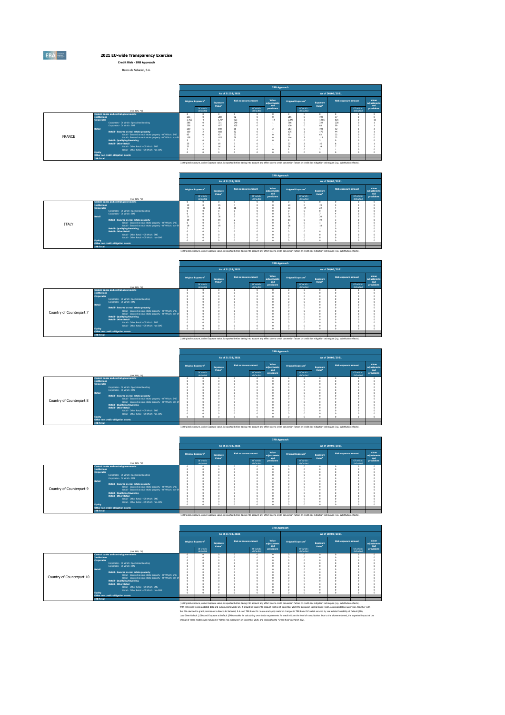

## **2021 EU-wide Transparency Exercise Credit Risk - IRB Approach**

Banco de Sabadell, S.A.

|               |                     |                                                                          |                                |                        |                                |                             |                        | <b>IRB Approach</b>         |                                      |                        |                                |                             |                        |                             |
|---------------|---------------------|--------------------------------------------------------------------------|--------------------------------|------------------------|--------------------------------|-----------------------------|------------------------|-----------------------------|--------------------------------------|------------------------|--------------------------------|-----------------------------|------------------------|-----------------------------|
|               |                     |                                                                          |                                |                        |                                | As of 31/03/2021            |                        |                             |                                      |                        |                                | As of 30/06/2021            |                        |                             |
|               |                     |                                                                          | Original Exposure <sup>1</sup> |                        | Exposure<br>Value <sup>1</sup> | <b>Risk exposure amount</b> |                        | Value<br>adjustments<br>and | <b>Original Exposure<sup>1</sup></b> |                        | Exposure<br>Value <sup>1</sup> | <b>Risk exposure amount</b> |                        | Value<br>adjustments<br>and |
|               |                     | (min EUR, %)                                                             |                                | Of which:<br>defaulted |                                |                             | Of which:<br>defaulted | provisions                  |                                      | Of which:<br>defaulted |                                |                             | Of which:<br>defaulted | provisions                  |
|               |                     | Central banks and central governments                                    |                                | $\Omega$               | n                              | $\Omega$                    | <b>O</b>               | $\overline{a}$              |                                      | $\Omega$               |                                | $\Omega$                    |                        |                             |
|               | <b>Tostitutions</b> |                                                                          | 215                            | $\sim$                 | 200<br>1 784                   | 92<br>923                   |                        | $\sqrt{2}$<br>14            | 215<br>2.249                         | $\Omega$               | 199                            | $\overline{z}$<br>821       |                        |                             |
|               | <b>Corporates</b>   |                                                                          | 2.465<br>386                   |                        | 331                            | 240                         |                        |                             | 366                                  |                        | 1,585<br>322                   | 228                         |                        |                             |
|               |                     | Corporates - Of Which: Specialised Lending<br>Corporates - Of Which: SME | 256                            |                        | 197                            | 135                         |                        |                             | 100                                  |                        | <b>RR</b>                      | 59                          |                        |                             |
|               | <b>Retail</b>       |                                                                          | 209                            |                        | 190                            | 60                          |                        |                             | 213                                  |                        | 193                            | $\circ$                     |                        |                             |
|               |                     | Retail - Secured on real estate property                                 | 169                            |                        | 168                            | 52                          |                        |                             | 175                                  |                        | 175                            | 44                          |                        |                             |
|               |                     | Retail - Secured on real estate property - Of Which: SME                 | 63                             |                        | 63                             | 32                          |                        |                             | 62                                   |                        | 62                             | 22                          |                        |                             |
| <b>FRANCE</b> |                     | Retail - Secured on real estate property - Of Which: non-SN              | 105                            |                        | 105                            | 20                          |                        |                             | 114                                  |                        | 113                            | 22                          |                        |                             |
|               |                     | <b>Retail - Qualifying Revolving</b>                                     |                                |                        |                                |                             |                        | $\sqrt{2}$                  |                                      | o                      |                                | $\alpha$                    |                        |                             |
|               |                     | <b>Retail - Other Retail</b>                                             | 35                             |                        | 19                             |                             |                        |                             | 33                                   |                        | 16                             |                             |                        |                             |
|               |                     | Retail - Other Retail - Of Which: SME                                    | 32                             |                        | 16                             |                             |                        |                             | 31                                   |                        | 14                             |                             |                        |                             |
|               |                     | Retail - Other Retail - Of Which: non-SME                                |                                |                        |                                |                             |                        |                             |                                      |                        |                                |                             |                        |                             |
|               | <b>Equity</b>       |                                                                          |                                | $\Omega$               |                                |                             |                        |                             |                                      |                        |                                |                             |                        |                             |
|               |                     | Other non credit-obligation assets                                       |                                |                        |                                |                             |                        |                             |                                      |                        |                                |                             |                        |                             |
|               | <b>IRB Total</b>    |                                                                          |                                |                        |                                |                             |                        |                             |                                      |                        |                                |                             |                        |                             |

|              |                                                               |            |                                |                                |                                                                                                                                                                                                    |                        | <b>IRB Approach</b>         |                    |                                |                                |                             |                        |                             |
|--------------|---------------------------------------------------------------|------------|--------------------------------|--------------------------------|----------------------------------------------------------------------------------------------------------------------------------------------------------------------------------------------------|------------------------|-----------------------------|--------------------|--------------------------------|--------------------------------|-----------------------------|------------------------|-----------------------------|
|              |                                                               |            |                                |                                | As of 31/03/2021                                                                                                                                                                                   |                        |                             |                    |                                |                                | As of 30/06/2021            |                        |                             |
|              |                                                               |            | Original Exposure <sup>1</sup> | Exposure<br>Value <sup>1</sup> | <b>Risk exposure amount</b>                                                                                                                                                                        |                        | Value<br>adjustments<br>and |                    | Original Exposure <sup>1</sup> | Exposure<br>Value <sup>1</sup> | <b>Risk exposure amount</b> |                        | Value<br>adjustments<br>and |
|              | (min EUR, %)                                                  |            | Of which:<br>defaulted         |                                |                                                                                                                                                                                                    | Of which:<br>defaulted | provisions                  |                    | Of which:<br>defaulted         |                                |                             | Of which:<br>defaulted | provisions                  |
|              | <b>Central banks and central governments</b>                  | n          |                                | $\Omega$                       |                                                                                                                                                                                                    |                        | n                           | $\Omega$           |                                |                                |                             |                        | $\Omega$                    |
|              | <b>Institutions</b>                                           | 19         |                                | 15                             |                                                                                                                                                                                                    |                        |                             | 23                 |                                | 19                             |                             |                        |                             |
|              | <b>Corporates</b>                                             | 79         | 40                             | 36                             | 18                                                                                                                                                                                                 |                        |                             | 83                 | 74                             | 22                             |                             |                        |                             |
|              | Corporates - Of Which: Specialised Lending                    | $\Omega$   |                                |                                |                                                                                                                                                                                                    |                        |                             | $\sim$             |                                |                                |                             |                        |                             |
|              | Corporates - Of Which: SME                                    |            |                                |                                |                                                                                                                                                                                                    |                        |                             |                    |                                |                                |                             |                        |                             |
|              | <b>Retail</b>                                                 | 21         |                                | $\mathbf{m}$                   |                                                                                                                                                                                                    |                        |                             | 21                 |                                | 20                             |                             |                        |                             |
|              | Retail - Secured on real estate property                      | 19         |                                | 19                             |                                                                                                                                                                                                    |                        |                             | 19                 |                                | 19                             |                             |                        |                             |
| <b>ITAIY</b> | Retail - Secured on real estate property - Of Which: SME      | $\sqrt{2}$ |                                |                                |                                                                                                                                                                                                    |                        |                             |                    |                                |                                |                             |                        |                             |
|              | Retail - Secured on real estate property - Of Which: non-SN   | 19         |                                | 19                             |                                                                                                                                                                                                    |                        |                             | 18                 |                                | 15                             |                             |                        |                             |
|              | <b>Retail - Qualifying Revolving</b><br>Retail - Other Retail |            |                                |                                |                                                                                                                                                                                                    |                        |                             | $\sim$             |                                |                                |                             |                        |                             |
|              |                                                               |            |                                |                                |                                                                                                                                                                                                    |                        |                             |                    |                                |                                |                             |                        |                             |
|              | Retail - Other Retail - Of Which: SME                         |            |                                |                                |                                                                                                                                                                                                    |                        |                             | $\sim$             |                                |                                |                             |                        |                             |
|              | Retail - Other Retail - Of Which: non-SME                     | n          |                                | o                              |                                                                                                                                                                                                    |                        |                             | $\Omega$<br>$\sim$ |                                |                                |                             |                        |                             |
|              | <b>Equity</b>                                                 |            |                                |                                |                                                                                                                                                                                                    |                        |                             |                    |                                |                                |                             |                        |                             |
|              | Other non credit-obligation assets                            |            |                                |                                |                                                                                                                                                                                                    |                        |                             |                    |                                |                                |                             |                        |                             |
|              | <b>IRB Total</b>                                              |            |                                |                                |                                                                                                                                                                                                    |                        |                             |                    |                                |                                |                             |                        |                             |
|              |                                                               |            |                                |                                | (1) Original exposure, unlike Exposure value, is reported before taking into account any effect due to credit conversion factors or credit risk mitigation techniques (e.g. substitution effects). |                        |                             |                    |                                |                                |                             |                        |                             |

|                          |                     |                                                                                                                         |                                |                                |                             |                        | <b>IRB Approach</b>         |                                      |                                |                             |                        |                             |
|--------------------------|---------------------|-------------------------------------------------------------------------------------------------------------------------|--------------------------------|--------------------------------|-----------------------------|------------------------|-----------------------------|--------------------------------------|--------------------------------|-----------------------------|------------------------|-----------------------------|
|                          |                     |                                                                                                                         |                                |                                | As of 31/03/2021            |                        |                             |                                      |                                | As of 30/06/2021            |                        |                             |
|                          |                     |                                                                                                                         | Original Exposure <sup>1</sup> | Exposure<br>Value <sup>1</sup> | <b>Risk exposure amount</b> |                        | Value<br>adjustments<br>and | <b>Original Exposure<sup>1</sup></b> | Exposure<br>Value <sup>1</sup> | <b>Risk exposure amount</b> |                        | Value<br>adjustments<br>and |
|                          |                     | (min EUR, %)                                                                                                            | Of which:<br>defaulted         |                                |                             | Of which:<br>defaulted | provisions                  | Of which:<br>defaulted               |                                |                             | Of which:<br>defaulted | provisions                  |
|                          |                     | Central banks and central governments                                                                                   |                                |                                |                             | o                      |                             |                                      |                                |                             |                        |                             |
|                          | <b>Institutions</b> |                                                                                                                         |                                |                                |                             |                        |                             |                                      |                                |                             |                        |                             |
|                          | <b>Corporates</b>   |                                                                                                                         |                                |                                |                             |                        |                             |                                      |                                |                             |                        |                             |
|                          |                     | Corporates - Of Which: Specialised Lending                                                                              |                                |                                |                             |                        |                             |                                      |                                |                             |                        |                             |
|                          | <b>Retail</b>       | Corporates - Of Which: SME                                                                                              |                                |                                |                             |                        |                             |                                      |                                |                             |                        |                             |
|                          |                     |                                                                                                                         |                                |                                |                             |                        |                             |                                      |                                |                             |                        |                             |
|                          |                     | Retail - Secured on real estate property                                                                                |                                |                                |                             |                        |                             |                                      |                                |                             |                        |                             |
| Country of Counterpart 7 |                     | Retail - Secured on real estate property - Of Which: SME<br>Retail - Secured on real estate property - Of Which: non-St |                                |                                |                             |                        |                             |                                      |                                |                             |                        |                             |
|                          |                     |                                                                                                                         |                                |                                |                             |                        |                             |                                      |                                |                             |                        |                             |
|                          |                     | <b>Retail - Qualifying Revolving</b><br>Retail - Other Retail                                                           |                                |                                |                             |                        |                             |                                      |                                |                             |                        |                             |
|                          |                     | Retail - Other Retail - Of Which: SME                                                                                   |                                |                                |                             |                        |                             |                                      |                                |                             |                        |                             |
|                          |                     | Retail - Other Retail - Of Which: non-SME                                                                               |                                |                                |                             |                        |                             |                                      |                                |                             |                        |                             |
|                          | <b>Equity</b>       |                                                                                                                         |                                |                                |                             | o                      |                             |                                      |                                |                             | n                      |                             |
|                          |                     | Other non credit-obligation assets                                                                                      |                                |                                |                             |                        |                             |                                      |                                |                             |                        |                             |
|                          | <b>IRB Total</b>    |                                                                                                                         |                                |                                |                             |                        |                             |                                      |                                |                             |                        |                             |

(1) Original exposure, unlike Exposure value, is reported before taking into account any effect due to credit conversion factors or credit risk mitigation techniques (e.g. substitution effects).

|                          |                                          |                                                             |                                |                                |                             |                        | <b>IRB Approach</b>         |        |                                |                                |                             |                        |                             |
|--------------------------|------------------------------------------|-------------------------------------------------------------|--------------------------------|--------------------------------|-----------------------------|------------------------|-----------------------------|--------|--------------------------------|--------------------------------|-----------------------------|------------------------|-----------------------------|
|                          |                                          |                                                             |                                |                                | As of 31/03/2021            |                        |                             |        |                                |                                | As of 30/06/2021            |                        |                             |
|                          |                                          |                                                             | Original Exposure <sup>1</sup> | Exposure<br>Value <sup>1</sup> | <b>Risk exposure amount</b> |                        | Value<br>adjustments<br>and |        | Original Exposure <sup>1</sup> | Exposure<br>Value <sup>1</sup> | <b>Risk exposure amount</b> |                        | Value<br>adjustments<br>and |
|                          |                                          | (min EUR, %)                                                | Of which:<br>defaulted         |                                |                             | Of which:<br>defaulted | provisions                  |        | Of which:<br>defaulted         |                                |                             | Of which:<br>defaulted | provisions                  |
|                          |                                          | Central banks and central governments                       |                                |                                |                             |                        |                             | o<br>ö |                                |                                |                             |                        |                             |
|                          | <b>Institutions</b><br><b>Corporates</b> |                                                             |                                |                                |                             |                        |                             | ö      |                                |                                |                             |                        |                             |
|                          |                                          | Corporates - Of Which: Specialised Lending                  |                                |                                |                             |                        |                             | n      |                                |                                |                             |                        |                             |
|                          |                                          | Corporates - Of Which: SME                                  |                                |                                |                             |                        |                             | ö      |                                |                                |                             |                        |                             |
|                          | Retail                                   |                                                             |                                |                                |                             |                        |                             | o      |                                |                                |                             |                        |                             |
|                          |                                          | Retail - Secured on real estate property                    |                                |                                |                             |                        |                             | n      |                                |                                |                             |                        |                             |
| Country of Counterpart 8 |                                          | Retail - Secured on real estate property - Of Which: SME    |                                |                                |                             |                        |                             | o      |                                |                                |                             |                        |                             |
|                          |                                          | Retail - Secured on real estate property - Of Which: non-SI |                                |                                |                             |                        |                             | ö      |                                |                                |                             |                        |                             |
|                          |                                          | <b>Retail - Qualifying Revolving</b>                        |                                |                                |                             |                        |                             | n      |                                |                                |                             |                        |                             |
|                          |                                          | <b>Retail - Other Retail</b>                                |                                |                                |                             |                        |                             | n<br>n |                                |                                |                             |                        |                             |
|                          |                                          | Retail - Other Retail - Of Which: SME                       |                                |                                |                             |                        |                             | n      |                                |                                |                             |                        |                             |
|                          | Equity                                   | Retail - Other Retail - Of Which: non-SME                   |                                |                                |                             |                        |                             | n      |                                |                                |                             |                        |                             |
|                          |                                          | Other non credit-obligation assets                          |                                |                                |                             |                        |                             |        |                                |                                |                             |                        |                             |
|                          | <b>IRB Total</b>                         |                                                             |                                |                                |                             |                        |                             |        |                                |                                |                             |                        |                             |

, original exposure value, undike Exposure value, is reported before taking into account any effect or credit risk mitigation techniques (e.g. substitution effects).

|                          |                                          |                                                             |          |                                      |                                |                             |                        | <b>IRB Approach</b>         |        |                                |                                |                             |                        |                             |
|--------------------------|------------------------------------------|-------------------------------------------------------------|----------|--------------------------------------|--------------------------------|-----------------------------|------------------------|-----------------------------|--------|--------------------------------|--------------------------------|-----------------------------|------------------------|-----------------------------|
|                          |                                          |                                                             |          |                                      |                                | As of 31/03/2021            |                        |                             |        |                                |                                | As of 30/06/2021            |                        |                             |
|                          |                                          |                                                             |          | <b>Original Exposure<sup>1</sup></b> | Exposure<br>Value <sup>1</sup> | <b>Risk exposure amount</b> |                        | Value<br>adjustments<br>and |        | Original Exposure <sup>1</sup> | Exposure<br>Value <sup>1</sup> | <b>Risk exposure amount</b> |                        | Value<br>adjustments<br>and |
|                          |                                          | (min EUR, %)                                                |          | Of which:<br>defaulted               |                                |                             | Of which:<br>defaulted | provisions                  |        | Of which:<br>defaulted         |                                |                             | Of which:<br>defaulted | provisions                  |
|                          |                                          | <b>Central banks and central governments</b>                |          |                                      |                                |                             |                        |                             | n      |                                |                                |                             |                        |                             |
|                          | <b>Institutions</b><br><b>Corporates</b> |                                                             |          |                                      |                                |                             |                        |                             | ñ<br>ö |                                |                                |                             |                        |                             |
|                          |                                          | Corporates - Of Which: Specialised Lending                  |          |                                      |                                |                             |                        |                             | n      |                                |                                |                             |                        |                             |
|                          |                                          | Corporates - Of Which: SME                                  |          |                                      |                                |                             |                        |                             | ö      |                                |                                |                             |                        |                             |
|                          | Retail                                   |                                                             |          |                                      |                                |                             |                        |                             | n      |                                |                                |                             |                        |                             |
|                          |                                          | Retail - Secured on real estate property                    |          |                                      |                                |                             |                        |                             | ö      |                                |                                |                             |                        |                             |
| Country of Counterpart 9 |                                          | Retail - Secured on real estate property - Of Which: SME    |          |                                      |                                |                             |                        |                             | n      |                                |                                |                             |                        |                             |
|                          |                                          | Retail - Secured on real estate property - Of Which: non-SI | $\Omega$ |                                      |                                |                             |                        |                             | ö      |                                |                                |                             |                        |                             |
|                          |                                          | <b>Retail - Qualifying Revolving</b>                        |          |                                      |                                |                             |                        |                             | n      |                                |                                |                             |                        |                             |
|                          |                                          | <b>Retail - Other Retail</b>                                |          |                                      |                                |                             |                        |                             | ö      |                                |                                |                             |                        |                             |
|                          |                                          | Retail - Other Retail - Of Which: SME                       |          |                                      |                                |                             |                        |                             | ö      |                                |                                |                             |                        |                             |
|                          |                                          | Retail - Other Retail - Of Which: non-SME                   |          |                                      |                                |                             |                        |                             | n      |                                |                                |                             |                        |                             |
|                          | Equity                                   | Other non credit-obligation assets                          |          |                                      |                                |                             |                        |                             | n      |                                |                                |                             |                        |                             |
|                          | <b>IRB Total</b>                         |                                                             |          |                                      |                                |                             |                        |                             |        |                                |                                |                             |                        |                             |

(1) Original exposure, unlike Exposure value, is reported before taking into account any effect due to credit conversion factors or credit risk mitigation techniques (e.g. sub

|                           |                     |                                                             |                                       |                                |                                                                                                                                                                                                    |                        | <b>IRB Approach</b>         |               |                                       |                                |                             |                        |                             |
|---------------------------|---------------------|-------------------------------------------------------------|---------------------------------------|--------------------------------|----------------------------------------------------------------------------------------------------------------------------------------------------------------------------------------------------|------------------------|-----------------------------|---------------|---------------------------------------|--------------------------------|-----------------------------|------------------------|-----------------------------|
|                           |                     |                                                             |                                       |                                | As of 31/03/2021                                                                                                                                                                                   |                        |                             |               |                                       |                                | As of 30/06/2021            |                        |                             |
|                           |                     |                                                             | <b>Original Exposure</b> <sup>1</sup> | Exposure<br>Value <sup>1</sup> | <b>Risk exposure amount</b>                                                                                                                                                                        |                        | Value<br>adjustments<br>and |               | <b>Original Exposure</b> <sup>1</sup> | Exposure<br>Value <sup>1</sup> | <b>Risk exposure amount</b> |                        | Value<br>adjustments<br>and |
|                           |                     | (min EUR, %)                                                | Of which:<br>defaulted                |                                |                                                                                                                                                                                                    | Of which:<br>defaulted | provisions                  |               | Of which:<br>defaulted                |                                |                             | Of which:<br>defaulted | provisions                  |
|                           |                     | Central banks and central governments                       |                                       |                                |                                                                                                                                                                                                    | o                      |                             |               |                                       |                                |                             |                        |                             |
|                           | <b>Institutions</b> |                                                             |                                       |                                |                                                                                                                                                                                                    |                        |                             | o             |                                       |                                |                             |                        |                             |
|                           | <b>Corporates</b>   | Corporates - Of Which: Specialised Lending                  |                                       |                                |                                                                                                                                                                                                    |                        |                             |               |                                       |                                |                             |                        |                             |
|                           |                     | Corporates - Of Which: SME                                  |                                       |                                |                                                                                                                                                                                                    |                        |                             | ø             |                                       |                                |                             |                        |                             |
|                           | Retail              |                                                             |                                       |                                |                                                                                                                                                                                                    |                        |                             | $\Omega$      |                                       |                                |                             |                        |                             |
|                           |                     | Retail - Secured on real estate property                    |                                       |                                |                                                                                                                                                                                                    |                        |                             | $\Omega$      |                                       |                                |                             |                        |                             |
|                           |                     | Retail - Secured on real estate property - Of Which: SME    |                                       |                                |                                                                                                                                                                                                    |                        |                             |               |                                       |                                |                             |                        |                             |
| Country of Counterpart 10 |                     | Retail - Secured on real estate property - Of Which: non-SN |                                       |                                |                                                                                                                                                                                                    |                        |                             |               |                                       |                                |                             |                        |                             |
|                           |                     | <b>Retail - Qualifying Revolving</b>                        |                                       |                                |                                                                                                                                                                                                    | o                      |                             | o             |                                       |                                |                             |                        |                             |
|                           |                     | <b>Retail - Other Retail</b>                                |                                       |                                |                                                                                                                                                                                                    |                        |                             | $\Omega$      |                                       |                                |                             |                        |                             |
|                           |                     | Retail - Other Retail - Of Which: SMF                       |                                       |                                |                                                                                                                                                                                                    |                        |                             | $\Omega$<br>o |                                       |                                |                             |                        |                             |
|                           | <b>Equity</b>       | Retail - Other Retail - Of Which: non-SME                   |                                       |                                |                                                                                                                                                                                                    |                        |                             | $\sim$        |                                       |                                |                             |                        |                             |
|                           |                     | Other non credit-obligation assets                          |                                       |                                |                                                                                                                                                                                                    |                        |                             |               |                                       |                                |                             |                        |                             |
|                           | <b>IRB Total</b>    |                                                             |                                       |                                |                                                                                                                                                                                                    |                        |                             |               |                                       |                                |                             |                        |                             |
|                           |                     |                                                             |                                       |                                | (1) Original exposure, unlike Exposure value, is reported before taking into account any effect due to credit conversion factors or credit risk mitigation techniques (e.g. substitution effects). |                        |                             |               |                                       |                                |                             |                        |                             |

(1) Original expans, with Expanse what be the limit prior sound as yield de to neet constant backers and the me<br>With reference to considend data nd exposure banafa UK it and the sound that a d'December 2000 to Expose the C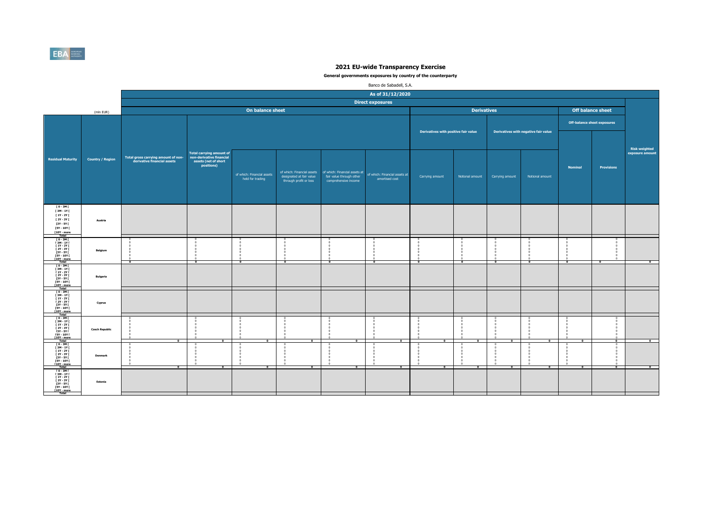

|                                                                                                                                                                                              |                         |                                                                    |                                                                                                   |                                                |                                                                                  |                                                                                                | Banco de Sabadell, S.A.                         |                                      |                          |                          |                                      |                |                                    |                          |
|----------------------------------------------------------------------------------------------------------------------------------------------------------------------------------------------|-------------------------|--------------------------------------------------------------------|---------------------------------------------------------------------------------------------------|------------------------------------------------|----------------------------------------------------------------------------------|------------------------------------------------------------------------------------------------|-------------------------------------------------|--------------------------------------|--------------------------|--------------------------|--------------------------------------|----------------|------------------------------------|--------------------------|
|                                                                                                                                                                                              |                         |                                                                    |                                                                                                   |                                                |                                                                                  |                                                                                                | As of 31/12/2020                                |                                      |                          |                          |                                      |                |                                    |                          |
|                                                                                                                                                                                              |                         |                                                                    |                                                                                                   |                                                |                                                                                  |                                                                                                | <b>Direct exposures</b>                         |                                      |                          |                          |                                      |                |                                    |                          |
|                                                                                                                                                                                              | (mln EUR)               |                                                                    |                                                                                                   | On balance sheet                               |                                                                                  |                                                                                                |                                                 |                                      | <b>Derivatives</b>       |                          |                                      |                | <b>Off balance sheet</b>           |                          |
|                                                                                                                                                                                              |                         |                                                                    |                                                                                                   |                                                |                                                                                  |                                                                                                |                                                 |                                      |                          |                          |                                      |                | <b>Off-balance sheet exposures</b> |                          |
|                                                                                                                                                                                              |                         |                                                                    |                                                                                                   |                                                |                                                                                  |                                                                                                |                                                 | Derivatives with positive fair value |                          |                          | Derivatives with negative fair value |                |                                    | <b>Risk weighted</b>     |
| <b>Residual Maturity</b>                                                                                                                                                                     | <b>Country / Region</b> | Total gross carrying amount of non-<br>derivative financial assets | <b>Total carrying amount of</b><br>non-derivative financial<br>assets (net of short<br>positions) | of which: Financial assets<br>held for trading | of which: Financial assets<br>designated at fair value<br>through profit or loss | of which: Financial assets at<br>fair value through other<br>comprehensive income              | of which: Financial assets at<br>amortised cost | Carrying amount                      | Notional amount          | Carrying amount          | Notional amount                      | <b>Nominal</b> | <b>Provisions</b>                  | exposure amount          |
| $[0-3M]$<br>[3M-1Y]<br>[ 1Y - 2Y [<br>[ 2Y - 3Y [<br>$[3Y - 5Y]$<br>[5Y - 10Y [<br>[10Y - more<br>Total                                                                                      | Austria                 |                                                                    |                                                                                                   |                                                |                                                                                  |                                                                                                |                                                 |                                      |                          |                          |                                      |                |                                    |                          |
| $[0 - 3M]$<br>$[3M - 1Y]$<br><b>F 1Y - 2Y F</b><br><b>F2Y - 3Y F</b><br>[3Y - 5Y [<br><b>FSY - 10Y F</b><br>[10Y - more<br>Total                                                             | Belgium                 | $\overline{\phantom{a}}$                                           | $\overline{\phantom{a}}$                                                                          | -0<br>-0<br>$\Omega$<br>$\frac{1}{\alpha}$     | $\overline{\phantom{0}}$                                                         | $\sqrt{2}$<br>$\sqrt{2}$<br>$\overline{\phantom{0}}$<br>$\sqrt{2}$<br>$\overline{\phantom{a}}$ | Ō                                               | $\frac{1}{\alpha}$                   | $\overline{\phantom{a}}$ | $\overline{\phantom{a}}$ | $\overline{\phantom{a}}$             | ÷              | $\overline{\phantom{a}}$           | $\overline{\phantom{a}}$ |
| $10 - 3M1$<br>[3M-1Y]<br>$[1Y - 2Y]$<br><b>F2Y - 3Y F</b><br><b>13Y - 5Y F</b><br><b>FSY - 10Y F</b><br>[10Y - more                                                                          | Bulgaria                |                                                                    |                                                                                                   |                                                |                                                                                  |                                                                                                |                                                 |                                      |                          |                          |                                      |                |                                    |                          |
| T 0 - 3M F<br><b>F3M-1YF</b><br><b>F 1Y - 2Y F</b><br>$[2Y - 3Y]$<br>[3Y - 5Y  <br><b>FSY - 10Y F</b><br>[10Y - more<br>Total                                                                | Cyprus                  |                                                                    |                                                                                                   |                                                |                                                                                  |                                                                                                |                                                 |                                      |                          |                          |                                      |                |                                    |                          |
| [0-3M]<br>[3M-1Y]<br>$\begin{array}{c} 1 \text{ N} - 2 \text{ N} \\ 1 \text{ N} - 2 \text{ N} \\ 1 \text{ N} - 3 \text{ N} \end{array}$<br>[3Y - 5Y  <br>[5Y - 10Y [<br>[10Y - more<br>Total | <b>Czech Republic</b>   | $\overline{\phantom{a}}$                                           | $\bullet$                                                                                         | $\overline{0}$<br>$\bullet$                    | $\overline{0}$<br>$\Omega$<br>$\overline{a}$                                     | $\overline{0}$<br>$\overline{\phantom{0}}$<br>- 6<br>- 6<br>$\overline{0}$                     | $\bullet$                                       | $\overline{0}$                       | $\bullet$                | $\overline{a}$           | $\bullet$                            | $\bullet$      | $\overline{\phantom{a}}$           | $\bullet$                |
| $10 - 3M$<br>$13M - 1YI$<br>$11Y - 2YI$<br><b>F2Y - 3Y F</b><br>[3Y - 5Y  <br><b>FSY - 10Y F</b><br>[10Y - more<br>Total                                                                     | Denmark                 | $\overline{\bullet}$                                               | $\overline{\bullet}$                                                                              | $\overline{\phantom{a}}$                       | $\overline{\bullet}$                                                             | $\overline{0}$                                                                                 | $\overline{0}$                                  | $\overline{0}$                       | $\overline{\mathbf{0}}$  | $\overline{0}$           | $\overline{\bullet}$                 | $\overline{0}$ | $\overline{0}$                     | $\overline{\ }$          |
| [ 0 - 3M [<br><b>F3M-1YF</b><br><b>F 1Y - 2Y F</b><br><b>F2Y - 3Y F</b><br>$[3Y - 5Y]$<br><b>ISY - 10Y F</b><br>[10Y - more<br>Total                                                         | Estonia                 |                                                                    |                                                                                                   |                                                |                                                                                  |                                                                                                |                                                 |                                      |                          |                          |                                      |                |                                    |                          |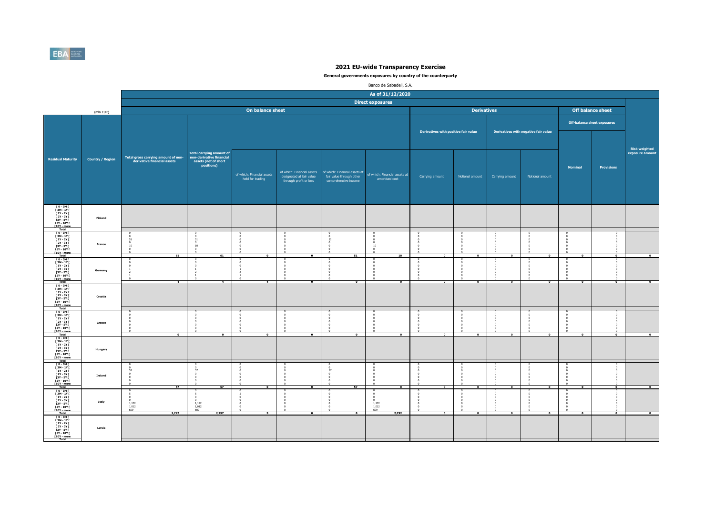

|                                                                                                                                                                                             |                         |                                                                    |                                                                                                   |                                                |                                                                                  |                                                                                   | Banco de Sabadell, S.A.                                   |                                      |                          |                          |                                      |                         |                                    |                          |
|---------------------------------------------------------------------------------------------------------------------------------------------------------------------------------------------|-------------------------|--------------------------------------------------------------------|---------------------------------------------------------------------------------------------------|------------------------------------------------|----------------------------------------------------------------------------------|-----------------------------------------------------------------------------------|-----------------------------------------------------------|--------------------------------------|--------------------------|--------------------------|--------------------------------------|-------------------------|------------------------------------|--------------------------|
|                                                                                                                                                                                             |                         |                                                                    |                                                                                                   |                                                |                                                                                  |                                                                                   | As of 31/12/2020                                          |                                      |                          |                          |                                      |                         |                                    |                          |
|                                                                                                                                                                                             |                         |                                                                    |                                                                                                   |                                                |                                                                                  |                                                                                   | <b>Direct exposures</b>                                   |                                      |                          |                          |                                      |                         |                                    |                          |
|                                                                                                                                                                                             | (mln EUR)               |                                                                    |                                                                                                   | On balance sheet                               |                                                                                  |                                                                                   |                                                           |                                      | <b>Derivatives</b>       |                          |                                      |                         | Off balance sheet                  |                          |
|                                                                                                                                                                                             |                         |                                                                    |                                                                                                   |                                                |                                                                                  |                                                                                   |                                                           |                                      |                          |                          |                                      |                         | <b>Off-balance sheet exposures</b> |                          |
|                                                                                                                                                                                             |                         |                                                                    |                                                                                                   |                                                |                                                                                  |                                                                                   |                                                           | Derivatives with positive fair value |                          |                          | Derivatives with negative fair value |                         |                                    | <b>Risk weighted</b>     |
| <b>Residual Maturity</b>                                                                                                                                                                    | <b>Country / Region</b> | Total gross carrying amount of non-<br>derivative financial assets | <b>Total carrying amount of</b><br>non-derivative financial<br>assets (net of short<br>positions) | of which: Financial assets<br>held for trading | of which: Financial assets<br>designated at fair value<br>through profit or loss | of which: Financial assets at<br>fair value through other<br>comprehensive income | of which: Financial assets at<br>amortised cost           | Carrying amount                      | Notional amount          | Carrying amount          | Notional amount                      | Nominal                 | <b>Provisions</b>                  | exposure amount          |
| [0-3M]<br>[3M-1Y]<br>[1Y-2Y]<br>$12Y - 3YI$<br><b>13Y - 5Y F</b><br>15Y - 10Y  <br>10Y - more<br>Total                                                                                      | Finland                 |                                                                    |                                                                                                   |                                                |                                                                                  |                                                                                   |                                                           |                                      |                          |                          |                                      |                         |                                    |                          |
| $10 - 3M1$<br>$\begin{array}{c} 13M - 1YI \\ 11Y - 2YI \end{array}$<br><b>F2Y - 3Y F</b><br>$[3Y - 5Y]$<br>$[5Y - 10Y]$<br><b>f10Y</b> - more<br>Total                                      | France                  | 51<br>$\overline{0}$<br>10<br>- 0<br>61                            | 10<br>$^{\circ}$<br>61                                                                            | $\overline{0}$                                 |                                                                                  | - 5                                                                               | 10<br>$\frac{0}{0}$<br>10                                 | $\overline{0}$                       |                          |                          |                                      |                         |                                    |                          |
| T 0 - 3M T<br>[3M-1Y]<br>[1Y-2Y]<br>$12Y - 3Y$<br>[3Y - 5Y  <br>[5Y - 10Y  <br>[10Y - more<br>Total                                                                                         | Germany                 |                                                                    |                                                                                                   |                                                |                                                                                  | $\sqrt{2}$<br>-0                                                                  | $\overline{0}$<br>$^{\circ}$                              |                                      |                          |                          |                                      |                         |                                    |                          |
| $10 - 3M1$<br>$\begin{array}{c} 13M - 1YI \\ 1Y - 2YI \end{array}$<br>[ 2Y - 3Y [<br>$\begin{array}{c}\n11. & 311 \\ 13Y - 5Y1 \\ 15Y - 10Y1 \\ \hline\n110Y - more \\ \hline\n\end{array}$ | Croatia                 |                                                                    |                                                                                                   |                                                |                                                                                  |                                                                                   |                                                           |                                      |                          |                          |                                      |                         |                                    |                          |
| $[0 - 3M]$<br>$13M - 1Y$<br><b>F2Y - 3Y F</b><br>[3Y - 5Y]<br>[5Y - 10Y]<br>[10Y - more<br>Total                                                                                            | Greece                  | $\overline{\mathbf{0}}$                                            |                                                                                                   | $\bullet$                                      | $\bullet$                                                                        | $\overline{\phantom{a}}$                                                          | $\overline{\mathbf{0}}$                                   | $\bullet$                            | $\overline{\phantom{a}}$ | $\Omega$                 | $\overline{\mathbf{0}}$              | $\overline{\mathbf{c}}$ |                                    |                          |
| ГО-ЗМГ<br>ГЗМ-1ҮГ<br>$[1Y - 2Y]$<br><b>F2Y - 3Y F</b><br>[3Y - 5Y  <br>[5Y - 10Y  <br>[10Y - more<br>Total                                                                                  | Hungary                 |                                                                    |                                                                                                   |                                                |                                                                                  |                                                                                   |                                                           |                                      |                          |                          |                                      |                         |                                    |                          |
| $10 - 3M1$<br>[3M-1Y]<br>$11Y - 2YI$<br>[ 2Y - 3Y [<br>[3Y - 5Y  <br>[5Y - 10Y  <br>[10Y - more<br>Total                                                                                    | Ireland                 | $\Omega$<br>57                                                     | 57                                                                                                | Ē                                              | $\sim$                                                                           | 57<br>$\overline{\mathbf{0}}$<br>$\sqrt{2}$<br>57                                 | $\Omega$<br>$\overline{a}$<br>P.                          | $\mathbf{r}$                         |                          |                          | $\overline{ }$                       | $\overline{ }$          | $\mathbf{a}$                       | $\overline{ }$           |
| 「0-3M「<br>[3M-1Y[<br><b>F 1Y - 2Y F</b><br><b>F2Y - 3Y F</b><br>[3Y - 5Y  <br>[5Y - 10Y  <br>[10Y - more<br>Total                                                                           | Italy                   | 1,172<br>1,012<br>609<br>2,797                                     | 1,172<br>1,012<br>609<br>2,797                                                                    | $\overline{\phantom{a}}$                       | $\bullet$                                                                        | $\overline{0}$<br>$\overline{\phantom{a}}$                                        | $\overline{0}$<br>$_{1,172}^{0}$<br>1,012<br>609<br>2,792 | $\bullet$                            | $\bullet$                | $\overline{\phantom{a}}$ | $\bullet$                            | $\bullet$               | $\overline{\phantom{a}}$           | $\overline{\phantom{a}}$ |
| ГО-ЗМГ<br>ГЗМ-1ҮГ<br>$[1Y - 2Y]$<br><b>F2Y - 3Y F</b><br>[3Y - 5Y  <br>[5Y - 10Y  <br>[10Y - more<br>Total                                                                                  | Latvia                  |                                                                    |                                                                                                   |                                                |                                                                                  |                                                                                   |                                                           |                                      |                          |                          |                                      |                         |                                    |                          |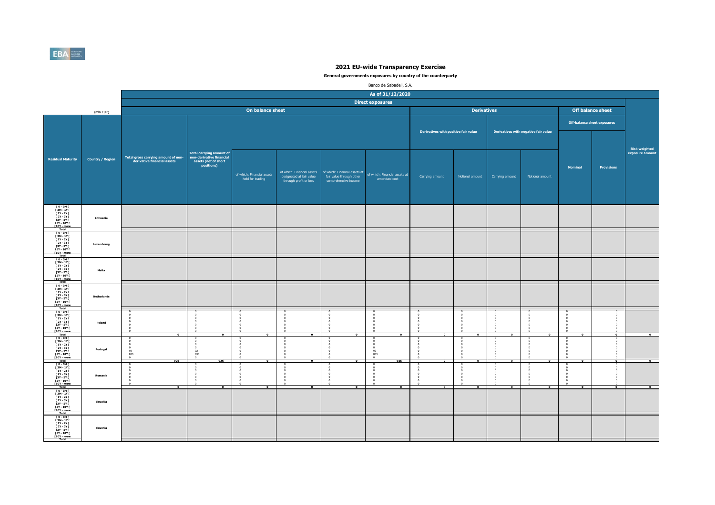

|                                                                                                                                                                  |                         |                                                                    |                                                                                            |                                                |                                                    |                                                                                                                | Banco de Sabadell, S.A.                                          |                                      |                                   |                 |                                      |                |                                    |                                  |
|------------------------------------------------------------------------------------------------------------------------------------------------------------------|-------------------------|--------------------------------------------------------------------|--------------------------------------------------------------------------------------------|------------------------------------------------|----------------------------------------------------|----------------------------------------------------------------------------------------------------------------|------------------------------------------------------------------|--------------------------------------|-----------------------------------|-----------------|--------------------------------------|----------------|------------------------------------|----------------------------------|
|                                                                                                                                                                  |                         |                                                                    |                                                                                            |                                                |                                                    |                                                                                                                | As of 31/12/2020                                                 |                                      |                                   |                 |                                      |                |                                    |                                  |
|                                                                                                                                                                  |                         |                                                                    |                                                                                            |                                                |                                                    |                                                                                                                | <b>Direct exposures</b>                                          |                                      |                                   |                 |                                      |                |                                    |                                  |
|                                                                                                                                                                  | (mln EUR)               |                                                                    |                                                                                            | On balance sheet                               |                                                    |                                                                                                                |                                                                  |                                      | <b>Derivatives</b>                |                 |                                      |                | Off balance sheet                  |                                  |
|                                                                                                                                                                  |                         |                                                                    |                                                                                            |                                                |                                                    |                                                                                                                |                                                                  | Derivatives with positive fair value |                                   |                 | Derivatives with negative fair value |                | <b>Off-balance sheet exposures</b> |                                  |
| <b>Residual Maturity</b>                                                                                                                                         | <b>Country / Region</b> | Total gross carrying amount of non-<br>derivative financial assets | Total carrying amount of<br>non-derivative financial<br>assets (net of short<br>positions) | of which: Financial assets<br>held for trading | designated at fair value<br>through profit or loss | of which: Financial assets   of which: Financial assets at<br>fair value through other<br>comprehensive income | of which: Financial assets at<br>amortised cost                  | Carrying amount                      | Notional amount                   | Carrying amount | Notional amount                      | Nominal        | Provisions                         | Risk weighted<br>exposure amount |
| ГО-ЗМГ<br>ГЗМ-1ҮГ<br>$[1Y - 2Y]$<br><b>F2Y - 3Y F</b><br>[3Y - 5Y  <br>[5Y - 10Y  <br>[10Y - more]                                                               | Lithuania               |                                                                    |                                                                                            |                                                |                                                    |                                                                                                                |                                                                  |                                      |                                   |                 |                                      |                |                                    |                                  |
| [0-3M]<br>[3M-1Y]<br>[1Y-2Y]<br><b>F2Y - 3Y F</b><br>[3Y - 5Y]<br>[5Y - 10Y]<br>[10Y - more<br>Total                                                             | Luxembourg              |                                                                    |                                                                                            |                                                |                                                    |                                                                                                                |                                                                  |                                      |                                   |                 |                                      |                |                                    |                                  |
| [0-3M]<br>[3M-1Y]<br><b>F 1Y - 2Y F</b><br><b>F2Y - 3Y F</b><br>[3Y - 5Y  <br>[5Y - 10Y  <br>[10Y - more<br>Total                                                | Malta                   |                                                                    |                                                                                            |                                                |                                                    |                                                                                                                |                                                                  |                                      |                                   |                 |                                      |                |                                    |                                  |
| $\begin{array}{c} 10 - 3M \, \Gamma \\ 13M - 1Y \, \Gamma \end{array}$<br>$11Y - 2YI$<br>[ 2Y - 3Y [<br>[3Y - 5Y  <br>[5Y - 10Y  <br>[10Y - more<br><b>Total</b> | <b>Netherlands</b>      |                                                                    |                                                                                            |                                                |                                                    |                                                                                                                |                                                                  |                                      |                                   |                 |                                      |                |                                    |                                  |
| [ 0 - 3M [<br>[3M-1Y]<br>$11Y - 2YI$<br><b>F2Y - 3Y F</b><br>[3Y - 5Y F<br><b>FSY - 10Y F</b><br>[10Y - more]<br>Total                                           | Poland                  | $\Omega$                                                           |                                                                                            | $\Omega$                                       | $\Omega$                                           | $\sim$                                                                                                         | $\Omega$                                                         | $\Omega$                             | $\sqrt{2}$                        |                 | $\sqrt{2}$                           | $\sqrt{2}$     | $\Omega$                           | $\sqrt{2}$                       |
| ГО-ЗМГ<br>ГЗМ-1ҮГ<br>[ 1Y - 2Y [<br><b>F2Y - 3Y F</b><br>[3Y - 5Y  <br>[5Y - 10Y  <br>[10Y - more]                                                               | Portugal                | $\frac{92}{833}$<br>926                                            | $\frac{92}{833}$<br>926                                                                    | ō                                              | $\overline{ }$                                     | $\mathbf{r}$                                                                                                   | $\begin{array}{c} 0 \\ 92 \\ 833 \end{array}$<br>$\theta$<br>925 | $\overline{a}$                       | ō                                 | $\overline{ }$  | $\overline{\phantom{a}}$             | ō              | $\sqrt{2}$                         | $\overline{0}$                   |
| [0-3M]<br>[3M-1Y]<br>$11Y - 2YI$<br>[ 2Y - 3Y [<br>[3Y - 5Y  <br>[5Y - 10Y  <br>[10Y - more<br>Total                                                             | Romania                 | $\overline{ }$                                                     |                                                                                            | ō                                              | $\overline{ }$                                     | P                                                                                                              | $\sqrt{2}$<br>$\overline{ }$                                     | $\overline{ }$                       | - C<br>$\Omega$<br>$\overline{ }$ |                 | - 0                                  | $\overline{ }$ | F                                  | $\mathbf{a}$                     |
| 「0-3M「<br>[3M-1Y[<br>$11Y - 2YI$<br><b>F2Y - 3Y F</b><br>[3Y - 5Y  <br>[5Y - 10Y  <br>[10Y - more]<br>Total                                                      | Slovakia                |                                                                    |                                                                                            |                                                |                                                    |                                                                                                                |                                                                  |                                      |                                   |                 |                                      |                |                                    |                                  |
| ГО-ЗМГ<br>ГЗМ-1ҮГ<br>$[1Y - 2Y]$<br><b>F2Y - 3Y F</b><br>[3Y - 5Y  <br>[5Y - 10Y  <br>[10Y - more<br>Total                                                       | Slovenia                |                                                                    |                                                                                            |                                                |                                                    |                                                                                                                |                                                                  |                                      |                                   |                 |                                      |                |                                    |                                  |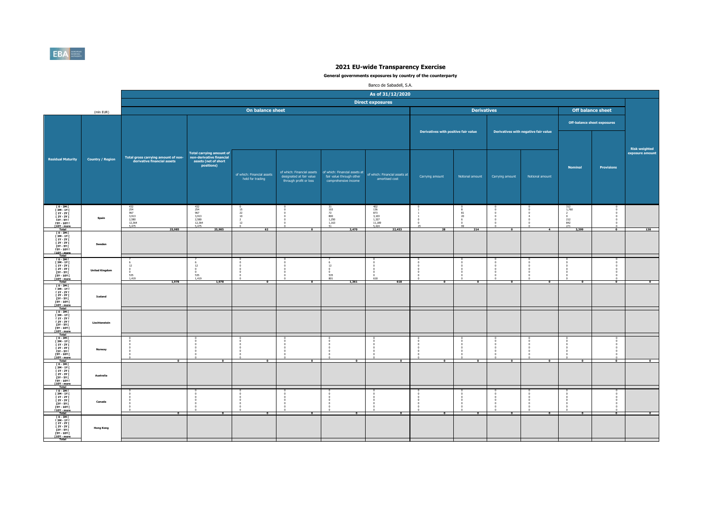

|                                                                                                                                                    |                         |                                                                    |                                                                                                   |                                                                     |                                                    |                                                                                                              | Banco de Sabadell, S.A.                                                  |                                      |                       |                 |                                      |                                                   |                                    |                                         |
|----------------------------------------------------------------------------------------------------------------------------------------------------|-------------------------|--------------------------------------------------------------------|---------------------------------------------------------------------------------------------------|---------------------------------------------------------------------|----------------------------------------------------|--------------------------------------------------------------------------------------------------------------|--------------------------------------------------------------------------|--------------------------------------|-----------------------|-----------------|--------------------------------------|---------------------------------------------------|------------------------------------|-----------------------------------------|
|                                                                                                                                                    |                         |                                                                    |                                                                                                   |                                                                     |                                                    |                                                                                                              | As of 31/12/2020                                                         |                                      |                       |                 |                                      |                                                   |                                    |                                         |
|                                                                                                                                                    |                         |                                                                    |                                                                                                   |                                                                     |                                                    |                                                                                                              | <b>Direct exposures</b>                                                  |                                      |                       |                 |                                      |                                                   |                                    |                                         |
|                                                                                                                                                    | (mln EUR)               |                                                                    |                                                                                                   | On balance sheet                                                    |                                                    |                                                                                                              |                                                                          |                                      | <b>Derivatives</b>    |                 |                                      |                                                   | <b>Off balance sheet</b>           |                                         |
|                                                                                                                                                    |                         |                                                                    |                                                                                                   |                                                                     |                                                    |                                                                                                              |                                                                          |                                      |                       |                 |                                      |                                                   | <b>Off-balance sheet exposures</b> |                                         |
|                                                                                                                                                    |                         |                                                                    |                                                                                                   |                                                                     |                                                    |                                                                                                              |                                                                          | Derivatives with positive fair value |                       |                 | Derivatives with negative fair value |                                                   |                                    |                                         |
| <b>Residual Maturity</b>                                                                                                                           | <b>Country / Region</b> | Total gross carrying amount of non-<br>derivative financial assets | <b>Total carrying amount of</b><br>non-derivative financial<br>assets (net of short<br>positions) | of which: Financial assets<br>held for trading                      | designated at fair value<br>through profit or loss | of which: Financial assets of which: Financial assets at<br>fair value through other<br>comprehensive income | of which: Financial assets at<br>amortised cost                          | Carrying amount                      | Notional amount       | Carrying amount | Notional amount                      | <b>Nominal</b>                                    | <b>Provisions</b>                  | <b>Risk weighted</b><br>exposure amount |
| [0-3M]<br>[3M-1Y]<br>[1Y-2Y]<br>$12Y - 3YI$<br><b>13Y - 5Y F</b><br><b>FSY - 10Y F</b><br>[10Y - more<br>Total                                     | Spain                   | 432<br>254<br>967<br>3,913<br>2,580<br>12,364<br>5,475<br>25,985   | $\frac{432}{254}$<br>967<br>3,913<br>2,580<br>12,364<br>5,475<br>25,985                           | $\frac{15}{22}$<br>$10\,$<br>$\frac{2}{12}$<br>$\overline{0}$<br>62 | $\overline{\phantom{a}}$                           | $\frac{31}{103}$<br>$\begin{array}{c} \n 72 \\  800 \\  1,250 \\  1,163 \\  51\n \end{array}$<br>3,470       | 402<br>136<br>873<br>$3,103$<br>$1,327$<br>$11,189$<br>$5,424$<br>22,453 | 28                                   | 81<br>20<br>99<br>214 |                 | $\overline{a}$                       | 312<br>1,760<br>$\frac{212}{842}$<br>271<br>3,399 | $\overline{0}$                     | 138                                     |
| $10 - 3M$<br>$\begin{array}{c} 13M - 1YI \\ 1Y - 2YI \end{array}$<br>$12Y - 3YI$<br>[3Y - 5Y]<br><b>FSY - 10Y F</b><br><b>f10Y</b> - more<br>Total | Sweden                  |                                                                    |                                                                                                   |                                                                     |                                                    |                                                                                                              |                                                                          |                                      |                       |                 |                                      |                                                   |                                    |                                         |
| $10 - 3M$<br>[ 3M - 1Y [<br>[ 1Y - 2Y  <br>[ 2Y - 3Y  <br>[3Y - 5Y  <br>[5Y - 10Y  <br>[10Y - more<br>Total                                        | <b>United Kingdom</b>   | 12<br>$\Omega$<br>535<br>1,419<br>1.978                            | 12<br>535<br>1,419<br>1.978                                                                       |                                                                     |                                                    | 12<br>$\overline{0}$<br>535<br>801<br>1.361                                                                  | 618<br>618                                                               |                                      |                       |                 |                                      |                                                   |                                    |                                         |
| T 0 - 3M I<br>$\begin{array}{c} 13M - 1YI \\ 1Y - 2YI \end{array}$<br>[ 2Y - 3Y [<br>13Y - 5Y<br>15Y - 10Y 1<br>110Y - more<br>Total               | Iceland                 |                                                                    |                                                                                                   |                                                                     |                                                    |                                                                                                              |                                                                          |                                      |                       |                 |                                      |                                                   |                                    |                                         |
| [ 0 - 3M [<br>[ 3M - 1Y  <br>  1Y - 2Y  <br><b>F2Y - 3Y F</b><br>[3Y - 5Y [<br><b>FSY - 10Y F</b><br>[10Y - more<br>Total                          | Liechtenstein           |                                                                    |                                                                                                   |                                                                     |                                                    |                                                                                                              |                                                                          |                                      |                       |                 |                                      |                                                   |                                    |                                         |
| $10 - 3M1$<br>[3M-1Y]<br>$[1Y - 2Y]$<br>$12Y - 3YI$<br>[3Y - 5Y  <br>[5Y - 10Y  <br>[10Y - more<br>Total                                           | Norway                  | ī                                                                  |                                                                                                   | $\overline{ }$                                                      | - 0                                                | $\sim$                                                                                                       | P                                                                        | P                                    | $\overline{ }$        |                 | $\overline{ }$                       | P                                                 |                                    |                                         |
| $10 - 3M1$<br>$\begin{array}{c} 13M - 1YI \\ 1Y - 2YI \end{array}$<br>[ 2Y - 3Y [<br>13Y - 5Y<br>15Y - 10Y 1<br>110Y - more<br>Total               | Australia               |                                                                    |                                                                                                   |                                                                     |                                                    |                                                                                                              |                                                                          |                                      |                       |                 |                                      |                                                   |                                    |                                         |
| [0-3M]<br>[3M-1Y]<br><b>F 1Y - 2Y F</b><br><b>F2Y - 3Y F</b><br>[3Y - 5Y  <br>[5Y - 10Y  <br>[10Y - more<br>Total                                  | Canada                  | $\bullet$                                                          | $\overline{\phantom{a}}$                                                                          | $\bullet$                                                           | $\bullet$                                          | $\overline{\phantom{a}}$                                                                                     | $\bullet$                                                                | $\bullet$                            | $\bullet$             | $\bullet$       | $\bullet$                            | $\bullet$                                         | $\bullet$                          | $\overline{\phantom{a}}$                |
| $10 - 3M1$<br>[3M-1Y]<br>$[1Y - 2Y]$<br><b>F2Y - 3Y F</b><br>[3Y - 5Y  <br>[5Y - 10Y  <br>[10Y - more<br>Total                                     | <b>Hong Kong</b>        |                                                                    |                                                                                                   |                                                                     |                                                    |                                                                                                              |                                                                          |                                      |                       |                 |                                      |                                                   |                                    |                                         |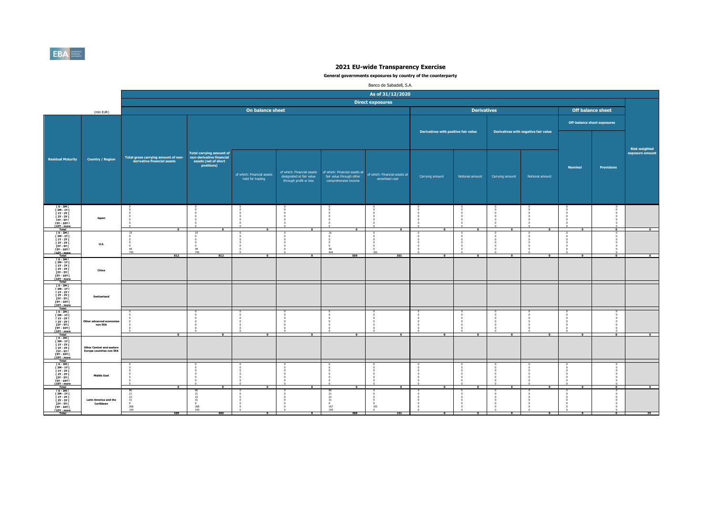

|                                                                                                                                             |                                                                     |                                                                    |                                                                                                   |                                                |                                                                                  |                                                                                   | Banco de Sabadell, S.A.                         |                                      |                          |                          |                                      |                |                                    |                                         |
|---------------------------------------------------------------------------------------------------------------------------------------------|---------------------------------------------------------------------|--------------------------------------------------------------------|---------------------------------------------------------------------------------------------------|------------------------------------------------|----------------------------------------------------------------------------------|-----------------------------------------------------------------------------------|-------------------------------------------------|--------------------------------------|--------------------------|--------------------------|--------------------------------------|----------------|------------------------------------|-----------------------------------------|
|                                                                                                                                             |                                                                     |                                                                    |                                                                                                   |                                                |                                                                                  |                                                                                   | As of 31/12/2020                                |                                      |                          |                          |                                      |                |                                    |                                         |
|                                                                                                                                             |                                                                     |                                                                    |                                                                                                   |                                                |                                                                                  |                                                                                   | <b>Direct exposures</b>                         |                                      |                          |                          |                                      |                |                                    |                                         |
|                                                                                                                                             | (mln EUR)                                                           |                                                                    |                                                                                                   | On balance sheet                               |                                                                                  |                                                                                   |                                                 |                                      | <b>Derivatives</b>       |                          |                                      |                | <b>Off balance sheet</b>           |                                         |
|                                                                                                                                             |                                                                     |                                                                    |                                                                                                   |                                                |                                                                                  |                                                                                   |                                                 |                                      |                          |                          |                                      |                | <b>Off-balance sheet exposures</b> |                                         |
|                                                                                                                                             |                                                                     |                                                                    |                                                                                                   |                                                |                                                                                  |                                                                                   |                                                 | Derivatives with positive fair value |                          |                          | Derivatives with negative fair value |                |                                    |                                         |
| <b>Residual Maturity</b>                                                                                                                    | <b>Country / Region</b>                                             | Total gross carrying amount of non-<br>derivative financial assets | <b>Total carrying amount of</b><br>non-derivative financial<br>assets (net of short<br>positions) | of which: Financial assets<br>held for trading | of which: Financial assets<br>designated at fair value<br>through profit or loss | of which: Financial assets at<br>fair value through other<br>comprehensive income | of which: Financial assets at<br>amortised cost | Carrying amount                      | Notional amount          | Carrying amount          | Notional amount                      | <b>Nominal</b> | <b>Provisions</b>                  | <b>Risk weighted</b><br>exposure amount |
| T0-3MT<br><b>F3M-1YF</b><br>[ 1Y - 2Y [<br><b>F2Y - 3Y F</b><br><b>13Y - 5Y F</b><br><b>FSY - 10Y F</b><br>[10Y - more<br><b>Total</b>      | Japan                                                               | $\overline{a}$                                                     | $\Omega$                                                                                          | $^{\circ}$                                     | $\overline{0}$                                                                   | $\Omega$                                                                          | $\overline{a}$                                  | $\overline{ }$                       | $\Omega$                 | $\Omega$                 | $\overline{\phantom{a}}$             | $^{\circ}$     | $\Omega$                           | $\Omega$                                |
| $I$ 0 - 3M $I$<br><b>F3M-1YF</b><br><b>F 1Y - 2Y F</b><br><b>F2Y - 3Y F</b><br>[3Y - 5Y [<br><b>FSY - 10Y F</b><br>[10Y - more<br>Total     | <b>U.S.</b>                                                         | $\frac{49}{745}$<br>812                                            | $\frac{49}{745}$<br>812                                                                           | ō                                              | $\Omega$                                                                         | - 0<br>$\frac{49}{444}$<br>509                                                    | $\Omega$<br>301<br>301                          | $\Omega$                             | $\Omega$                 | $\Omega$                 | $\overline{a}$                       | $^{\circ}$     | $\Omega$                           | $\mathbf{a}$                            |
| [0-3M]<br>[3M-1Y]<br><b>F 1Y - 2Y F</b><br>[2Y - 3Y [<br>$13Y - SYI$<br>$[5Y - 10Y]$<br>[10Y - more                                         | China                                                               |                                                                    |                                                                                                   |                                                |                                                                                  |                                                                                   |                                                 |                                      |                          |                          |                                      |                |                                    |                                         |
| Total<br>$10 - 3M$<br>$13M - 1YI$<br><b>F 1Y - 2Y F</b><br>[ 2Y - 3Y [<br><b>13Y - 5Y F</b><br><b>FSY - 10Y F</b><br>[10Y - more            | Switzerland                                                         |                                                                    |                                                                                                   |                                                |                                                                                  |                                                                                   |                                                 |                                      |                          |                          |                                      |                |                                    |                                         |
| <b>Total</b><br>[0-3M]<br><b>F3M-1YF</b><br><b>F 1Y - 2Y F</b><br><b>F2Y - 3Y F</b><br>[3Y - 5Y [<br><b>FSY - 10Y F</b><br>[10Y - more      | Other advanced ecor<br>non EEA                                      | $\bullet$                                                          | $\Omega$                                                                                          | $\overline{\phantom{a}}$                       | $\overline{a}$                                                                   | $\overline{\phantom{a}}$                                                          | $\bullet$                                       | $\Omega$                             | $\Omega$                 | $\Omega$                 | $\overline{\phantom{a}}$             | $\bullet$      | $\alpha$                           | $\sim$                                  |
| Total<br>$10 - 3M1$<br>[3M-1Y]<br>$[1Y - 2Y]$<br><b>F2Y - 3Y F</b><br>13Y - 5Y I<br>15Y - 10Y I<br>[10Y - more<br>Total                     | <b>Other Central and eastern</b><br><b>Europe countries non EEA</b> |                                                                    |                                                                                                   |                                                |                                                                                  |                                                                                   |                                                 |                                      |                          |                          |                                      |                |                                    |                                         |
| 10 - 3M F<br>13M - 1Y F<br>11Y - 2Y F<br>$[2Y - 3Y]$<br><b>13Y - 5Y F</b><br><b>FSY - 10Y F</b><br>T10Y - more                              | <b>Middle East</b>                                                  | $\overline{ }$                                                     |                                                                                                   | $\overline{\phantom{a}}$                       | $\overline{\phantom{a}}$                                                         | $\overline{0}$                                                                    | $\overline{\mathbf{0}}$                         | $\overline{\mathbf{0}}$              | $\overline{\phantom{a}}$ | $\overline{\phantom{a}}$ | $\overline{0}$                       | $\overline{0}$ | $\overline{ }$                     | $\overline{\phantom{a}}$                |
| $I$ 0 - 3M $I$<br>[ 3M - 1Y [<br><b>F 1Y - 2Y F</b><br><b>F2Y - 3Y F</b><br><b>13Y - 5Y F</b><br>[5Y - 10Y [<br>[10Y - more<br><b>Total</b> | <b>Latin America and the</b><br>Caribbean                           | 21<br>23<br>31<br>$\circ$<br>268<br>159<br>589                     | 21<br>23<br>31<br>$\overline{0}$<br>268<br>159<br>589                                             | $\bullet$                                      | $\bullet$                                                                        | $21\,$<br>23<br>31<br>$\,$ 0<br>167<br>159<br>488                                 | $\circ$<br>101<br>$\mathbf{r}$<br>101           | $\bullet$                            | $\bullet$                | $\bullet$                | $\bullet$                            | $\bullet$      | $\bullet$                          | 39                                      |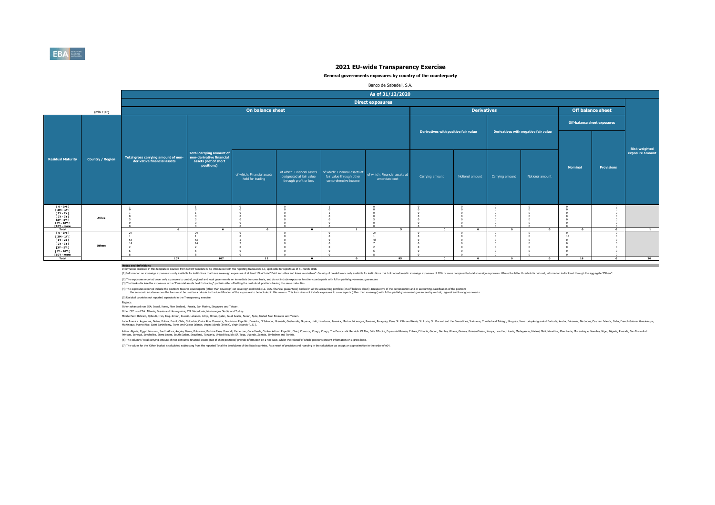

### **General governments exposures by country of the counterparty**

|                                                        |                         |                                     |                                                             |                                                |                                                        |                                                                                         | Banco de Sabadell, S.A. |                                      |                    |                 |                                      |                |                                    |                      |
|--------------------------------------------------------|-------------------------|-------------------------------------|-------------------------------------------------------------|------------------------------------------------|--------------------------------------------------------|-----------------------------------------------------------------------------------------|-------------------------|--------------------------------------|--------------------|-----------------|--------------------------------------|----------------|------------------------------------|----------------------|
|                                                        |                         |                                     |                                                             |                                                |                                                        |                                                                                         | As of 31/12/2020        |                                      |                    |                 |                                      |                |                                    |                      |
|                                                        |                         |                                     |                                                             |                                                |                                                        |                                                                                         | <b>Direct exposures</b> |                                      |                    |                 |                                      |                |                                    |                      |
|                                                        | (mln EUR)               |                                     |                                                             | On balance sheet                               |                                                        |                                                                                         |                         |                                      | <b>Derivatives</b> |                 |                                      |                | Off balance sheet                  |                      |
|                                                        |                         |                                     |                                                             |                                                |                                                        |                                                                                         |                         |                                      |                    |                 |                                      |                | <b>Off-balance sheet exposures</b> |                      |
|                                                        |                         |                                     |                                                             |                                                |                                                        |                                                                                         |                         | Derivatives with positive fair value |                    |                 | Derivatives with negative fair value |                |                                    |                      |
|                                                        |                         |                                     |                                                             |                                                |                                                        |                                                                                         |                         |                                      |                    |                 |                                      |                |                                    |                      |
|                                                        |                         |                                     |                                                             |                                                |                                                        |                                                                                         |                         |                                      |                    |                 |                                      |                |                                    | <b>Risk weighted</b> |
| <b>Residual Maturity</b>                               | <b>Country / Region</b> | Total gross carrying amount of non- | <b>Total carrying amount of</b><br>non-derivative financial |                                                |                                                        |                                                                                         |                         |                                      |                    |                 |                                      |                |                                    | exposure amount      |
|                                                        |                         | derivative financial assets         | assets (net of short<br>positions)                          |                                                |                                                        |                                                                                         |                         |                                      |                    |                 |                                      | <b>Nominal</b> | <b>Provisions</b>                  |                      |
|                                                        |                         |                                     |                                                             | of which: Financial assets<br>held for trading | of which: Financial assets<br>designated at fair value | of which: Financial assets at of which: Financial assets at<br>fair value through other | amortised cost          | Carrying amount                      | Notional amount    | Carrying amount | Notional amount                      |                |                                    |                      |
|                                                        |                         |                                     |                                                             |                                                | through profit or loss                                 | comprehensive income                                                                    |                         |                                      |                    |                 |                                      |                |                                    |                      |
|                                                        |                         |                                     |                                                             |                                                |                                                        |                                                                                         |                         |                                      |                    |                 |                                      |                |                                    |                      |
|                                                        |                         |                                     |                                                             |                                                |                                                        |                                                                                         |                         |                                      |                    |                 |                                      |                |                                    |                      |
| 0 - 3M  <br>  3M - 1Y  <br>  1Y - 2Y                   |                         |                                     |                                                             |                                                |                                                        |                                                                                         |                         |                                      |                    |                 |                                      |                |                                    |                      |
| $12Y - 3YI$<br><b>13Y - 5Y F</b><br><b>FSY - 10Y F</b> | Africa                  |                                     |                                                             |                                                |                                                        |                                                                                         |                         |                                      |                    |                 |                                      |                |                                    |                      |
| $[10Y - more]$<br>Total                                |                         | 6                                   |                                                             | $\overline{\phantom{a}}$                       | $\Omega$                                               | $\mathbf{1}$                                                                            | - 5                     | $\overline{0}$                       | $\Omega$           | $\Omega$        | $\Omega$                             | $\Omega$       | $\Omega$                           | $\overline{1}$       |
| $10 - 3M$<br>[3M-1Y]                                   |                         | 24                                  | - 24                                                        |                                                |                                                        |                                                                                         | 24                      |                                      |                    |                 |                                      |                |                                    |                      |
| $[1Y - 2Y]$<br>[ 2Y - 3Y [<br>[3Y - 5Y]                | Others                  | 53<br>14                            | 53<br>14                                                    |                                                |                                                        |                                                                                         |                         |                                      |                    |                 |                                      |                |                                    |                      |
| [5Y - 10Y [<br>$[10Y - more]$                          |                         |                                     |                                                             |                                                |                                                        |                                                                                         |                         |                                      |                    |                 |                                      |                |                                    |                      |
| <b>Total</b>                                           |                         | 107                                 | 107                                                         | 12                                             | $\sim$                                                 | $\Omega$                                                                                | 95                      | $\Omega$                             | $\Omega$           | $\Omega$        | $\Omega$                             | 18             | $\mathbf{a}$                       | 30                   |

**Notes and definitions** Information disclosed in this template is sourced from COREP template C 33, introduced with the reporting framework 2.7, applicable for reports as of 31 march 2018.

(1) Information on sovereign exposures is only available for institutions that the sovereign exposures of at least 1% of total "Debt securities and loans excelvables". Country of treakdown is only available for institution

(2) The exposures reported cover only exposures to central, regional and local governments on immediate bornwer basis, and do not indude exposures to other counterparts with full or partial government guarantees<br>(3) The ba

(4) The exposures reported notoe throw both of the second mark of the than sovereign) on sovereign or sovereign credit ratio. CDS, financial parantes booked in ill he accounting portfolior or the language of the deconomers

(5) Residual countries not reported separately in the Transparency exercise

Regions: Other advanced non EEA: Israel, Korea, New Zealand, Russia, San Marino, Singapore and Taiwan.

Other CEE non EEA: Albania, Bosnia and Herzegovina, FYR Macedonia, Montenegro, Serbia and Turkey.

Middle East: Bahrain, Djibouti, Iran, Iraq, Jordan, Kuwait, Lebanon, Libya, Oman, Qatar, Saudi Arabia, Sudan, Syria, United Arab Emirates and Yemen.

latih Ashan, Belan, Bang, China, China, China, Bang, Danika, Danika, Danik, Canady, Genas, Gazlemas, Gazan, Haki Honduras, Jamaia, Mexico, Rengay, Penga, Penga, Penga, Mexica, Suka, S. Witch Mexica, Suka, Suka, Suka, Suka,

Afra. Egyt, Moroco, Suth Afra. Argol, Behn, Boxwan, Burind, Enno, Camp, Camp, Camp, Camp, Camp, Camp, Camp, Camp, Camp, Camp, Camp, The District Proposit Republic Of The Camp, Englisher, annough and a strate and aniss.<br>Pin

(6) The columns 'Total carrying amount of non-derivative financial assets (net of short positions)' provide information on a net basis, whilst the related 'of which' positions present information on a gross basis.

(7) The values for the 'Other' bucket is calculated subtracting from the reported Total the breakdown of the listed countries. As a result of precision and rounding in the calculation we accept an approximation in the orde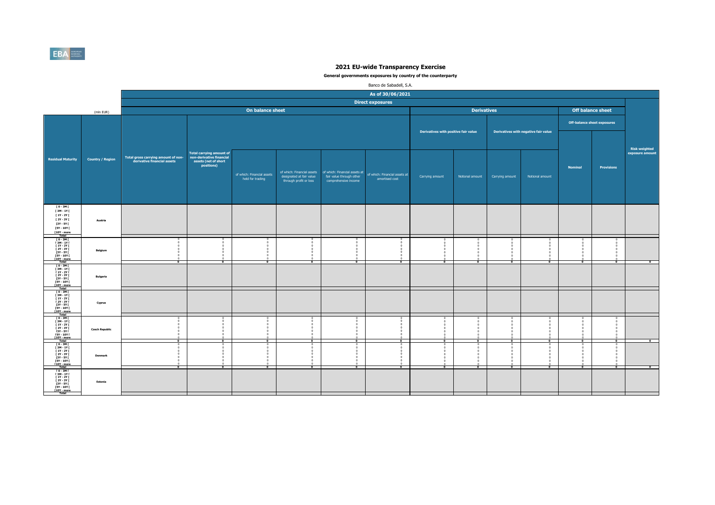

|                                                            |                         |                                                                    |                                                             |                                                |                                                    |                                                  | Banco de Sabadell, S.A.                         |                                      |                          |                      |                                      |                      |                                    |                                  |
|------------------------------------------------------------|-------------------------|--------------------------------------------------------------------|-------------------------------------------------------------|------------------------------------------------|----------------------------------------------------|--------------------------------------------------|-------------------------------------------------|--------------------------------------|--------------------------|----------------------|--------------------------------------|----------------------|------------------------------------|----------------------------------|
|                                                            |                         |                                                                    |                                                             |                                                |                                                    |                                                  | As of 30/06/2021                                |                                      |                          |                      |                                      |                      |                                    |                                  |
|                                                            |                         |                                                                    |                                                             |                                                |                                                    |                                                  | <b>Direct exposures</b>                         |                                      |                          |                      |                                      |                      |                                    |                                  |
|                                                            | (mln EUR)               |                                                                    |                                                             | On balance sheet                               |                                                    |                                                  |                                                 |                                      | <b>Derivatives</b>       |                      |                                      |                      | <b>Off balance sheet</b>           |                                  |
|                                                            |                         |                                                                    |                                                             |                                                |                                                    |                                                  |                                                 |                                      |                          |                      |                                      |                      | <b>Off-balance sheet exposures</b> |                                  |
|                                                            |                         |                                                                    |                                                             |                                                |                                                    |                                                  |                                                 |                                      |                          |                      |                                      |                      |                                    |                                  |
|                                                            |                         |                                                                    |                                                             |                                                |                                                    |                                                  |                                                 | Derivatives with positive fair value |                          |                      | Derivatives with negative fair value |                      |                                    |                                  |
|                                                            |                         |                                                                    |                                                             |                                                |                                                    |                                                  |                                                 |                                      |                          |                      |                                      |                      |                                    |                                  |
|                                                            |                         |                                                                    | <b>Total carrying amount of</b><br>non-derivative financial |                                                |                                                    |                                                  |                                                 |                                      |                          |                      |                                      |                      |                                    | Risk weighted<br>exposure amount |
| <b>Residual Maturity</b>                                   | <b>Country / Region</b> | Total gross carrying amount of non-<br>derivative financial assets | assets (net of short<br>positions)                          |                                                |                                                    |                                                  |                                                 |                                      |                          |                      |                                      |                      |                                    |                                  |
|                                                            |                         |                                                                    |                                                             |                                                | of which: Financial assets                         | of which: Financial assets at                    |                                                 |                                      |                          |                      |                                      | <b>Nominal</b>       | <b>Provisions</b>                  |                                  |
|                                                            |                         |                                                                    |                                                             | of which: Financial assets<br>held for trading | designated at fair value<br>through profit or loss | fair value through other<br>comprehensive income | of which: Financial assets at<br>amortised cost | Carrying amount                      | Notional amount          | Carrying amount      | Notional amount                      |                      |                                    |                                  |
|                                                            |                         |                                                                    |                                                             |                                                |                                                    |                                                  |                                                 |                                      |                          |                      |                                      |                      |                                    |                                  |
|                                                            |                         |                                                                    |                                                             |                                                |                                                    |                                                  |                                                 |                                      |                          |                      |                                      |                      |                                    |                                  |
| [ 0 - 3M [                                                 |                         |                                                                    |                                                             |                                                |                                                    |                                                  |                                                 |                                      |                          |                      |                                      |                      |                                    |                                  |
| [3M-1Y]<br>$[1Y - 2Y]$                                     |                         |                                                                    |                                                             |                                                |                                                    |                                                  |                                                 |                                      |                          |                      |                                      |                      |                                    |                                  |
| $[2Y - 3Y]$<br>$[3Y - 5Y]$                                 | Austria                 |                                                                    |                                                             |                                                |                                                    |                                                  |                                                 |                                      |                          |                      |                                      |                      |                                    |                                  |
| [5Y - 10Y [<br>$[10Y - more]$                              |                         |                                                                    |                                                             |                                                |                                                    |                                                  |                                                 |                                      |                          |                      |                                      |                      |                                    |                                  |
| Total<br>$[0 - 3M]$<br>$[3M - 1Y]$                         |                         |                                                                    |                                                             |                                                |                                                    |                                                  |                                                 |                                      |                          |                      |                                      |                      |                                    |                                  |
| <b>F 1Y - 2Y F</b><br><b>F2Y - 3Y F</b><br>[3Y - 5Y [      | Belgium                 |                                                                    |                                                             | $\sim$                                         |                                                    |                                                  |                                                 |                                      |                          |                      |                                      |                      |                                    |                                  |
| <b>FSY - 10Y F</b><br>[10Y - more                          |                         | $\overline{\bullet}$                                               | $\overline{\bullet}$                                        | $\overline{0}$                                 | $\overline{\phantom{a}}$                           | $\overline{\phantom{a}}$                         | $\overline{\bullet}$                            | $\overline{\bullet}$                 | $\overline{0}$           | $\overline{\bullet}$ | $\overline{\bullet}$                 | $\overline{\bullet}$ | $\overline{\bullet}$               | $\overline{\phantom{a}}$         |
| Total<br>T0-3MT<br><b>F3M-1YF</b>                          |                         |                                                                    |                                                             |                                                |                                                    |                                                  |                                                 |                                      |                          |                      |                                      |                      |                                    |                                  |
| [ 1Y - 2Y [<br><b>F2Y - 3Y F</b><br>[3Y - 5Y               | <b>Bulgaria</b>         |                                                                    |                                                             |                                                |                                                    |                                                  |                                                 |                                      |                          |                      |                                      |                      |                                    |                                  |
| <b>FSY - 10Y F</b><br>[10Y - more<br>Total                 |                         |                                                                    |                                                             |                                                |                                                    |                                                  |                                                 |                                      |                          |                      |                                      |                      |                                    |                                  |
| $10 - 3M$<br>[ 3M - 1Y [                                   |                         |                                                                    |                                                             |                                                |                                                    |                                                  |                                                 |                                      |                          |                      |                                      |                      |                                    |                                  |
| <b>F 1Y - 2Y F</b><br>$[2Y - 3Y]$                          | Cyprus                  |                                                                    |                                                             |                                                |                                                    |                                                  |                                                 |                                      |                          |                      |                                      |                      |                                    |                                  |
| T3Y - 5YT<br>[10Y - more                                   |                         |                                                                    |                                                             |                                                |                                                    |                                                  |                                                 |                                      |                          |                      |                                      |                      |                                    |                                  |
| Total<br>$10 - 3M1$<br>[ 3M - 1Y [                         |                         |                                                                    |                                                             |                                                |                                                    |                                                  |                                                 |                                      |                          |                      |                                      |                      |                                    |                                  |
| $11Y - 2YI$<br>[3Y - 5Y                                    | <b>Czech Republic</b>   |                                                                    |                                                             |                                                |                                                    |                                                  |                                                 |                                      |                          |                      |                                      |                      |                                    |                                  |
| [5Y - 10Y [<br>[10Y - more                                 |                         |                                                                    |                                                             |                                                |                                                    |                                                  |                                                 |                                      |                          |                      |                                      |                      |                                    |                                  |
| Total<br>Fotal<br>F 0 - 3M F<br>F 3M - 1Y F<br>F 1Y - 2Y F |                         | $\Omega$                                                           | $\overline{a}$                                              | $\Omega$                                       | $\overline{0}$                                     | $\Omega$                                         | $\bullet$                                       | $\Omega$                             | $\overline{\phantom{0}}$ | $\overline{a}$       | $\overline{a}$                       | $\overline{0}$       | $\bullet$                          | $\bullet$                        |
| <b>F2Y - 3Y F</b>                                          | Denmark                 |                                                                    |                                                             |                                                |                                                    |                                                  |                                                 |                                      |                          |                      |                                      |                      | $\Omega$                           |                                  |
| <b>13Y - 5Y F</b><br><b>FSY - 10Y F</b><br>[10Y - more     |                         |                                                                    |                                                             |                                                |                                                    |                                                  |                                                 |                                      |                          |                      |                                      |                      |                                    |                                  |
| [0-3M [<br><b>F3M-1YF</b>                                  |                         | $\overline{\bullet}$                                               | $\overline{\bullet}$                                        | $\overline{0}$                                 | $\overline{\phantom{a}}$                           | $\overline{\phantom{a}}$                         | $\overline{0}$                                  | $^{\circ}$                           | $\overline{\bullet}$     | $\overline{\bullet}$ | $\overline{0}$                       | $\overline{a}$       | $\overline{\bullet}$               | $\overline{\ }$                  |
| <b>F 1Y - 2Y F</b><br><b>F2Y - 3Y F</b><br>$[3Y - 5Y]$     | Estonia                 |                                                                    |                                                             |                                                |                                                    |                                                  |                                                 |                                      |                          |                      |                                      |                      |                                    |                                  |
| <b>FSY - 10Y F</b><br>[10Y - more                          |                         |                                                                    |                                                             |                                                |                                                    |                                                  |                                                 |                                      |                          |                      |                                      |                      |                                    |                                  |
| Total                                                      |                         |                                                                    |                                                             |                                                |                                                    |                                                  |                                                 |                                      |                          |                      |                                      |                      |                                    |                                  |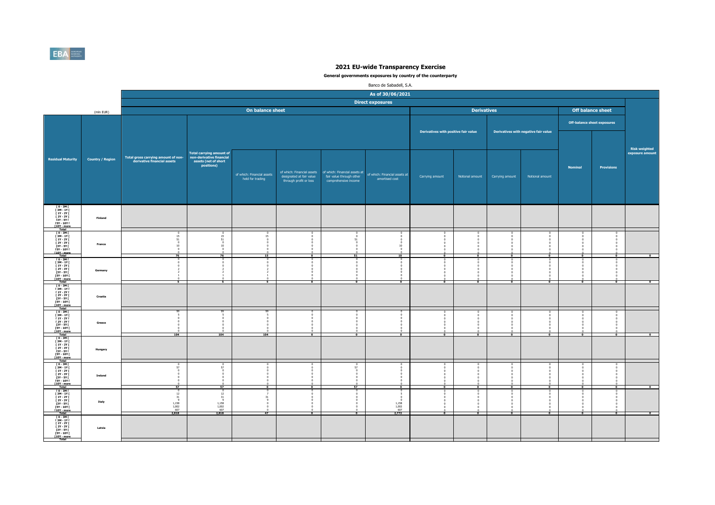

|                                                                                                                                           |                         |                                                                    |                                                                                                   |                                                |                                                    |                                                                                                              | Banco de Sabadell, S.A.                               |                                      |                    |                          |                                      |                |                                    |                                  |
|-------------------------------------------------------------------------------------------------------------------------------------------|-------------------------|--------------------------------------------------------------------|---------------------------------------------------------------------------------------------------|------------------------------------------------|----------------------------------------------------|--------------------------------------------------------------------------------------------------------------|-------------------------------------------------------|--------------------------------------|--------------------|--------------------------|--------------------------------------|----------------|------------------------------------|----------------------------------|
|                                                                                                                                           |                         |                                                                    |                                                                                                   |                                                |                                                    |                                                                                                              | As of 30/06/2021                                      |                                      |                    |                          |                                      |                |                                    |                                  |
|                                                                                                                                           |                         |                                                                    |                                                                                                   |                                                |                                                    |                                                                                                              | <b>Direct exposures</b>                               |                                      |                    |                          |                                      |                |                                    |                                  |
|                                                                                                                                           | (mln EUR)               |                                                                    |                                                                                                   | On balance sheet                               |                                                    |                                                                                                              |                                                       |                                      | <b>Derivatives</b> |                          |                                      |                | <b>Off balance sheet</b>           |                                  |
|                                                                                                                                           |                         |                                                                    |                                                                                                   |                                                |                                                    |                                                                                                              |                                                       |                                      |                    |                          |                                      |                | <b>Off-balance sheet exposures</b> |                                  |
|                                                                                                                                           |                         |                                                                    |                                                                                                   |                                                |                                                    |                                                                                                              |                                                       | Derivatives with positive fair value |                    |                          | Derivatives with negative fair value |                |                                    |                                  |
| <b>Residual Maturity</b>                                                                                                                  | <b>Country / Region</b> | Total gross carrying amount of non-<br>derivative financial assets | <b>Total carrying amount of</b><br>non-derivative financial<br>assets (net of short<br>positions) | of which: Financial assets<br>held for trading | designated at fair value<br>through profit or loss | of which: Financial assets of which: Financial assets at<br>fair value through other<br>comprehensive income | of which: Financial assets at<br>amortised cost       | Carrying amount                      | Notional amount    | Carrying amount          | Notional amount                      | <b>Nominal</b> | <b>Provisions</b>                  | Risk weighted<br>exposure amount |
| 10 - 3M F<br>13M - 1Y F<br>11Y - 2Y F<br>$12Y - 3YI$<br>13Y - 5Y I<br>15Y - 10Y I<br>[10Y - more<br>Total                                 | <b>Finland</b>          |                                                                    |                                                                                                   |                                                |                                                    |                                                                                                              |                                                       |                                      |                    |                          |                                      |                |                                    |                                  |
| $10 - 3M$<br>$\begin{array}{c} 13M - 1YI \\ 1Y - 2YI \end{array}$<br>$12Y - 3YI$<br>[3Y - 5Y]<br><b>FSY - 10Y F</b><br><b>F10Y</b> - more | France                  | $15\,$<br>51<br>$10\,$                                             | 15<br>51<br>10                                                                                    | $^{0}_{15}$<br>15                              |                                                    | $\Omega$<br>51                                                                                               | $10\,$<br>$\overline{10}$                             |                                      |                    |                          |                                      |                |                                    |                                  |
| T 0 - 3M F<br>[ 3M - 1Y [<br>[ 1Y - 2Y ]<br>[ 2Y - 3Y ]<br>[3Y - 5Y  <br>[5Y - 10Y  <br><b>T10Y</b> - more<br>Total                       | Germany                 |                                                                    |                                                                                                   | $\theta$                                       | $\bullet$                                          |                                                                                                              | $\Omega$<br>$\Omega$<br>$\mathbf{0}$                  |                                      |                    |                          |                                      |                |                                    |                                  |
| 10-3MT<br>13M-1YT<br>11Y-2YT<br>[ 2Y - 3Y [<br>$13Y - 5YI$<br>$15Y - 10YI$<br><b>F10Y</b> - more                                          | Croatia                 |                                                                    |                                                                                                   |                                                |                                                    |                                                                                                              |                                                       |                                      |                    |                          |                                      |                |                                    |                                  |
| [0-3M]<br>[ 3M - 1Y  <br>[ 1Y - 2Y  <br><b>F2Y - 3Y F</b><br>[3Y - 5Y]<br><b>FSY - 10Y F</b><br>[10Y - more<br>Total                      | Greece                  | 104                                                                | 104                                                                                               | $\sqrt{2}$<br>104                              | $\bullet$                                          | $\overline{0}$                                                                                               | $\overline{\bullet}$                                  | $\overline{0}$                       | $\mathbf{a}$       | $\overline{ }$           | $\overline{0}$                       | $\Omega$       | $\overline{a}$                     | $\sqrt{2}$                       |
| $\begin{array}{c} 10 - 3M \\ 13M - 1Y \\ 1Y - 2Y \end{array}$<br>$12Y - 3YI$<br>[3Y - 5Y  <br>[5Y - 10Y  <br>[10Y - more]<br>Total        | Hungary                 |                                                                    |                                                                                                   |                                                |                                                    |                                                                                                              |                                                       |                                      |                    |                          |                                      |                |                                    |                                  |
| $10 - 3M1$<br>$\begin{array}{c} 13M - 1YI \\ 1Y - 2YI \end{array}$<br>[ 2Y - 3Y [<br>[3Y - 5Y]<br>[5Y - 10Y]<br>[10Y - more<br>Total      | Ireland                 | 57<br>57                                                           | 57<br>57                                                                                          | $\overline{ }$                                 | $\Omega$<br>$\overline{\phantom{a}}$               | 57<br>$\sqrt{2}$<br>$\Omega$<br>57                                                                           | ō                                                     |                                      |                    |                          | $\overline{ }$                       | $\overline{ }$ | P                                  | $\overline{0}$                   |
| [0-3M]<br>[3M-1Y]<br>$11Y - 2YI$<br><b>F2Y - 3Y F</b><br>[3Y - 5Y  <br>[5Y - 10Y  <br>[10Y - more<br>Total                                | Italy                   | 12<br>31<br>1,158<br>1,002<br>607<br>2,818                         | 12<br>31<br>$\sim$<br>1,158<br>1,002<br>607<br>2,818                                              | 31<br>$\Omega$<br>47                           | $\bullet$                                          | $\overline{\phantom{0}}$                                                                                     | 5<br>$\sqrt{2}$<br>$1,158$<br>$1,002$<br>607<br>2,772 | $\bullet$                            | $\overline{a}$     | $\overline{\phantom{a}}$ | $\bullet$                            | $\bullet$      | $\overline{\phantom{a}}$           | $\overline{\phantom{a}}$         |
| ГО-ЗМГ<br>ГЗМ-1ҮГ<br>$[1Y - 2Y]$<br><b>F2Y - 3Y F</b><br>[3Y - 5Y [<br><b>FSY - 10Y F</b><br>[10Y - more<br>Total                         | Latvia                  |                                                                    |                                                                                                   |                                                |                                                    |                                                                                                              |                                                       |                                      |                    |                          |                                      |                |                                    |                                  |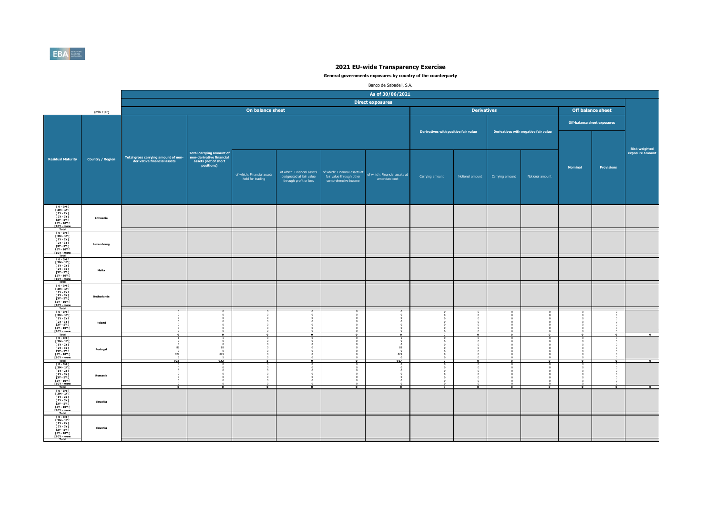

|                                                                                                                                                                                             |                         |                                                                    |                                                                                                   |                                                      |                                                    |                                                                                                              | Banco de Sabadell, S.A.                              |                                      |                    |                 |                                      |                |                                    |                                         |
|---------------------------------------------------------------------------------------------------------------------------------------------------------------------------------------------|-------------------------|--------------------------------------------------------------------|---------------------------------------------------------------------------------------------------|------------------------------------------------------|----------------------------------------------------|--------------------------------------------------------------------------------------------------------------|------------------------------------------------------|--------------------------------------|--------------------|-----------------|--------------------------------------|----------------|------------------------------------|-----------------------------------------|
|                                                                                                                                                                                             |                         |                                                                    |                                                                                                   |                                                      |                                                    |                                                                                                              | As of 30/06/2021                                     |                                      |                    |                 |                                      |                |                                    |                                         |
|                                                                                                                                                                                             |                         |                                                                    |                                                                                                   |                                                      |                                                    |                                                                                                              | <b>Direct exposures</b>                              |                                      |                    |                 |                                      |                |                                    |                                         |
|                                                                                                                                                                                             | (mln EUR)               |                                                                    |                                                                                                   | On balance sheet                                     |                                                    |                                                                                                              |                                                      |                                      | <b>Derivatives</b> |                 |                                      |                | <b>Off balance sheet</b>           |                                         |
|                                                                                                                                                                                             |                         |                                                                    |                                                                                                   |                                                      |                                                    |                                                                                                              |                                                      |                                      |                    |                 |                                      |                | <b>Off-balance sheet exposures</b> |                                         |
|                                                                                                                                                                                             |                         |                                                                    |                                                                                                   |                                                      |                                                    |                                                                                                              |                                                      | Derivatives with positive fair value |                    |                 | Derivatives with negative fair value |                |                                    |                                         |
| <b>Residual Maturity</b>                                                                                                                                                                    | <b>Country / Region</b> | Total gross carrying amount of non-<br>derivative financial assets | <b>Total carrying amount of</b><br>non-derivative financial<br>assets (net of short<br>positions) | of which: Financial assets<br>held for trading       | designated at fair value<br>through profit or loss | of which: Financial assets of which: Financial assets at<br>fair value through other<br>comprehensive income | of which: Financial assets at<br>amortised cost      | Carrying amount                      | Notional amount    | Carrying amount | Notional amount                      | <b>Nominal</b> | <b>Provisions</b>                  | <b>Risk weighted</b><br>exposure amount |
| [0-3M]<br>[3M-1Y]<br>[1Y-2Y]<br>$12Y - 3YI$<br>13Y - 5Y I<br>15Y - 10Y I<br>[10Y - more<br>Total                                                                                            | Lithuania               |                                                                    |                                                                                                   |                                                      |                                                    |                                                                                                              |                                                      |                                      |                    |                 |                                      |                |                                    |                                         |
| $10 - 3M$<br>T<br>T<br>T<br>T<br>T<br>2Y - 3Y T<br>T<br>2Y - 3Y T<br>[3Y - 5Y [<br><b>FSY - 10Y F</b><br><b>f10Y</b> - more<br>Total                                                        | Luxembourg              |                                                                    |                                                                                                   |                                                      |                                                    |                                                                                                              |                                                      |                                      |                    |                 |                                      |                |                                    |                                         |
| T 0 - 3M I<br>[ 3M - 1Y [<br>[ 1Y - 2Y  <br>[ 2Y - 3Y  <br>[3Y - 5Y  <br>[5Y - 10Y  <br>[10Y - more<br>Total                                                                                | Malta                   |                                                                    |                                                                                                   |                                                      |                                                    |                                                                                                              |                                                      |                                      |                    |                 |                                      |                |                                    |                                         |
| $10 - 3M1$<br>$\begin{array}{c} 13M - 1YI \\ 11Y - 2YI \end{array}$<br>[ 2Y - 3Y [<br>121 - 31<br>13Y - 5Y I<br>15Y - 10Y I<br>110Y - more<br>Total                                         | <b>Netherlands</b>      |                                                                    |                                                                                                   |                                                      |                                                    |                                                                                                              |                                                      |                                      |                    |                 |                                      |                |                                    |                                         |
| [ 0 - 3M [<br>[ 3M - 1Y  <br>  1Y - 2Y  <br><b>F2Y - 3Y F</b><br>[3Y - 5Y [<br><b>FSY - 10Y F</b><br>[10Y - more<br>Total                                                                   | Poland                  | $\bullet$                                                          | $\overline{ }$                                                                                    | $\sqrt{2}$<br>$\overline{0}$                         | $\overline{\phantom{a}}$                           | $\overline{\phantom{a}}$                                                                                     | $\bullet$                                            | $\overline{a}$                       | $\overline{a}$     | $\overline{a}$  | $\overline{0}$                       | $\overline{a}$ | $\bullet$                          | $\bullet$                               |
| $\begin{array}{c} 10 - 3M \\ 13M - 1Y \\ 1Y - 2Y \end{array}$<br>$12Y - 3YI$<br>[3Y - 5Y  <br>[5Y - 10Y  <br><b>10Y</b> - more<br>Total                                                     | Portugal                | 88<br>$\Omega$<br>829<br>$rac{5}{922}$                             | 88<br>829<br>922                                                                                  |                                                      |                                                    |                                                                                                              | $\theta$<br>88<br>$\Omega$<br>829<br>$\frac{0}{917}$ |                                      |                    |                 | $\sim$                               |                | $\sqrt{2}$                         | $\mathbf{a}$                            |
| $10 - 3M1$<br>$\begin{array}{c} 13M - 1YI \\ 1Y - 2YI \end{array}$<br>[ 2Y - 3Y [<br>$\begin{array}{c}\n11. & 311 \\ 13Y - 5Y1 \\ 15Y - 10Y1 \\ \hline\n110Y - more \\ \hline\n\end{array}$ | Romania                 | $\overline{a}$                                                     |                                                                                                   | $\Omega$<br>$\Omega$<br>$^{\circ}$<br>$\overline{a}$ | $\Omega$<br>$\Omega$<br>$\overline{ }$             | $\overline{ }$                                                                                               | $\Omega$<br>$\overline{0}$                           | ī                                    |                    |                 | $\overline{ }$                       | ī              | F                                  | $\overline{ }$                          |
| [0-3M]<br>[3M-1Y]<br>$11Y - 2YI$<br><b>F2Y - 3Y F</b><br>[3Y - 5Y  <br>[5Y - 10Y  <br>[10Y - more]<br>Total                                                                                 | Slovakia                |                                                                    |                                                                                                   |                                                      |                                                    |                                                                                                              |                                                      |                                      |                    |                 |                                      |                |                                    |                                         |
| ГО-ЗМГ<br>ГЗМ-1ҮГ<br>$[1Y - 2Y]$<br><b>F2Y - 3Y F</b><br>[3Y - 5Y  <br>[5Y - 10Y  <br>[10Y - more<br>Total                                                                                  | Slovenia                |                                                                    |                                                                                                   |                                                      |                                                    |                                                                                                              |                                                      |                                      |                    |                 |                                      |                |                                    |                                         |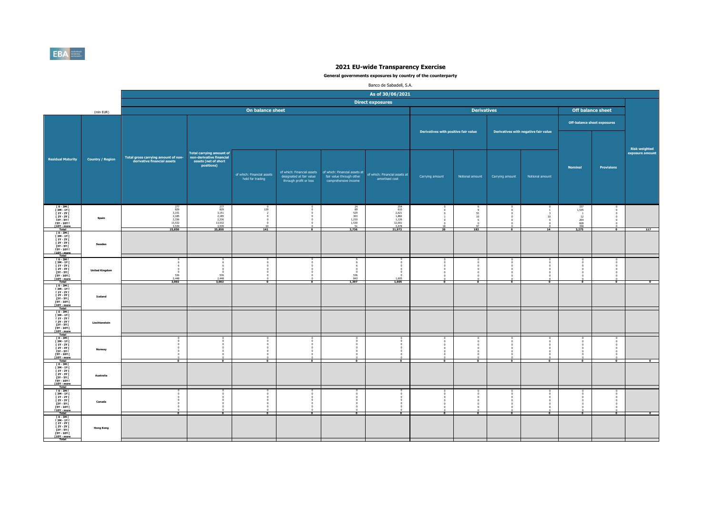

|                                                                                                                                      |                         |                                                                    |                                                                                                   |                                                       |                                                    |                                                                                                              | Banco de Sabadell, S.A.                                                                           |                                      |                                     |                 |                                      |                                                                |                       |                                         |
|--------------------------------------------------------------------------------------------------------------------------------------|-------------------------|--------------------------------------------------------------------|---------------------------------------------------------------------------------------------------|-------------------------------------------------------|----------------------------------------------------|--------------------------------------------------------------------------------------------------------------|---------------------------------------------------------------------------------------------------|--------------------------------------|-------------------------------------|-----------------|--------------------------------------|----------------------------------------------------------------|-----------------------|-----------------------------------------|
|                                                                                                                                      |                         |                                                                    |                                                                                                   |                                                       |                                                    |                                                                                                              | As of 30/06/2021                                                                                  |                                      |                                     |                 |                                      |                                                                |                       |                                         |
|                                                                                                                                      |                         |                                                                    |                                                                                                   |                                                       |                                                    |                                                                                                              | <b>Direct exposures</b>                                                                           |                                      |                                     |                 |                                      |                                                                |                       |                                         |
|                                                                                                                                      | (mln EUR)               |                                                                    |                                                                                                   | On balance sheet                                      |                                                    |                                                                                                              |                                                                                                   |                                      | <b>Derivatives</b>                  |                 |                                      | <b>Off balance sheet</b>                                       |                       |                                         |
|                                                                                                                                      |                         |                                                                    |                                                                                                   |                                                       |                                                    |                                                                                                              |                                                                                                   |                                      |                                     |                 |                                      | <b>Off-balance sheet exposures</b>                             |                       |                                         |
|                                                                                                                                      |                         |                                                                    |                                                                                                   |                                                       |                                                    |                                                                                                              |                                                                                                   | Derivatives with positive fair value |                                     |                 | Derivatives with negative fair value |                                                                |                       |                                         |
| <b>Residual Maturity</b>                                                                                                             | <b>Country / Region</b> | Total gross carrying amount of non-<br>derivative financial assets | <b>Total carrying amount of</b><br>non-derivative financial<br>assets (net of short<br>positions) | of which: Financial assets<br>held for trading        | designated at fair value<br>through profit or loss | of which: Financial assets of which: Financial assets at<br>fair value through other<br>comprehensive income | of which: Financial assets at<br>amortised cost                                                   | Carrying amount                      | Notional amount                     | Carrying amount | Notional amount                      | <b>Nominal</b>                                                 | <b>Provisions</b>     | <b>Risk weighted</b><br>exposure amount |
| [0-3M]<br>[3M-1Y]<br>[1Y-2Y]<br>$12Y - 3YI$<br>[3Y - 5Y  <br><b>FSY - 10Y F</b><br>[10Y - more<br>Total                              | Spain                   | 277<br>829<br>3,151<br>2,185<br>2,336<br>13,532<br>3,539<br>25,850 | $\begin{array}{r} 277 \\ 829 \\ 3,151 \end{array}$<br>2,185<br>2,336<br>13,532<br>3,539<br>25,850 | 129<br>$^{\circ}$<br>$\Omega$<br>$\circ$<br>10<br>141 | $\overline{\phantom{a}}$                           | $\begin{array}{r} 24 \\ 89 \\ 529 \end{array}$<br>303<br>$\frac{1,210}{1,530}$<br>$\overline{51}$<br>3,736   | $\begin{array}{r} 254 \\ 610 \\ 2,621 \end{array}$<br>1,882<br>1,126<br>12,001<br>3,478<br>21,972 | 20                                   | - 6<br>$\frac{55}{10}$<br>97<br>182 |                 | 10<br>14                             | $\frac{337}{1.535}$<br>12<br>204<br>828<br>$\frac{358}{3,275}$ | $\overline{0}$        | 117                                     |
| $10 - 3M$<br>1<br>117 - 27<br>127 - 37<br>[3Y - 5Y]<br><b>FSY - 10Y F</b><br><b>f10Y</b> - more<br>Total                             | Sweden                  |                                                                    |                                                                                                   |                                                       |                                                    |                                                                                                              |                                                                                                   |                                      |                                     |                 |                                      |                                                                |                       |                                         |
| T 0 - 3M F<br>[ 3M - 1Y [<br>[ 1Y - 2Y  <br>[ 2Y - 3Y  <br>[3Y - 5Y ]<br>[5Y - 10Y ]<br><b>T10Y</b> - more<br>Total                  | <b>United Kingdom</b>   | $\Omega$<br>536<br>2,448<br>3,002                                  | 536<br>2,448<br>3,002                                                                             |                                                       |                                                    | $\Omega$<br>536<br>843<br>1.397                                                                              | $\Omega$<br>1,605<br>1.605                                                                        |                                      |                                     |                 | $\Omega$<br>$\Omega$                 |                                                                |                       |                                         |
| $10 - 3M1$<br>$\begin{array}{c} 13M - 1YI \\ 1Y - 2YI \end{array}$<br>[ 2Y - 3Y [<br>$13Y - 5Y$<br><b>F10Y</b> - more                | Iceland                 |                                                                    |                                                                                                   |                                                       |                                                    |                                                                                                              |                                                                                                   |                                      |                                     |                 |                                      |                                                                |                       |                                         |
| [ 0 - 3M [<br>[ 3M - 1Y  <br>[ 1Y - 2Y  <br><b>F2Y - 3Y F</b><br>[3Y - 5Y [<br><b>FSY - 10Y F</b><br>[10Y - more]<br>Total           | Liechtenstein           |                                                                    |                                                                                                   |                                                       |                                                    |                                                                                                              |                                                                                                   |                                      |                                     |                 |                                      |                                                                |                       |                                         |
| $\begin{array}{c} 10 - 3M \\ 13M - 1Y \\ 1Y - 2Y \end{array}$<br>$12Y - 3YI$<br>[3Y - 5Y  <br>[5Y - 10Y  <br>[10Y - more<br>Total    | Norway                  |                                                                    |                                                                                                   |                                                       |                                                    |                                                                                                              | $\overline{ }$                                                                                    | $\sim$                               |                                     |                 | $\overline{ }$                       |                                                                | $\overline{ }$        |                                         |
| $10 - 3M1$<br>$\begin{array}{c} 13M - 1YI \\ 1Y - 2YI \end{array}$<br>[ 2Y - 3Y [<br>[3Y - 5Y]<br>[5Y - 10Y]<br>[10Y - more<br>Total | Australia               |                                                                    |                                                                                                   |                                                       |                                                    |                                                                                                              |                                                                                                   |                                      |                                     |                 |                                      |                                                                |                       |                                         |
| [0-3M]<br>[3M-1Y]<br>$11Y - 2YI$<br>[ 2Y - 3Y  <br>[3Y - 5Y ]<br>[5Y - 10Y ]<br>[10Y - more<br>Total                                 | Canada                  | $\bullet$                                                          | $\overline{\phantom{a}}$                                                                          | $\overline{0}$                                        | $\bullet$                                          | $\bullet$                                                                                                    | $\bullet$                                                                                         | $\bullet$                            | $\mathfrak{g}$<br>$\bullet$         | $\overline{a}$  | $\bullet$                            | $\bullet$                                                      | $\Omega$<br>$\bullet$ | $\overline{\phantom{a}}$                |
| ГО-ЗМГ<br>ГЗМ-1ҮГ<br>$[1Y - 2Y]$<br>[ 2Y - 3Y  <br>[3Y - 5Y [<br><b>FSY - 10Y F</b><br>[10Y - more<br>Total                          | <b>Hong Kong</b>        |                                                                    |                                                                                                   |                                                       |                                                    |                                                                                                              |                                                                                                   |                                      |                                     |                 |                                      |                                                                |                       |                                         |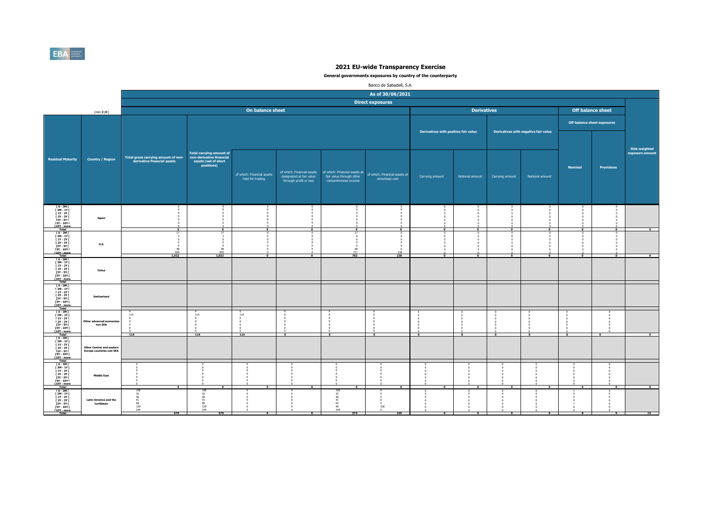

|                                                                                                                                                                                              |                                                                     |                                                                    |                                                                                                   |                                                |                                                                                  |                                                                                   | Banco de Sabadell, S.A.                         |                                      |                          |                 |                                      |                |                                    |                                         |
|----------------------------------------------------------------------------------------------------------------------------------------------------------------------------------------------|---------------------------------------------------------------------|--------------------------------------------------------------------|---------------------------------------------------------------------------------------------------|------------------------------------------------|----------------------------------------------------------------------------------|-----------------------------------------------------------------------------------|-------------------------------------------------|--------------------------------------|--------------------------|-----------------|--------------------------------------|----------------|------------------------------------|-----------------------------------------|
|                                                                                                                                                                                              |                                                                     |                                                                    |                                                                                                   |                                                |                                                                                  |                                                                                   | As of 30/06/2021                                |                                      |                          |                 |                                      |                |                                    |                                         |
|                                                                                                                                                                                              |                                                                     |                                                                    |                                                                                                   |                                                |                                                                                  |                                                                                   | <b>Direct exposures</b>                         |                                      |                          |                 |                                      |                |                                    |                                         |
|                                                                                                                                                                                              | (mln EUR)                                                           |                                                                    |                                                                                                   | On balance sheet                               |                                                                                  |                                                                                   |                                                 |                                      | <b>Derivatives</b>       |                 |                                      |                | <b>Off balance sheet</b>           |                                         |
|                                                                                                                                                                                              |                                                                     |                                                                    |                                                                                                   |                                                |                                                                                  |                                                                                   |                                                 |                                      |                          |                 |                                      |                | <b>Off-balance sheet exposures</b> |                                         |
|                                                                                                                                                                                              |                                                                     |                                                                    |                                                                                                   |                                                |                                                                                  |                                                                                   |                                                 | Derivatives with positive fair value |                          |                 | Derivatives with negative fair value |                |                                    |                                         |
| <b>Residual Maturity</b>                                                                                                                                                                     | <b>Country / Region</b>                                             | Total gross carrying amount of non-<br>derivative financial assets | <b>Total carrying amount of</b><br>non-derivative financial<br>assets (net of short<br>positions) | of which: Financial assets<br>held for trading | of which: Financial assets<br>designated at fair value<br>through profit or loss | of which: Financial assets at<br>fair value through other<br>comprehensive income | of which: Financial assets at<br>amortised cost | Carrying amount                      | Notional amount          | Carrying amount | Notional amount                      | <b>Nominal</b> | <b>Provisions</b>                  | <b>Risk weighted</b><br>exposure amount |
| $\begin{array}{c} 10 - 3M \, \mathrm{I} \\ 13M - 1Y \, \mathrm{I} \end{array}$<br>[ 1Y - 2Y [<br><b>F2Y - 3Y F</b><br><b>13Y - 5Y F</b><br><b>F5Y - 10Y F</b><br>[10Y - more<br><b>Total</b> | Japan                                                               | $\Omega$                                                           | $\mathbf{a}$                                                                                      | $\Omega$                                       | $\mathbf{r}$                                                                     | $\mathbf{a}$                                                                      | $\Omega$                                        | $\mathbf{r}$                         |                          |                 | $\Omega$                             | $\Omega$       | $\sqrt{2}$                         | $\overline{\phantom{a}}$                |
| $I$ 0 - 3M $I$<br><b>F3M-1YF</b><br><b>F 1Y - 2Y F</b><br><b>F2Y - 3Y F</b><br>[3Y - 5Y [<br><b>FSY - 10Y F</b><br>[10Y - more<br>Total                                                      | <b>U.S.</b>                                                         | $\Omega$<br>$\Omega$<br>48<br>955<br>1,022                         | 48<br>955<br>1,022                                                                                | $\sqrt{2}$<br>$\Omega$                         | $\mathbf{a}$                                                                     | 48<br>717<br>782                                                                  | $\Omega$<br>-0<br>$\Omega$<br>238<br>238        | $\Omega$                             | $\mathbf{a}$             | $\Omega$        | $^{\circ}$                           | $\Omega$       | $\Omega$                           | $\Omega$                                |
| [0-3M]<br>[3M-1Y]<br><b>F 1Y - 2Y F</b><br>[2Y - 3Y [<br>$13Y - SYI$<br>[5Y - 10Y [<br>[10Y - more                                                                                           | China                                                               |                                                                    |                                                                                                   |                                                |                                                                                  |                                                                                   |                                                 |                                      |                          |                 |                                      |                |                                    |                                         |
| Total<br>$10 - 3M$<br>$13M - 1YI$<br><b>F 1Y - 2Y F</b><br>[ 2Y - 3Y [<br><b>13Y - 5Y F</b><br><b>FSY - 10Y F</b><br>[10Y - more                                                             | Switzerland                                                         |                                                                    |                                                                                                   |                                                |                                                                                  |                                                                                   |                                                 |                                      |                          |                 |                                      |                |                                    |                                         |
| <b>Total</b><br>[0-3M]<br><b>F3M-1YF</b><br><b>F 1Y - 2Y F</b><br><b>F2Y - 3Y F</b><br>[3Y - 5Y [<br><b>F5Y - 10Y F</b><br>[10Y - more                                                       | Other advanced ecor<br>non EEA                                      | 114<br>114                                                         | 114<br>114                                                                                        | 114<br>$\sqrt{2}$<br>114                       | $\sim$                                                                           | -c<br>-c<br>$\sqrt{2}$<br>$\bullet$                                               | $\sim$                                          | $\overline{a}$                       | $\mathbf{a}$             | $\mathbf{a}$    | -C<br>$\overline{\phantom{a}}$       | $\overline{a}$ | $\sim$                             | $\overline{\bullet}$                    |
| Total<br>$10 - 3M1$<br>[3M-1Y]<br>$[1Y - 2Y]$<br><b>F2Y - 3Y F</b><br>13Y - 5Y I<br>15Y - 10Y I<br>[10Y - more<br>Total                                                                      | <b>Other Central and eastern</b><br><b>Europe countries non EEA</b> |                                                                    |                                                                                                   |                                                |                                                                                  |                                                                                   |                                                 |                                      |                          |                 |                                      |                |                                    |                                         |
| 10 - 3M F<br>13M - 1Y F<br>11Y - 2Y F<br>$[2Y - 3Y]$<br><b>13Y - 5Y F</b><br><b>FSY - 10Y F</b><br>T10Y - more                                                                               | <b>Middle East</b>                                                  | $\overline{0}$                                                     | $\overline{ }$                                                                                    | $\overline{\phantom{0}}$                       | $\overline{ }$                                                                   | $\overline{0}$                                                                    | $\overline{\phantom{a}}$                        | $\overline{0}$                       | $\overline{\phantom{a}}$ | $\overline{ }$  | $\overline{\mathbf{0}}$              | $\overline{ }$ | $\overline{ }$                     | $\overline{0}$                          |
| $I$ 0 - 3M $I$<br>[ 3M - 1Y [<br><b>F 1Y - 2Y F</b><br><b>F2Y - 3Y F</b><br><b>13Y - 5Y F</b><br>[5Y - 10Y [<br>[10Y - more<br><b>Total</b>                                                  | <b>Latin America and the</b><br>Caribbean                           | 32<br>46<br>$^{41}_{68}$<br>139<br>244<br>679                      | 10<br>$32$<br>46<br>41<br>68<br>139<br>244<br>679                                                 | $\bullet$                                      | $\bullet$                                                                        | 32<br>46<br>41<br>63<br>40<br>244<br>574                                          | 100<br>105                                      | $\bullet$                            | $\bullet$                | $\bullet$       | $\bullet$                            | 8              | $\bullet$                          | 15                                      |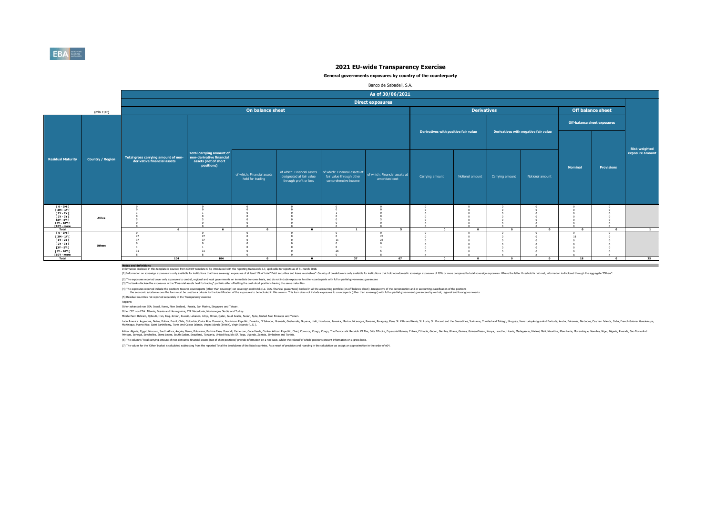

### **General governments exposures by country of the counterparty**

|                                                                                                                |                         |                                     |                                                             |                                                |                                                                                  |                                                  | Banco de Sabadell, S.A.                                                       |                                      |                    |                          |                                      |                                    |                   |                                         |
|----------------------------------------------------------------------------------------------------------------|-------------------------|-------------------------------------|-------------------------------------------------------------|------------------------------------------------|----------------------------------------------------------------------------------|--------------------------------------------------|-------------------------------------------------------------------------------|--------------------------------------|--------------------|--------------------------|--------------------------------------|------------------------------------|-------------------|-----------------------------------------|
|                                                                                                                |                         |                                     |                                                             |                                                |                                                                                  |                                                  | As of 30/06/2021                                                              |                                      |                    |                          |                                      |                                    |                   |                                         |
|                                                                                                                |                         |                                     |                                                             |                                                |                                                                                  |                                                  | <b>Direct exposures</b>                                                       |                                      |                    |                          |                                      |                                    |                   |                                         |
|                                                                                                                | (mln EUR)               |                                     |                                                             | On balance sheet                               |                                                                                  |                                                  |                                                                               |                                      | <b>Derivatives</b> |                          |                                      |                                    | Off balance sheet |                                         |
|                                                                                                                |                         |                                     |                                                             |                                                |                                                                                  |                                                  |                                                                               |                                      |                    |                          |                                      | <b>Off-balance sheet exposures</b> |                   |                                         |
|                                                                                                                |                         |                                     |                                                             |                                                |                                                                                  |                                                  |                                                                               | Derivatives with positive fair value |                    |                          | Derivatives with negative fair value |                                    |                   |                                         |
|                                                                                                                |                         | Total gross carrying amount of non- | <b>Total carrying amount of</b><br>non-derivative financial |                                                |                                                                                  |                                                  |                                                                               |                                      |                    |                          |                                      |                                    |                   | <b>Risk weighted</b><br>exposure amount |
| <b>Residual Maturity</b>                                                                                       | <b>Country / Region</b> | derivative financial assets         | assets (net of short<br>positions)                          | of which: Financial assets<br>held for trading | of which: Financial assets<br>designated at fair value<br>through profit or loss | fair value through other<br>comprehensive income | of which: Financial assets at of which: Financial assets at<br>amortised cost | Carrying amount                      | Notional amount    | Carrying amount          | Notional amount                      | <b>Nominal</b>                     | <b>Provisions</b> |                                         |
|                                                                                                                |                         |                                     |                                                             |                                                |                                                                                  |                                                  |                                                                               |                                      |                    |                          |                                      |                                    |                   |                                         |
| TO-3MT<br>T3M-1YT<br>$[1Y - 2Y]$<br>I 2Y - 3Y I<br>[3Y - 5Y  <br><b>FSY - 10Y F</b><br>$[10Y - more]$<br>Total | Africa                  | $\overline{\phantom{a}}$            | $\overline{6}$                                              | $\overline{\phantom{a}}$                       | $\overline{a}$                                                                   | $\overline{1}$                                   | $\overline{\phantom{a}}$                                                      | $\overline{\phantom{a}}$             | $^{\circ}$         | $\overline{\phantom{a}}$ | $\overline{\phantom{a}}$             | $\overline{\phantom{a}}$           | $\overline{0}$    | $\overline{1}$                          |
| $10 - 3M$<br>[ 3M - 1Y [<br>$[1Y - 2Y]$<br>[ 2Y - 3Y [<br>[3Y - 5Y [<br>[5Y - 10Y [                            | Others                  | 27                                  | 27                                                          |                                                |                                                                                  |                                                  |                                                                               |                                      |                    |                          |                                      |                                    |                   |                                         |
| $[10Y - more]$<br>Total                                                                                        |                         | 104                                 | 104                                                         | $\Omega$                                       | $\sim$                                                                           | 37                                               | 67                                                                            | $\Omega$                             | $\sim$             | $\sqrt{2}$               | $\Omega$                             | 18                                 | $\sqrt{2}$        | 25                                      |

**Notes and definitions** Information disclosed in this template is sourced from COREP template C 33, introduced with the reporting framework 2.7, applicable for reports as of 31 march 2018.

(1) Information on sovereign exposures is only available for institutions that the sovereign exposures of at least 1% of total "Debt securities and loans excelvables". Country of treakdown is only available for institution

(2) The exposures reported cover only exposures to central, regional and local governments on immediate bornwer basis, and do not indude exposures to other counterparts with full or partial government guarantees<br>(3) The ba

(4) The exposures reported notoe throw both of the second mark of the than sovereign) on sovereign or sovereign credit ratio. CDS, financial parantes booked in ill he accounting portfolior or the language of the deconomers

(5) Residual countries not reported separately in the Transparency exercise

Regions:

Other advanced non EEA: Israel, Korea, New Zealand, Russia, San Marino, Singapore and Taiwan.

Other CEE non EEA: Albania, Bosnia and Herzegovina, FYR Macedonia, Montenegro, Serbia and Turkey.

Middle East: Bahrain, Djibouti, Iran, Iraq, Jordan, Kuwait, Lebanon, Libya, Oman, Qatar, Saudi Arabia, Sudan, Syria, United Arab Emirates and Yemen.

latih Ashan, Belan, Bang, China, China, China, Bang, Danika, Danika, Danik, Canady, Genas, Gazlemas, Gazan, Haki Honduras, Jamaia, Mexico, Rengay, Penga, Penga, Penga, Mexica, Suka, S. Witch Mexica, Suka, Suka, Suka, Suka,

Afra. Egyt, Moroco, Suth Afra. Argol, Behn, Boxwan, Burind, Enno, Camp, Camp, Camp, Camp, Camp, Camp, Camp, Camp, Camp, Camp, Camp, The District Proposit Republic Of The Camp, Englisher, annough and a strate and aniss.<br>Pin

(6) The columns 'Total carrying amount of non-derivative financial assets (net of short positions)' provide information on a net basis, whilst the related 'of which' positions present information on a gross basis.

(7) The values for the 'Other' bucket is calculated subtracting from the reported Total the breakdown of the listed countries. As a result of precision and rounding in the calculation we accept an approximation in the orde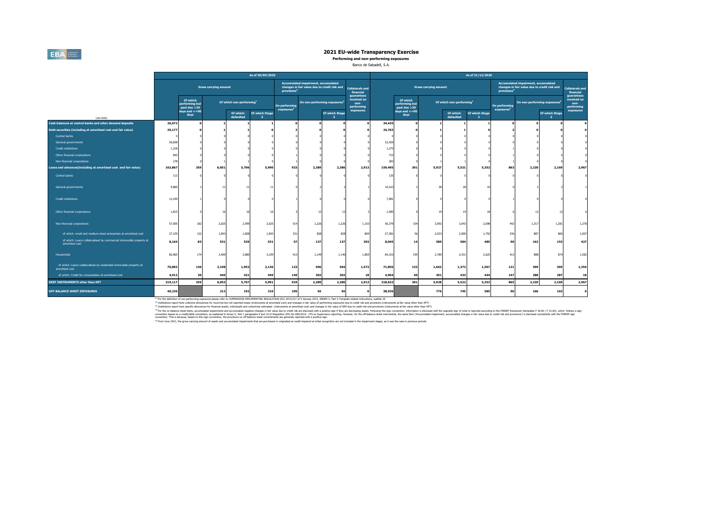## **EBA**

## **2021 EU-wide Transparency Exercise**

**Performing and non-performing exposures**

### Banco de Sabadell, S.A.

|                                                                                       |         |                                            |                              |                                      | As of 30/09/2020               |                                         |                                                                                     |                                                  |                                                 |         |                                            |                              |                                      | As of 31/12/2020                          |                                         |                                                                                     |                      |                                                 |
|---------------------------------------------------------------------------------------|---------|--------------------------------------------|------------------------------|--------------------------------------|--------------------------------|-----------------------------------------|-------------------------------------------------------------------------------------|--------------------------------------------------|-------------------------------------------------|---------|--------------------------------------------|------------------------------|--------------------------------------|-------------------------------------------|-----------------------------------------|-------------------------------------------------------------------------------------|----------------------|-------------------------------------------------|
|                                                                                       |         |                                            | <b>Gross carrying amount</b> |                                      |                                | provisions <sup>4</sup>                 | Accumulated impairment, accumulated<br>changes in fair value due to credit risk and |                                                  | <b>Collaterals and</b><br>financial             |         |                                            | <b>Gross carrying amount</b> |                                      |                                           | provisions <sup>4</sup>                 | Accumulated impairment, accumulated<br>changes in fair value due to credit risk and |                      | <b>Collaterals and</b><br>financial             |
|                                                                                       |         | Of which<br>performing but<br>past due >30 |                              | Of which non-performing <sup>1</sup> |                                | On performing<br>exposures <sup>2</sup> | On non-performing exposures <sup>2</sup>                                            |                                                  | guarantees<br>received on<br>non-<br>performing |         | Of which<br>performing but<br>past due >30 |                              | Of which non-performing <sup>1</sup> |                                           | On performing<br>exposures <sup>2</sup> | On non-performing exposures <sup>3</sup>                                            |                      | guarantees<br>received on<br>non-<br>performing |
| (mln EUR)                                                                             |         | days and $\lt$ =90<br>days                 |                              | Of which:<br>defaulted               | Of which Stage<br>$\mathbf{3}$ |                                         |                                                                                     | <b>Of which Stage</b><br>$\overline{\mathbf{3}}$ | exposures                                       |         | days and $\lt$ =90<br>days                 |                              | Of which:<br>defaulted               | Of which Stage<br>$\overline{\mathbf{3}}$ |                                         |                                                                                     | Of which Stage<br>-3 | exposures                                       |
| Cash balances at central banks and other demand deposits                              | 26,073  |                                            |                              |                                      |                                |                                         |                                                                                     |                                                  |                                                 | 34,435  |                                            |                              |                                      |                                           |                                         |                                                                                     |                      |                                                 |
| Debt securities (including at amortised cost and fair value)                          | 29,177  |                                            |                              |                                      |                                |                                         |                                                                                     |                                                  |                                                 | 24,702  |                                            |                              |                                      |                                           |                                         |                                                                                     |                      |                                                 |
| Central banks                                                                         |         |                                            |                              |                                      |                                |                                         |                                                                                     |                                                  |                                                 |         |                                            |                              |                                      |                                           |                                         |                                                                                     |                      |                                                 |
| General governments                                                                   | 26,838  |                                            |                              |                                      |                                |                                         |                                                                                     |                                                  |                                                 | 22,429  |                                            |                              |                                      |                                           |                                         |                                                                                     |                      |                                                 |
| <b>Credit institutions</b>                                                            | 1,218   |                                            |                              |                                      |                                |                                         |                                                                                     |                                                  |                                                 | 1,275   |                                            |                              |                                      |                                           |                                         |                                                                                     |                      |                                                 |
| Other financial corporations                                                          | 843     |                                            |                              |                                      |                                |                                         |                                                                                     |                                                  |                                                 | 715     |                                            |                              |                                      |                                           |                                         |                                                                                     |                      |                                                 |
| Non-financial corporations                                                            | 278     |                                            |                              |                                      |                                |                                         |                                                                                     |                                                  |                                                 | 283     |                                            |                              |                                      |                                           |                                         |                                                                                     |                      |                                                 |
| Loans and advances(including at amortised cost and fair value)                        | 163,867 | 359                                        | 6,051                        | 5,706                                | 5,990                          | 933                                     | 2,389                                                                               | 2,386                                            | 2,913                                           | 159,495 | 301                                        | 5,927                        | 5,521                                | 5,352                                     | 863                                     | 2,220                                                                               | 2,169                | 2,967                                           |
| Central banks                                                                         | 113     |                                            |                              |                                      |                                |                                         |                                                                                     |                                                  |                                                 | 135     |                                            |                              |                                      |                                           |                                         |                                                                                     |                      |                                                 |
| General governments                                                                   | 9,860   |                                            |                              |                                      |                                |                                         |                                                                                     |                                                  |                                                 | 10,163  |                                            | 21                           |                                      |                                           |                                         |                                                                                     |                      |                                                 |
| <b>Credit institutions</b>                                                            | 12,109  |                                            |                              |                                      |                                |                                         |                                                                                     |                                                  |                                                 | 7,081   |                                            |                              |                                      |                                           |                                         |                                                                                     |                      |                                                 |
| Other financial corporations                                                          | 1,815   |                                            |                              |                                      |                                |                                         |                                                                                     |                                                  |                                                 | 1,585   |                                            | 19                           |                                      |                                           |                                         | 12                                                                                  |                      |                                                 |
| Non-financial corporations                                                            | 57,005  | 182                                        | 2,625                        | 2,599                                | 2,625                          | 514                                     | 1,226                                                                               | 1,226                                            | 1,103                                           | 56,379  | 104                                        | 3,092                        | 3,043                                | 2,698                                     | 442                                     | 1,317                                                                               | 1,281                | 1,378                                           |
| of which: small and medium-sized enterprises at amortised cost                        | 27,159  | 122                                        | 1,843                        | 1.828                                | 1,843                          | 331                                     | 828                                                                                 | 828                                              | 869                                             | 27,381  | 56                                         | 2,033                        | 2.000                                | 1,792                                     | 236                                     | 887                                                                                 | 865                  | 1,007                                           |
| of which: Loans collateralised by commercial immovable property at<br>amortised cost  | 8,164   | 83                                         | 531                          | 529                                  | 531                            | 57                                      | 137                                                                                 | 137                                              | 392                                             | 8,045   | 14                                         | 589                          | 584                                  | 485                                       | 90                                      | 162                                                                                 | 153                  | 427                                             |
| Households                                                                            | 82,965  | 174                                        | 3,400                        | 3,080                                | 3,339                          | 413                                     | 1,149                                                                               | 1,146                                            | 1,805                                           | 84,153  | 195                                        | 2,789                        | 2,431                                | 2,625                                     | 413                                     | 888                                                                                 | 874                  | 1,582                                           |
| of which: Loans collateralised by residential immovable property at<br>amortised cost | 70,803  | 130                                        | 2,198                        | 1,953                                | 2,136                          | 123                                     | 506                                                                                 | 504                                              | 1,572                                           | 71,856  | 133                                        | 1,663                        | 1,372                                | 1,567                                     | 121                                     | 309                                                                                 | 305                  | 1,354                                           |
| of which: Credit for consumption at amortised cost                                    | 4,912   | 30                                         | 449                          | 421                                  | 449                            | 149                                     | 302                                                                                 | 302                                              | 18                                              | 4,964   | 40                                         | 451                          | 433                                  | 444                                       | 147                                     | 288                                                                                 | 287                  | 18                                              |
| DEBT INSTRUMENTS other than HFT                                                       | 219,117 | 359                                        | 6,053                        | 5,707                                | 5,991                          | 934                                     | 2,389                                                                               | 2,386                                            | 2,913                                           | 218.632 | 301                                        | 5,928                        | 5,522                                | 5,353                                     | 865                                     | 2,220                                                                               | 2,169                | 2,967                                           |
| <b>OFF-BALANCE SHEET EXPOSURES</b>                                                    | 40,220  |                                            | 212                          | 192                                  | 210                            | 105                                     | 65                                                                                  | 65                                               |                                                 | 38,926  |                                            | 776                          | 745                                  | 585                                       | 90                                      | 106                                                                                 | 102                  | $\Omega$                                        |

<sup>(1)</sup> For the definition of non-performing exposures please refer to COMMISSION IPMARKET (1970), 2015/227 of 9 January 2015, ANNEX V, Part 2-Template related indructions, subtitle 29<br><sup>67</sup> Institutions report the conduction

<sup>(4</sup>Tor the on-balance sheet itens, accumulable mainments and scumulable negative that be due to the due to the state of the accumulable to the state of the state of the state of the state of the state of the state of the

(5) From June 2021, the gross carrying amount of assets and accumulated impairments that are purchased or originated as credit-impaired at initial recognition are not included in the impairment stages, as it was the case i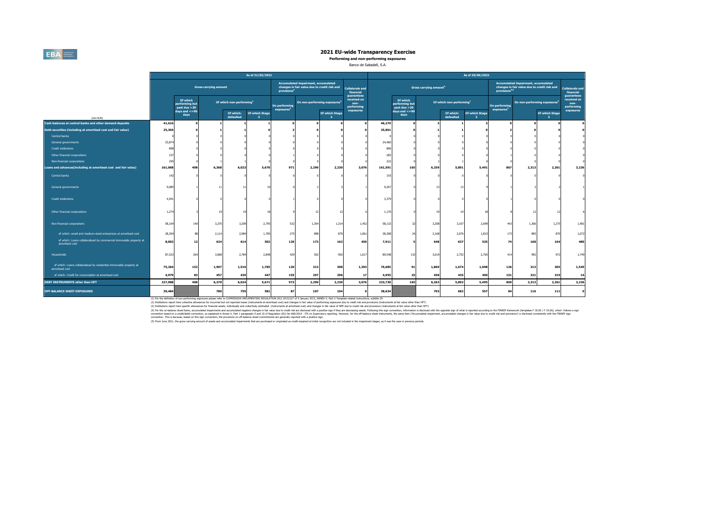

**Performing and non-performing exposures**

### Banco de Sabadell, S.A.

|                                                                                       |         |                                            |                              |                                      | As of 31/03/2021               |                                         |                                                                                     |                       |                                                 |         |                                            |                                    |                                      | As of 30/06/2021    |                                         |                                                                                     |                      |                                                 |
|---------------------------------------------------------------------------------------|---------|--------------------------------------------|------------------------------|--------------------------------------|--------------------------------|-----------------------------------------|-------------------------------------------------------------------------------------|-----------------------|-------------------------------------------------|---------|--------------------------------------------|------------------------------------|--------------------------------------|---------------------|-----------------------------------------|-------------------------------------------------------------------------------------|----------------------|-------------------------------------------------|
|                                                                                       |         |                                            | <b>Gross carrying amount</b> |                                      |                                | provisions <sup>4</sup>                 | Accumulated impairment, accumulated<br>changes in fair value due to credit risk and |                       | <b>Collaterals and</b><br>financial             |         |                                            | Gross carrying amount <sup>5</sup> |                                      |                     | provisions <sup>4,5</sup>               | Accumulated impairment, accumulated<br>changes in fair value due to credit risk and |                      | <b>Collaterals and</b><br>financial             |
|                                                                                       |         | Of which<br>performing but<br>past due >30 |                              | Of which non-performing <sup>1</sup> |                                | On performing<br>exposures <sup>2</sup> | On non-performing exposures <sup>3</sup>                                            |                       | guarantees<br>received on<br>non-<br>performing |         | Of which<br>performing but<br>past due >30 |                                    | Of which non-performing <sup>1</sup> |                     | On performing<br>exposures <sup>2</sup> | On non-performing exposures <sup>3</sup>                                            |                      | guarantees<br>received on<br>non-<br>performing |
| (min EUR)                                                                             |         | days and $\lt$ =90<br>days                 |                              | Of which:<br>defaulted               | Of which Stage<br>$\mathbf{3}$ |                                         |                                                                                     | Of which Stage<br>-31 | exposures                                       |         | days and $\lt$ =90<br>days                 |                                    | Of which:<br>defaulted               | Of which Stage<br>3 |                                         |                                                                                     | Of which Stage<br>-3 | exposures                                       |
| Cash balances at central banks and other demand deposits                              | 41,616  |                                            |                              |                                      |                                |                                         |                                                                                     |                       |                                                 | 46,279  |                                            |                                    |                                      |                     |                                         |                                                                                     |                      |                                                 |
| Debt securities (including at amortised cost and fair value)                          | 25,304  |                                            |                              |                                      |                                |                                         |                                                                                     |                       |                                                 | 25,861  |                                            |                                    |                                      |                     |                                         |                                                                                     |                      |                                                 |
| Central banks                                                                         |         |                                            |                              |                                      |                                |                                         |                                                                                     |                       |                                                 |         |                                            |                                    |                                      |                     |                                         |                                                                                     |                      |                                                 |
| General governments                                                                   | 23,874  |                                            |                              |                                      |                                |                                         |                                                                                     |                       |                                                 | 24,460  |                                            |                                    |                                      |                     |                                         |                                                                                     |                      |                                                 |
| <b>Credit institutions</b>                                                            | 898     |                                            |                              |                                      |                                |                                         |                                                                                     |                       |                                                 | 896     |                                            |                                    |                                      |                     |                                         |                                                                                     |                      |                                                 |
| Other financial corporations                                                          | 237     |                                            |                              |                                      |                                |                                         |                                                                                     |                       |                                                 | 28      |                                            |                                    |                                      |                     |                                         |                                                                                     |                      |                                                 |
| Non-financial corporations                                                            | 29      |                                            |                              |                                      |                                |                                         |                                                                                     |                       |                                                 | 222     |                                            |                                    |                                      |                     |                                         |                                                                                     |                      |                                                 |
| Loans and advances(including at amortised cost and fair value)                        | 161,068 | 408                                        | 6,368                        | 6,023                                | 5,670                          | 971                                     | 2,290                                                                               | 2,230                 | 3,076                                           | 161,591 | 165                                        | 6,259                              | 5,891                                | 5,491               | 867                                     | 2,313                                                                               | 2,261                | 3,236                                           |
| Central banks                                                                         | 142     |                                            |                              |                                      |                                |                                         |                                                                                     |                       |                                                 | 155     |                                            |                                    |                                      |                     |                                         |                                                                                     |                      |                                                 |
| General governments                                                                   | 9,085   |                                            | 11                           |                                      |                                |                                         |                                                                                     |                       |                                                 | 9,207   |                                            | 13                                 | Ŧ.                                   |                     |                                         |                                                                                     |                      |                                                 |
| <b>Credit institutions</b>                                                            | 4,941   |                                            |                              |                                      |                                |                                         |                                                                                     |                       |                                                 | 3,379   |                                            |                                    |                                      |                     |                                         |                                                                                     |                      |                                                 |
| Other financial corporations                                                          | 1,274   |                                            |                              |                                      |                                |                                         |                                                                                     |                       |                                                 | 1.170   |                                            | 19                                 |                                      |                     |                                         | 12                                                                                  |                      |                                                 |
| Non-financial corporations                                                            | 58,104  | 140                                        | 3,270                        | 3,209                                | 2,799                          | 532                                     | 1,354                                                                               | 1,314                 | 1,452                                           | 58,132  |                                            | 3,208                              | 3,107                                | 2,699               | 443                                     | 1,306                                                                               | 1,275                | 1,481                                           |
| of which: small and medium-sized enterprises at amortised cost                        | 28,304  |                                            | 2,114                        | 2.084                                | 1,785                          | 275                                     | 898                                                                                 | 870                   | 1,061                                           | 28,308  |                                            | 2,168                              | 2.076                                | 1,815               | 173                                     | 895                                                                                 | 870                  | 1,072                                           |
| of which: Loans collateralised by commercial immovable property at<br>amortised cost  | 8,002   | 12                                         | 624                          | 614                                  | 502                            | 120                                     | 173                                                                                 | 162                   | 450                                             | 7,911   |                                            | 648                                | 637                                  | 525                 | 74                                      | 168                                                                                 | 164                  | 480                                             |
| Households                                                                            | 87,523  | 264                                        | 3,068                        | 2,784                                | 2,848                          | 429                                     | 922                                                                                 | 902                   | 1,617                                           | 89,548  | 132                                        | 3,019                              | 2,752                                | 2,765               | 414                                     | 992                                                                                 | 97                   | 1,749                                           |
| of which: Loans collateralised by residential immovable property at<br>amortised cost | 75,264  | 152                                        | 1,907                        | 1,516                                | 1,785                          | 120                                     | 313                                                                                 | 308                   | 1,393                                           | 76,685  | 91                                         | 1,869                              | 1,674                                | 1,698               | 126                                     | 313                                                                                 | 305                  | 1,549                                           |
| of which: Credit for consumption at amortised cost                                    | 4,979   | 83                                         | 457                          | 439                                  | 447                            | 155                                     | 297                                                                                 | 296                   | 17                                              | 4,955   | 25                                         | 458                                | 435                                  | 450                 | 151                                     | 321                                                                                 | 319                  | 14                                              |
| <b>DEBT INSTRUMENTS other than HFT</b>                                                | 227,988 | 408                                        | 6,370                        | 6,024                                | 5,671                          | 973                                     | 2,290                                                                               | 2,230                 | 3,076                                           | 233,730 | 165                                        | 6,263                              | 5,892                                | 5,495               | 869                                     | 2,313                                                                               | 2,261                | 3,236                                           |
| <b>OFF-BALANCE SHEET EXPOSURES</b>                                                    | 39,484  |                                            | 780                          | 759                                  | 581                            | 87                                      | 107                                                                                 | 104                   |                                                 | 38,634  |                                            | 703                                | 682                                  | 557                 | 84                                      | 116                                                                                 | 111                  | $\mathbf{a}$                                    |

(1) For the definition of non-performing exposures please refer to COMMISSION IPDING REGULTION (EN) 2015/227 of 9 January 2015, ANNEX V, Part 2-Template related indructions, subtitle 29<br>(2) Institutions report her conclust

()The boundarding management at committed regin-discussions of the decision of the decision in position in position in position in position in the decision in the second in the second in the second in the second in the con

(5) From June 2021, the gross carrying amount of assets and accumulated impairments that are purchased or originated as credit-impaired at initial recognition are not included in the impairment stages, as it was the case i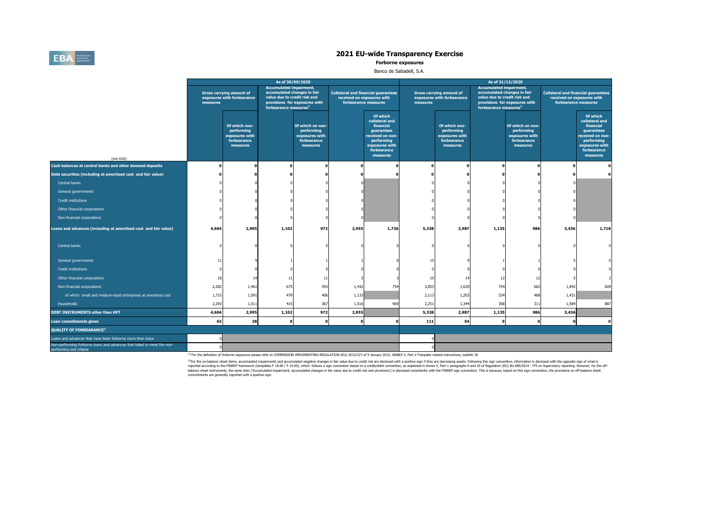

**Forborne exposures**

### Banco de Sabadell, S.A.

|                                                                                                     |          |                                                                          | As of 30/09/2020                                                                                                                   |                                                                             |                                                                                                  |                                                                                                                                      |          |                                                                          | As of 31/12/2020                                                                                                                   |                                                                             |                                                                    |                                                                                                                                      |
|-----------------------------------------------------------------------------------------------------|----------|--------------------------------------------------------------------------|------------------------------------------------------------------------------------------------------------------------------------|-----------------------------------------------------------------------------|--------------------------------------------------------------------------------------------------|--------------------------------------------------------------------------------------------------------------------------------------|----------|--------------------------------------------------------------------------|------------------------------------------------------------------------------------------------------------------------------------|-----------------------------------------------------------------------------|--------------------------------------------------------------------|--------------------------------------------------------------------------------------------------------------------------------------|
|                                                                                                     | measures | <b>Gross carrying amount of</b><br>exposures with forbearance            | <b>Accumulated impairment,</b><br>accumulated changes in fair<br>value due to credit risk and<br>forbearance measures <sup>2</sup> | provisions for exposures with                                               | <b>Collateral and financial guarantees</b><br>received on exposures with<br>forbearance measures |                                                                                                                                      | measures | <b>Gross carrying amount of</b><br>exposures with forbearance            | <b>Accumulated impairment,</b><br>accumulated changes in fair<br>value due to credit risk and<br>forbearance measures <sup>2</sup> | provisions for exposures with                                               | <b>Collateral and financial guarantees</b><br>forbearance measures | received on exposures with                                                                                                           |
| (mln EUR)                                                                                           |          | Of which non-<br>performing<br>exposures with<br>forbearance<br>measures |                                                                                                                                    | Of which on non-<br>performing<br>exposures with<br>forbearance<br>measures |                                                                                                  | Of which<br>collateral and<br>financial<br>guarantees<br>received on non-<br>performing<br>exposures with<br>forbearance<br>measures |          | Of which non-<br>performing<br>exposures with<br>forbearance<br>measures |                                                                                                                                    | Of which on non-<br>performing<br>exposures with<br>forbearance<br>measures |                                                                    | Of which<br>collateral and<br>financial<br>guarantees<br>received on non-<br>performing<br>exposures with<br>forbearance<br>measures |
| Cash balances at central banks and other demand deposits                                            |          |                                                                          |                                                                                                                                    | $\Omega$                                                                    |                                                                                                  |                                                                                                                                      | ŋ        |                                                                          | n                                                                                                                                  |                                                                             | $\Omega$                                                           |                                                                                                                                      |
| Debt securities (including at amortised cost and fair value)                                        |          |                                                                          |                                                                                                                                    |                                                                             |                                                                                                  |                                                                                                                                      |          |                                                                          |                                                                                                                                    |                                                                             |                                                                    |                                                                                                                                      |
| Central banks                                                                                       |          |                                                                          |                                                                                                                                    |                                                                             |                                                                                                  |                                                                                                                                      |          |                                                                          |                                                                                                                                    |                                                                             |                                                                    |                                                                                                                                      |
| General governments                                                                                 |          |                                                                          |                                                                                                                                    |                                                                             |                                                                                                  |                                                                                                                                      |          |                                                                          |                                                                                                                                    |                                                                             |                                                                    |                                                                                                                                      |
| Credit institutions                                                                                 |          |                                                                          |                                                                                                                                    |                                                                             |                                                                                                  |                                                                                                                                      |          |                                                                          |                                                                                                                                    |                                                                             |                                                                    |                                                                                                                                      |
| Other financial corporations                                                                        |          |                                                                          |                                                                                                                                    |                                                                             |                                                                                                  |                                                                                                                                      |          |                                                                          |                                                                                                                                    |                                                                             |                                                                    |                                                                                                                                      |
| Non-financial corporations                                                                          |          |                                                                          |                                                                                                                                    |                                                                             |                                                                                                  |                                                                                                                                      |          |                                                                          |                                                                                                                                    |                                                                             |                                                                    |                                                                                                                                      |
| Loans and advances (including at amortised cost and fair value)                                     | 4,604    | 2,995                                                                    | 1,102                                                                                                                              | 972                                                                         | 2,955                                                                                            | 1,726                                                                                                                                | 5,338    | 2,987                                                                    | 1,135                                                                                                                              | 986                                                                         | 3,436                                                              | 1,718                                                                                                                                |
| Central banks                                                                                       |          |                                                                          |                                                                                                                                    |                                                                             |                                                                                                  |                                                                                                                                      |          |                                                                          |                                                                                                                                    |                                                                             |                                                                    |                                                                                                                                      |
| General governments                                                                                 | 11       |                                                                          |                                                                                                                                    |                                                                             |                                                                                                  |                                                                                                                                      | 15       |                                                                          |                                                                                                                                    |                                                                             |                                                                    |                                                                                                                                      |
| Credit institutions                                                                                 |          |                                                                          |                                                                                                                                    |                                                                             |                                                                                                  |                                                                                                                                      |          |                                                                          |                                                                                                                                    |                                                                             |                                                                    |                                                                                                                                      |
| Other financial corporations                                                                        | 18       | 14                                                                       | 11                                                                                                                                 | 11                                                                          |                                                                                                  |                                                                                                                                      | 19       | 14                                                                       | 12                                                                                                                                 | 12                                                                          |                                                                    |                                                                                                                                      |
| Non-financial corporations                                                                          | 2,282    | 1,461                                                                    | 675                                                                                                                                | 593                                                                         | 1,432                                                                                            | 754                                                                                                                                  | 3,053    | 1,620                                                                    | 754                                                                                                                                | 662                                                                         | 1,842                                                              | 828                                                                                                                                  |
| of which: small and medium-sized enterprises at amortised cost                                      | 1,715    | 1,091                                                                    | 479                                                                                                                                | 406                                                                         | 1,133                                                                                            |                                                                                                                                      | 2,113    | 1,203                                                                    | 534                                                                                                                                | 468                                                                         | 1,431                                                              |                                                                                                                                      |
| Households                                                                                          | 2,293    | 1,511                                                                    | 415                                                                                                                                | 367                                                                         | 1,516                                                                                            | 969                                                                                                                                  | 2,251    | 1,344                                                                    | 368                                                                                                                                | 311                                                                         | 1,584                                                              | 887                                                                                                                                  |
| DEBT INSTRUMENTS other than HFT                                                                     | 4,604    | 2,995                                                                    | 1,102                                                                                                                              | 972                                                                         | 2,955                                                                                            |                                                                                                                                      | 5,338    | 2,987                                                                    | 1,135                                                                                                                              | 986                                                                         | 3,436                                                              |                                                                                                                                      |
| Loan commitments given                                                                              | 63       | 28                                                                       | $\sqrt{2}$                                                                                                                         | $\Omega$                                                                    | $\Omega$                                                                                         |                                                                                                                                      | 111      | 54                                                                       | $\Omega$                                                                                                                           |                                                                             | o                                                                  | $\Omega$                                                                                                                             |
| QUALITY OF FORBEARANCE <sup>2</sup>                                                                 |          |                                                                          |                                                                                                                                    |                                                                             |                                                                                                  |                                                                                                                                      |          |                                                                          |                                                                                                                                    |                                                                             |                                                                    |                                                                                                                                      |
| Loans and advances that have been forborne more than twice                                          |          |                                                                          |                                                                                                                                    |                                                                             |                                                                                                  |                                                                                                                                      |          |                                                                          |                                                                                                                                    |                                                                             |                                                                    |                                                                                                                                      |
| Non-performing forborne loans and advances that failed to meet the non-<br>nerforming exit criteria |          |                                                                          |                                                                                                                                    |                                                                             |                                                                                                  |                                                                                                                                      |          |                                                                          |                                                                                                                                    |                                                                             |                                                                    |                                                                                                                                      |

<sup>(1)</sup> For the definition of forborne exposures please refer to COMMISSION IMPLEMENTING REGULATION (EU) 2015/227 of 9 January 2015, ANNEX V, Part 2-Template related instructions, subtitle 30

<sup>01</sup>For the or-balance sheet kems, accumulated impairments and accumulated negative changes in fair value due to redit rideal of the packing of the product and the packing solved in the property in the packing seculated th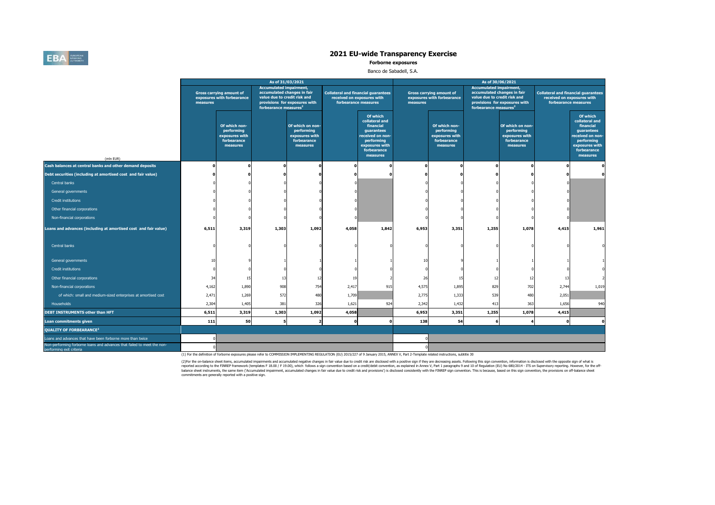

**Forborne exposures**

### Banco de Sabadell, S.A.

|                                                                                                     |          |                                                                          | As of 31/03/2021                                                                                                                   |                                                                             |                            |                                                                                                                                      |          |                                                                          | As of 30/06/2021                                                                                                                   |                                                                             |       |                                                                                                                                      |
|-----------------------------------------------------------------------------------------------------|----------|--------------------------------------------------------------------------|------------------------------------------------------------------------------------------------------------------------------------|-----------------------------------------------------------------------------|----------------------------|--------------------------------------------------------------------------------------------------------------------------------------|----------|--------------------------------------------------------------------------|------------------------------------------------------------------------------------------------------------------------------------|-----------------------------------------------------------------------------|-------|--------------------------------------------------------------------------------------------------------------------------------------|
|                                                                                                     | measures | <b>Gross carrying amount of</b><br>exposures with forbearance            | <b>Accumulated impairment,</b><br>accumulated changes in fair<br>value due to credit risk and<br>forbearance measures <sup>2</sup> | provisions for exposures with                                               | received on exposures with | <b>Collateral and financial guarantees</b><br>forbearance measures                                                                   | measures | <b>Gross carrying amount of</b><br>exposures with forbearance            | <b>Accumulated impairment,</b><br>accumulated changes in fair<br>value due to credit risk and<br>forbearance measures <sup>2</sup> | provisions for exposures with                                               |       | <b>Collateral and financial guarantees</b><br>received on exposures with<br>forbearance measures                                     |
| (mln EUR)                                                                                           |          | Of which non-<br>performing<br>exposures with<br>forbearance<br>measures |                                                                                                                                    | Of which on non-<br>performing<br>exposures with<br>forbearance<br>measures |                            | Of which<br>collateral and<br>financial<br>guarantees<br>received on non-<br>performing<br>exposures with<br>forbearance<br>measures |          | Of which non-<br>performing<br>exposures with<br>forbearance<br>measures |                                                                                                                                    | Of which on non-<br>performing<br>exposures with<br>forbearance<br>measures |       | Of which<br>collateral and<br>financial<br>guarantees<br>received on non-<br>performing<br>exposures with<br>forbearance<br>measures |
| Cash balances at central banks and other demand deposits                                            | n        |                                                                          |                                                                                                                                    |                                                                             |                            | $\Omega$                                                                                                                             |          |                                                                          | n                                                                                                                                  |                                                                             | n     |                                                                                                                                      |
| Debt securities (including at amortised cost and fair value)                                        |          |                                                                          |                                                                                                                                    |                                                                             |                            |                                                                                                                                      |          |                                                                          |                                                                                                                                    |                                                                             |       |                                                                                                                                      |
| Central banks                                                                                       |          |                                                                          |                                                                                                                                    |                                                                             |                            |                                                                                                                                      |          |                                                                          |                                                                                                                                    |                                                                             |       |                                                                                                                                      |
| General governments                                                                                 |          |                                                                          |                                                                                                                                    |                                                                             |                            |                                                                                                                                      |          |                                                                          |                                                                                                                                    |                                                                             |       |                                                                                                                                      |
| Credit institutions                                                                                 |          |                                                                          |                                                                                                                                    |                                                                             |                            |                                                                                                                                      |          |                                                                          |                                                                                                                                    |                                                                             |       |                                                                                                                                      |
| Other financial corporations                                                                        |          |                                                                          |                                                                                                                                    |                                                                             |                            |                                                                                                                                      |          |                                                                          |                                                                                                                                    |                                                                             |       |                                                                                                                                      |
| Non-financial corporations                                                                          |          |                                                                          |                                                                                                                                    |                                                                             |                            |                                                                                                                                      |          |                                                                          |                                                                                                                                    |                                                                             |       |                                                                                                                                      |
| Loans and advances (including at amortised cost and fair value)                                     | 6,511    | 3,319                                                                    | 1,303                                                                                                                              | 1,092                                                                       | 4,058                      | 1,842                                                                                                                                | 6,953    | 3,351                                                                    | 1,255                                                                                                                              | 1,078                                                                       | 4,415 | 1,961                                                                                                                                |
| Central banks                                                                                       |          |                                                                          |                                                                                                                                    |                                                                             |                            |                                                                                                                                      |          |                                                                          |                                                                                                                                    |                                                                             |       |                                                                                                                                      |
| General governments                                                                                 | 10       |                                                                          |                                                                                                                                    |                                                                             |                            |                                                                                                                                      | 10       |                                                                          |                                                                                                                                    |                                                                             |       |                                                                                                                                      |
| Credit institutions                                                                                 |          |                                                                          |                                                                                                                                    |                                                                             |                            |                                                                                                                                      |          |                                                                          |                                                                                                                                    |                                                                             |       |                                                                                                                                      |
| Other financial corporations                                                                        | 34       | 15                                                                       | 13                                                                                                                                 | 12                                                                          | 19                         |                                                                                                                                      | 26       | 15                                                                       | 12                                                                                                                                 |                                                                             | 13    |                                                                                                                                      |
| Non-financial corporations                                                                          | 4,162    | 1,890                                                                    | 908                                                                                                                                | 754                                                                         | 2,417                      | 915                                                                                                                                  | 4,575    | 1,895                                                                    | 829                                                                                                                                | 702                                                                         | 2,744 | 1,019                                                                                                                                |
| of which: small and medium-sized enterprises at amortised cost                                      | 2,471    | 1,269                                                                    | 572                                                                                                                                | 480                                                                         | 1,709                      |                                                                                                                                      | 2,775    | 1,333                                                                    | 539                                                                                                                                | 480                                                                         | 2,051 |                                                                                                                                      |
| Households                                                                                          | 2,304    | 1,405                                                                    | 381                                                                                                                                | 326                                                                         | 1,621                      | 924                                                                                                                                  | 2,342    | 1,432                                                                    | 413                                                                                                                                | 363                                                                         | 1,656 | 940                                                                                                                                  |
| <b>DEBT INSTRUMENTS other than HFT</b>                                                              | 6,511    | 3,319                                                                    | 1,303                                                                                                                              | 1,092                                                                       | 4,058                      |                                                                                                                                      | 6,953    | 3,351                                                                    | 1,255                                                                                                                              | 1,078                                                                       | 4,415 |                                                                                                                                      |
| Loan commitments given                                                                              | 111      | 50                                                                       | 5                                                                                                                                  |                                                                             |                            | $\Omega$                                                                                                                             | 138      | 54                                                                       | 6                                                                                                                                  |                                                                             |       |                                                                                                                                      |
| <b>QUALITY OF FORBEARANCE<sup>2</sup></b>                                                           |          |                                                                          |                                                                                                                                    |                                                                             |                            |                                                                                                                                      |          |                                                                          |                                                                                                                                    |                                                                             |       |                                                                                                                                      |
| Loans and advances that have been forborne more than twice                                          |          |                                                                          |                                                                                                                                    |                                                                             |                            |                                                                                                                                      |          |                                                                          |                                                                                                                                    |                                                                             |       |                                                                                                                                      |
| Non-performing forborne loans and advances that failed to meet the non-<br>nerforming exit criteria |          |                                                                          |                                                                                                                                    |                                                                             |                            |                                                                                                                                      |          |                                                                          |                                                                                                                                    |                                                                             |       |                                                                                                                                      |

(1) For the definition of forborne exposures please refer to COMMISSION IMPLEMENTING REGULATION (EU) 2015/227 of 9 January 2015, ANNEX V, Part 2-Template related instructions, subtitle 30

(2)For the on-balance sheet items, accumulated impairments and accumulated negative changes in fair value due to credit risk are disclosed with a positive sign if they are decreasing assets. Following this sign corwention, commitments are generally reported with a positive sign.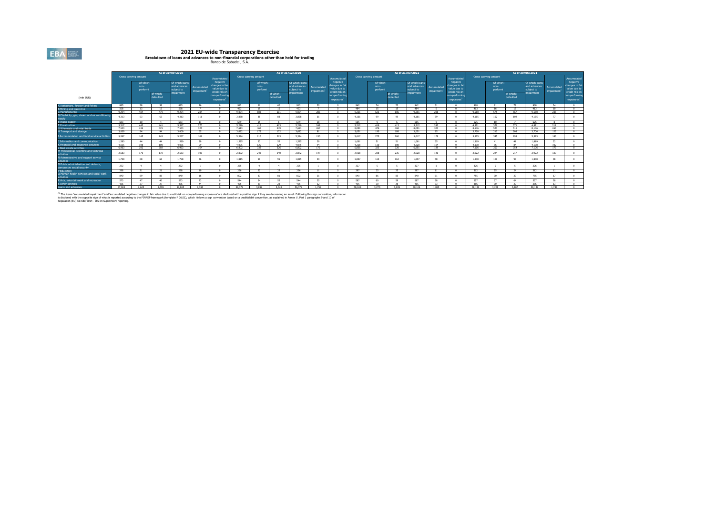**2021 EU-wide Transparency Exercise<br>Breakdown of Ioans and advances to non-financial corporations other than held for trading<br>Banco de Sabadell, S.A.** 

|                                                                    | As of 30/09/2020 |                               |                        |                                                            |                                        |                                                                                            |        |                               | As of 31/12/2020       |                                                           |                           |                                                                                                          |         |                               | AS of 31/03/2021       |                                                            |                                        |                                                                                              |         |                               | AS of 30/06/2021       |                                                           |                                        |                                                                                                         |
|--------------------------------------------------------------------|------------------|-------------------------------|------------------------|------------------------------------------------------------|----------------------------------------|--------------------------------------------------------------------------------------------|--------|-------------------------------|------------------------|-----------------------------------------------------------|---------------------------|----------------------------------------------------------------------------------------------------------|---------|-------------------------------|------------------------|------------------------------------------------------------|----------------------------------------|----------------------------------------------------------------------------------------------|---------|-------------------------------|------------------------|-----------------------------------------------------------|----------------------------------------|---------------------------------------------------------------------------------------------------------|
|                                                                    |                  | Gross carrying amount         |                        |                                                            |                                        | Accumulated                                                                                |        | Gross carrying amount         |                        |                                                           |                           | <b>Accumulated</b>                                                                                       |         | Gross carrying amount         |                        |                                                            |                                        | Accumulated                                                                                  |         | Gross carrying amount         |                        |                                                           |                                        | Accumulated                                                                                             |
| (mln EUR)                                                          |                  | Of which:<br>non-<br>performi | of which:<br>hefaulted | Of which loans<br>and advances<br>subject to<br>impairment | Accumulated<br>impairment <sup>1</sup> | negative<br>changes in fai<br>value due to<br>credit risk on<br>non-performin<br>exposures |        | Of which:<br>non-<br>performi | of which:<br>defaulted | Of which loans<br>and advances<br>subject to<br>mpairment | Accumulated<br>impairment | negative<br>changes in fair<br>value due to<br>credit risk on<br>ton-performin<br>exposures <sup>1</sup> |         | Of which:<br>non-<br>performi | of which:<br>defaulted | Of which loans<br>and advances<br>sublect to<br>impairment | Accumulated<br>impairment <sup>3</sup> | negative<br>changes in fair<br>value due to<br>credit risk on<br>non-performing<br>exposures |         | Of which:<br>non-<br>performi | of which:<br>defaulted | Of which loans<br>and advances<br>subject to<br>mpairment | Accumulated<br>impairment <sup>1</sup> | negative<br>changes in fair<br>value due to<br>credit risk on<br>on-performin<br>exposures <sup>1</sup> |
| A Agriculture, forestry and fishing                                | 885              | <b>CO</b>                     | 59                     | 885                                                        | 26                                     |                                                                                            | 912    | 61                            | 60                     | 912                                                       | $20 -$                    |                                                                                                          | 942     | 74                            | 73                     | 942                                                        | 21                                     |                                                                                              | 968     | 91                            | 79                     | 968                                                       | 24                                     |                                                                                                         |
| B Mining and quarrying                                             | CGO              | 12                            | $+2$                   | 5692                                                       |                                        |                                                                                            | 452    | $\rightarrow$                 | $+$ $E$                | 453                                                       |                           |                                                                                                          | 494     | $\rightarrow$ $\sigma$        | $\rightarrow$          | 494                                                        |                                        |                                                                                              | 413     | $\overline{16}$               | 10 <sup>2</sup>        | 413                                                       | 10 <sup>1</sup>                        |                                                                                                         |
| C Manufacturing                                                    | 9.294            | 494                           | 470                    | 9.294                                                      | 284                                    |                                                                                            | 9.004  | 603                           | 601                    | 9.004                                                     | 205                       |                                                                                                          | 9.251   | 623                           | 606                    | 9.251                                                      | 299                                    |                                                                                              | 9.560   | 575                           | 567                    | 0.560                                                     | 286                                    | $\sim$                                                                                                  |
| D Electricity, gas, steam and air conditionin<br>sunnly            | 4.313            | 63                            | -63                    | 4.313                                                      | 111                                    |                                                                                            | 3,858  |                               | 00                     | 3,858                                                     | 61                        |                                                                                                          | 4.161   | 99                            | $^{99}$                | 4.161                                                      | 59                                     |                                                                                              | 4.165   | 102                           | 102                    | 4.165                                                     | 77                                     |                                                                                                         |
| E Water supply                                                     | 683              | 10.                           | $\mathbf{A}$           | 697                                                        | 11                                     |                                                                                            | 679    | 15                            |                        | 679                                                       | 1.9                       |                                                                                                          | 233     |                               |                        | 200                                                        |                                        |                                                                                              | 625     | 10                            |                        | 625                                                       |                                        |                                                                                                         |
| <b>F</b> Construction                                              | 5517             | 442                           | 441                    | 5.517                                                      | 270                                    |                                                                                            | 5210   | 415                           | 413                    | 5.210                                                     | 248                       |                                                                                                          | 5.212   | 416                           | 413                    | 5.212                                                      | 242                                    |                                                                                              | 4.821   | 376                           | 271                    | 4.821                                                     | 211                                    |                                                                                                         |
| <b>G Wholesale and retail trade</b>                                | 7.533            | 436                           | 425                    | 7.533                                                      | 325                                    |                                                                                            | 7.613  | 204                           | 449                    | 7.613                                                     | 267                       |                                                                                                          | 8.091   | 476                           | 468                    | 8.091                                                      | 323                                    |                                                                                              | 8.146   | 523                           | 516                    | 8.146                                                     | 263                                    | $\sim$                                                                                                  |
| H Transport and storage                                            | 3.609            | 0.4                           | $\sim$                 | 3.609                                                      | 20                                     |                                                                                            | 3.682  | 173                           | 172                    | 3.682                                                     | 81                        |                                                                                                          | 3.651   | 190                           | 188                    | 3.651                                                      | 85                                     |                                                                                              | 3,700   | 210                           | 208                    | 3,700                                                     | 125                                    |                                                                                                         |
| I Accommodation and food service activities                        | 5.267            | 145                           | 145                    | 5.267                                                      | 101                                    |                                                                                            | 5.394  | 216                           | 213                    | 5.394                                                     | 150                       |                                                                                                          | 5.617   | 275                           | 260                    | 5.617                                                      | 179                                    |                                                                                              | 5.575   | 345                           | 298                    | 5.575                                                     | 186                                    |                                                                                                         |
| 3 Information and communication                                    | 1.580            | 44                            | 44                     | 1.580                                                      | 20                                     |                                                                                            | 1.085  | 52                            | 52                     | 1.585                                                     | 20 <sub>1</sub>           |                                                                                                          | 1.661   | $51$                          | 51                     | 1.661                                                      | 25                                     |                                                                                              | 1.819   | 41                            | 41                     | 1.819                                                     | 22                                     |                                                                                                         |
| K Financial and insurance activities                               | 4.035            | 108                           | 109                    | 4.035                                                      | QQ                                     |                                                                                            | 4.075  | 129                           | 129                    | 4.075                                                     | 94                        |                                                                                                          | 4 2 2 8 | 110                           | 108                    | 4.228                                                      | 104                                    |                                                                                              | 4 1 3 8 | 86                            | 94                     | 4.138                                                     | 102                                    |                                                                                                         |
| L Real estate activities                                           | 6.963            | 302                           | 302                    | 6.963                                                      | 164                                    |                                                                                            | 6.802  | 332                           | 326                    | 6.802                                                     | 175                       |                                                                                                          | 6.851   | 325                           | $320 -$                | 6.851                                                      | 189                                    |                                                                                              | 7.106   | 363                           | 354                    | 7.106                                                     | 179                                    |                                                                                                         |
| M Professional, scientific and technical<br>activities             | 2.583            | 170                           | 170                    | 2.583                                                      | 106                                    |                                                                                            | 2.872  | 243                           | 240                    | 2.872                                                     | 147                       |                                                                                                          | 2.928   | 238                           | 235                    | 2,928                                                      | 146                                    |                                                                                              | 2.922   | 224                           | 217                    | 2.922                                                     | 129                                    |                                                                                                         |
| N Administrative and support service<br>activities                 | 1.798            | 68                            | 68                     | 1.798                                                      | 36                                     |                                                                                            | 1.815  | 91                            | 91                     | 1.815                                                     | 39                        |                                                                                                          | 1,897   | 165                           | 164                    | 1.897                                                      | 58                                     |                                                                                              | 1.838   | 101                           | 00                     | 1,838                                                     | 38                                     |                                                                                                         |
| O Public administration and defence.<br>compulsory social security | 232              |                               |                        | 232                                                        |                                        |                                                                                            | 325    |                               |                        | 325                                                       |                           |                                                                                                          | 327     |                               |                        | 327                                                        |                                        |                                                                                              | 326     |                               |                        | 326                                                       |                                        |                                                                                                         |
| P Education                                                        | 298              | 2.5                           | 21                     | 298                                                        | 10                                     |                                                                                            | 296    | 22                            | 22                     | 296                                                       | 11                        |                                                                                                          | 297     | 25                            | 25                     | 297                                                        |                                        |                                                                                              | 312     | 25                            | 24                     | 312                                                       |                                        |                                                                                                         |
| Q Human health services and social work<br>activities              | 840              | 99                            | 88                     | 840                                                        | 16                                     |                                                                                            | 802    | 93                            | R1                     | 802                                                       | 51                        |                                                                                                          | 840     | 86                            | 85                     | 840                                                        | 61                                     |                                                                                              | 755     | 20                            | 20                     | 755                                                       | 17                                     |                                                                                                         |
| R Arts, entertainment and recreation                               | 573              | 47                            | $A \in$                | 573                                                        | 23                                     |                                                                                            | 544    | C4                            | 52.                    | 544                                                       | ne                        |                                                                                                          | 597     | 60                            | CO.                    | 587                                                        | 28                                     |                                                                                              | 557     | 67                            | 64                     | 557                                                       | 28                                     |                                                                                                         |
| S Other services                                                   | 436              | 27                            | 27                     | 436                                                        | 44                                     |                                                                                            | 455    | 20                            | 29                     | 455                                                       | 22                        |                                                                                                          | 415     | 20 <sub>0</sub>               | n <sub>0</sub>         | 415                                                        | 22                                     |                                                                                              | 296     | 20 <sub>1</sub>               | 20                     | 396                                                       | 12                                     |                                                                                                         |
| Loans and advances                                                 | 57,005           | 2.625                         | 2.599                  | 57,005                                                     | 1.740                                  |                                                                                            | 56,379 | 3.092                         | 3.043                  | 56 379                                                    | 1.759                     |                                                                                                          | SR 104  | 3.270                         | 3.209                  | 59,104                                                     | 1.885                                  |                                                                                              | 58.132  | 3.208                         | 3.107                  | SR 132                                                    | 1 749                                  |                                                                                                         |

<sup>11</sup> The Rens "accumulated impairment" and "accumulated negative changes in far value due to cell the farming exposures" are disclosed with a positive sign if they are decreasing an asset. Following this sign convention, i

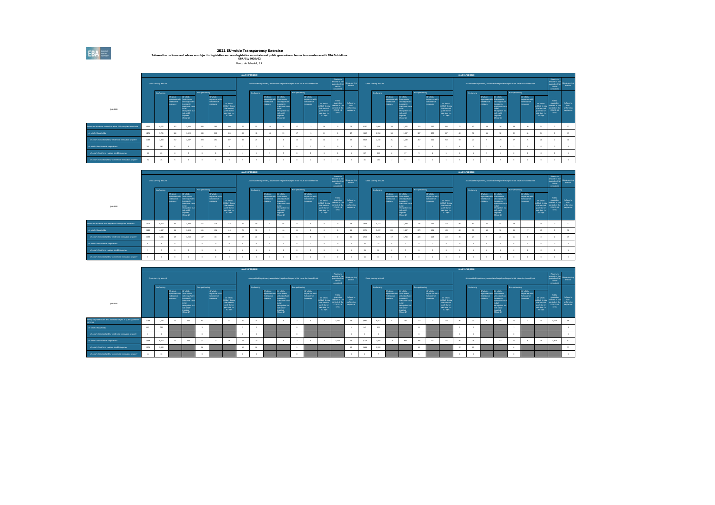2021 EU-wide Transparency Exercise<br>Information on loans and advances subject to legislative and non-legislative moratoria and public guarantee schemes in accordance with EBA Guidelines<br>EBA/GL/2020/02

Banco de Sabadell, S.A.

|                                                                |       |                       |                                                     |                                                                                                                                                                          |                |                                                       |                                                                                                |    | As of 30/09/2020 |                                                               |                                                                                                                                                      |                |                                                         |                                                                                       |                                                                                  |                                                             |       |                       |                                                     |                                                                                                                                                       |                |                                                        |                                                                                       |               | As of 31/12/2020 |                                                     |                                                                                                                                                         |                 |                                                                                       |                                                                                   |                                                                                      |                                      |
|----------------------------------------------------------------|-------|-----------------------|-----------------------------------------------------|--------------------------------------------------------------------------------------------------------------------------------------------------------------------------|----------------|-------------------------------------------------------|------------------------------------------------------------------------------------------------|----|------------------|---------------------------------------------------------------|------------------------------------------------------------------------------------------------------------------------------------------------------|----------------|---------------------------------------------------------|---------------------------------------------------------------------------------------|----------------------------------------------------------------------------------|-------------------------------------------------------------|-------|-----------------------|-----------------------------------------------------|-------------------------------------------------------------------------------------------------------------------------------------------------------|----------------|--------------------------------------------------------|---------------------------------------------------------------------------------------|---------------|------------------|-----------------------------------------------------|---------------------------------------------------------------------------------------------------------------------------------------------------------|-----------------|---------------------------------------------------------------------------------------|-----------------------------------------------------------------------------------|--------------------------------------------------------------------------------------|--------------------------------------|
|                                                                |       | Gross carrying amount |                                                     |                                                                                                                                                                          |                |                                                       |                                                                                                |    |                  |                                                               | Accumulated impairment, accumulated negative changes in fair value due to credit risk                                                                |                |                                                         |                                                                                       | Maximum<br>amount of the<br>quanintee that<br>can be<br>considered               | <b>Gross carrying</b><br>arrount                            |       | Gross carrying amount |                                                     |                                                                                                                                                       |                |                                                        |                                                                                       |               |                  |                                                     |                                                                                                                                                         |                 | Accumulated impairment, accumulated negative changes in fair value due to credit risk |                                                                                   | Maximum<br>amount of the<br>quarantee that<br>can be<br>considered                   | Gross carrying<br>amount             |
| (min EUR)                                                      |       | Performing            | Of which:<br>oposunes wi<br>forbainings<br>measures | Of which:<br><b>Instruments</b><br>with significant<br>ncrease in<br>credit risk since<br><b>nitial</b><br>recognition be<br>rot credit-<br><b>Impaired</b><br>(Szago 2) | Non-performing | Of which:<br>noceures with<br>forbearance<br>measures | Of which:<br>Unlikely to pay<br>that are not<br>past-due or<br>past-due <=<br>$90\,\text{dim}$ |    | Performing       | Of which:<br>ozosunis wit<br>forbainings<br><b>INSURESTER</b> | Of which:<br>dependent<br>ith significant<br>crease in<br>credit risk sino<br><b>Wilde</b><br>recognition but<br>not credit-<br>impaired<br>(Szago2) | Non-performing | Of which:<br>exposures with<br>forbinirance<br>measures | Of which:<br>Unlikely to pay<br>that are not<br>past-due or<br>past-due <=<br>90 days | Public<br>guarantee<br>received in the<br>context of the<br>$CD/10-19$<br>crisis | Inflores to<br><b>DOM:</b><br>performing<br><b>COOSUTES</b> |       | Performing            | Of which:<br>diw innapoga<br>forbeasings<br>monumes | Of which:<br>Instruments<br>with significant<br>nd skakeror<br>credit risk since<br><b>STAR</b><br>ecognition bu<br>not credit-<br>roainid<br>(Suqe2) | Non-performing | Of which:<br>exposures with<br>forbairance<br>measures | Of which:<br>Unlikely to pa<br>that are not<br>pat-due or<br>$min\_data <$<br>90 days |               | Performing       | Of which:<br>oposunes wit<br>forbeasings<br>monumes | Of which:<br>Instruments<br>vith significant<br>nomase in<br>credit risk since<br><b>Hafin</b><br>ecognition bu<br>not credit-<br>realised<br>(Sulge 2) | Non-performing  | Of which:<br>ozosuns wit<br>forbainings<br>anusam                                     | Of which:<br>Unlikely to pa<br>that are no<br>pat-due o<br>part-due <=<br>90 days | Public<br>quinistee<br>conved in the<br>teritori of the<br>COVID-19<br><b>crisis</b> | Inform to<br>performing<br>exposures |
| Loans and advances subtect to active EBA-corrollant mositorial | 4,511 | 4,071                 | 192                                                 | 1.832                                                                                                                                                                    | 440            | 283                                                   | 390                                                                                            |    |                  | 13 <sup>7</sup>                                               | 18                                                                                                                                                   | 17             | 13                                                      | 14                                                                                    |                                                                                  |                                                             | 3,197 | 2.866                 | 190                                                 | 1,275                                                                                                                                                 | 332            | 257                                                    | 301                                                                                   | $\mathcal{F}$ | 42               |                                                     |                                                                                                                                                         | $\overline{14}$ |                                                                                       |                                                                                   |                                                                                      |                                      |
| of which: Households                                           | 4,231 | 3,791                 | 186                                                 | 1.825                                                                                                                                                                    | 440            | 283                                                   | 390                                                                                            | 63 |                  | 10                                                            | $\overline{\mathbf{35}}$                                                                                                                             | 17             | 13                                                      | 14                                                                                    |                                                                                  |                                                             | 2,853 | 2,536                 | 182                                                 | 1,227                                                                                                                                                 | 327            | 256                                                    | 327                                                                                   | 61            | $36 -$           |                                                     | 32                                                                                                                                                      | 32              |                                                                                       |                                                                                   |                                                                                      |                                      |
| of which: Collateralised by residential immovable property     | 3,700 | 3,393                 | 147                                                 | 1.347                                                                                                                                                                    | 294            | 241                                                   | 347                                                                                            |    |                  |                                                               | $\sim$                                                                                                                                               | 12             | 10                                                      |                                                                                       |                                                                                  |                                                             | 2,605 | 2,318                 | 162                                                 | 1.139                                                                                                                                                 | 287            | 221                                                    | 209                                                                                   | $^{12}$       | 27               |                                                     | 24                                                                                                                                                      | 27              |                                                                                       | 26                                                                                |                                                                                      |                                      |
| of which: Non-financial corporations                           | 280   | 280                   |                                                     |                                                                                                                                                                          |                |                                                       |                                                                                                |    |                  |                                                               |                                                                                                                                                      |                |                                                         |                                                                                       |                                                                                  |                                                             | 334   | 329                   |                                                     | 49                                                                                                                                                    |                |                                                        |                                                                                       | - 61          | $\sim$           |                                                     |                                                                                                                                                         |                 |                                                                                       |                                                                                   |                                                                                      |                                      |
| of which: Small and Medium-sized Enterprises                   | 83    | 63                    |                                                     |                                                                                                                                                                          |                |                                                       |                                                                                                |    |                  |                                                               |                                                                                                                                                      |                |                                                         |                                                                                       |                                                                                  |                                                             | 227   | 223                   |                                                     | 27                                                                                                                                                    |                |                                                        |                                                                                       |               |                  |                                                     |                                                                                                                                                         |                 |                                                                                       |                                                                                   |                                                                                      |                                      |
| of which: Collateralised by commercial immovable property      | 26    | 26                    |                                                     |                                                                                                                                                                          |                |                                                       |                                                                                                |    |                  |                                                               |                                                                                                                                                      | $\sim$         |                                                         |                                                                                       |                                                                                  |                                                             | 183   | 153                   |                                                     | 47                                                                                                                                                    |                |                                                        |                                                                                       |               | $\sim$           |                                                     |                                                                                                                                                         |                 |                                                                                       |                                                                                   |                                                                                      |                                      |

|                                                            |       |                       |                                                      |                                                                                                                                          |                |                                                                |                                                                                             | As of 30/09/2020 |                                                      |                                                                                                                                                          |                |                                                        |                                                                                        |                                                                                 |                                                |                 |                       |                                  |                                                                                                                                                    |                |                                                        |                                                                                               |    | As of 31/12/2020 |                                                         |                                                                                                                                                             |                |                                                         |                                                                                 |                                                                                       |                                                     |
|------------------------------------------------------------|-------|-----------------------|------------------------------------------------------|------------------------------------------------------------------------------------------------------------------------------------------|----------------|----------------------------------------------------------------|---------------------------------------------------------------------------------------------|------------------|------------------------------------------------------|----------------------------------------------------------------------------------------------------------------------------------------------------------|----------------|--------------------------------------------------------|----------------------------------------------------------------------------------------|---------------------------------------------------------------------------------|------------------------------------------------|-----------------|-----------------------|----------------------------------|----------------------------------------------------------------------------------------------------------------------------------------------------|----------------|--------------------------------------------------------|-----------------------------------------------------------------------------------------------|----|------------------|---------------------------------------------------------|-------------------------------------------------------------------------------------------------------------------------------------------------------------|----------------|---------------------------------------------------------|---------------------------------------------------------------------------------|---------------------------------------------------------------------------------------|-----------------------------------------------------|
|                                                            |       | Gross carrying amount |                                                      |                                                                                                                                          |                |                                                                |                                                                                             |                  |                                                      | Accumulated impairment, accumulated negative changes in fair value due to credit risk                                                                    |                |                                                        |                                                                                        | Maximum<br>amount of the<br>quarantee that<br>can be<br>considered              | <b>Gross carrying</b><br>arrount               |                 | Gross carrying amount |                                  |                                                                                                                                                    |                |                                                        |                                                                                               |    |                  |                                                         | Accumulated impairment, accumulated negative changes in fair value due to credit risk                                                                       |                |                                                         |                                                                                 | Maximum<br>amount of the<br>quarantee that<br>can be<br>considered                    | Gross carrying<br>amount                            |
|                                                            |       | Performing            |                                                      |                                                                                                                                          | Non-performing |                                                                |                                                                                             | Performing       |                                                      |                                                                                                                                                          | Non-performing |                                                        |                                                                                        |                                                                                 |                                                |                 | Performing            |                                  |                                                                                                                                                    | Non-performing |                                                        |                                                                                               |    | Performing       |                                                         |                                                                                                                                                             | Non-parforming |                                                         |                                                                                 |                                                                                       |                                                     |
| (min EUR)                                                  |       |                       | Of which:<br>iozoiuna wit<br>forbainings<br>measures | Of which:<br>Instruments<br>with significant<br>ncrease in<br>credit risk since<br>recognition but<br>ret roofs.<br>impaired<br>(220002) |                | Of which:<br>exposures with<br>orbearance<br><b>Industries</b> | Of which:<br><b>Jolkieh to pay</b><br>that are not<br>past-due or<br>past-due <=<br>90 days |                  | Of which:<br>ozosunis wit<br>forbainings<br>measures | Of which:<br><b>Idneyster</b><br>ith significant<br>ncrease in<br>predit risk since<br>ninia .<br>recognition but<br>not credit-<br>impaired<br>(220002) |                | Of which:<br>inzosures with<br>forbearance<br>measures | Of which:<br>Unlikely to pay<br>that are not<br>past-due or<br>past-due <=<br>90 dinni | Public<br>quasimble<br>niceived in the<br>sett to testrea<br>CDVID-19<br>crisis | Inflores to<br>non-<br>performing<br>exposures |                 |                       | Of which:<br>speakers<br>monumes | Of which:<br>execution with Instruments<br>ith sionficent<br>crease in<br>credit risk since<br>voognition but<br>not credit-<br>binisan<br>(Suqe2) |                | Of which:<br>exposures with<br>forbairance<br>measures | Of which:<br>Unlikely to pay<br>that are not<br>past-due or<br>$0.005 - 0.00 < -1$<br>90 days |    |                  | Of which:<br><b>DOCUME WIT</b><br>orbeasings<br>monumes | Of which:<br>Instruments<br>with significant<br>increase in<br>credit risk since<br>nitial<br>recognition but<br>not credit<br><b>Impaired</b><br>(Sbase 2) |                | Of which:<br>exposures with<br>forbainings<br>measures. | Of which:<br>Unlikely to p<br>that are no<br>pat-due o<br>part-due <<br>90 days | Public<br>quarantee<br>with mi basellon<br>intert of the<br>COVID-19<br><b>crisis</b> | Inform to<br><b>DOM:</b><br>performing<br>exposures |
| Loans and advances with expired EBA-compliant monitoria    | 5.133 | 4.972                 | n6                                                   | 1,424                                                                                                                                    | 161            | 106                                                            | 114                                                                                         | 59               |                                                      | 46                                                                                                                                                       | 11             |                                                        |                                                                                        |                                                                                 | 16                                             | 5,998           | 5.723                 | 222                              | 1,929                                                                                                                                              | 275            | 161                                                    | 153                                                                                           | 65 |                  |                                                         |                                                                                                                                                             |                | <b>AND</b>                                              |                                                                                 |                                                                                       | 12                                                  |
| of which: Households                                       | 5.128 | 4.967                 |                                                      | 1.424                                                                                                                                    | 161            | 106                                                            | 114                                                                                         | 50               |                                                      | $\overline{\phantom{a}}$                                                                                                                                 |                |                                                        |                                                                                        |                                                                                 |                                                | 5,971           | 5,697                 | 222                              | 1,927                                                                                                                                              | 275            | 161                                                    | 153                                                                                           | 00 |                  |                                                         |                                                                                                                                                             |                |                                                         |                                                                                 |                                                                                       |                                                     |
| of which: Collateralised by residential immovable property | 4,793 | 4.655                 | $\omega$                                             | 1.253                                                                                                                                    | 137            | n.                                                             | $^{44}$                                                                                     | $^{21}$          |                                                      | 13                                                                                                                                                       |                |                                                        |                                                                                        |                                                                                 | 10                                             | 5.513           | 5,293                 | 175                              | 1,750                                                                                                                                              | 220            | 118                                                    | 119                                                                                           | 35 | 74               |                                                         | 21                                                                                                                                                          |                |                                                         |                                                                                 |                                                                                       |                                                     |
| of which: Non-financial corporations                       |       |                       |                                                      |                                                                                                                                          |                |                                                                |                                                                                             |                  |                                                      |                                                                                                                                                          |                |                                                        |                                                                                        |                                                                                 |                                                | 27              |                       |                                  |                                                                                                                                                    |                |                                                        |                                                                                               |    |                  |                                                         |                                                                                                                                                             |                |                                                         |                                                                                 |                                                                                       |                                                     |
| of which: Small and Medium-sized Enterprises               |       |                       |                                                      |                                                                                                                                          |                |                                                                |                                                                                             |                  |                                                      | - 9                                                                                                                                                      |                |                                                        |                                                                                        |                                                                                 |                                                | 21              |                       |                                  |                                                                                                                                                    |                |                                                        |                                                                                               |    |                  |                                                         |                                                                                                                                                             |                |                                                         |                                                                                 |                                                                                       |                                                     |
| of which: Collateralised by commercial immovable property  |       |                       |                                                      |                                                                                                                                          |                |                                                                |                                                                                             |                  |                                                      |                                                                                                                                                          |                |                                                        |                                                                                        |                                                                                 |                                                | $\overline{11}$ |                       |                                  |                                                                                                                                                    |                |                                                        |                                                                                               |    |                  |                                                         |                                                                                                                                                             |                |                                                         |                                                                                 |                                                                                       |                                                     |

|                                                                            |       |                       |                                                            |                                                                                                                                                           |                |                                                        |                                                                                       |    | As of 30/09/2020 |                                                               |                                                                                                                                                                                          |                |                                                               |                                                                                       |                                                                                  |                                                    |       |                       |                                                                          |                                                                                                                                                         |                |                                                        |                                                                                       |       | As of 31/12/2020 |                                                                                        |                                                                                                                                                          |                |                                                        |                                                                                   |                                                                                    |                                                     |
|----------------------------------------------------------------------------|-------|-----------------------|------------------------------------------------------------|-----------------------------------------------------------------------------------------------------------------------------------------------------------|----------------|--------------------------------------------------------|---------------------------------------------------------------------------------------|----|------------------|---------------------------------------------------------------|------------------------------------------------------------------------------------------------------------------------------------------------------------------------------------------|----------------|---------------------------------------------------------------|---------------------------------------------------------------------------------------|----------------------------------------------------------------------------------|----------------------------------------------------|-------|-----------------------|--------------------------------------------------------------------------|---------------------------------------------------------------------------------------------------------------------------------------------------------|----------------|--------------------------------------------------------|---------------------------------------------------------------------------------------|-------|------------------|----------------------------------------------------------------------------------------|----------------------------------------------------------------------------------------------------------------------------------------------------------|----------------|--------------------------------------------------------|-----------------------------------------------------------------------------------|------------------------------------------------------------------------------------|-----------------------------------------------------|
|                                                                            |       | Gross carrying amount |                                                            |                                                                                                                                                           |                |                                                        |                                                                                       |    |                  |                                                               | Accumulated impairment, accumulated negative changes in fair value due to credit risk                                                                                                    |                |                                                               |                                                                                       | Maximum<br>amount of the<br>guarantee that<br>can be<br>considered               | <b>Gross carving</b><br>arrount                    |       | Gross carrying amount |                                                                          |                                                                                                                                                         |                |                                                        |                                                                                       |       |                  |                                                                                        | Accumulated impairment, accumulated negative changes in fair value due to credit risk                                                                    |                |                                                        |                                                                                   | Maximum<br>amount of the<br>guarantee that<br>can be<br>considered                 | iross carrino<br>amount                             |
|                                                                            |       | Performing            |                                                            |                                                                                                                                                           | Non-performing |                                                        |                                                                                       |    | Performing       |                                                               |                                                                                                                                                                                          | Non-performing |                                                               |                                                                                       |                                                                                  |                                                    |       | Performing            |                                                                          |                                                                                                                                                         | Non-performing |                                                        |                                                                                       |       | Performing       |                                                                                        |                                                                                                                                                          | Non-parforming |                                                        |                                                                                   |                                                                                    |                                                     |
| (min EUR)                                                                  |       |                       | Of which:<br>ozosuna wit<br>forbainings<br><b>PERSONAL</b> | Of which:<br>Instruments<br>with significant<br>ncrease in<br>credit risk since<br>ntial<br>recognition but<br>not credit-<br><i>impaired</i><br>(52aqn2) |                | Of which:<br>inposures with<br>forbiarance<br>measures | Of which:<br>Unlikely to pay<br>that are not<br>past-due or<br>past-due <=<br>90 days |    |                  | Of which:<br>oposunis with<br>forbainings:<br><b>INSURANT</b> | Of which:<br><b>Idneyster</b><br>vith significant<br>ncrease in<br>credit risk since<br><b><i><u><b>Initial</b></u></i></b><br>recognition but<br>not credit-<br><b>impaired</b><br>(52) |                | Of which:<br>exposures with<br>forbearance<br><b>Included</b> | Of which:<br>Unlikely to pay<br>that are no<br>past-due or<br>past-due <=<br>90 dinni | Public<br>quasimies<br>niceived in the<br>context of the<br>$CDV1D-19$<br>crisis | Inflores to<br>mm.<br>performing<br><b>COOSUNS</b> |       |                       | Of which:<br>diw innapoga<br><b><i><u>Internation</u></i></b><br>monumes | Of which:<br><b>Instruments</b><br>ith sionficent<br>crease in<br>credit risk since<br>ana i<br>recognition but<br>not credit-<br>tribution<br>(Suge 2) |                | Of which:<br>exposures with<br>forbainence<br>measures | Of which:<br>Unlikely to pay<br>that are not<br>past-due or<br>part-due <=<br>90 days |       |                  | Of which:<br>populares with<br><b><i><u>Internation</u></i></b><br><b>Internations</b> | Of which:<br>Instruments<br>with significant<br>nomase in<br>credit risk since<br><b>Isizir</b><br>recognition bu<br>not credit-<br>rpaired<br>(Slope 2) |                | Of which:<br>exposures with<br>forbainings<br>measures | Of which:<br>Unlikely to p<br>that are no<br>past-due o<br>part-due <><br>90 days | Public<br>quarantee<br>cultural in the<br>ated of the<br>COVID-19<br><b>crisis</b> | Inform to<br><b>DOM:</b><br>performing<br>exposures |
| Newly originated loans and advances subject to public guarantee<br>schemes | 7,758 | 7,718                 |                                                            | 309                                                                                                                                                       | -40            |                                                        |                                                                                       | 25 |                  |                                                               | $\sim$                                                                                                                                                                                   |                |                                                               |                                                                                       | 5.503                                                                            |                                                    | 8,680 | 8.503                 | 142                                                                      | 792                                                                                                                                                     | 177            |                                                        | 354                                                                                   | $-46$ |                  |                                                                                        | 16                                                                                                                                                       |                |                                                        |                                                                                   | 6,164                                                                              |                                                     |
| of which: Households                                                       | 601   | 798                   |                                                            |                                                                                                                                                           |                |                                                        |                                                                                       |    |                  |                                                               |                                                                                                                                                                                          | $\sim$         |                                                               |                                                                                       |                                                                                  |                                                    | 942   | 922                   |                                                                          |                                                                                                                                                         | 11             |                                                        |                                                                                       |       |                  |                                                                                        |                                                                                                                                                          |                |                                                        |                                                                                   |                                                                                    |                                                     |
| of which: Collateralised by residential immovable property                 |       |                       |                                                            |                                                                                                                                                           |                |                                                        |                                                                                       |    |                  |                                                               |                                                                                                                                                                                          | $\circ$        |                                                               |                                                                                       |                                                                                  |                                                    |       |                       |                                                                          |                                                                                                                                                         |                |                                                        |                                                                                       |       |                  |                                                                                        |                                                                                                                                                          |                |                                                        |                                                                                   |                                                                                    |                                                     |
| of which: Non-financial corporations                                       | 6,954 | 6.917                 |                                                            | 333                                                                                                                                                       | 37             |                                                        | $\mathbf{u}$                                                                          | 23 |                  |                                                               |                                                                                                                                                                                          |                |                                                               |                                                                                       | 5,330                                                                            |                                                    | 7,734 | 7.569                 | 126                                                                      | 693                                                                                                                                                     | 166            |                                                        | 155                                                                                   | -40   |                  |                                                                                        | 11                                                                                                                                                       |                |                                                        | 14                                                                                | 5,954                                                                              | $\sim$                                              |
| of which: Small and Medium-sized Enterprises                               | 5.031 | 5.005                 |                                                            |                                                                                                                                                           | 26             |                                                        |                                                                                       | 15 |                  |                                                               |                                                                                                                                                                                          |                |                                                               |                                                                                       |                                                                                  |                                                    | 5,600 | 5.595                 |                                                                          |                                                                                                                                                         | 92.            |                                                        |                                                                                       | 27    |                  |                                                                                        |                                                                                                                                                          |                |                                                        |                                                                                   |                                                                                    |                                                     |
| of which: Collateralised by commercial immovable property                  | 11    | 20                    |                                                            |                                                                                                                                                           |                |                                                        |                                                                                       |    |                  |                                                               |                                                                                                                                                                                          | $\sim$         |                                                               |                                                                                       |                                                                                  |                                                    |       |                       |                                                                          |                                                                                                                                                         |                |                                                        |                                                                                       |       |                  |                                                                                        |                                                                                                                                                          |                |                                                        |                                                                                   |                                                                                    |                                                     |